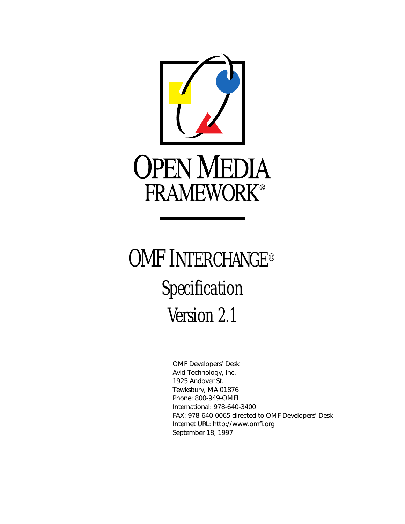

## OMF INTERCHANGE® Specification Version 2.1

OMF Developers' Desk Avid Technology, Inc. 1925 Andover St. Tewksbury, MA 01876 Phone: 800-949-OMFI International: 978-640-3400 FAX: 978-640-0065 directed to OMF Developers' Desk Internet URL: http://www.omfi.org September 18, 1997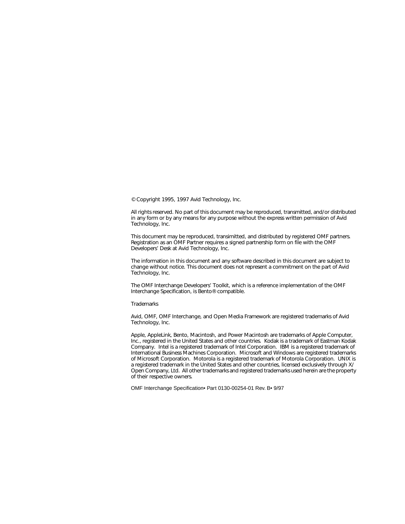© Copyright 1995, 1997 Avid Technology, Inc.

All rights reserved. No part of this document may be reproduced, transmitted, and/or distributed in any form or by any means for any purpose without the express written permission of Avid Technology, Inc.

This document may be reproduced, transimitted, and distributed by registered OMF partners. Registration as an OMF Partner requires a signed partnership form on file with the OMF Developers' Desk at Avid Technology, Inc.

The information in this document and any software described in this document are subject to change without notice. This document does not represent a commitment on the part of Avid Technology, Inc.

The OMF Interchange Developers' Toolkit, which is a reference implementation of the OMF Interchange Specification, is Bento® compatible.

**Trademarks** 

Avid, OMF, OMF Interchange, and Open Media Framework are registered trademarks of Avid Technology, Inc.

Apple, AppleLink, Bento, Macintosh, and Power Macintosh are trademarks of Apple Computer, Inc., registered in the United States and other countries. Kodak is a trademark of Eastman Kodak Company. Intel is a registered trademark of Intel Corporation. IBM is a registered trademark of International Business Machines Corporation. Microsoft and Windows are registered trademarks of Microsoft Corporation. Motorola is a registered trademark of Motorola Corporation. UNIX is a registered trademark in the United States and other countries, licensed exclusively through X/ Open Company, Ltd. All other trademarks and registered trademarks used herein are the property of their respective owners.

OMF Interchange Specification• Part 0130-00254-01 Rev. B• 9/97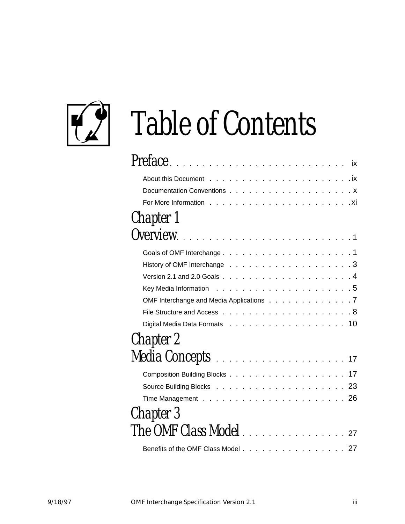

# Table of Contents

| Preface                                                                                               |
|-------------------------------------------------------------------------------------------------------|
|                                                                                                       |
|                                                                                                       |
|                                                                                                       |
|                                                                                                       |
| Chapter 1                                                                                             |
|                                                                                                       |
|                                                                                                       |
|                                                                                                       |
| Version 2.1 and 2.0 Goals $\ldots$ $\ldots$ $\ldots$ $\ldots$ $\ldots$ $\ldots$ $\ldots$ $\ldots$ . 4 |
|                                                                                                       |
| OMF Interchange and Media Applications 7                                                              |
|                                                                                                       |
|                                                                                                       |
| Chapter 2                                                                                             |
|                                                                                                       |
|                                                                                                       |
|                                                                                                       |
|                                                                                                       |
| Chapter 3                                                                                             |
| The OMF Class Model 27                                                                                |
| Benefits of the OMF Class Model 27                                                                    |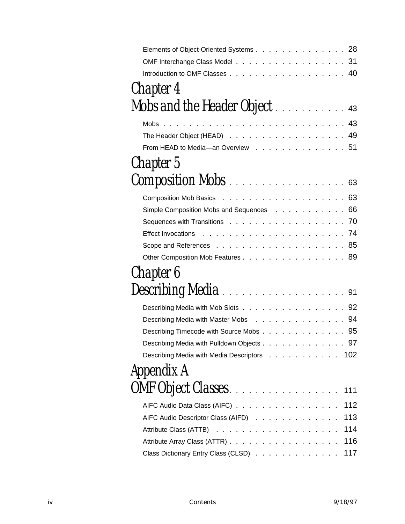| Elements of Object-Oriented Systems 28      |     |
|---------------------------------------------|-----|
| OMF Interchange Class Model 31              |     |
|                                             |     |
| Chapter 4                                   |     |
| Mobs and the Header Object 43               |     |
| Mobs $\ldots$                               |     |
| The Header Object (HEAD) 49                 |     |
| From HEAD to Media-an Overview 51           |     |
| Chapter 5                                   |     |
| <b>Composition Mobs</b> 63                  |     |
|                                             |     |
| Simple Composition Mobs and Sequences 66    |     |
|                                             |     |
|                                             |     |
|                                             |     |
| Other Composition Mob Features 89           |     |
| Chapter 6                                   |     |
| Describing Media 91                         |     |
| Describing Media with Mob Slots 92          |     |
| Describing Media with Master Mobs 94        |     |
| Describing Timecode with Source Mobs 95     |     |
| Describing Media with Pulldown Objects 97   |     |
| Describing Media with Media Descriptors 102 |     |
| Appendix A                                  |     |
|                                             |     |
| AIFC Audio Data Class (AIFC)                | 112 |
| AIFC Audio Descriptor Class (AIFD)          | 113 |
|                                             | 114 |
|                                             | 116 |
| Class Dictionary Entry Class (CLSD)         | 117 |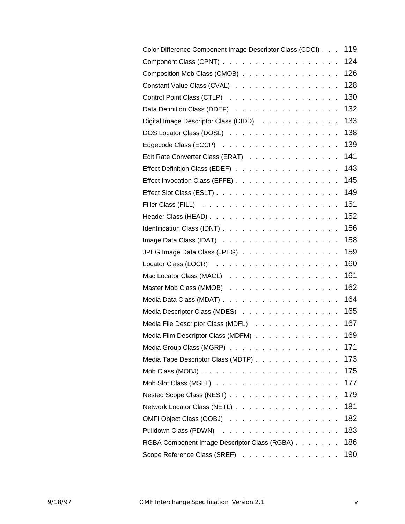| Color Difference Component Image Descriptor Class (CDCI) | 119 |
|----------------------------------------------------------|-----|
|                                                          | 124 |
| Composition Mob Class (CMOB)                             | 126 |
| Constant Value Class (CVAL)                              | 128 |
| Control Point Class (CTLP)                               | 130 |
| Data Definition Class (DDEF)                             | 132 |
| Digital Image Descriptor Class (DIDD)                    | 133 |
| DOS Locator Class (DOSL)                                 | 138 |
|                                                          | 139 |
| Edit Rate Converter Class (ERAT)                         | 141 |
| Effect Definition Class (EDEF)                           | 143 |
| Effect Invocation Class (EFFE)                           | 145 |
|                                                          | 149 |
|                                                          | 151 |
|                                                          | 152 |
|                                                          | 156 |
|                                                          | 158 |
| JPEG Image Data Class (JPEG)                             | 159 |
|                                                          | 160 |
| Mac Locator Class (MACL)                                 | 161 |
| Master Mob Class (MMOB)                                  | 162 |
|                                                          | 164 |
| Media Descriptor Class (MDES)                            | 165 |
| Media File Descriptor Class (MDFL)                       | 167 |
| Media Film Descriptor Class (MDFM)                       | 169 |
| Media Group Class (MGRP)                                 | 171 |
| Media Tape Descriptor Class (MDTP)                       | 173 |
|                                                          | 175 |
|                                                          | 177 |
| Nested Scope Class (NEST)                                | 179 |
| Network Locator Class (NETL)                             | 181 |
| OMFI Object Class (OOBJ)                                 | 182 |
|                                                          | 183 |
| RGBA Component Image Descriptor Class (RGBA)             | 186 |
| Scope Reference Class (SREF)                             | 190 |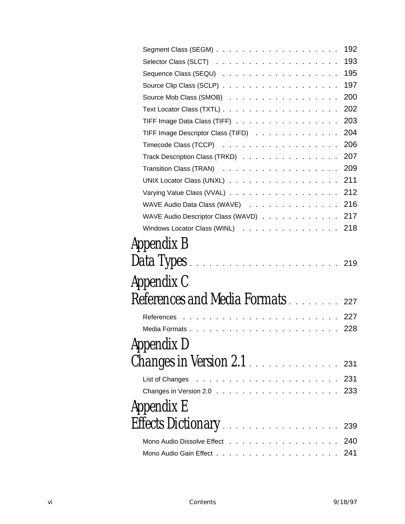|                                                                       | 192 |
|-----------------------------------------------------------------------|-----|
|                                                                       | 193 |
|                                                                       | 195 |
|                                                                       | 197 |
| Source Mob Class (SMOB)                                               | 200 |
|                                                                       | 202 |
| TIFF Image Data Class (TIFF)                                          | 203 |
| TIFF Image Descriptor Class (TIFD)                                    | 204 |
| Timecode Class (TCCP) $\ldots \ldots \ldots \ldots \ldots \ldots$ 206 |     |
| Track Description Class (TRKD)                                        | 207 |
|                                                                       |     |
| UNIX Locator Class (UNXL) 211                                         |     |
| Varying Value Class (VVAL) 212                                        |     |
| WAVE Audio Data Class (WAVE) 216                                      |     |
| WAVE Audio Descriptor Class (WAVD) 217                                |     |
| Windows Locator Class (WINL)                                          | 218 |
| Appendix B                                                            |     |
|                                                                       |     |
| Appendix C                                                            |     |
| References and Media Formats 227                                      |     |
| References                                                            |     |
|                                                                       |     |
| Appendix D                                                            |     |
| Changes in Version 2.1 231                                            |     |
|                                                                       |     |
|                                                                       |     |
| Appendix E                                                            |     |
|                                                                       | 239 |
| Mono Audio Dissolve Effect                                            | 240 |
|                                                                       |     |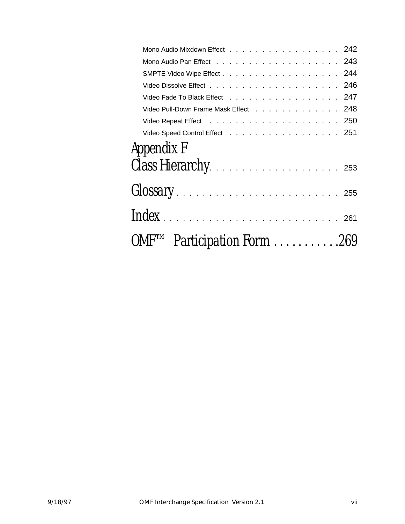| Mono Audio Mixdown Effect 242         |  |
|---------------------------------------|--|
|                                       |  |
| SMPTE Video Wipe Effect 244           |  |
|                                       |  |
| Video Fade To Black Effect 247        |  |
| Video Pull-Down Frame Mask Effect 248 |  |
|                                       |  |
| Video Speed Control Effect 251        |  |
| Appendix F                            |  |
|                                       |  |
|                                       |  |
|                                       |  |
| OMFTM Participation Form 269          |  |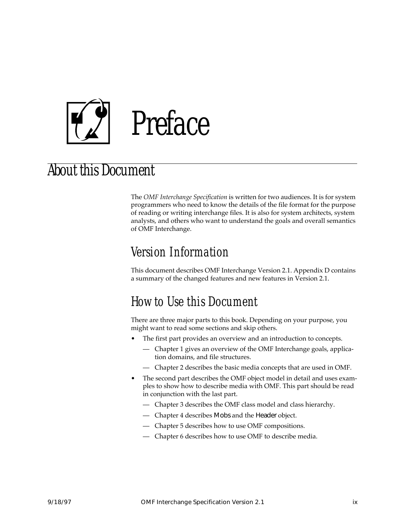<span id="page-8-0"></span>

### About this Document

The *OMF Interchange Specification* is written for two audiences. It is for system programmers who need to know the details of the file format for the purpose of reading or writing interchange files. It is also for system architects, system analysts, and others who want to understand the goals and overall semantics of OMF Interchange.

#### Version Information

This document describes OMF Interchange Version 2.1. [Appendix D](#page-242-0) contains a summary of the changed features and new features in Version 2.1.

#### How to Use this Document

There are three major parts to this book. Depending on your purpose, you might want to read some sections and skip others.

- The first part provides an overview and an introduction to concepts.
	- Chapter [1](#page-12-0) gives an overview of the OMF Interchange goals, application domains, and file structures.
	- Chapter [2](#page-28-0) describes the basic media concepts that are used in OMF.
- The second part describes the OMF object model in detail and uses examples to show how to describe media with OMF. This part should be read in conjunction with the last part.
	- Chapter [3](#page-38-0) describes the OMF class model and class hierarchy.
	- Chapter [4](#page-54-0) describes Mobs and the Header object.
	- Chapter [5](#page-74-0) describes how to use OMF compositions.
	- Chapter [6](#page-102-0) describes how to use OMF to describe media.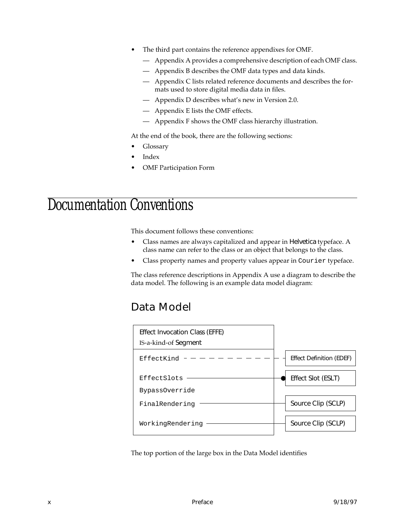- <span id="page-9-0"></span>The third part contains the reference appendixes for OMF.
	- — [Appendix A](#page-122-0) provides a comprehensive description of each OMF class.
	- — [Appendix B](#page-230-0) describes the OMF data types and data kinds.
	- — [Appendix C](#page-238-0) lists related reference documents and describes the formats used to store digital media data in files.
	- — [Appendix D](#page-242-0) describes what's new in Version 2.0.
	- — [Appendix E](#page-250-0) lists the OMF effects.
	- — [Appendix F](#page-264-0) shows the OMF class hierarchy illustration.

At the end of the book, there are the following sections:

- Glossary
- **Index**
- OMF Participation Form

### Documentation Conventions

This document follows these conventions:

- Class names are always capitalized and appear in Helvetica typeface. A class name can refer to the class or an object that belongs to the class.
- Class property names and property values appear in Courier typeface.

The class reference descriptions in Appendix A use a diagram to describe the data model. The following is an example data model diagram:

#### Data Model



The top portion of the large box in the Data Model identifies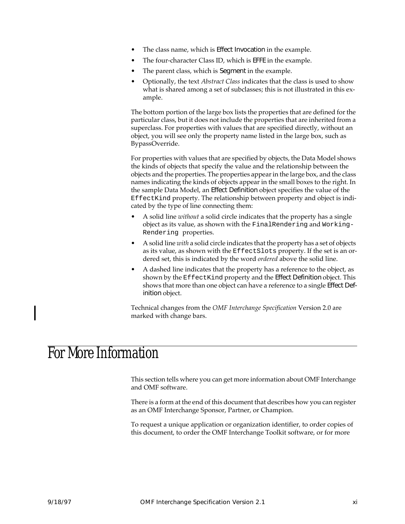- <span id="page-10-0"></span>The class name, which is Effect Invocation in the example.
- The four-character Class ID, which is EFFE in the example.
- The parent class, which is Segment in the example.
- Optionally, the text *Abstract Class* indicates that the class is used to show what is shared among a set of subclasses; this is not illustrated in this example.

The bottom portion of the large box lists the properties that are defined for the particular class, but it does not include the properties that are inherited from a superclass. For properties with values that are specified directly, without an object, you will see only the property name listed in the large box, such as BypassOverride.

For properties with values that are specified by objects, the Data Model shows the kinds of objects that specify the value and the relationship between the objects and the properties. The properties appear in the large box, and the class names indicating the kinds of objects appear in the small boxes to the right. In the sample Data Model, an Effect Definition object specifies the value of the EffectKind property. The relationship between property and object is indicated by the type of line connecting them:

- A solid line *without* a solid circle indicates that the property has a single object as its value, as shown with the FinalRendering and Working-Rendering properties.
- A solid line *with* a solid circle indicates that the property has a set of objects as its value, as shown with the EffectSlots property. If the set is an ordered set, this is indicated by the word *ordered* above the solid line.
- A dashed line indicates that the property has a reference to the object, as shown by the EffectKind property and the Effect Definition object. This shows that more than one object can have a reference to a single Effect Definition object.

Technical changes from the *OMF Interchange Specification* Version 2.0 are marked with change bars.

### For More Information

This section tells where you can get more information about OMF Interchange and OMF software.

There is a form at the end of this document that describes how you can register as an OMF Interchange Sponsor, Partner, or Champion.

To request a unique application or organization identifier, to order copies of this document, to order the OMF Interchange Toolkit software, or for more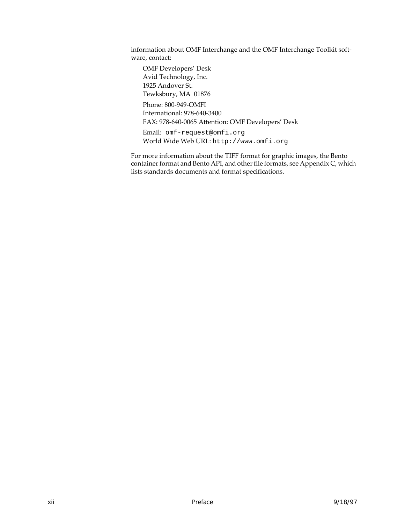information about OMF Interchange and the OMF Interchange Toolkit software, contact:

OMF Developers' Desk Avid Technology, Inc. 1925 Andover St. Tewksbury, MA 01876 Phone: 800-949-OMFI International: 978-640-3400 FAX: 978-640-0065 Attention: OMF Developers' Desk Email: omf-request@omfi.org

World Wide Web URL: http://www.omfi.org

For more information about the TIFF format for graphic images, the Bento container format and Bento API, and other file formats, see [Appendix C,](#page-238-0) which lists standards documents and format specifications.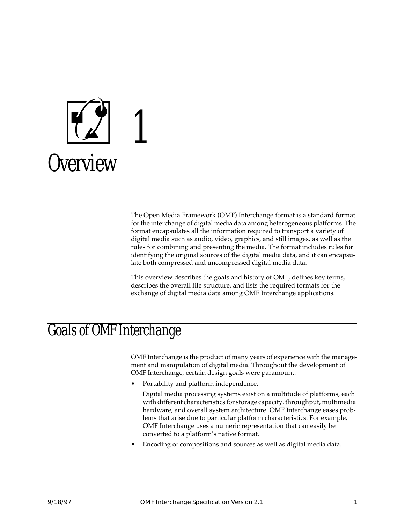<span id="page-12-0"></span>

The Open Media Framework (OMF) Interchange format is a standard format for the interchange of digital media data among heterogeneous platforms. The format encapsulates all the information required to transport a variety of digital media such as audio, video, graphics, and still images, as well as the rules for combining and presenting the media. The format includes rules for identifying the original sources of the digital media data, and it can encapsulate both compressed and uncompressed digital media data.

This overview describes the goals and history of OMF, defines key terms, describes the overall file structure, and lists the required formats for the exchange of digital media data among OMF Interchange applications.

### Goals of OMF Interchange

OMF Interchange is the product of many years of experience with the management and manipulation of digital media. Throughout the development of OMF Interchange, certain design goals were paramount:

• Portability and platform independence.

Digital media processing systems exist on a multitude of platforms, each with different characteristics for storage capacity, throughput, multimedia hardware, and overall system architecture. OMF Interchange eases problems that arise due to particular platform characteristics. For example, OMF Interchange uses a numeric representation that can easily be converted to a platform's native format.

• Encoding of compositions and sources as well as digital media data.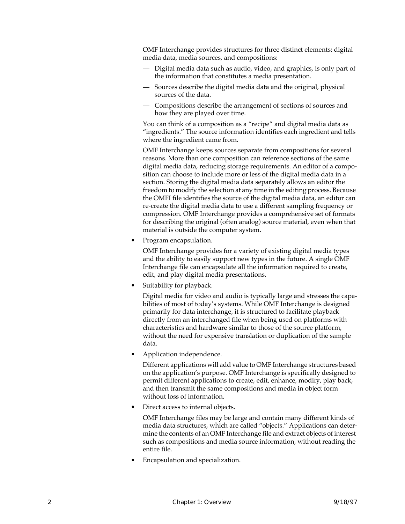OMF Interchange provides structures for three distinct elements: digital media data, media sources, and compositions:

- Digital media data such as audio, video, and graphics, is only part of the information that constitutes a media presentation.
- Sources describe the digital media data and the original, physical sources of the data.
- Compositions describe the arrangement of sections of sources and how they are played over time.

You can think of a composition as a "recipe" and digital media data as "ingredients." The source information identifies each ingredient and tells where the ingredient came from.

OMF Interchange keeps sources separate from compositions for several reasons. More than one composition can reference sections of the same digital media data, reducing storage requirements. An editor of a composition can choose to include more or less of the digital media data in a section. Storing the digital media data separately allows an editor the freedom to modify the selection at any time in the editing process. Because the OMFI file identifies the source of the digital media data, an editor can re-create the digital media data to use a different sampling frequency or compression. OMF Interchange provides a comprehensive set of formats for describing the original (often analog) source material, even when that material is outside the computer system.

• Program encapsulation.

OMF Interchange provides for a variety of existing digital media types and the ability to easily support new types in the future. A single OMF Interchange file can encapsulate all the information required to create, edit, and play digital media presentations.

Suitability for playback.

Digital media for video and audio is typically large and stresses the capabilities of most of today's systems. While OMF Interchange is designed primarily for data interchange, it is structured to facilitate playback directly from an interchanged file when being used on platforms with characteristics and hardware similar to those of the source platform, without the need for expensive translation or duplication of the sample data.

• Application independence.

Different applications will add value to OMF Interchange structures based on the application's purpose. OMF Interchange is specifically designed to permit different applications to create, edit, enhance, modify, play back, and then transmit the same compositions and media in object form without loss of information.

Direct access to internal objects.

OMF Interchange files may be large and contain many different kinds of media data structures, which are called "objects." Applications can determine the contents of an OMF Interchange file and extract objects of interest such as compositions and media source information, without reading the entire file.

• Encapsulation and specialization.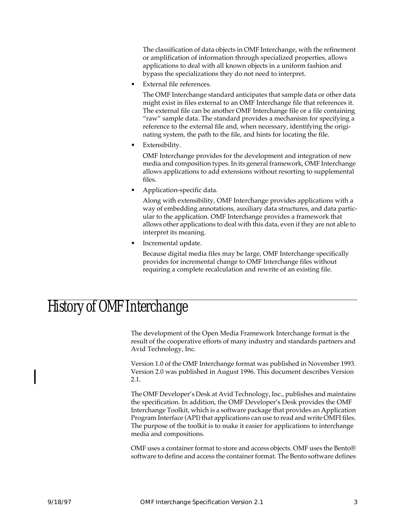<span id="page-14-0"></span>The classification of data objects in OMF Interchange, with the refinement or amplification of information through specialized properties, allows applications to deal with all known objects in a uniform fashion and bypass the specializations they do not need to interpret.

External file references.

The OMF Interchange standard anticipates that sample data or other data might exist in files external to an OMF Interchange file that references it. The external file can be another OMF Interchange file or a file containing "raw" sample data. The standard provides a mechanism for specifying a reference to the external file and, when necessary, identifying the originating system, the path to the file, and hints for locating the file.

Extensibility.

OMF Interchange provides for the development and integration of new media and composition types. In its general framework, OMF Interchange allows applications to add extensions without resorting to supplemental files.

• Application-specific data.

Along with extensibility, OMF Interchange provides applications with a way of embedding annotations, auxiliary data structures, and data particular to the application. OMF Interchange provides a framework that allows other applications to deal with this data, even if they are not able to interpret its meaning.

• Incremental update.

Because digital media files may be large, OMF Interchange specifically provides for incremental change to OMF Interchange files without requiring a complete recalculation and rewrite of an existing file.

### History of OMF Interchange

The development of the Open Media Framework Interchange format is the result of the cooperative efforts of many industry and standards partners and Avid Technology, Inc.

Version 1.0 of the OMF Interchange format was published in November 1993. Version 2.0 was published in August 1996. This document describes Version 2.1.

The OMF Developer's Desk at Avid Technology, Inc., publishes and maintains the specification. In addition, the OMF Developer's Desk provides the OMF Interchange Toolkit, which is a software package that provides an Application Program Interface (API) that applications can use to read and write OMFI files. The purpose of the toolkit is to make it easier for applications to interchange media and compositions.

OMF uses a container format to store and access objects. OMF uses the Bento® software to define and access the container format. The Bento software defines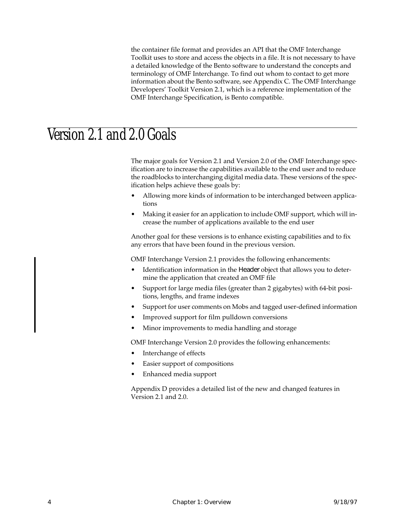the container file format and provides an API that the OMF Interchange Toolkit uses to store and access the objects in a file. It is not necessary to have a detailed knowledge of the Bento software to understand the concepts and terminology of OMF Interchange. To find out whom to contact to get more information about the Bento software, see Appendix C. The OMF Interchange Developers' Toolkit Version 2.1, which is a reference implementation of the OMF Interchange Specification, is Bento compatible.

### <span id="page-15-0"></span>Version 2.1 and 2.0 Goals

The major goals for Version 2.1 and Version 2.0 of the OMF Interchange specification are to increase the capabilities available to the end user and to reduce the roadblocks to interchanging digital media data. These versions of the specification helps achieve these goals by:

- Allowing more kinds of information to be interchanged between applications
- Making it easier for an application to include OMF support, which will increase the number of applications available to the end user

Another goal for these versions is to enhance existing capabilities and to fix any errors that have been found in the previous version.

OMF Interchange Version 2.1 provides the following enhancements:

- Identification information in the Header object that allows you to determine the application that created an OMF file
- Support for large media files (greater than 2 gigabytes) with 64-bit positions, lengths, and frame indexes
- Support for user comments on Mobs and tagged user-defined information
- Improved support for film pulldown conversions
- Minor improvements to media handling and storage

OMF Interchange Version 2.0 provides the following enhancements:

- Interchange of effects
- Easier support of compositions
- Enhanced media support

[Appendix D](#page-242-0) provides a detailed list of the new and changed features in Version 2.1 and 2.0.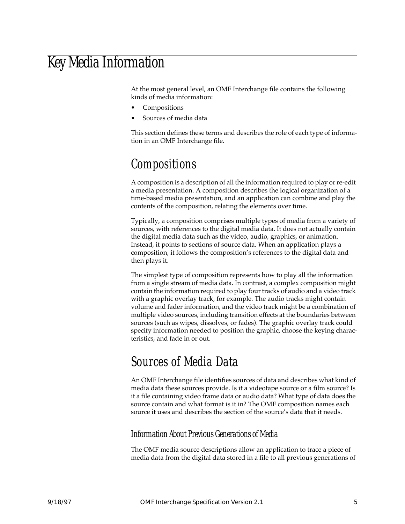### <span id="page-16-0"></span>Key Media Information

At the most general level, an OMF Interchange file contains the following kinds of media information:

- Compositions
- Sources of media data

This section defines these terms and describes the role of each type of information in an OMF Interchange file.

### Compositions

A composition is a description of all the information required to play or re-edit a media presentation. A composition describes the logical organization of a time-based media presentation, and an application can combine and play the contents of the composition, relating the elements over time.

Typically, a composition comprises multiple types of media from a variety of sources, with references to the digital media data. It does not actually contain the digital media data such as the video, audio, graphics, or animation. Instead, it points to sections of source data. When an application plays a composition, it follows the composition's references to the digital data and then plays it.

The simplest type of composition represents how to play all the information from a single stream of media data. In contrast, a complex composition might contain the information required to play four tracks of audio and a video track with a graphic overlay track, for example. The audio tracks might contain volume and fader information, and the video track might be a combination of multiple video sources, including transition effects at the boundaries between sources (such as wipes, dissolves, or fades). The graphic overlay track could specify information needed to position the graphic, choose the keying characteristics, and fade in or out.

#### Sources of Media Data

An OMF Interchange file identifies sources of data and describes what kind of media data these sources provide. Is it a videotape source or a film source? Is it a file containing video frame data or audio data? What type of data does the source contain and what format is it in? The OMF composition names each source it uses and describes the section of the source's data that it needs.

#### Information About Previous Generations of Media

The OMF media source descriptions allow an application to trace a piece of media data from the digital data stored in a file to all previous generations of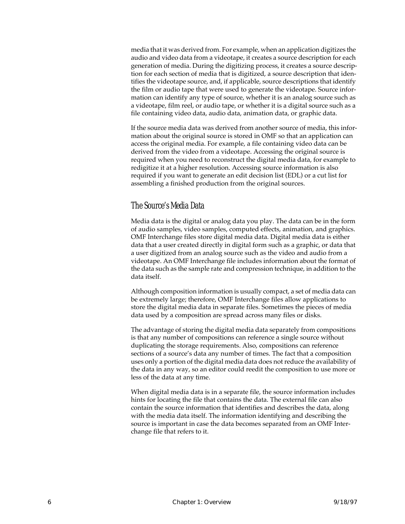media that it was derived from. For example, when an application digitizes the audio and video data from a videotape, it creates a source description for each generation of media. During the digitizing process, it creates a source description for each section of media that is digitized, a source description that identifies the videotape source, and, if applicable, source descriptions that identify the film or audio tape that were used to generate the videotape. Source information can identify any type of source, whether it is an analog source such as a videotape, film reel, or audio tape, or whether it is a digital source such as a file containing video data, audio data, animation data, or graphic data.

If the source media data was derived from another source of media, this information about the original source is stored in OMF so that an application can access the original media. For example, a file containing video data can be derived from the video from a videotape. Accessing the original source is required when you need to reconstruct the digital media data, for example to redigitize it at a higher resolution. Accessing source information is also required if you want to generate an edit decision list (EDL) or a cut list for assembling a finished production from the original sources.

#### The Source's Media Data

Media data is the digital or analog data you play. The data can be in the form of audio samples, video samples, computed effects, animation, and graphics. OMF Interchange files store digital media data. Digital media data is either data that a user created directly in digital form such as a graphic, or data that a user digitized from an analog source such as the video and audio from a videotape. An OMF Interchange file includes information about the format of the data such as the sample rate and compression technique, in addition to the data itself.

Although composition information is usually compact, a set of media data can be extremely large; therefore, OMF Interchange files allow applications to store the digital media data in separate files. Sometimes the pieces of media data used by a composition are spread across many files or disks.

The advantage of storing the digital media data separately from compositions is that any number of compositions can reference a single source without duplicating the storage requirements. Also, compositions can reference sections of a source's data any number of times. The fact that a composition uses only a portion of the digital media data does not reduce the availability of the data in any way, so an editor could reedit the composition to use more or less of the data at any time.

When digital media data is in a separate file, the source information includes hints for locating the file that contains the data. The external file can also contain the source information that identifies and describes the data, along with the media data itself. The information identifying and describing the source is important in case the data becomes separated from an OMF Interchange file that refers to it.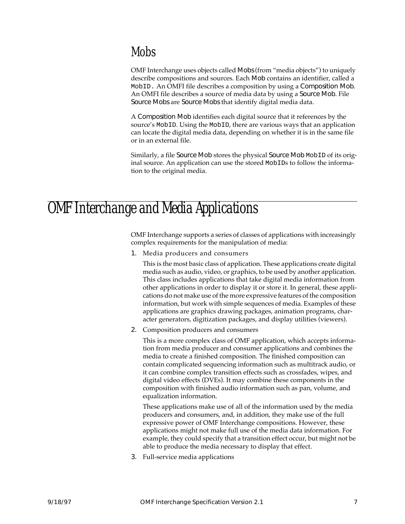#### <span id="page-18-0"></span>Mobs

OMF Interchange uses objects called Mobs (from "media objects") to uniquely describe compositions and sources. Each Mob contains an identifier, called a MobID. An OMFI file describes a composition by using a Composition Mob. An OMFI file describes a source of media data by using a Source Mob. File Source Mobs are Source Mobs that identify digital media data.

A Composition Mob identifies each digital source that it references by the source's MobID. Using the MobID, there are various ways that an application can locate the digital media data, depending on whether it is in the same file or in an external file.

Similarly, a file Source Mob stores the physical Source Mob MobID of its original source. An application can use the stored MobIDs to follow the information to the original media.

### OMF Interchange and Media Applications

OMF Interchange supports a series of classes of applications with increasingly complex requirements for the manipulation of media:

1. Media producers and consumers

This is the most basic class of application. These applications create digital media such as audio, video, or graphics, to be used by another application. This class includes applications that take digital media information from other applications in order to display it or store it. In general, these applications do not make use of the more expressive features of the composition information, but work with simple sequences of media. Examples of these applications are graphics drawing packages, animation programs, character generators, digitization packages, and display utilities (viewers).

2. Composition producers and consumers

This is a more complex class of OMF application, which accepts information from media producer and consumer applications and combines the media to create a finished composition. The finished composition can contain complicated sequencing information such as multitrack audio, or it can combine complex transition effects such as crossfades, wipes, and digital video effects (DVEs). It may combine these components in the composition with finished audio information such as pan, volume, and equalization information.

These applications make use of all of the information used by the media producers and consumers, and, in addition, they make use of the full expressive power of OMF Interchange compositions. However, these applications might not make full use of the media data information. For example, they could specify that a transition effect occur, but might not be able to produce the media necessary to display that effect.

3. Full-service media applications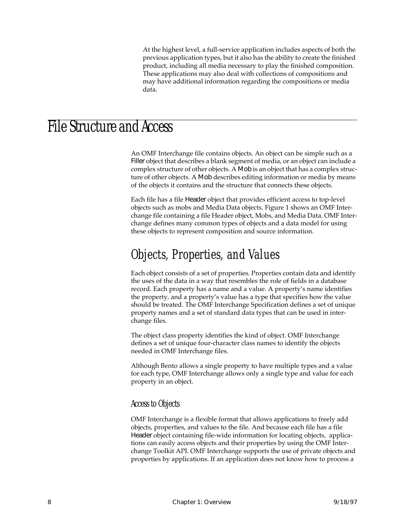At the highest level, a full-service application includes aspects of both the previous application types, but it also has the ability to create the finished product, including all media necessary to play the finished composition. These applications may also deal with collections of compositions and may have additional information regarding the compositions or media data.

### <span id="page-19-0"></span>File Structure and Access

An OMF Interchange file contains objects. An object can be simple such as a Filler object that describes a blank segment of media, or an object can include a complex structure of other objects. A Mob is an object that has a complex structure of other objects. A Mob describes editing information or media by means of the objects it contains and the structure that connects these objects.

Each file has a file Header object that provides efficient access to top-level objects such as mobs and Media Data objects. Figure 1 shows an OMF Interchange file containing a file Header object, Mobs, and Media Data. OMF Interchange defines many common types of objects and a data model for using these objects to represent composition and source information.

#### Objects, Properties, and Values

Each object consists of a set of properties. Properties contain data and identify the uses of the data in a way that resembles the role of fields in a database record. Each property has a name and a value. A property's name identifies the property, and a property's value has a type that specifies how the value should be treated. The OMF Interchange Specification defines a set of unique property names and a set of standard data types that can be used in interchange files.

The object class property identifies the kind of object. OMF Interchange defines a set of unique four-character class names to identify the objects needed in OMF Interchange files.

Although Bento allows a single property to have multiple types and a value for each type, OMF Interchange allows only a single type and value for each property in an object.

#### Access to Objects

OMF Interchange is a flexible format that allows applications to freely add objects, properties, and values to the file. And because each file has a file Header object containing file-wide information for locating objects, applications can easily access objects and their properties by using the OMF Interchange Toolkit API. OMF Interchange supports the use of private objects and properties by applications. If an application does not know how to process a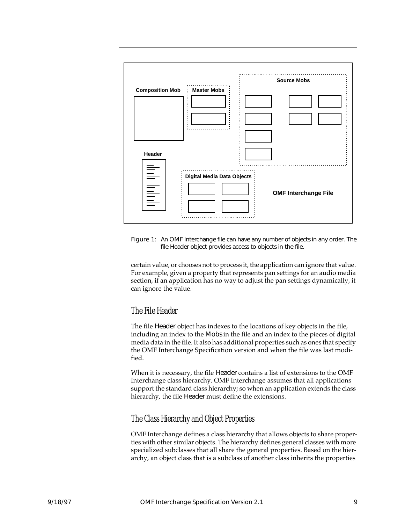

Figure 1: An OMF Interchange file can have any number of objects in any order. The file Header object provides access to objects in the file.

certain value, or chooses not to process it, the application can ignore that value. For example, given a property that represents pan settings for an audio media section, if an application has no way to adjust the pan settings dynamically, it can ignore the value.

#### The File Header

The file Header object has indexes to the locations of key objects in the file, including an index to the Mobs in the file and an index to the pieces of digital media data in the file. It also has additional properties such as ones that specify the OMF Interchange Specification version and when the file was last modified.

When it is necessary, the file Header contains a list of extensions to the OMF Interchange class hierarchy. OMF Interchange assumes that all applications support the standard class hierarchy; so when an application extends the class hierarchy, the file Header must define the extensions.

#### The Class Hierarchy and Object Properties

OMF Interchange defines a class hierarchy that allows objects to share properties with other similar objects. The hierarchy defines general classes with more specialized subclasses that all share the general properties. Based on the hierarchy, an object class that is a subclass of another class inherits the properties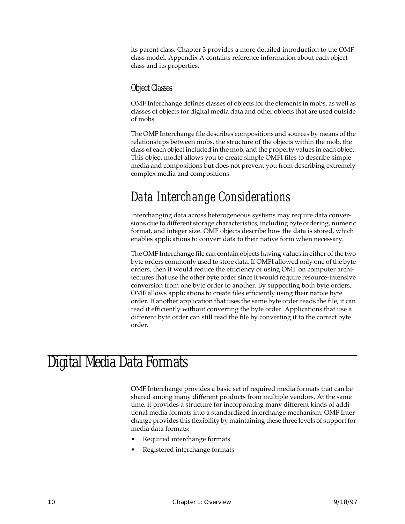<span id="page-21-0"></span>its parent class. Chapter [3](#page-38-0) provides a more detailed introduction to the OMF class model. [Appendix A](#page-122-0) contains reference information about each object class and its properties.

#### Object Classes

OMF Interchange defines classes of objects for the elements in mobs, as well as classes of objects for digital media data and other objects that are used outside of mobs.

The OMF Interchange file describes compositions and sources by means of the relationships between mobs, the structure of the objects within the mob, the class of each object included in the mob, and the property values in each object. This object model allows you to create simple OMFI files to describe simple media and compositions but does not prevent you from describing extremely complex media and compositions.

#### Data Interchange Considerations

Interchanging data across heterogeneous systems may require data conversions due to different storage characteristics, including byte ordering, numeric format, and integer size. OMF objects describe how the data is stored, which enables applications to convert data to their native form when necessary.

The OMF Interchange file can contain objects having values in either of the two byte orders commonly used to store data. If OMFI allowed only one of the byte orders, then it would reduce the efficiency of using OMF on computer architectures that use the other byte order since it would require resource-intensive conversion from one byte order to another. By supporting both byte orders, OMF allows applications to create files efficiently using their native byte order. If another application that uses the same byte order reads the file, it can read it efficiently without converting the byte order. Applications that use a different byte order can still read the file by converting it to the correct byte order.

### Digital Media Data Formats

OMF Interchange provides a basic set of required media formats that can be shared among many different products from multiple vendors. At the same time, it provides a structure for incorporating many different kinds of additional media formats into a standardized interchange mechanism. OMF Interchange provides this flexibility by maintaining these three levels of support for media data formats:

- Required interchange formats
- Registered interchange formats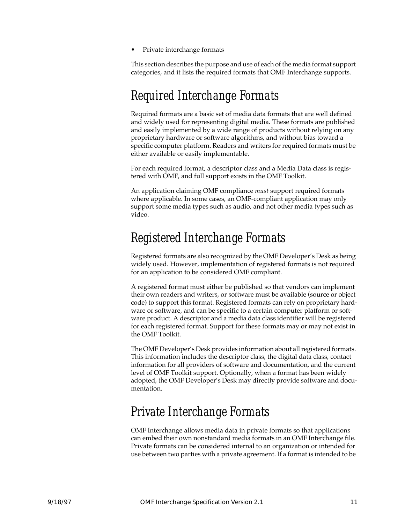Private interchange formats

This section describes the purpose and use of each of the media format support categories, and it lists the required formats that OMF Interchange supports.

#### Required Interchange Formats

Required formats are a basic set of media data formats that are well defined and widely used for representing digital media. These formats are published and easily implemented by a wide range of products without relying on any proprietary hardware or software algorithms, and without bias toward a specific computer platform. Readers and writers for required formats must be either available or easily implementable.

For each required format, a descriptor class and a Media Data class is registered with OMF, and full support exists in the OMF Toolkit.

An application claiming OMF compliance *must* support required formats where applicable. In some cases, an OMF-compliant application may only support some media types such as audio, and not other media types such as video.

#### Registered Interchange Formats

Registered formats are also recognized by the OMF Developer's Desk as being widely used. However, implementation of registered formats is not required for an application to be considered OMF compliant.

A registered format must either be published so that vendors can implement their own readers and writers, or software must be available (source or object code) to support this format. Registered formats can rely on proprietary hardware or software, and can be specific to a certain computer platform or software product. A descriptor and a media data class identifier will be registered for each registered format. Support for these formats may or may not exist in the OMF Toolkit.

The OMF Developer's Desk provides information about all registered formats. This information includes the descriptor class, the digital data class, contact information for all providers of software and documentation, and the current level of OMF Toolkit support. Optionally, when a format has been widely adopted, the OMF Developer's Desk may directly provide software and documentation.

#### Private Interchange Formats

OMF Interchange allows media data in private formats so that applications can embed their own nonstandard media formats in an OMF Interchange file. Private formats can be considered internal to an organization or intended for use between two parties with a private agreement. If a format is intended to be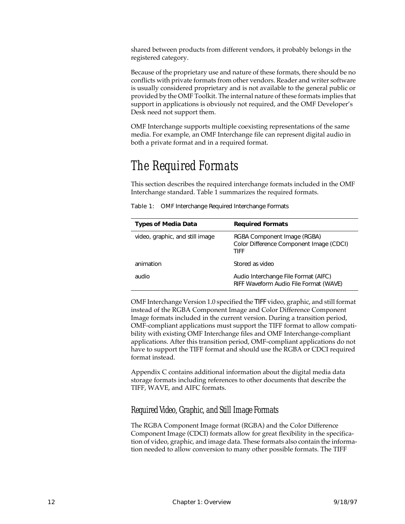shared between products from different vendors, it probably belongs in the registered category.

Because of the proprietary use and nature of these formats, there should be no conflicts with private formats from other vendors. Reader and writer software is usually considered proprietary and is not available to the general public or provided by the OMF Toolkit. The internal nature of these formats implies that support in applications is obviously not required, and the OMF Developer's Desk need not support them.

OMF Interchange supports multiple coexisting representations of the same media. For example, an OMF Interchange file can represent digital audio in both a private format and in a required format.

#### The Required Formats

This section describes the required interchange formats included in the OMF Interchange standard. Table 1 summarizes the required formats.

| <b>Types of Media Data</b>      | <b>Required Formats</b>                                                        |
|---------------------------------|--------------------------------------------------------------------------------|
| video, graphic, and still image | RGBA Component Image (RGBA)<br>Color Difference Component Image (CDCI)<br>TIFF |
| animation                       | Stored as video                                                                |
| audio                           | Audio Interchange File Format (AIFC)<br>RIFF Waveform Audio File Format (WAVE) |

Table 1: OMF Interchange Required Interchange Formats

OMF Interchange Version 1.0 specified the TIFF video, graphic, and still format instead of the RGBA Component Image and Color Difference Component Image formats included in the current version. During a transition period, OMF-compliant applications must support the TIFF format to allow compatibility with existing OMF Interchange files and OMF Interchange-compliant applications. After this transition period, OMF-compliant applications do not have to support the TIFF format and should use the RGBA or CDCI required format instead.

[Appendix C](#page-238-0) contains additional information about the digital media data storage formats including references to other documents that describe the TIFF, WAVE, and AIFC formats.

#### Required Video, Graphic, and Still Image Formats

The RGBA Component Image format (RGBA) and the Color Difference Component Image (CDCI) formats allow for great flexibility in the specification of video, graphic, and image data. These formats also contain the information needed to allow conversion to many other possible formats. The TIFF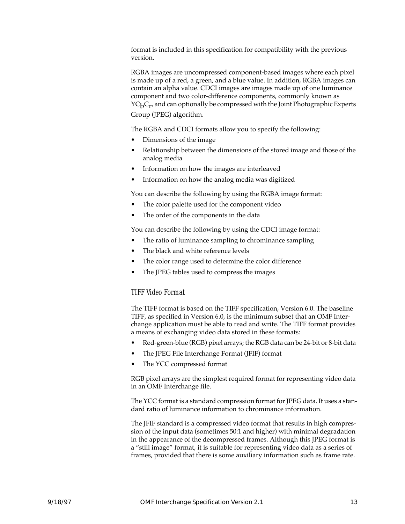format is included in this specification for compatibility with the previous version.

RGBA images are uncompressed component-based images where each pixel is made up of a red, a green, and a blue value. In addition, RGBA images can contain an alpha value. CDCI images are images made up of one luminance component and two color-difference components, commonly known as  $YC_pC_r$ , and can optionally be compressed with the Joint Photographic Experts Group (JPEG) algorithm.

The RGBA and CDCI formats allow you to specify the following:

- Dimensions of the image
- Relationship between the dimensions of the stored image and those of the analog media
- Information on how the images are interleaved
- Information on how the analog media was digitized

You can describe the following by using the RGBA image format:

- The color palette used for the component video
- The order of the components in the data

You can describe the following by using the CDCI image format:

- The ratio of luminance sampling to chrominance sampling
- The black and white reference levels
- The color range used to determine the color difference
- The JPEG tables used to compress the images

#### TIFF Video Format

The TIFF format is based on the TIFF specification, Version 6.0. The baseline TIFF, as specified in Version 6.0, is the minimum subset that an OMF Interchange application must be able to read and write. The TIFF format provides a means of exchanging video data stored in these formats:

- Red-green-blue (RGB) pixel arrays; the RGB data can be 24-bit or 8-bit data
- The JPEG File Interchange Format (JFIF) format
- The YCC compressed format

RGB pixel arrays are the simplest required format for representing video data in an OMF Interchange file.

The YCC format is a standard compression format for JPEG data. It uses a standard ratio of luminance information to chrominance information.

The JFIF standard is a compressed video format that results in high compression of the input data (sometimes 50:1 and higher) with minimal degradation in the appearance of the decompressed frames. Although this JPEG format is a "still image" format, it is suitable for representing video data as a series of frames, provided that there is some auxiliary information such as frame rate.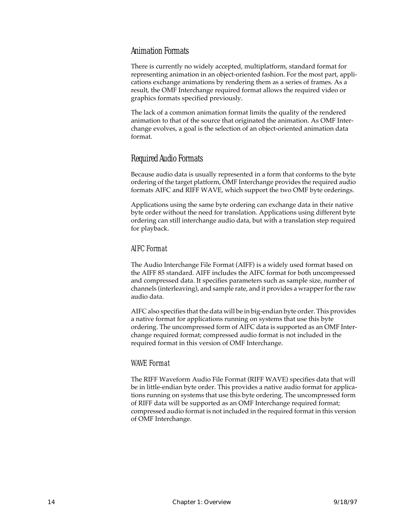#### Animation Formats

There is currently no widely accepted, multiplatform, standard format for representing animation in an object-oriented fashion. For the most part, applications exchange animations by rendering them as a series of frames. As a result, the OMF Interchange required format allows the required video or graphics formats specified previously.

The lack of a common animation format limits the quality of the rendered animation to that of the source that originated the animation. As OMF Interchange evolves, a goal is the selection of an object-oriented animation data format.

#### Required Audio Formats

Because audio data is usually represented in a form that conforms to the byte ordering of the target platform, OMF Interchange provides the required audio formats AIFC and RIFF WAVE, which support the two OMF byte orderings.

Applications using the same byte ordering can exchange data in their native byte order without the need for translation. Applications using different byte ordering can still interchange audio data, but with a translation step required for playback.

#### AIFC Format

The Audio Interchange File Format (AIFF) is a widely used format based on the AIFF 85 standard. AIFF includes the AIFC format for both uncompressed and compressed data. It specifies parameters such as sample size, number of channels (interleaving), and sample rate, and it provides a wrapper for the raw audio data.

AIFC also specifies that the data will be in big-endian byte order. This provides a native format for applications running on systems that use this byte ordering. The uncompressed form of AIFC data is supported as an OMF Interchange required format; compressed audio format is not included in the required format in this version of OMF Interchange.

#### WAVE Format

The RIFF Waveform Audio File Format (RIFF WAVE) specifies data that will be in little-endian byte order. This provides a native audio format for applications running on systems that use this byte ordering. The uncompressed form of RIFF data will be supported as an OMF Interchange required format; compressed audio format is not included in the required format in this version of OMF Interchange.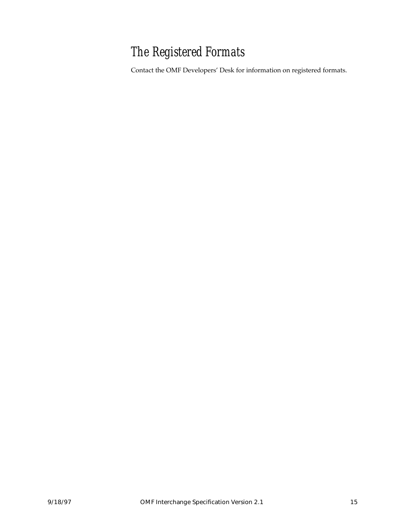### The Registered Formats

Contact the OMF Developers' Desk for information on registered formats.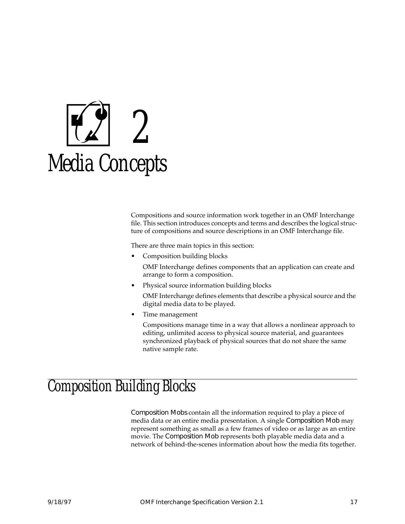<span id="page-28-0"></span>

Compositions and source information work together in an OMF Interchange file. This section introduces concepts and terms and describes the logical structure of compositions and source descriptions in an OMF Interchange file.

There are three main topics in this section:

• Composition building blocks

OMF Interchange defines components that an application can create and arrange to form a composition.

• Physical source information building blocks

OMF Interchange defines elements that describe a physical source and the digital media data to be played.

• Time management

Compositions manage time in a way that allows a nonlinear approach to editing, unlimited access to physical source material, and guarantees synchronized playback of physical sources that do not share the same native sample rate.

### Composition Building Blocks

Composition Mobs contain all the information required to play a piece of media data or an entire media presentation. A single Composition Mob may represent something as small as a few frames of video or as large as an entire movie. The Composition Mob represents both playable media data and a network of behind-the-scenes information about how the media fits together.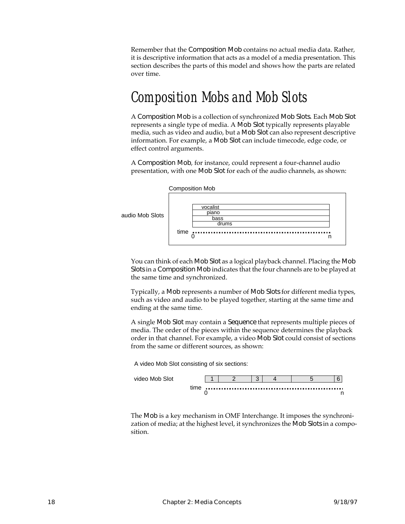Remember that the Composition Mob contains no actual media data. Rather, it is descriptive information that acts as a model of a media presentation. This section describes the parts of this model and shows how the parts are related over time.

### Composition Mobs and Mob Slots

A Composition Mob is a collection of synchronized Mob Slots. Each Mob Slot represents a single type of media. A Mob Slot typically represents playable media, such as video and audio, but a Mob Slot can also represent descriptive information. For example, a Mob Slot can include timecode, edge code, or effect control arguments.

A Composition Mob, for instance, could represent a four-channel audio presentation, with one Mob Slot for each of the audio channels, as shown:

|          | <b>Composition Mob</b>                     |  |
|----------|--------------------------------------------|--|
| ob Slots | vocalist<br>piano<br>bass<br>drums<br>time |  |

You can think of each Mob Slot as a logical playback channel. Placing the Mob Slots in a Composition Mob indicates that the four channels are to be played at the same time and synchronized.

Typically, a Mob represents a number of Mob Slots for different media types, such as video and audio to be played together, starting at the same time and ending at the same time.

A single Mob Slot may contain a Sequence that represents multiple pieces of media. The order of the pieces within the sequence determines the playback order in that channel. For example, a video Mob Slot could consist of sections from the same or different sources, as shown:

A video Mob Slot consisting of six sections:

audio M



The Mob is a key mechanism in OMF Interchange. It imposes the synchronization of media; at the highest level, it synchronizes the Mob Slots in a composition.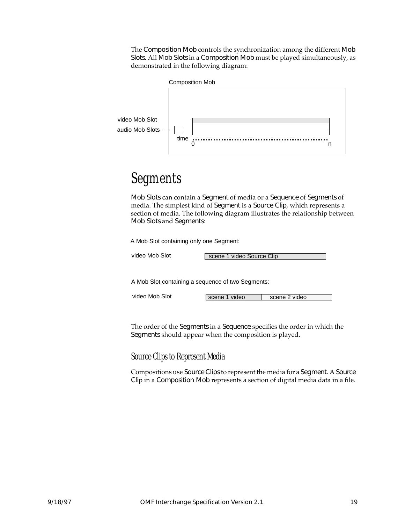The Composition Mob controls the synchronization among the different Mob Slots. All Mob Slots in a Composition Mob must be played simultaneously, as demonstrated in the following diagram:



#### Segments

Mob Slots can contain a Segment of media or a Sequence of Segments of media. The simplest kind of Segment is a Source Clip, which represents a section of media. The following diagram illustrates the relationship between Mob Slots and Segments:

A Mob Slot containing only one Segment:

video Mob Slot  $\overline{\phantom{a}}$  s

|  | scene 1 video Source Clip |  |
|--|---------------------------|--|
|  |                           |  |

A Mob Slot containing a sequence of two Segments:

video Mob Slot scene 1 video scene 2 video

The order of the Segments in a Sequence specifies the order in which the Segments should appear when the composition is played.

Source Clips to Represent Media

Compositions use Source Clips to represent the media for a Segment. A Source Clip in a Composition Mob represents a section of digital media data in a file.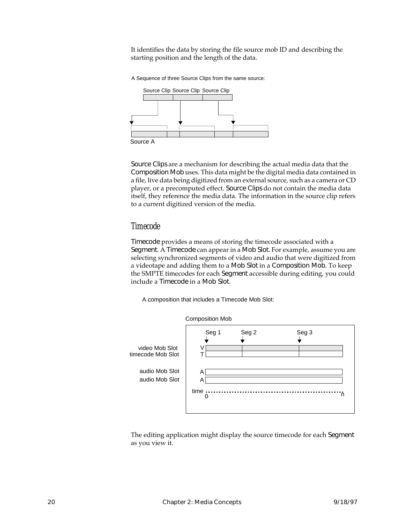It identifies the data by storing the file source mob ID and describing the starting position and the length of the data.

A Sequence of three Source Clips from the same source:



Source Clips are a mechanism for describing the actual media data that the Composition Mob uses. This data might be the digital media data contained in a file, live data being digitized from an external source, such as a camera or CD player, or a precomputed effect. Source Clips do not contain the media data itself, they reference the media data. The information in the source clip refers to a current digitized version of the media.

#### Timecode

Timecode provides a means of storing the timecode associated with a Segment. A Timecode can appear in a Mob Slot. For example, assume you are selecting synchronized segments of video and audio that were digitized from a videotape and adding them to a Mob Slot in a Composition Mob. To keep the SMPTE timecodes for each Segment accessible during editing, you could include a Timecode in a Mob Slot.

A composition that includes a Timecode Mob Slot:



The editing application might display the source timecode for each Segment as you view it.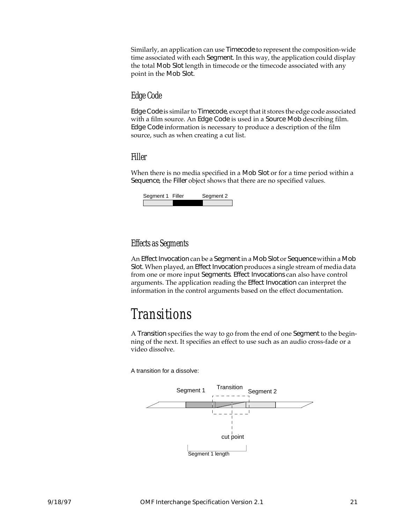Similarly, an application can use Timecode to represent the composition-wide time associated with each Segment. In this way, the application could display the total Mob Slot length in timecode or the timecode associated with any point in the Mob Slot.

#### Edge Code

Edge Code is similar to Timecode, except that it stores the edge code associated with a film source. An Edge Code is used in a Source Mob describing film. Edge Code information is necessary to produce a description of the film source, such as when creating a cut list.

#### Filler

When there is no media specified in a Mob Slot or for a time period within a Sequence, the Filler object shows that there are no specified values.

| Segment 1 Filler | Segment 2 |
|------------------|-----------|
|                  |           |

#### Effects as Segments

An Effect Invocation can be a Segment in a Mob Slot or Sequence within a Mob Slot. When played, an Effect Invocation produces a single stream of media data from one or more input Segments. Effect Invocations can also have control arguments. The application reading the Effect Invocation can interpret the information in the control arguments based on the effect documentation.

### Transitions

A Transition specifies the way to go from the end of one Segment to the beginning of the next. It specifies an effect to use such as an audio cross-fade or a video dissolve.

A transition for a dissolve:

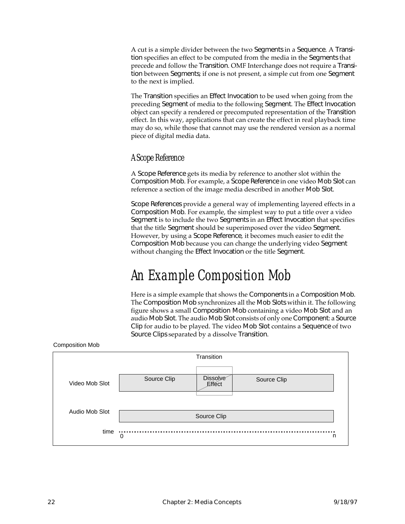A cut is a simple divider between the two Segments in a Sequence. A Transition specifies an effect to be computed from the media in the Segments that precede and follow the Transition. OMF Interchange does not require a Transition between Segments; if one is not present, a simple cut from one Segment to the next is implied.

The Transition specifies an Effect Invocation to be used when going from the preceding Segment of media to the following Segment. The Effect Invocation object can specify a rendered or precomputed representation of the Transition effect. In this way, applications that can create the effect in real playback time may do so, while those that cannot may use the rendered version as a normal piece of digital media data.

#### A Scope Reference

A Scope Reference gets its media by reference to another slot within the Composition Mob. For example, a Scope Reference in one video Mob Slot can reference a section of the image media described in another Mob Slot.

Scope References provide a general way of implementing layered effects in a Composition Mob. For example, the simplest way to put a title over a video Segment is to include the two Segments in an Effect Invocation that specifies that the title Segment should be superimposed over the video Segment. However, by using a Scope Reference, it becomes much easier to edit the Composition Mob because you can change the underlying video Segment without changing the Effect Invocation or the title Segment.

### An Example Composition Mob

Here is a simple example that shows the Components in a Composition Mob. The Composition Mob synchronizes all the Mob Slots within it. The following figure shows a small Composition Mob containing a video Mob Slot and an audio Mob Slot. The audio Mob Slot consists of only one Component: a Source Clip for audio to be played. The video Mob Slot contains a Sequence of two Source Clips separated by a dissolve Transition.

| Transition     |                   |                    |             |  |  |
|----------------|-------------------|--------------------|-------------|--|--|
| Video Mob Slot | Source Clip       | Dissolve<br>Effect | Source Clip |  |  |
| Audio Mob Slot | Source Clip       |                    |             |  |  |
| time           | <b>A 6 6</b><br>0 |                    | n           |  |  |

Composition Mob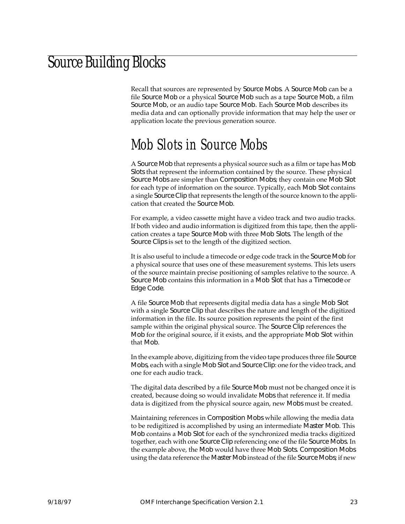### <span id="page-34-0"></span>Source Building Blocks

Recall that sources are represented by Source Mobs. A Source Mob can be a file Source Mob or a physical Source Mob such as a tape Source Mob, a film Source Mob, or an audio tape Source Mob. Each Source Mob describes its media data and can optionally provide information that may help the user or application locate the previous generation source.

### Mob Slots in Source Mobs

A Source Mob that represents a physical source such as a film or tape has Mob Slots that represent the information contained by the source. These physical Source Mobs are simpler than Composition Mobs; they contain one Mob Slot for each type of information on the source. Typically, each Mob Slot contains a single Source Clip that represents the length of the source known to the application that created the Source Mob.

For example, a video cassette might have a video track and two audio tracks. If both video and audio information is digitized from this tape, then the application creates a tape Source Mob with three Mob Slots. The length of the Source Clips is set to the length of the digitized section.

It is also useful to include a timecode or edge code track in the Source Mob for a physical source that uses one of these measurement systems. This lets users of the source maintain precise positioning of samples relative to the source. A Source Mob contains this information in a Mob Slot that has a Timecode or Edge Code.

A file Source Mob that represents digital media data has a single Mob Slot with a single Source Clip that describes the nature and length of the digitized information in the file. Its source position represents the point of the first sample within the original physical source. The Source Clip references the Mob for the original source, if it exists, and the appropriate Mob Slot within that Mob.

In the example above, digitizing from the video tape produces three file Source Mobs, each with a single Mob Slot and Source Clip: one for the video track, and one for each audio track.

The digital data described by a file Source Mob must not be changed once it is created, because doing so would invalidate Mobs that reference it. If media data is digitized from the physical source again, new Mobs must be created.

Maintaining references in Composition Mobs while allowing the media data to be redigitized is accomplished by using an intermediate Master Mob. This Mob contains a Mob Slot for each of the synchronized media tracks digitized together, each with one Source Clip referencing one of the file Source Mobs. In the example above, the Mob would have three Mob Slots. Composition Mobs using the data reference the Master Mob instead of the file Source Mobs; if new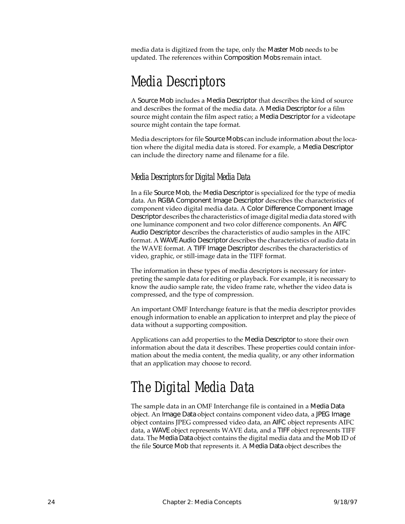media data is digitized from the tape, only the Master Mob needs to be updated. The references within Composition Mobs remain intact.

### Media Descriptors

A Source Mob includes a Media Descriptor that describes the kind of source and describes the format of the media data. A Media Descriptor for a film source might contain the film aspect ratio; a Media Descriptor for a videotape source might contain the tape format.

Media descriptors for file Source Mobs can include information about the location where the digital media data is stored. For example, a Media Descriptor can include the directory name and filename for a file.

#### Media Descriptors for Digital Media Data

In a file Source Mob, the Media Descriptor is specialized for the type of media data. An RGBA Component Image Descriptor describes the characteristics of component video digital media data. A Color Difference Component Image Descriptor describes the characteristics of image digital media data stored with one luminance component and two color difference components. An AIFC Audio Descriptor describes the characteristics of audio samples in the AIFC format. A WAVE Audio Descriptor describes the characteristics of audio data in the WAVE format. A TIFF Image Descriptor describes the characteristics of video, graphic, or still-image data in the TIFF format.

The information in these types of media descriptors is necessary for interpreting the sample data for editing or playback. For example, it is necessary to know the audio sample rate, the video frame rate, whether the video data is compressed, and the type of compression.

An important OMF Interchange feature is that the media descriptor provides enough information to enable an application to interpret and play the piece of data without a supporting composition.

Applications can add properties to the Media Descriptor to store their own information about the data it describes. These properties could contain information about the media content, the media quality, or any other information that an application may choose to record.

### The Digital Media Data

The sample data in an OMF Interchange file is contained in a Media Data object. An Image Data object contains component video data, a JPEG Image object contains JPEG compressed video data, an AIFC object represents AIFC data, a WAVE object represents WAVE data, and a TIFF object represents TIFF data. The Media Data object contains the digital media data and the Mob ID of the file Source Mob that represents it. A Media Data object describes the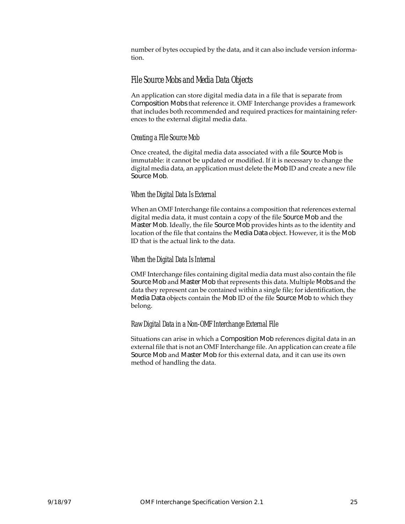number of bytes occupied by the data, and it can also include version information.

#### File Source Mobs and Media Data Objects

An application can store digital media data in a file that is separate from Composition Mobs that reference it. OMF Interchange provides a framework that includes both recommended and required practices for maintaining references to the external digital media data.

#### Creating a File Source Mob

Once created, the digital media data associated with a file Source Mob is immutable: it cannot be updated or modified. If it is necessary to change the digital media data, an application must delete the Mob ID and create a new file Source Mob.

#### When the Digital Data Is External

When an OMF Interchange file contains a composition that references external digital media data, it must contain a copy of the file Source Mob and the Master Mob. Ideally, the file Source Mob provides hints as to the identity and location of the file that contains the Media Data object. However, it is the Mob ID that is the actual link to the data.

#### When the Digital Data Is Internal

OMF Interchange files containing digital media data must also contain the file Source Mob and Master Mob that represents this data. Multiple Mobs and the data they represent can be contained within a single file; for identification, the Media Data objects contain the Mob ID of the file Source Mob to which they belong.

#### Raw Digital Data in a Non-OMF Interchange External File

Situations can arise in which a Composition Mob references digital data in an external file that is not an OMF Interchange file. An application can create a file Source Mob and Master Mob for this external data, and it can use its own method of handling the data.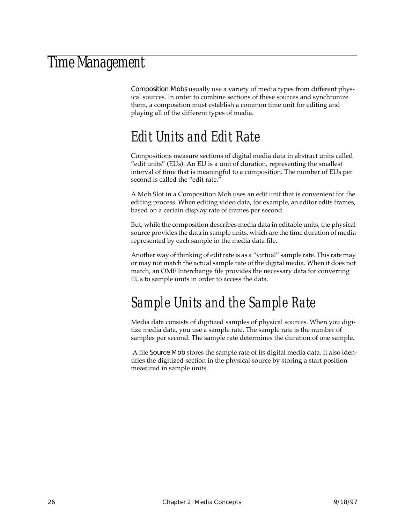#### Time Management

Composition Mobs usually use a variety of media types from different physical sources. In order to combine sections of these sources and synchronize them, a composition must establish a common time unit for editing and playing all of the different types of media.

#### Edit Units and Edit Rate

Compositions measure sections of digital media data in abstract units called "edit units" (EUs). An EU is a unit of duration, representing the smallest interval of time that is meaningful to a composition. The number of EUs per second is called the "edit rate."

A Mob Slot in a Composition Mob uses an edit unit that is convenient for the editing process. When editing video data, for example, an editor edits frames, based on a certain display rate of frames per second.

But, while the composition describes media data in editable units, the physical source provides the data in sample units, which are the time duration of media represented by each sample in the media data file.

Another way of thinking of edit rate is as a "virtual" sample rate. This rate may or may not match the actual sample rate of the digital media. When it does not match, an OMF Interchange file provides the necessary data for converting EUs to sample units in order to access the data.

#### Sample Units and the Sample Rate

Media data consists of digitized samples of physical sources. When you digitize media data, you use a sample rate. The sample rate is the number of samples per second. The sample rate determines the duration of one sample.

 A file Source Mob stores the sample rate of its digital media data. It also identifies the digitized section in the physical source by storing a start position measured in sample units.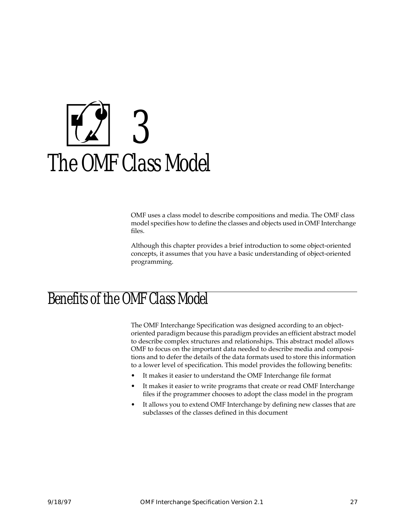# 3 The OMF Class Model

OMF uses a class model to describe compositions and media. The OMF class model specifies how to define the classes and objects used in OMF Interchange files.

Although this chapter provides a brief introduction to some object-oriented concepts, it assumes that you have a basic understanding of object-oriented programming.

### Benefits of the OMF Class Model

The OMF Interchange Specification was designed according to an objectoriented paradigm because this paradigm provides an efficient abstract model to describe complex structures and relationships. This abstract model allows OMF to focus on the important data needed to describe media and compositions and to defer the details of the data formats used to store this information to a lower level of specification. This model provides the following benefits:

- It makes it easier to understand the OMF Interchange file format
- It makes it easier to write programs that create or read OMF Interchange files if the programmer chooses to adopt the class model in the program
- It allows you to extend OMF Interchange by defining new classes that are subclasses of the classes defined in this document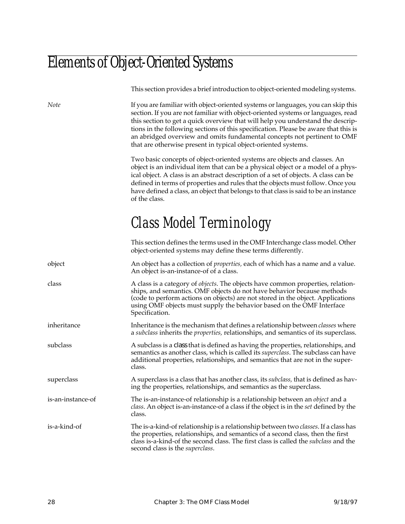### Elements of Object-Oriented Systems

This section provides a brief introduction to object-oriented modeling systems. *Note* If you are familiar with object-oriented systems or languages, you can skip this section. If you are not familiar with object-oriented systems or languages, read this section to get a quick overview that will help you understand the descriptions in the following sections of this specification. Please be aware that this is an abridged overview and omits fundamental concepts not pertinent to OMF that are otherwise present in typical object-oriented systems. Two basic concepts of object-oriented systems are objects and classes. An object is an individual item that can be a physical object or a model of a physical object. A class is an abstract description of a set of objects. A class can be defined in terms of properties and rules that the objects must follow. Once you have defined a class, an object that belongs to that class is said to be an instance of the class. Class Model Terminology This section defines the terms used in the OMF Interchange class model. Other object-oriented systems may define these terms differently. object An object has a collection of *properties,* each of which has a name and a value. An object is-an-instance-of of a class. class A class is a category of *objects*. The objects have common properties, relationships, and semantics. OMF objects do not have behavior because methods (code to perform actions on objects) are not stored in the object. Applications using OMF objects must supply the behavior based on the OMF Interface Specification. inheritance Inheritance is the mechanism that defines a relationship between *classes* where a *subclass* inherits the *properties,* relationships, and semantics of its superclass. subclass A subclass is a class that is defined as having the properties, relationships, and semantics as another class, which is called its *superclass*. The subclass can have additional properties, relationships, and semantics that are not in the superclass. superclass A superclass is a class that has another class, its *subclass*, that is defined as having the properties, relationships, and semantics as the superclass. is-an-instance-of The is-an-instance-of relationship is a relationship between an *object* and a *class*. An object is-an-instance-of a class if the object is in the *set* defined by the class. is-a-kind-of The is-a-kind-of relationship is a relationship between two *classes*. If a class has the properties, relationships, and semantics of a second class, then the first class is-a-kind-of the second class. The first class is called the *subclass* and the second class is the *superclass*.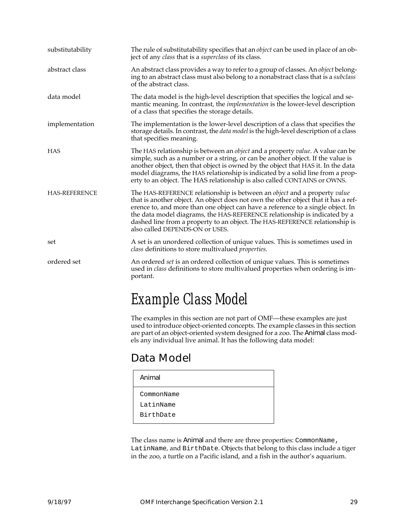| substitutability     | The rule of substitutability specifies that an <i>object</i> can be used in place of an ob-<br>ject of any class that is a superclass of its class.                                                                                                                                                                                                                                                                                              |
|----------------------|--------------------------------------------------------------------------------------------------------------------------------------------------------------------------------------------------------------------------------------------------------------------------------------------------------------------------------------------------------------------------------------------------------------------------------------------------|
| abstract class       | An abstract class provides a way to refer to a group of classes. An <i>object</i> belong-<br>ing to an abstract class must also belong to a nonabstract class that is a subclass<br>of the abstract class.                                                                                                                                                                                                                                       |
| data model           | The data model is the high-level description that specifies the logical and se-<br>mantic meaning. In contrast, the <i>implementation</i> is the lower-level description<br>of a class that specifies the storage details.                                                                                                                                                                                                                       |
| implementation       | The implementation is the lower-level description of a class that specifies the<br>storage details. In contrast, the <i>data model</i> is the high-level description of a class<br>that specifies meaning.                                                                                                                                                                                                                                       |
| <b>HAS</b>           | The HAS relationship is between an object and a property value. A value can be<br>simple, such as a number or a string, or can be another object. If the value is<br>another object, then that object is owned by the object that HAS it. In the data<br>model diagrams, the HAS relationship is indicated by a solid line from a prop-<br>erty to an object. The HAS relationship is also called CONTAINS or OWNS.                              |
| <b>HAS-REFERENCE</b> | The HAS-REFERENCE relationship is between an object and a property value<br>that is another object. An object does not own the other object that it has a ref-<br>erence to, and more than one object can have a reference to a single object. In<br>the data model diagrams, the HAS-REFERENCE relationship is indicated by a<br>dashed line from a property to an object. The HAS-REFERENCE relationship is<br>also called DEPENDS-ON or USES. |
| set                  | A set is an unordered collection of unique values. This is sometimes used in<br>class definitions to store multivalued <i>properties</i> .                                                                                                                                                                                                                                                                                                       |
| ordered set          | An ordered set is an ordered collection of unique values. This is sometimes<br>used in <i>class</i> definitions to store multivalued properties when ordering is im-<br>portant.                                                                                                                                                                                                                                                                 |
|                      | $\Gamma$ and $\Gamma$ and $\Gamma$                                                                                                                                                                                                                                                                                                                                                                                                               |

### Example Class Model

The examples in this section are not part of OMF—these examples are just used to introduce object-oriented concepts. The example classes in this section are part of an object-oriented system designed for a zoo. The Animal class models any individual live animal. It has the following data model:

#### Data Model

| Animal     |  |
|------------|--|
| CommonName |  |
| LatinName  |  |
| BirthDate  |  |
|            |  |

The class name is Animal and there are three properties: CommonName, LatinName, and BirthDate. Objects that belong to this class include a tiger in the zoo, a turtle on a Pacific island, and a fish in the author's aquarium.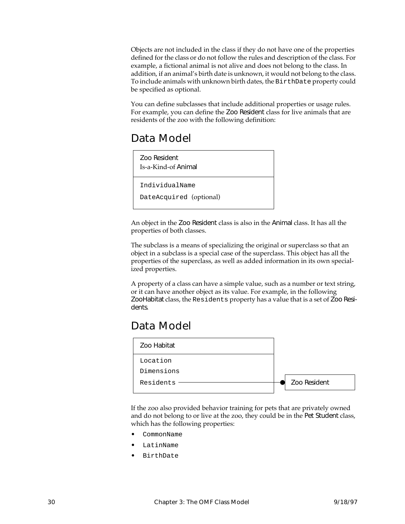Objects are not included in the class if they do not have one of the properties defined for the class or do not follow the rules and description of the class. For example, a fictional animal is not alive and does not belong to the class. In addition, if an animal's birth date is unknown, it would not belong to the class. To include animals with unknown birth dates, the BirthDate property could be specified as optional.

You can define subclasses that include additional properties or usage rules. For example, you can define the Zoo Resident class for live animals that are residents of the zoo with the following definition:

#### Data Model



An object in the Zoo Resident class is also in the Animal class. It has all the properties of both classes.

The subclass is a means of specializing the original or superclass so that an object in a subclass is a special case of the superclass. This object has all the properties of the superclass, as well as added information in its own specialized properties.

A property of a class can have a simple value, such as a number or text string, or it can have another object as its value. For example, in the following ZooHabitat class, the Residents property has a value that is a set of Zoo Residents.

#### Data Model



If the zoo also provided behavior training for pets that are privately owned and do not belong to or live at the zoo, they could be in the Pet Student class, which has the following properties:

- CommonName
- **LatinName**
- BirthDate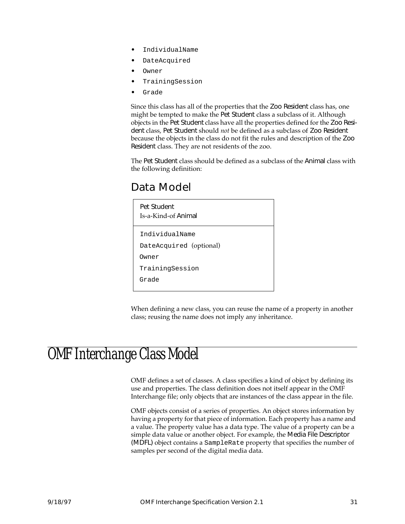- IndividualName
- DateAcquired
- Owner
- TrainingSession
- Grade

Since this class has all of the properties that the Zoo Resident class has, one might be tempted to make the Pet Student class a subclass of it. Although objects in the Pet Student class have all the properties defined for the Zoo Resident class, Pet Student should *not* be defined as a subclass of Zoo Resident because the objects in the class do not fit the rules and description of the Zoo Resident class. They are not residents of the zoo.

The Pet Student class should be defined as a subclass of the Animal class with the following definition:

#### Data Model



When defining a new class, you can reuse the name of a property in another class; reusing the name does not imply any inheritance.

#### OMF Interchange Class Model

OMF defines a set of classes. A class specifies a kind of object by defining its use and properties. The class definition does not itself appear in the OMF Interchange file; only objects that are instances of the class appear in the file.

OMF objects consist of a series of properties. An object stores information by having a property for that piece of information. Each property has a name and a value. The property value has a data type. The value of a property can be a simple data value or another object. For example, the Media File Descriptor (MDFL) object contains a SampleRate property that specifies the number of samples per second of the digital media data.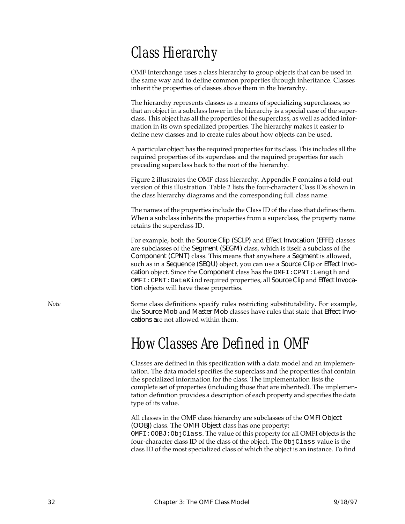## Class Hierarchy

OMF Interchange uses a class hierarchy to group objects that can be used in the same way and to define common properties through inheritance. Classes inherit the properties of classes above them in the hierarchy.

The hierarchy represents classes as a means of specializing superclasses, so that an object in a subclass lower in the hierarchy is a special case of the superclass. This object has all the properties of the superclass, as well as added information in its own specialized properties. The hierarchy makes it easier to define new classes and to create rules about how objects can be used.

A particular object has the required properties for its class. This includes all the required properties of its superclass and the required properties for each preceding superclass back to the root of the hierarchy.

Figure [2](#page-44-0) illustrates the OMF class hierarchy. [Appendix F](#page-264-0) contains a fold-out version of this illustration. Table [2](#page-45-0) lists the four-character Class IDs shown in the class hierarchy diagrams and the corresponding full class name.

The names of the properties include the Class ID of the class that defines them. When a subclass inherits the properties from a superclass, the property name retains the superclass ID.

For example, both the Source Clip (SCLP) and Effect Invocation (EFFE) classes are subclasses of the Segment (SEGM) class, which is itself a subclass of the Component (CPNT) class. This means that anywhere a Segment is allowed, such as in a Sequence (SEQU) object, you can use a Source Clip or Effect Invocation object. Since the Component class has the OMFI:CPNT:Length and OMFI:CPNT:DataKind required properties, all Source Clip and Effect Invocation objects will have these properties.

*Note* Some class definitions specify rules restricting substitutability. For example, the Source Mob and Master Mob classes have rules that state that Effect Invocations are not allowed within them.

#### How Classes Are Defined in OMF

Classes are defined in this specification with a data model and an implementation. The data model specifies the superclass and the properties that contain the specialized information for the class. The implementation lists the complete set of properties (including those that are inherited). The implementation definition provides a description of each property and specifies the data type of its value.

All classes in the OMF class hierarchy are subclasses of the OMFI Object (OOBJ) class. The OMFI Object class has one property: OMFI:OOBJ:ObjClass. The value of this property for all OMFI objects is the four-character class ID of the class of the object. The ObjClass value is the class ID of the most specialized class of which the object is an instance. To find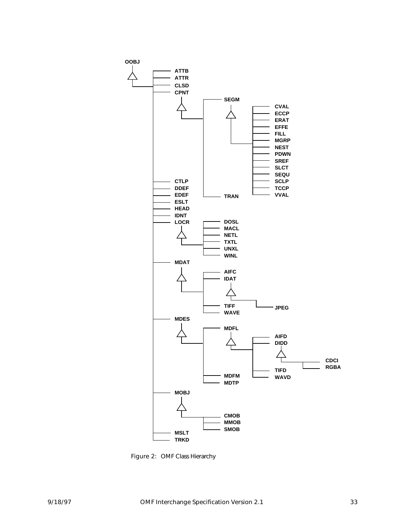<span id="page-44-0"></span>

Figure 2: OMF Class Hierarchy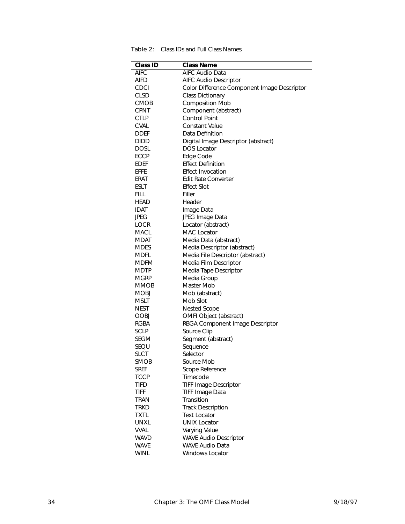<span id="page-45-0"></span>

| Table 2: Class IDs and Full Class Names |
|-----------------------------------------|
|-----------------------------------------|

| <b>Class ID</b> | <b>Class Name</b>                           |
|-----------------|---------------------------------------------|
| AIFC            | <b>AIFC Audio Data</b>                      |
| AIFD            | <b>AIFC Audio Descriptor</b>                |
| <b>CDCI</b>     | Color Difference Component Image Descriptor |
| <b>CLSD</b>     | <b>Class Dictionary</b>                     |
| <b>CMOB</b>     | <b>Composition Mob</b>                      |
| <b>CPNT</b>     | Component (abstract)                        |
| <b>CTLP</b>     | <b>Control Point</b>                        |
| <b>CVAL</b>     | <b>Constant Value</b>                       |
| <b>DDEF</b>     | Data Definition                             |
| <b>DIDD</b>     | Digital Image Descriptor (abstract)         |
| <b>DOSL</b>     | <b>DOS Locator</b>                          |
| <b>ECCP</b>     | Edge Code                                   |
| <b>EDEF</b>     | <b>Effect Definition</b>                    |
| EFFE            | <b>Effect Invocation</b>                    |
| ERAT            | <b>Edit Rate Converter</b>                  |
| <b>ESLT</b>     | <b>Effect Slot</b>                          |
| <b>FILL</b>     | Filler                                      |
| HEAD            | Header                                      |
| IDAT            | Image Data                                  |
| JPEG            | JPEG Image Data                             |
| <b>LOCR</b>     | Locator (abstract)                          |
| MACL            | <b>MAC</b> Locator                          |
| <b>MDAT</b>     | Media Data (abstract)                       |
| <b>MDES</b>     | Media Descriptor (abstract)                 |
| MDFL            | Media File Descriptor (abstract)            |
| MDFM            | Media Film Descriptor                       |
| MDTP            | Media Tape Descriptor                       |
| Mgrp            | Media Group                                 |
| <b>MMOB</b>     | Master Mob                                  |
| <b>MOBJ</b>     | Mob (abstract)                              |
| MSLT            | Mob Slot                                    |
| NEST            | <b>Nested Scope</b>                         |
| <b>OOBJ</b>     | OMFI Object (abstract)                      |
| RGBA            | RBGA Component Image Descriptor             |
| <b>SCLP</b>     | Source Clip                                 |
| <b>SEGM</b>     | Segment (abstract)                          |
| SEQU            | Sequence                                    |
| <b>SLCT</b>     | Selector                                    |
| <b>SMOB</b>     | Source Mob                                  |
| <b>SREF</b>     | Scope Reference                             |
| TCCP            | Timecode                                    |
| TIFD            | <b>TIFF Image Descriptor</b>                |
| TIFF            | <b>TIFF Image Data</b>                      |
| TRAN            | Transition                                  |
| <b>TRKD</b>     | <b>Track Description</b>                    |
| TXTL            | <b>Text Locator</b>                         |
| UNXL            | <b>UNIX Locator</b>                         |
| <b>VVAL</b>     | Varying Value                               |
| <b>WAVD</b>     | <b>WAVE Audio Descriptor</b>                |
| <b>WAVE</b>     | <b>WAVE Audio Data</b>                      |
| <b>WINL</b>     | Windows Locator                             |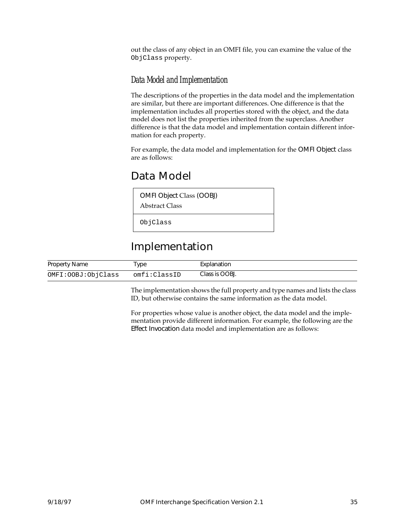out the class of any object in an OMFI file, you can examine the value of the ObjClass property.

#### Data Model and Implementation

The descriptions of the properties in the data model and the implementation are similar, but there are important differences. One difference is that the implementation includes all properties stored with the object, and the data model does not list the properties inherited from the superclass. Another difference is that the data model and implementation contain different information for each property.

For example, the data model and implementation for the OMFI Object class are as follows:

#### Data Model

OMFI Object Class (OOBJ)

Abstract Class

ObjClass

#### Implementation

| <b>Property Name</b> | vpe          | Explanation    |
|----------------------|--------------|----------------|
| OMFI:OOBJ:ObjClass   | omfi:ClassID | Class is OOBJ. |

The implementation shows the full property and type names and lists the class ID, but otherwise contains the same information as the data model.

For properties whose value is another object, the data model and the implementation provide different information. For example, the following are the Effect Invocation data model and implementation are as follows: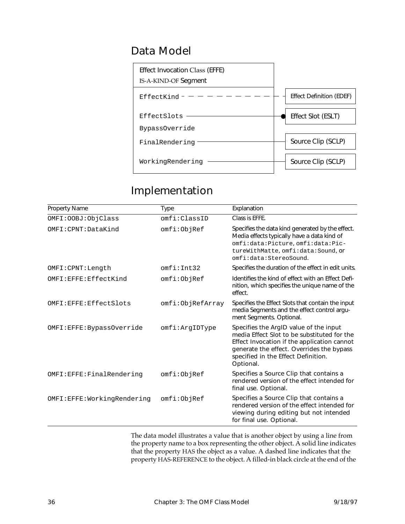#### Data Model



#### Implementation

| <b>Property Name</b>       | Type             | Explanation                                                                                                                                                                                                                           |
|----------------------------|------------------|---------------------------------------------------------------------------------------------------------------------------------------------------------------------------------------------------------------------------------------|
| OMFI: OOBJ: ObjClass       | omfi:ClassID     | Class is EFFE.                                                                                                                                                                                                                        |
| OMFI: CPNT: DataKind       | omfi:ObjRef      | Specifies the data kind generated by the effect.<br>Media effects typically have a data kind of<br>omfi:data:Picture, omfi:data:Pic-<br>tureWithMatte, omfi:data: Sound, or<br>omfi:data:StereoSound.                                 |
| OMFI: CPNT: Length         | omfi:Int32       | Specifies the duration of the effect in edit units.                                                                                                                                                                                   |
| OMFI:EFFE:EffectKind       | omfi:ObjRef      | Identifies the kind of effect with an Effect Defi-<br>nition, which specifies the unique name of the<br>effect.                                                                                                                       |
| OMFI:EFFE:EffectSlots      | omfi:ObjRefArray | Specifies the Effect Slots that contain the input<br>media Segments and the effect control argu-<br>ment Segments. Optional.                                                                                                          |
| OMFI:EFFE:BypassOverride   | omfi:ArgIDType   | Specifies the ArgID value of the input<br>media Effect Slot to be substituted for the<br>Effect Invocation if the application cannot<br>generate the effect. Overrides the bypass<br>specified in the Effect Definition.<br>Optional. |
| OMFI:EFFE: FinalRendering  | omfi:ObjRef      | Specifies a Source Clip that contains a<br>rendered version of the effect intended for<br>final use. Optional.                                                                                                                        |
| OMFI:EFFE:WorkingRendering | omfi:ObjRef      | Specifies a Source Clip that contains a<br>rendered version of the effect intended for<br>viewing during editing but not intended<br>for final use. Optional.                                                                         |

The data model illustrates a value that is another object by using a line from the property name to a box representing the other object. A solid line indicates that the property HAS the object as a value. A dashed line indicates that the property HAS-REFERENCE to the object. A filled-in black circle at the end of the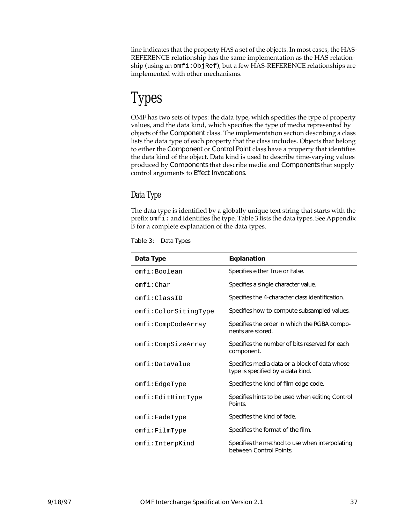line indicates that the property HAS a set of the objects. In most cases, the HAS-REFERENCE relationship has the same implementation as the HAS relationship (using an omfi:ObjRef), but a few HAS-REFERENCE relationships are implemented with other mechanisms.

# Types

OMF has two sets of types: the data type, which specifies the type of property values, and the data kind, which specifies the type of media represented by objects of the Component class. The implementation section describing a class lists the data type of each property that the class includes. Objects that belong to either the Component or Control Point class have a property that identifies the data kind of the object. Data kind is used to describe time-varying values produced by Components that describe media and Components that supply control arguments to Effect Invocations.

#### Data Type

The data type is identified by a globally unique text string that starts with the prefix omfi: and identifies the type. Table 3 lists the data types. See Appendix [B](#page-230-0) for a complete explanation of the data types.

| Data Type            | <b>Explanation</b>                                                                 |
|----------------------|------------------------------------------------------------------------------------|
| omfi:Boolean         | Specifies either True or False.                                                    |
| omfi:Char            | Specifies a single character value.                                                |
| omfi:ClassID         | Specifies the 4-character class identification.                                    |
| omfi:ColorSitingType | Specifies how to compute subsampled values.                                        |
| omfi:CompCodeArray   | Specifies the order in which the RGBA compo-<br>nents are stored.                  |
| omfi:CompSizeArray   | Specifies the number of bits reserved for each<br>component.                       |
| omfi:DataValue       | Specifies media data or a block of data whose<br>type is specified by a data kind. |
| omfi:EdgeType        | Specifies the kind of film edge code.                                              |
| omfi:EditHintType    | Specifies hints to be used when editing Control<br>Points.                         |
| $omfi$ :FadeType     | Specifies the kind of fade.                                                        |
| $omfi:$ FilmT $y$ pe | Specifies the format of the film.                                                  |
| omfi:InterpKind      | Specifies the method to use when interpolating<br>between Control Points.          |

Table 3: Data Types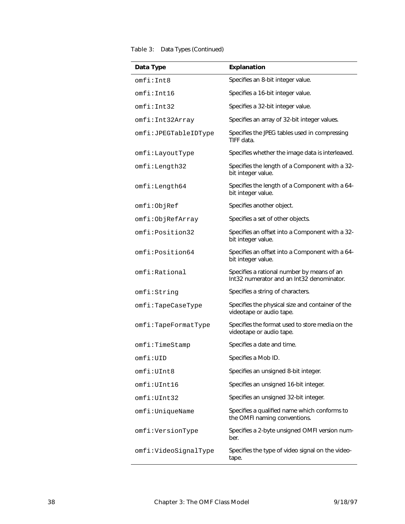#### Table 3: Data Types (Continued)

| Data Type            | <b>Explanation</b>                                                                      |
|----------------------|-----------------------------------------------------------------------------------------|
|                      |                                                                                         |
| omfi:Int8            | Specifies an 8-bit integer value.                                                       |
| omfi:Int16           | Specifies a 16-bit integer value.                                                       |
| omfi:Int32           | Specifies a 32-bit integer value.                                                       |
| omfi:Int32Array      | Specifies an array of 32-bit integer values.                                            |
| omfi:JPEGTableIDType | Specifies the JPEG tables used in compressing<br>TIFF data                              |
| omfi:LayoutType      | Specifies whether the image data is interleaved.                                        |
| omfi:Length32        | Specifies the length of a Component with a 32-<br>bit integer value.                    |
| omfi:Length64        | Specifies the length of a Component with a 64-<br>bit integer value.                    |
| omfi:ObjRef          | Specifies another object.                                                               |
| omfi:ObjRefArray     | Specifies a set of other objects.                                                       |
| omfi:Position32      | Specifies an offset into a Component with a 32-<br>bit integer value.                   |
| omfi:Position64      | Specifies an offset into a Component with a 64-<br>bit integer value.                   |
| omfi:Rational        | Specifies a rational number by means of an<br>Int32 numerator and an Int32 denominator. |
| omfi:String          | Specifies a string of characters.                                                       |
| $omfi$ :TapeCaseType | Specifies the physical size and container of the<br>videotape or audio tape.            |
| omfi:TapeFormatType  | Specifies the format used to store media on the<br>videotape or audio tape.             |
| omfi:TimeStamp       | Specifies a date and time.                                                              |
| omfi:UID             | Specifies a Mob ID.                                                                     |
| omfi:UInt8           | Specifies an unsigned 8-bit integer.                                                    |
| omfi:UInt16          | Specifies an unsigned 16-bit integer.                                                   |
| omfi:UInt32          | Specifies an unsigned 32-bit integer.                                                   |
| omfi:UniqueName      | Specifies a qualified name which conforms to<br>the OMFI naming conventions.            |
| omfi:VersionType     | Specifies a 2-byte unsigned OMFI version num-<br>ber.                                   |
| omfi:VideoSignalType | Specifies the type of video signal on the video-<br>tape.                               |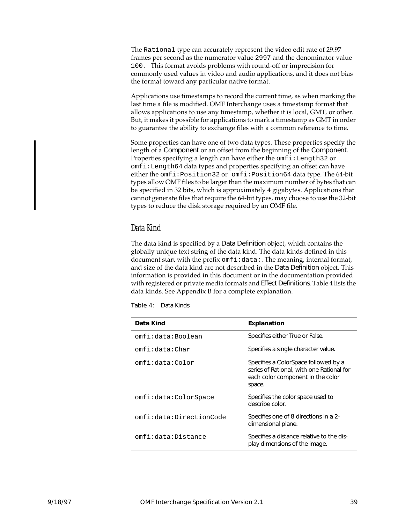The Rational type can accurately represent the video edit rate of 29.97 frames per second as the numerator value 2997 and the denominator value 100. This format avoids problems with round-off or imprecision for commonly used values in video and audio applications, and it does not bias the format toward any particular native format.

Applications use timestamps to record the current time, as when marking the last time a file is modified. OMF Interchange uses a timestamp format that allows applications to use any timestamp, whether it is local, GMT, or other. But, it makes it possible for applications to mark a timestamp as GMT in order to guarantee the ability to exchange files with a common reference to time.

Some properties can have one of two data types. These properties specify the length of a Component or an offset from the beginning of the Component. Properties specifying a length can have either the  $\text{omfi}:$  Length32 or omfi:Length64 data types and properties specifying an offset can have either the omfi:Position32 or omfi:Position64 data type. The 64-bit types allow OMF files to be larger than the maximum number of bytes that can be specified in 32 bits, which is approximately 4 gigabytes. Applications that cannot generate files that require the 64-bit types, may choose to use the 32-bit types to reduce the disk storage required by an OMF file.

#### Data Kind

The data kind is specified by a Data Definition object, which contains the globally unique text string of the data kind. The data kinds defined in this document start with the prefix om $f$  i:data:. The meaning, internal format, and size of the data kind are not described in the Data Definition object. This information is provided in this document or in the documentation provided with registered or private media formats and Effect Definitions. Table 4 lists the data kinds. See Appendix [B](#page-230-0) for a complete explanation.

| Data Kind               | <b>Explanation</b>                                                                                                               |
|-------------------------|----------------------------------------------------------------------------------------------------------------------------------|
| omfi:data:Boolean       | Specifies either True or False.                                                                                                  |
| omfi:data:Char          | Specifies a single character value.                                                                                              |
| omfi:data:Color         | Specifies a ColorSpace followed by a<br>series of Rational, with one Rational for<br>each color component in the color<br>space. |
| omfi:data:ColorSpace    | Specifies the color space used to<br>describe color.                                                                             |
| omfi:data:DirectionCode | Specifies one of 8 directions in a 2-<br>dimensional plane.                                                                      |
| omfi:data:Distance      | Specifies a distance relative to the dis-<br>play dimensions of the image.                                                       |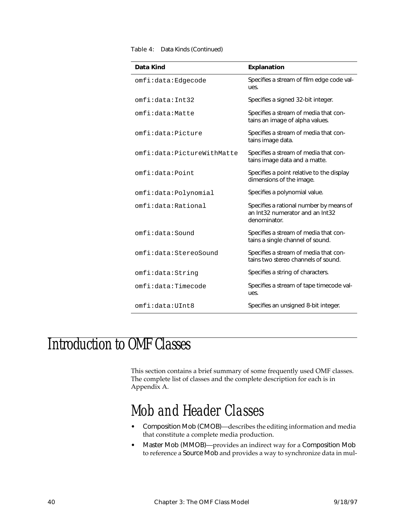| omfi:data:Edgecode<br>ues.                            | Specifies a stream of film edge code val-                                    |
|-------------------------------------------------------|------------------------------------------------------------------------------|
| omfi:data:Int32                                       | Specifies a signed 32-bit integer.                                           |
| omfi:data:Matte                                       | Specifies a stream of media that con-<br>tains an image of alpha values.     |
| omfi:data:Picture<br>tains image data.                | Specifies a stream of media that con-                                        |
| omfi:data:PictureWithMatte                            | Specifies a stream of media that con-<br>tains image data and a matte.       |
| omfi:data:Point<br>dimensions of the image.           | Specifies a point relative to the display                                    |
| Specifies a polynomial value.<br>omfi:data:Polynomial |                                                                              |
| omfi:data:Rational<br>denominator.                    | Specifies a rational number by means of<br>an Int32 numerator and an Int32   |
| omfi:data:Sound                                       | Specifies a stream of media that con-<br>tains a single channel of sound.    |
| omfi:data:StereoSound                                 | Specifies a stream of media that con-<br>tains two stereo channels of sound. |
| omfi:data:String                                      | Specifies a string of characters.                                            |
| omfi:data:Timecode<br>ues.                            | Specifies a stream of tape timecode val-                                     |
| omfi:data:UInt8                                       | Specifies an unsigned 8-bit integer.                                         |

#### Table 4: Data Kinds (Continued)

## Introduction to OMF Classes

This section contains a brief summary of some frequently used OMF classes. The complete list of classes and the complete description for each is in [Appendix A.](#page-122-0)

#### Mob and Header Classes

- Composition Mob (CMOB)—describes the editing information and media that constitute a complete media production.
- Master Mob (MMOB)—provides an indirect way for a Composition Mob to reference a Source Mob and provides a way to synchronize data in mul-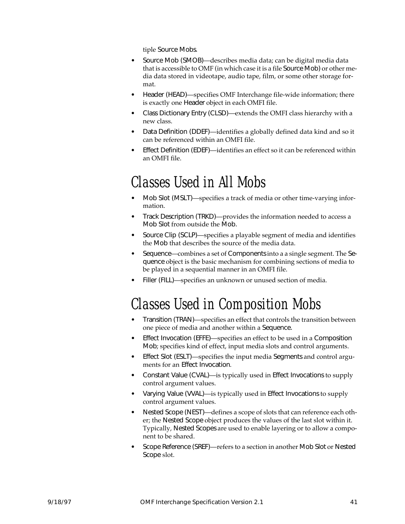tiple Source Mobs.

- Source Mob (SMOB)—describes media data; can be digital media data that is accessible to OMF (in which case it is a file Source Mob) or other media data stored in videotape, audio tape, film, or some other storage format.
- Header (HEAD)—specifies OMF Interchange file-wide information; there is exactly one Header object in each OMFI file.
- Class Dictionary Entry (CLSD)—extends the OMFI class hierarchy with a new class.
- Data Definition (DDEF)—identifies a globally defined data kind and so it can be referenced within an OMFI file.
- Effect Definition (EDEF)—identifies an effect so it can be referenced within an OMFI file.

### Classes Used in All Mobs

- Mob Slot (MSLT)—specifies a track of media or other time-varying information.
- Track Description (TRKD)—provides the information needed to access a Mob Slot from outside the Mob.
- Source Clip (SCLP)—specifies a playable segment of media and identifies the Mob that describes the source of the media data.
- Sequence—combines a set of Components into a a single segment. The Sequence object is the basic mechanism for combining sections of media to be played in a sequential manner in an OMFI file.
- Filler (FILL)—specifies an unknown or unused section of media.

## Classes Used in Composition Mobs

- Transition (TRAN)—specifies an effect that controls the transition between one piece of media and another within a Sequence.
- Effect Invocation (EFFE)—specifies an effect to be used in a Composition Mob; specifies kind of effect, input media slots and control arguments.
- Effect Slot (ESLT)—specifies the input media Segments and control arguments for an Effect Invocation.
- Constant Value (CVAL)—is typically used in Effect Invocations to supply control argument values.
- Varying Value (VVAL)—is typically used in Effect Invocations to supply control argument values.
- Nested Scope (NEST)—defines a scope of slots that can reference each other; the Nested Scope object produces the values of the last slot within it. Typically, Nested Scopes are used to enable layering or to allow a component to be shared.
- Scope Reference (SREF)—refers to a section in another Mob Slot or Nested Scope slot.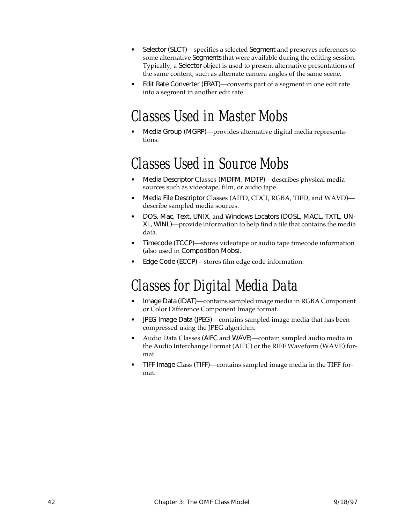- Selector (SLCT)—specifies a selected Segment and preserves references to some alternative Segments that were available during the editing session. Typically, a Selector object is used to present alternative presentations of the same content, such as alternate camera angles of the same scene.
- Edit Rate Converter (ERAT)—converts part of a segment in one edit rate into a segment in another edit rate.

### Classes Used in Master Mobs

• Media Group (MGRP)—provides alternative digital media representations.

#### Classes Used in Source Mobs

- Media Descriptor Classes (MDFM, MDTP)—describes physical media sources such as videotape, film, or audio tape.
- Media File Descriptor Classes (AIFD, CDCI, RGBA, TIFD, and WAVD) describe sampled media sources.
- DOS, Mac, Text, UNIX, and Windows Locators (DOSL, MACL, TXTL, UN-XL, WINL)—provide information to help find a file that contains the media data.
- Timecode (TCCP)—stores videotape or audio tape timecode information (also used in Composition Mobs).
- Edge Code (ECCP)—stores film edge code information.

### Classes for Digital Media Data

- Image Data (IDAT)—contains sampled image media in RGBA Component or Color Difference Component Image format.
- JPEG Image Data (JPEG)—contains sampled image media that has been compressed using the JPEG algorithm.
- Audio Data Classes (AIFC and WAVE)—contain sampled audio media in the Audio Interchange Format (AIFC) or the RIFF Waveform (WAVE) format.
- TIFF Image Class (TIFF)—contains sampled image media in the TIFF format.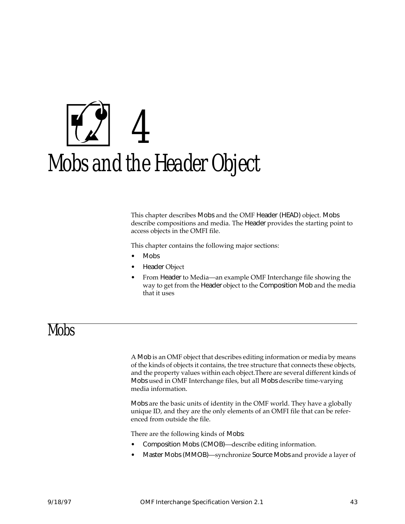# 4 Mobs and the Header Object

This chapter describes Mobs and the OMF Header (HEAD) object. Mobs describe compositions and media. The Header provides the starting point to access objects in the OMFI file.

This chapter contains the following major sections:

- Mobs
- Header Object
- From Header to Media—an example OMF Interchange file showing the way to get from the Header object to the Composition Mob and the media that it uses

#### Mobs

A Mob is an OMF object that describes editing information or media by means of the kinds of objects it contains, the tree structure that connects these objects, and the property values within each object.There are several different kinds of Mobs used in OMF Interchange files, but all Mobs describe time-varying media information.

Mobs are the basic units of identity in the OMF world. They have a globally unique ID, and they are the only elements of an OMFI file that can be referenced from outside the file.

There are the following kinds of Mobs:

- Composition Mobs (CMOB)—describe editing information.
- Master Mobs (MMOB)—synchronize Source Mobs and provide a layer of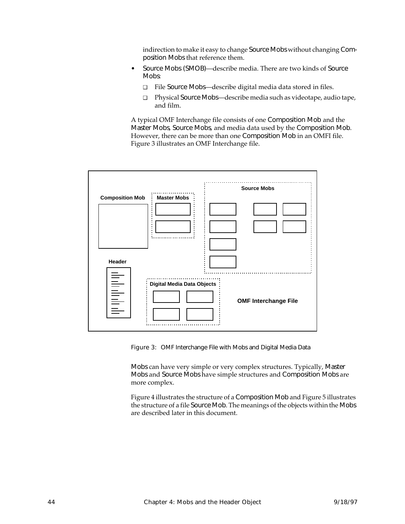indirection to make it easy to change Source Mobs without changing Composition Mobs that reference them.

- Source Mobs (SMOB)—describe media. There are two kinds of Source Mobs:
	- ❑ File Source Mobs—describe digital media data stored in files.
	- ❑ Physical Source Mobs—describe media such as videotape, audio tape, and film.

A typical OMF Interchange file consists of one Composition Mob and the Master Mobs, Source Mobs, and media data used by the Composition Mob. However, there can be more than one Composition Mob in an OMFI file. Figure 3 illustrates an OMF Interchange file.



Figure 3: OMF Interchange File with Mobs and Digital Media Data

Mobs can have very simple or very complex structures. Typically, Master Mobs and Source Mobs have simple structures and Composition Mobs are more complex.

Figure [4](#page-56-0) illustrates the structure of a Composition Mob and Figure [5](#page-56-0) illustrates the structure of a file Source Mob. The meanings of the objects within the Mobs are described later in this document.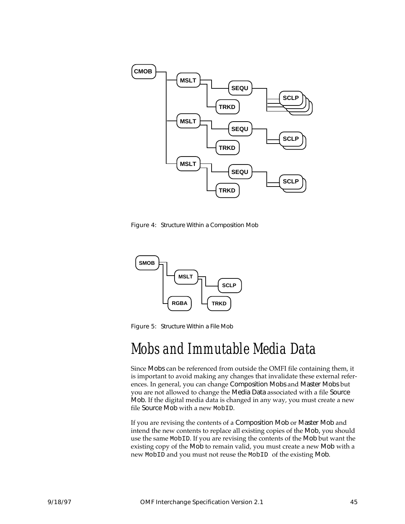<span id="page-56-0"></span>

Figure 4: Structure Within a Composition Mob



Figure 5: Structure Within a File Mob

#### Mobs and Immutable Media Data

Since Mobs can be referenced from outside the OMFI file containing them, it is important to avoid making any changes that invalidate these external references. In general, you can change Composition Mobs and Master Mobs but you are not allowed to change the Media Data associated with a file Source Mob. If the digital media data is changed in any way, you must create a new file Source Mob with a new MobID.

If you are revising the contents of a Composition Mob or Master Mob and intend the new contents to replace all existing copies of the Mob, you should use the same MobID. If you are revising the contents of the Mob but want the existing copy of the Mob to remain valid, you must create a new Mob with a new MobID and you must not reuse the MobID of the existing Mob.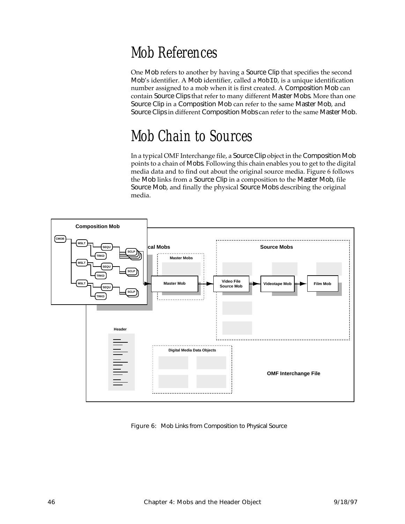## Mob References

One Mob refers to another by having a Source Clip that specifies the second Mob's identifier. A Mob identifier, called a MobID, is a unique identification number assigned to a mob when it is first created. A Composition Mob can contain Source Clips that refer to many different Master Mobs. More than one Source Clip in a Composition Mob can refer to the same Master Mob, and Source Clips in different Composition Mobs can refer to the same Master Mob.

## Mob Chain to Sources

In a typical OMF Interchange file, a Source Clip object in the Composition Mob points to a chain of Mobs. Following this chain enables you to get to the digital media data and to find out about the original source media. Figure 6 follows the Mob links from a Source Clip in a composition to the Master Mob, file Source Mob, and finally the physical Source Mobs describing the original media.



Figure 6: Mob Links from Composition to Physical Source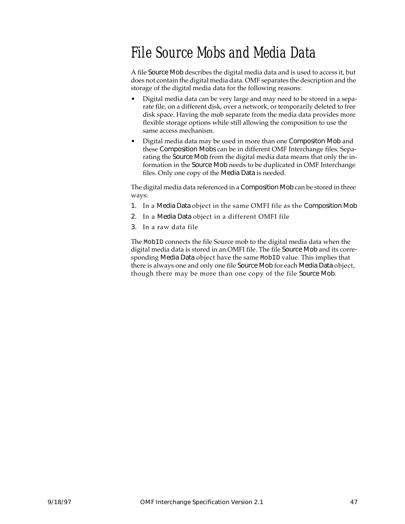## File Source Mobs and Media Data

A file Source Mob describes the digital media data and is used to access it, but does not contain the digital media data. OMF separates the description and the storage of the digital media data for the following reasons:

- Digital media data can be very large and may need to be stored in a separate file, on a different disk, over a network, or temporarily deleted to free disk space. Having the mob separate from the media data provides more flexible storage options while still allowing the composition to use the same access mechanism.
- Digital media data may be used in more than one Compositon Mob and these Composition Mobs can be in different OMF Interchange files. Separating the Source Mob from the digital media data means that only the information in the Source Mob needs to be duplicated in OMF Interchange files. Only one copy of the Media Data is needed.

The digital media data referenced in a Composition Mob can be stored in three ways:

- 1. In a Media Data object in the same OMFI file as the Composition Mob
- 2. In a Media Data object in a different OMFI file
- 3. In a raw data file

The MobID connects the file Source mob to the digital media data when the digital media data is stored in an OMFI file. The file Source Mob and its corresponding Media Data object have the same MobID value. This implies that there is always one and only one file Source Mob for each Media Data object, though there may be more than one copy of the file Source Mob.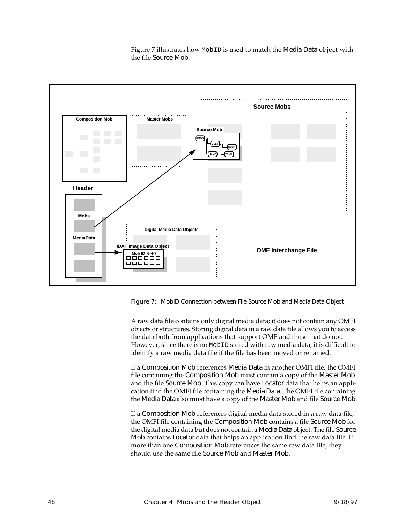

Figure 7 illustrates how MobID is used to match the Media Data object with the file Source Mob.

Figure 7: MobID Connection between File Source Mob and Media Data Object

A raw data file contains only digital media data; it does not contain any OMFI objects or structures. Storing digital data in a raw data file allows you to access the data both from applications that support OMF and those that do not. However, since there is no MobID stored with raw media data, it is difficult to identify a raw media data file if the file has been moved or renamed.

If a Composition Mob references Media Data in another OMFI file, the OMFI file containing the Composition Mob must contain a copy of the Master Mob and the file Source Mob. This copy can have Locator data that helps an application find the OMFI file containing the Media Data. The OMFI file containing the Media Data also must have a copy of the Master Mob and file Source Mob.

If a Composition Mob references digital media data stored in a raw data file, the OMFI file containing the Composition Mob contains a file Source Mob for the digital media data but does not contain a Media Data object. The file Source Mob contains Locator data that helps an application find the raw data file. If more than one Composition Mob references the same raw data file, they should use the same file Source Mob and Master Mob.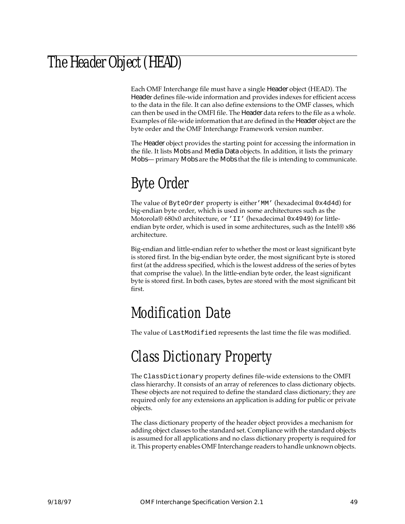## The Header Object (HEAD)

Each OMF Interchange file must have a single Header object (HEAD). The Header defines file-wide information and provides indexes for efficient access to the data in the file. It can also define extensions to the OMF classes, which can then be used in the OMFI file. The Header data refers to the file as a whole. Examples of file-wide information that are defined in the Header object are the byte order and the OMF Interchange Framework version number.

The Header object provides the starting point for accessing the information in the file. It lists Mobs and Media Data objects. In addition, it lists the primary Mobs— primary Mobs are the Mobs that the file is intending to communicate.

# Byte Order

The value of ByteOrder property is either'MM' (hexadecimal 0x4d4d) for big-endian byte order, which is used in some architectures such as the Motorola® 680x0 architecture, or 'II' (hexadecimal 0x4949) for littleendian byte order, which is used in some architectures, such as the Intel® x86 architecture.

Big-endian and little-endian refer to whether the most or least significant byte is stored first. In the big-endian byte order, the most significant byte is stored first (at the address specified, which is the lowest address of the series of bytes that comprise the value). In the little-endian byte order, the least significant byte is stored first. In both cases, bytes are stored with the most significant bit first.

### Modification Date

The value of LastModified represents the last time the file was modified.

## Class Dictionary Property

The ClassDictionary property defines file-wide extensions to the OMFI class hierarchy. It consists of an array of references to class dictionary objects. These objects are not required to define the standard class dictionary; they are required only for any extensions an application is adding for public or private objects.

The class dictionary property of the header object provides a mechanism for adding object classes to the standard set. Compliance with the standard objects is assumed for all applications and no class dictionary property is required for it. This property enables OMF Interchange readers to handle unknown objects.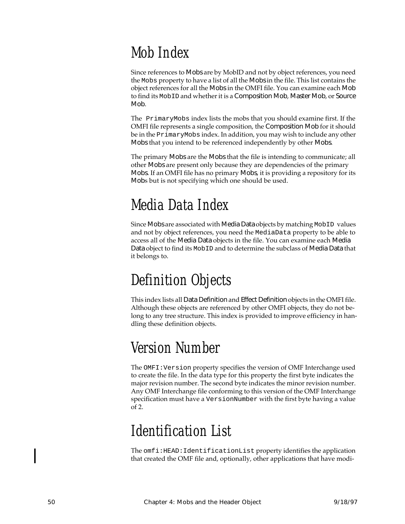# Mob Index

Since references to Mobs are by MobID and not by object references, you need the Mobs property to have a list of all the Mobs in the file. This list contains the object references for all the Mobs in the OMFI file. You can examine each Mob to find its MobID and whether it is a Composition Mob, Master Mob, or Source Mob.

The PrimaryMobs index lists the mobs that you should examine first. If the OMFI file represents a single composition, the Composition Mob for it should be in the PrimaryMobs index. In addition, you may wish to include any other Mobs that you intend to be referenced independently by other Mobs.

The primary Mobs are the Mobs that the file is intending to communicate; all other Mobs are present only because they are dependencies of the primary Mobs. If an OMFI file has no primary Mobs, it is providing a repository for its Mobs but is not specifying which one should be used.

# Media Data Index

Since Mobs are associated with Media Data objects by matching MobID values and not by object references, you need the MediaData property to be able to access all of the Media Data objects in the file. You can examine each Media Data object to find its MobID and to determine the subclass of Media Data that it belongs to.

# Definition Objects

This index lists all Data Definition and Effect Definition objects in the OMFI file. Although these objects are referenced by other OMFI objects, they do not belong to any tree structure. This index is provided to improve efficiency in handling these definition objects.

# Version Number

The OMFI:Version property specifies the version of OMF Interchange used to create the file. In the data type for this property the first byte indicates the major revision number. The second byte indicates the minor revision number. Any OMF Interchange file conforming to this version of the OMF Interchange specification must have a VersionNumber with the first byte having a value of 2.

# Identification List

The omfi:HEAD:IdentificationList property identifies the application that created the OMF file and, optionally, other applications that have modi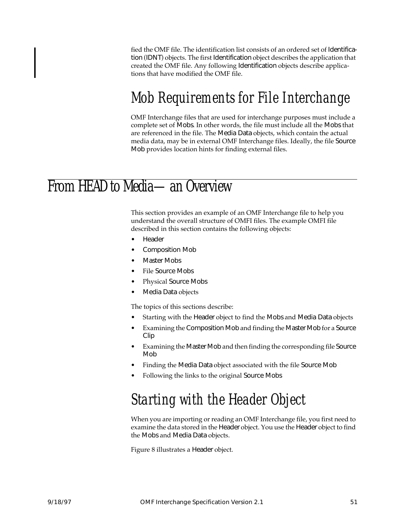fied the OMF file. The identification list consists of an ordered set of Identification (IDNT) objects. The first Identification object describes the application that created the OMF file. Any following Identification objects describe applications that have modified the OMF file.

### Mob Requirements for File Interchange

OMF Interchange files that are used for interchange purposes must include a complete set of Mobs. In other words, the file must include all the Mobs that are referenced in the file. The Media Data objects, which contain the actual media data, may be in external OMF Interchange files. Ideally, the file Source Mob provides location hints for finding external files.

#### From HEAD to Media—an Overview

This section provides an example of an OMF Interchange file to help you understand the overall structure of OMFI files. The example OMFI file described in this section contains the following objects:

- **Header**
- Composition Mob
- **Master Mobs**
- File Source Mobs
- Physical Source Mobs
- Media Data objects

The topics of this sections describe:

- Starting with the Header object to find the Mobs and Media Data objects
- Examining the Composition Mob and finding the Master Mob for a Source Clip
- Examining the Master Mob and then finding the corresponding file Source Mob
- Finding the Media Data object associated with the file Source Mob
- Following the links to the original Source Mobs

## Starting with the Header Object

When you are importing or reading an OMF Interchange file, you first need to examine the data stored in the Header object. You use the Header object to find the Mobs and Media Data objects.

Figure [8](#page-63-0) illustrates a Header object.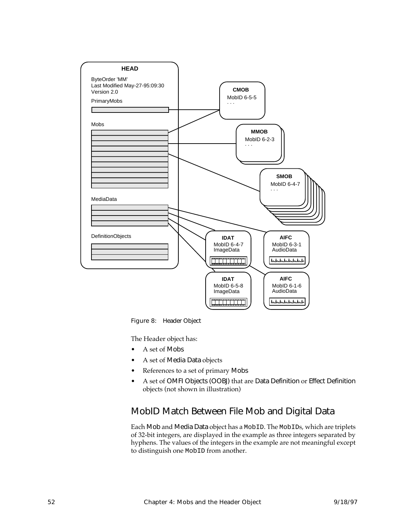<span id="page-63-0"></span>

Figure 8: Header Object

The Header object has:

- A set of Mobs
- A set of Media Data objects
- References to a set of primary Mobs
- A set of OMFI Objects (OOBJ) that are Data Definition or Effect Definition objects (not shown in illustration)

#### MobID Match Between File Mob and Digital Data

Each Mob and Media Data object has a MobID. The MobIDs, which are triplets of 32-bit integers, are displayed in the example as three integers separated by hyphens. The values of the integers in the example are not meaningful except to distinguish one MobID from another.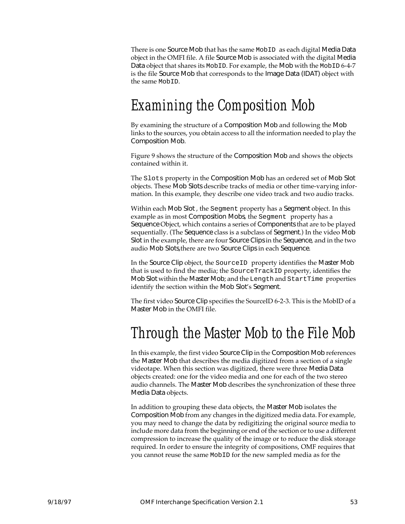There is one Source Mob that has the same MobID as each digital Media Data object in the OMFI file. A file Source Mob is associated with the digital Media Data object that shares its MobID. For example, the Mob with the MobID 6-4-7 is the file Source Mob that corresponds to the Image Data (IDAT) object with the same MobID.

#### Examining the Composition Mob

By examining the structure of a Composition Mob and following the Mob links to the sources, you obtain access to all the information needed to play the Composition Mob.

Figure [9](#page-65-0) shows the structure of the Composition Mob and shows the objects contained within it.

The Slots property in the Composition Mob has an ordered set of Mob Slot objects. These Mob Slots describe tracks of media or other time-varying information. In this example, they describe one video track and two audio tracks.

Within each Mob Slot , the Segment property has a Segment object. In this example as in most Composition Mobs, the Segment property has a Sequence Object, which contains a series of Components that are to be played sequentially. (The Sequence class is a subclass of Segment.) In the video Mob Slot in the example, there are four Source Clips in the Sequence, and in the two audio Mob Slots,there are two Source Clips in each Sequence.

In the Source Clip object, the SourceID property identifies the Master Mob that is used to find the media; the SourceTrackID property, identifies the Mob Slot within the Master Mob; and the Length and StartTime properties identify the section within the Mob Slot's Segment.

The first video Source Clip specifies the SourceID 6-2-3. This is the MobID of a Master Mob in the OMFI file.

## Through the Master Mob to the File Mob

In this example, the first video Source Clip in the Composition Mob references the Master Mob that describes the media digitized from a section of a single videotape. When this section was digitized, there were three Media Data objects created: one for the video media and one for each of the two stereo audio channels. The Master Mob describes the synchronization of these three Media Data objects.

In addition to grouping these data objects, the Master Mob isolates the Composition Mob from any changes in the digitized media data. For example, you may need to change the data by redigitizing the original source media to include more data from the beginning or end of the section or to use a different compression to increase the quality of the image or to reduce the disk storage required. In order to ensure the integrity of compositions, OMF requires that you cannot reuse the same MobID for the new sampled media as for the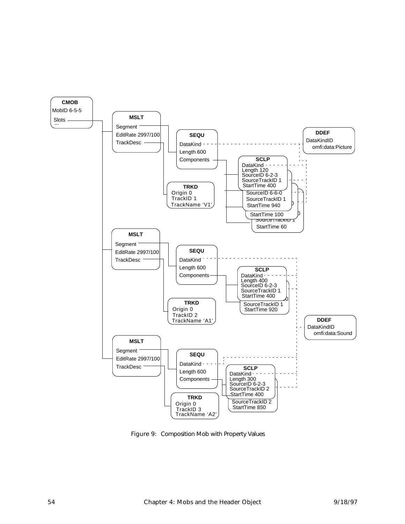<span id="page-65-0"></span>

Figure 9: Composition Mob with Property Values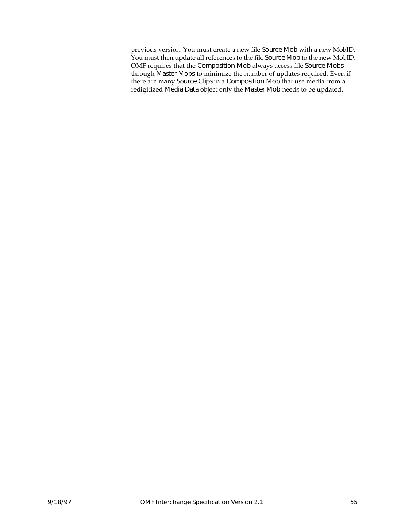previous version. You must create a new file Source Mob with a new MobID. You must then update all references to the file Source Mob to the new MobID. OMF requires that the Composition Mob always access file Source Mobs through Master Mobs to minimize the number of updates required. Even if there are many Source Clips in a Composition Mob that use media from a redigitized Media Data object only the Master Mob needs to be updated.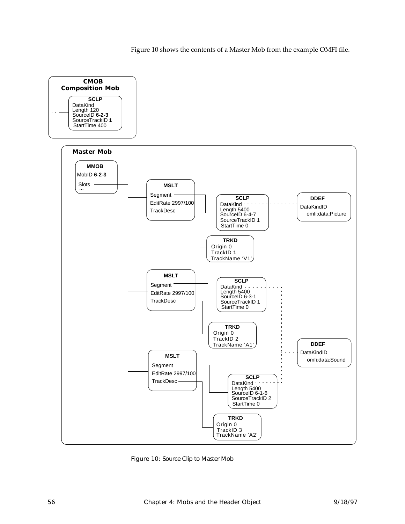Figure 10 shows the contents of a Master Mob from the example OMFI file.



Figure 10: Source Clip to Master Mob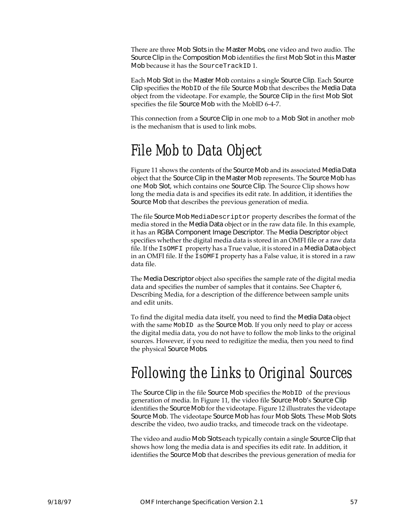There are three Mob Slots in the Master Mobs, one video and two audio. The Source Clip in the Composition Mob identifies the first Mob Slot in this Master Mob because it has the SourceTrackID 1.

Each Mob Slot in the Master Mob contains a single Source Clip. Each Source Clip specifies the MobID of the file Source Mob that describes the Media Data object from the videotape. For example, the Source Clip in the first Mob Slot specifies the file Source Mob with the MobID 6-4-7.

This connection from a Source Clip in one mob to a Mob Slot in another mob is the mechanism that is used to link mobs.

### File Mob to Data Object

Figure [11](#page-69-0) shows the contents of the Source Mob and its associated Media Data object that the Source Clip in the Master Mob represents. The Source Mob has one Mob Slot, which contains one Source Clip. The Source Clip shows how long the media data is and specifies its edit rate. In addition, it identifies the Source Mob that describes the previous generation of media.

The file Source Mob MediaDescriptor property describes the format of the media stored in the Media Data object or in the raw data file. In this example, it has an RGBA Component Image Descriptor. The Media Descriptor object specifies whether the digital media data is stored in an OMFI file or a raw data file. If the IsOMFI property has a True value, it is stored in a Media Data object in an OMFI file. If the IsOMFI property has a False value, it is stored in a raw data file.

The Media Descriptor object also specifies the sample rate of the digital media data and specifies the number of samples that it contains. See Chapter [6](#page-102-0), [Describing Media,](#page-102-0) for a description of the difference between sample units and edit units.

To find the digital media data itself, you need to find the Media Data object with the same MobID as the Source Mob. If you only need to play or access the digital media data, you do not have to follow the mob links to the original sources. However, if you need to redigitize the media, then you need to find the physical Source Mobs.

## Following the Links to Original Sources

The Source Clip in the file Source Mob specifies the MobID of the previous generation of media. In Figure [11,](#page-69-0) the video file Source Mob's Source Clip identifies the Source Mob for the videotape. Figure [12](#page-70-0) illustrates the videotape Source Mob. The videotape Source Mob has four Mob Slots. These Mob Slots describe the video, two audio tracks, and timecode track on the videotape.

The video and audio Mob Slots each typically contain a single Source Clip that shows how long the media data is and specifies its edit rate. In addition, it identifies the Source Mob that describes the previous generation of media for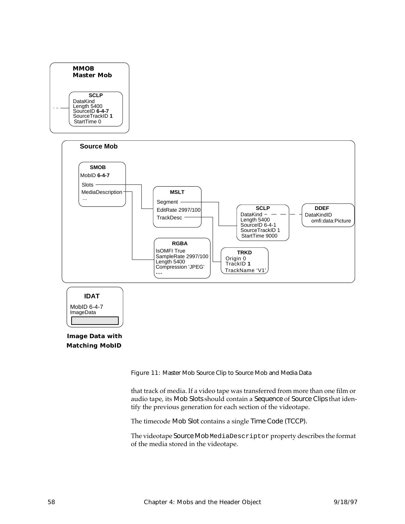<span id="page-69-0"></span>

#### **Image Data with Matching MobID**

Figure 11: Master Mob Source Clip to Source Mob and Media Data

that track of media. If a video tape was transferred from more than one film or audio tape, its Mob Slots should contain a Sequence of Source Clips that identify the previous generation for each section of the videotape.

The timecode Mob Slot contains a single Time Code (TCCP).

The videotape Source Mob MediaDescriptor property describes the format of the media stored in the videotape.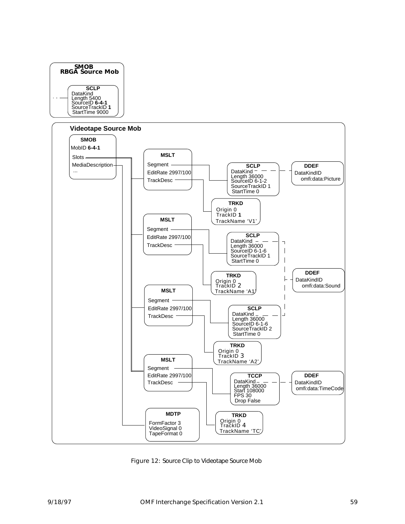<span id="page-70-0"></span>

Figure 12: Source Clip to Videotape Source Mob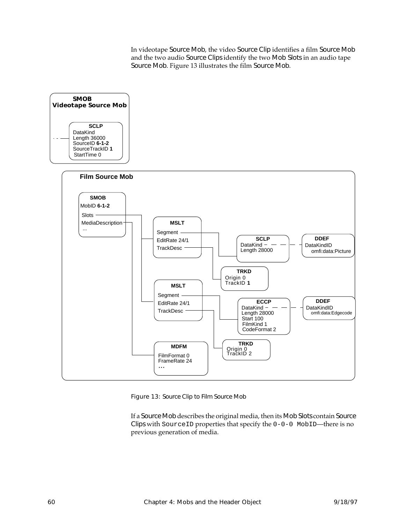In videotape Source Mob, the video Source Clip identifies a film Source Mob and the two audio Source Clips identify the two Mob Slots in an audio tape Source Mob. Figure 13 illustrates the film Source Mob.



Figure 13: Source Clip to Film Source Mob

If a Source Mob describes the original media, then its Mob Slots contain Source Clips with SourceID properties that specify the 0-0-0 MobID—there is no previous generation of media.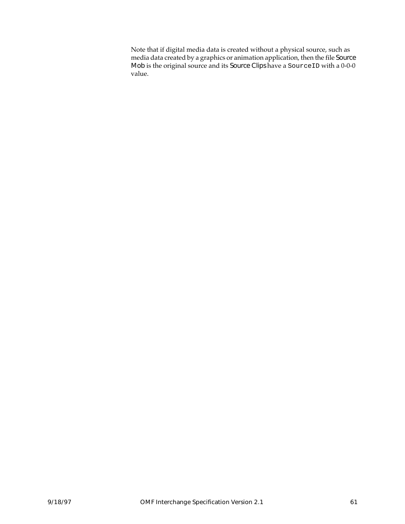Note that if digital media data is created without a physical source, such as media data created by a graphics or animation application, then the file Source Mob is the original source and its Source Clips have a SourceID with a 0-0-0 value.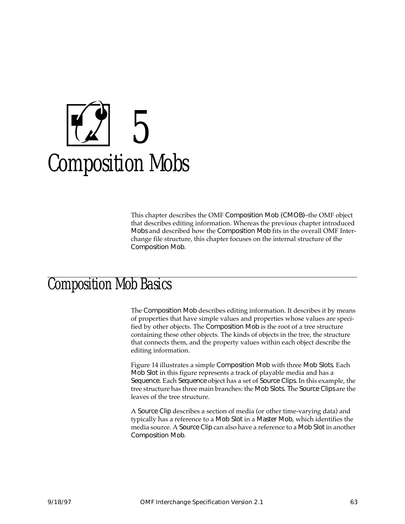# 5 Composition Mobs

This chapter describes the OMF Composition Mob (CMOB)–the OMF object that describes editing information. Whereas the previous chapter introduced Mobs and described how the Composition Mob fits in the overall OMF Interchange file structure, this chapter focuses on the internal structure of the Composition Mob.

## Composition Mob Basics

The Composition Mob describes editing information. It describes it by means of properties that have simple values and properties whose values are specified by other objects. The Composition Mob is the root of a tree structure containing these other objects. The kinds of objects in the tree, the structure that connects them, and the property values within each object describe the editing information.

Figure [14](#page-75-0) illustrates a simple Composition Mob with three Mob Slots. Each Mob Slot in this figure represents a track of playable media and has a Sequence. Each Sequence object has a set of Source Clips. In this example, the tree structure has three main branches: the Mob Slots. The Source Clips are the leaves of the tree structure.

A Source Clip describes a section of media (or other time-varying data) and typically has a reference to a Mob Slot in a Master Mob, which identifies the media source. A Source Clip can also have a reference to a Mob Slot in another Composition Mob.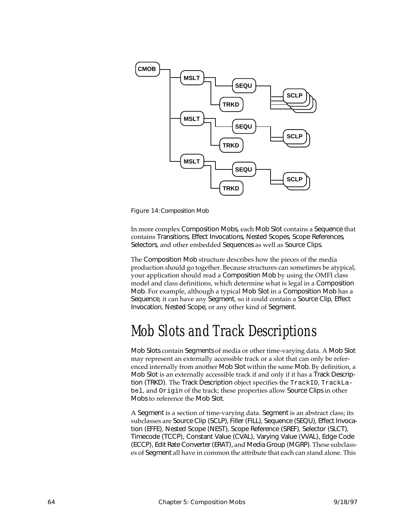<span id="page-75-0"></span>

Figure 14:Composition Mob

In more complex Composition Mobs, each Mob Slot contains a Sequence that contains Transitions, Effect Invocations, Nested Scopes, Scope References, Selectors, and other embedded Sequences as well as Source Clips.

The Composition Mob structure describes how the pieces of the media production should go together. Because structures can sometimes be atypical, your application should read a Composition Mob by using the OMFI class model and class definitions, which determine what is legal in a Composition Mob. For example, although a typical Mob Slot in a Composition Mob has a Sequence, it can have any Segment, so it could contain a Source Clip, Effect Invocation, Nested Scope, or any other kind of Segment.

## Mob Slots and Track Descriptions

Mob Slots contain Segments of media or other time-varying data. A Mob Slot may represent an externally accessible track or a slot that can only be referenced internally from another Mob Slot within the same Mob. By definition, a Mob Slot is an externally accessible track if and only if it has a Track Description (TRKD). The Track Description object specifies the TrackID, TrackLabel, and Origin of the track; these properties allow Source Clips in other Mobs to reference the Mob Slot.

A Segment is a section of time-varying data. Segment is an abstract class; its subclasses are Source Clip (SCLP), Filler (FILL), Sequence (SEQU), Effect Invocation (EFFE), Nested Scope (NEST), Scope Reference (SREF), Selector (SLCT), Timecode (TCCP), Constant Value (CVAL), Varying Value (VVAL), Edge Code (ECCP), Edit Rate Converter (ERAT), and Media Group (MGRP). These subclasses of Segment all have in common the attribute that each can stand alone. This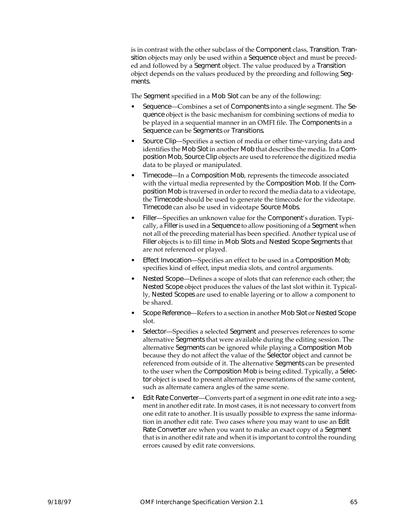is in contrast with the other subclass of the Component class, Transition. Transition objects may only be used within a Sequence object and must be preceded and followed by a Segment object. The value produced by a Transition object depends on the values produced by the preceding and following Segments.

The Segment specified in a Mob Slot can be any of the following:

- Sequence—Combines a set of Components into a single segment. The Sequence object is the basic mechanism for combining sections of media to be played in a sequential manner in an OMFI file. The Components in a Sequence can be Segments or Transitions.
- Source Clip—Specifies a section of media or other time-varying data and identifies the Mob Slot in another Mob that describes the media. In a Composition Mob, Source Clip objects are used to reference the digitized media data to be played or manipulated.
- Timecode—In a Composition Mob, represents the timecode associated with the virtual media represented by the Composition Mob. If the Composition Mob is traversed in order to record the media data to a videotape, the Timecode should be used to generate the timecode for the videotape. Timecode can also be used in videotape Source Mobs.
- Filler—Specifies an unknown value for the Component's duration. Typically, a Filler is used in a Sequence to allow positioning of a Segment when not all of the preceding material has been specified. Another typical use of Filler objects is to fill time in Mob Slots and Nested Scope Segments that are not referenced or played.
- Effect Invocation—Specifies an effect to be used in a Composition Mob; specifies kind of effect, input media slots, and control arguments.
- Nested Scope—Defines a scope of slots that can reference each other; the Nested Scope object produces the values of the last slot within it. Typically, Nested Scopes are used to enable layering or to allow a component to be shared.
- Scope Reference—Refers to a section in another Mob Slot or Nested Scope slot.
- Selector—Specifies a selected Segment and preserves references to some alternative Segments that were available during the editing session. The alternative Segments can be ignored while playing a Composition Mob because they do not affect the value of the Selector object and cannot be referenced from outside of it. The alternative Segments can be presented to the user when the Composition Mob is being edited. Typically, a Selector object is used to present alternative presentations of the same content, such as alternate camera angles of the same scene.
- Edit Rate Converter—Converts part of a segment in one edit rate into a segment in another edit rate. In most cases, it is not necessary to convert from one edit rate to another. It is usually possible to express the same information in another edit rate. Two cases where you may want to use an Edit Rate Converter are when you want to make an exact copy of a Segment that is in another edit rate and when it is important to control the rounding errors caused by edit rate conversions.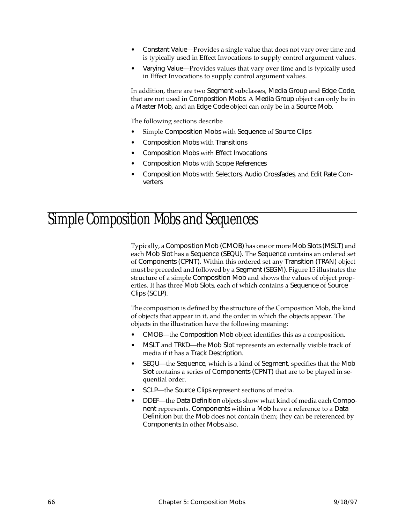- Constant Value—Provides a single value that does not vary over time and is typically used in Effect Invocations to supply control argument values.
- Varying Value—Provides values that vary over time and is typically used in Effect Invocations to supply control argument values.

In addition, there are two Segment subclasses, Media Group and Edge Code, that are not used in Composition Mobs. A Media Group object can only be in a Master Mob, and an Edge Code object can only be in a Source Mob.

The following sections describe

- Simple Composition Mobs with Sequence of Source Clips
- Composition Mobs with Transitions
- Composition Mobs with Effect Invocations
- Composition Mobs with Scope References
- Composition Mobs with Selectors, Audio Crossfades, and Edit Rate Converters

## Simple Composition Mobs and Sequences

Typically, a Composition Mob (CMOB) has one or more Mob Slots (MSLT) and each Mob Slot has a Sequence (SEQU). The Sequence contains an ordered set of Components (CPNT). Within this ordered set any Transition (TRAN) object must be preceded and followed by a Segment (SEGM). Figure [15](#page-78-0) illustrates the structure of a simple Composition Mob and shows the values of object properties. It has three Mob Slots, each of which contains a Sequence of Source Clips (SCLP).

The composition is defined by the structure of the Composition Mob, the kind of objects that appear in it, and the order in which the objects appear. The objects in the illustration have the following meaning:

- CMOB—the Composition Mob object identifies this as a composition.
- MSLT and TRKD—the Mob Slot represents an externally visible track of media if it has a Track Description.
- SEQU—the Sequence, which is a kind of Segment, specifies that the Mob Slot contains a series of Components (CPNT) that are to be played in sequential order.
- SCLP—the Source Clips represent sections of media.
- DDEF—the Data Definition objects show what kind of media each Component represents. Components within a Mob have a reference to a Data Definition but the Mob does not contain them; they can be referenced by Components in other Mobs also.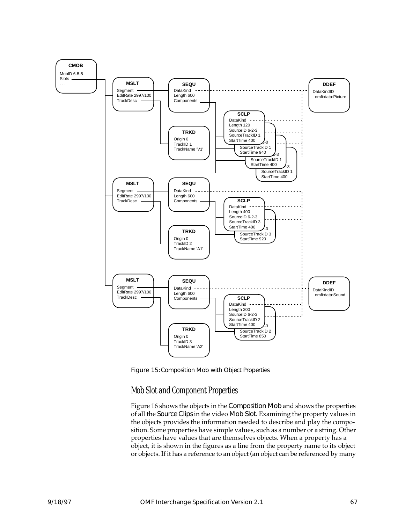<span id="page-78-0"></span>

Figure 15:Composition Mob with Object Properties

#### Mob Slot and Component Properties

Figure [16](#page-79-0) shows the objects in the Composition Mob and shows the properties of all the Source Clips in the video Mob Slot. Examining the property values in the objects provides the information needed to describe and play the composition. Some properties have simple values, such as a number or a string. Other properties have values that are themselves objects. When a property has a object, it is shown in the figures as a line from the property name to its object or objects. If it has a reference to an object (an object can be referenced by many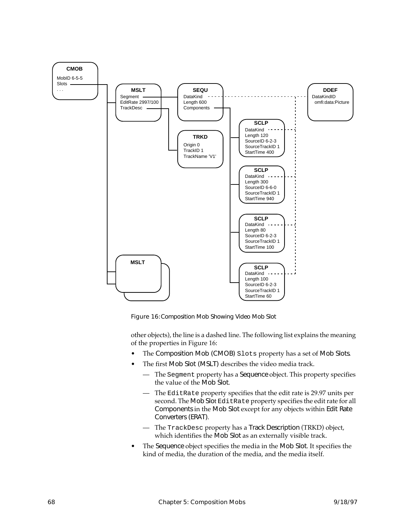<span id="page-79-0"></span>

Figure 16:Composition Mob Showing Video Mob Slot

other objects), the line is a dashed line. The following list explains the meaning of the properties in Figure 16:

- The Composition Mob (CMOB) Slots property has a set of Mob Slots.
- The first Mob Slot (MSLT) describes the video media track.
	- The Segment property has a Sequence object. This property specifies the value of the Mob Slot.
	- The EditRate property specifies that the edit rate is 29.97 units per second. The Mob Slot EditRate property specifies the edit rate for all Components in the Mob Slot except for any objects within Edit Rate Converters (ERAT).
	- The TrackDesc property has a Track Description (TRKD) object, which identifies the Mob Slot as an externally visible track.
- The Sequence object specifies the media in the Mob Slot. It specifies the kind of media, the duration of the media, and the media itself.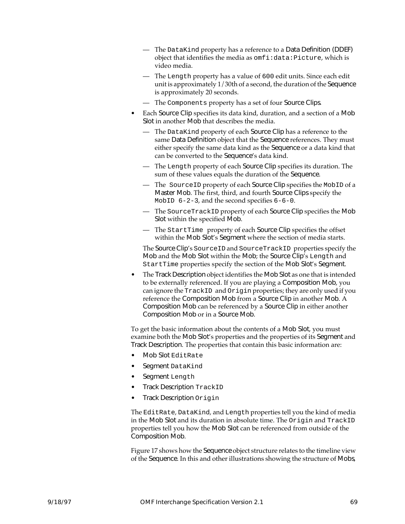- The DataKind property has a reference to a Data Definition (DDEF) object that identifies the media as omfi:data:Picture, which is video media.
- The Length property has a value of 600 edit units. Since each edit unit is approximately 1/30th of a second, the duration of the Sequence is approximately 20 seconds.
- The Components property has a set of four Source Clips.
- Each Source Clip specifies its data kind, duration, and a section of a Mob Slot in another Mob that describes the media.
	- The DataKind property of each Source Clip has a reference to the same Data Definition object that the Sequence references. They must either specify the same data kind as the Sequence or a data kind that can be converted to the Sequence's data kind.
	- The Length property of each Source Clip specifies its duration. The sum of these values equals the duration of the Sequence.
	- The SourceID property of each Source Clip specifies the MobID of a Master Mob. The first, third, and fourth Source Clips specify the MobID  $6-2-3$ , and the second specifies  $6-6-0$ .
	- The SourceTrackID property of each Source Clip specifies the Mob Slot within the specified Mob.
	- The StartTime property of each Source Clip specifies the offset within the Mob Slot's Segment where the section of media starts.

The Source Clip's SourceID and SourceTrackID properties specify the Mob and the Mob Slot within the Mob; the Source Clip's Length and StartTime properties specify the section of the Mob Slot's Segment.

• The Track Description object identifies the Mob Slot as one that is intended to be externally referenced. If you are playing a Composition Mob, you can ignore the TrackID and Origin properties; they are only used if you reference the Composition Mob from a Source Clip in another Mob.  $\AA$ Composition Mob can be referenced by a Source Clip in either another Composition Mob or in a Source Mob.

To get the basic information about the contents of a Mob Slot, you must examine both the Mob Slot's properties and the properties of its Segment and Track Description. The properties that contain this basic information are:

- Mob Slot EditRate
- Segment DataKind
- Segment Length
- Track Description TrackID
- Track Description Origin

The EditRate, DataKind, and Length properties tell you the kind of media in the Mob Slot and its duration in absolute time. The Origin and TrackID properties tell you how the Mob Slot can be referenced from outside of the Composition Mob.

Figure [17](#page-82-0) shows how the Sequence object structure relates to the timeline view of the Sequence. In this and other illustrations showing the structure of Mobs,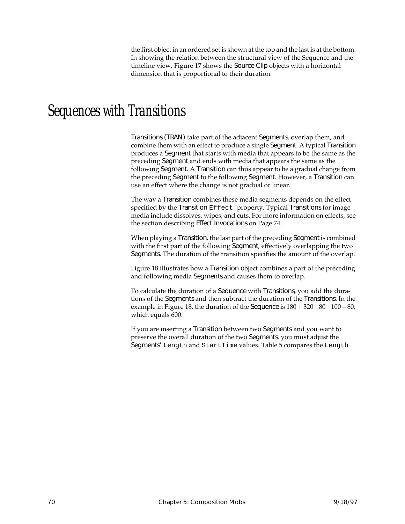the first object in an ordered set is shown at the top and the last is at the bottom. In showing the relation between the structural view of the Sequence and the timeline view, Figure [17](#page-82-0) shows the Source Clip objects with a horizontal dimension that is proportional to their duration.

## Sequences with Transitions

Transitions (TRAN) take part of the adjacent Segments, overlap them, and combine them with an effect to produce a single Segment. A typical Transition produces a Segment that starts with media that appears to be the same as the preceding Segment and ends with media that appears the same as the following Segment. A Transition can thus appear to be a gradual change from the preceding Segment to the following Segment. However, a Transition can use an effect where the change is not gradual or linear.

The way a Transition combines these media segments depends on the effect specified by the Transition Effect property. Typical Transitions for image media include dissolves, wipes, and cuts. For more information on effects, see the section describing Effect Invocations on [Page 74](#page-85-0).

When playing a Transition, the last part of the preceding Segment is combined with the first part of the following Segment, effectively overlapping the two Segments. The duration of the transition specifies the amount of the overlap.

Figure [18](#page-83-0) illustrates how a Transition object combines a part of the preceding and following media Segments and causes them to overlap.

To calculate the duration of a Sequence with Transitions, you add the durations of the Segments and then subtract the duration of the Transitions. In the example in Figure [18,](#page-83-0) the duration of the Sequence is  $180 + 320 + 80 + 100 - 80$ , which equals 600.

If you are inserting a Transition between two Segments and you want to preserve the overall duration of the two Segments, you must adjust the Segments' Length and StartTime values. Table [5](#page-84-0) compares the Length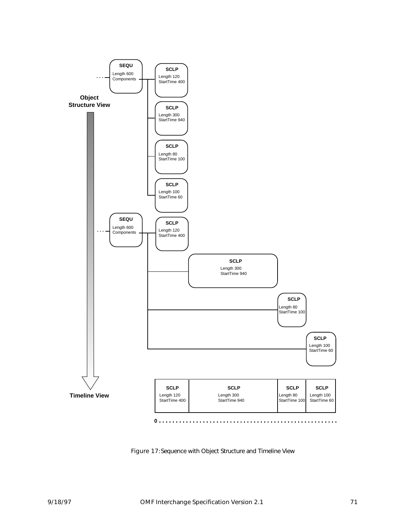<span id="page-82-0"></span>

Figure 17:Sequence with Object Structure and Timeline View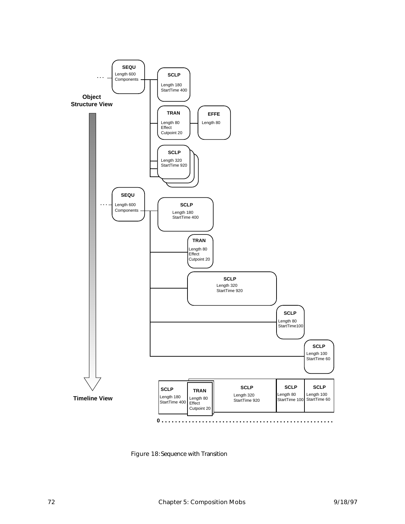<span id="page-83-0"></span>

Figure 18:Sequence with Transition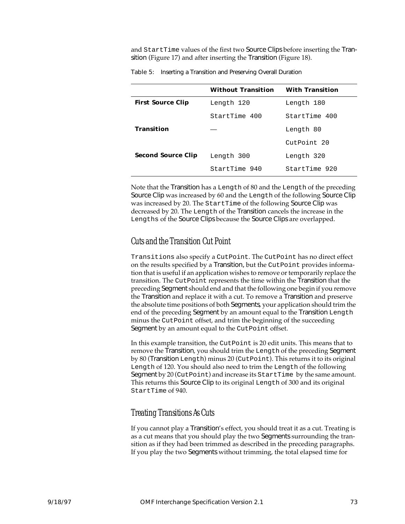<span id="page-84-0"></span>and StartTime values of the first two Source Clips before inserting the Transition (Figure [17](#page-82-0)) and after inserting the Transition (Figure [18](#page-83-0)).

|                           | <b>Without Transition</b> | <b>With Transition</b> |  |
|---------------------------|---------------------------|------------------------|--|
| <b>First Source Clip</b>  | Length 120                | Length 180             |  |
|                           | StartTime 400             | StartTime 400          |  |
| <b>Transition</b>         |                           | Length 80              |  |
|                           |                           | CutPoint 20            |  |
| <b>Second Source Clip</b> | Length 300                | Length 320             |  |
|                           | StartTime 940             | StartTime 920          |  |

Table 5: Inserting a Transition and Preserving Overall Duration

Note that the Transition has a Length of 80 and the Length of the preceding Source Clip was increased by 60 and the Length of the following Source Clip was increased by 20. The StartTime of the following Source Clip was decreased by 20. The Length of the Transition cancels the increase in the Lengths of the Source Clips because the Source Clips are overlapped.

#### Cuts and the Transition Cut Point

Transitions also specify a CutPoint. The CutPoint has no direct effect on the results specified by a Transition, but the CutPoint provides information that is useful if an application wishes to remove or temporarily replace the transition. The CutPoint represents the time within the Transition that the preceding Segment should end and that the following one begin if you remove the Transition and replace it with a cut. To remove a Transition and preserve the absolute time positions of both Segments, your application should trim the end of the preceding Segment by an amount equal to the Transition Length minus the CutPoint offset, and trim the beginning of the succeeding Segment by an amount equal to the CutPoint offset.

In this example transition, the CutPoint is 20 edit units. This means that to remove the Transition, you should trim the Length of the preceding Segment by 80 (Transition Length) minus 20 (CutPoint). This returns it to its original Length of 120. You should also need to trim the Length of the following Segment by 20 (CutPoint) and increase its StartTime by the same amount. This returns this Source Clip to its original Length of 300 and its original StartTime of 940.

#### Treating Transitions As Cuts

If you cannot play a Transition's effect, you should treat it as a cut. Treating is as a cut means that you should play the two Segments surrounding the transition as if they had been trimmed as described in the preceding paragraphs. If you play the two Segments without trimming, the total elapsed time for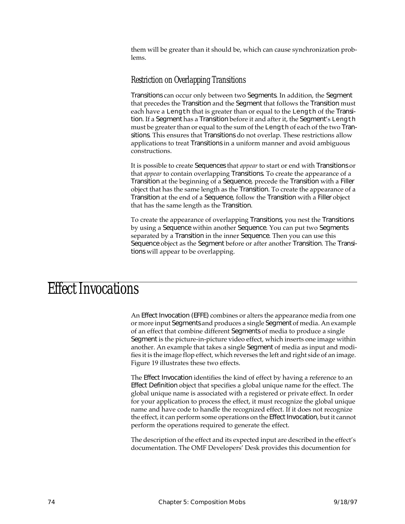<span id="page-85-0"></span>them will be greater than it should be, which can cause synchronization problems.

#### Restriction on Overlapping Transitions

Transitions can occur only between two Segments. In addition, the Segment that precedes the Transition and the Segment that follows the Transition must each have a Length that is greater than or equal to the Length of the Transition. If a Segment has a Transition before it and after it, the Segment's Length must be greater than or equal to the sum of the Length of each of the two Transitions. This ensures that Transitions do not overlap. These restrictions allow applications to treat Transitions in a uniform manner and avoid ambiguous constructions.

It is possible to create Sequences that *appear* to start or end with Transitions or that *appear* to contain overlapping Transitions. To create the appearance of a Transition at the beginning of a Sequence, precede the Transition with a Filler object that has the same length as the Transition. To create the appearance of a Transition at the end of a Sequence, follow the Transition with a Filler object that has the same length as the Transition.

To create the appearance of overlapping Transitions, you nest the Transitions by using a Sequence within another Sequence. You can put two Segments separated by a Transition in the inner Sequence. Then you can use this Sequence object as the Segment before or after another Transition. The Transitions will appear to be overlapping.

# Effect Invocations

An Effect Invocation (EFFE) combines or alters the appearance media from one or more input Segments and produces a single Segment of media. An example of an effect that combine different Segments of media to produce a single Segment is the picture-in-picture video effect, which inserts one image within another. An example that takes a single Segment of media as input and modifies it is the image flop effect, which reverses the left and right side of an image. Figure [19](#page-86-0) illustrates these two effects.

The Effect Invocation identifies the kind of effect by having a reference to an Effect Definition object that specifies a global unique name for the effect. The global unique name is associated with a registered or private effect. In order for your application to process the effect, it must recognize the global unique name and have code to handle the recognized effect. If it does not recognize the effect, it can perform some operations on the Effect Invocation, but it cannot perform the operations required to generate the effect.

The description of the effect and its expected input are described in the effect's documentation. The OMF Developers' Desk provides this documention for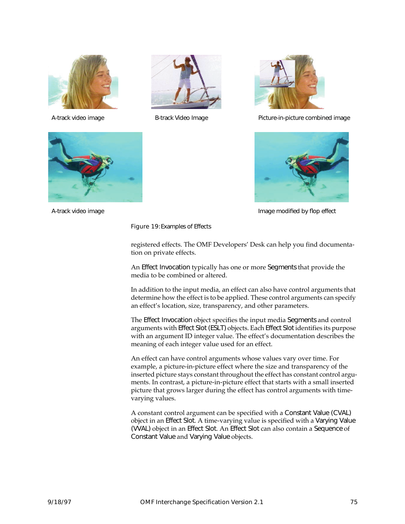<span id="page-86-0"></span>







A-track video image Theorem B-track Video Image Theorem Picture-in-picture combined image



A-track video image **Image Image in the Image modified by flop effect** by flop effect

Figure 19:Examples of Effects

registered effects. The OMF Developers' Desk can help you find documentation on private effects.

An Effect Invocation typically has one or more Segments that provide the media to be combined or altered.

In addition to the input media, an effect can also have control arguments that determine how the effect is to be applied. These control arguments can specify an effect's location, size, transparency, and other parameters.

The Effect Invocation object specifies the input media Segments and control arguments with Effect Slot (ESLT) objects. Each Effect Slot identifies its purpose with an argument ID integer value. The effect's documentation describes the meaning of each integer value used for an effect.

An effect can have control arguments whose values vary over time. For example, a picture-in-picture effect where the size and transparency of the inserted picture stays constant throughout the effect has constant control arguments. In contrast, a picture-in-picture effect that starts with a small inserted picture that grows larger during the effect has control arguments with timevarying values.

A constant control argument can be specified with a Constant Value (CVAL) object in an Effect Slot. A time-varying value is specified with a Varying Value (VVAL) object in an Effect Slot. An Effect Slot can also contain a Sequence of Constant Value and Varying Value objects.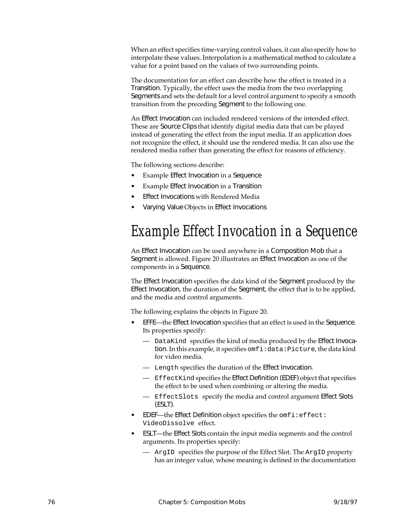When an effect specifies time-varying control values, it can also specify how to interpolate these values. Interpolation is a mathematical method to calculate a value for a point based on the values of two surrounding points.

The documentation for an effect can describe how the effect is treated in a Transition. Typically, the effect uses the media from the two overlapping Segments and sets the default for a level control argument to specify a smooth transition from the preceding Segment to the following one.

An Effect Invocation can included rendered versions of the intended effect. These are Source Clips that identify digital media data that can be played instead of generating the effect from the input media. If an application does not recognize the effect, it should use the rendered media. It can also use the rendered media rather than generating the effect for reasons of efficiency.

The following sections describe:

- Example Effect Invocation in a Sequence
- Example Effect Invocation in a Transition
- Effect Invocations with Rendered Media
- Varying Value Objects in Effect Invocations

# Example Effect Invocation in a Sequence

An Effect Invocation can be used anywhere in a Composition Mob that a Segment is allowed. Figure [20](#page-88-0) illustrates an Effect Invocation as one of the components in a Sequence.

The Effect Invocation specifies the data kind of the Segment produced by the Effect Invocation, the duration of the Segment, the effect that is to be applied, and the media and control arguments.

The following explains the objects in Figure [20](#page-88-0).

- EFFE—the Effect Invocation specifies that an effect is used in the Sequence. Its properties specify:
	- DataKind specifies the kind of media produced by the Effect Invocation. In this example, it specifies omfi:data:Picture, the data kind for video media.
	- Length specifies the duration of the Effect Invocation.
	- EffectKind specifies the Effect Definition (EDEF) object that specifies the effect to be used when combining or altering the media.
	- EffectSlots specify the media and control argument Effect Slots (ESLT).
- EDEF-the Effect Definition object specifies the omfi:effect: VideoDissolve effect.
- ESLT—the Effect Slots contain the input media segments and the control arguments. Its properties specify:
	- ArgID specifies the purpose of the Effect Slot. The ArgID property has an integer value, whose meaning is defined in the documentation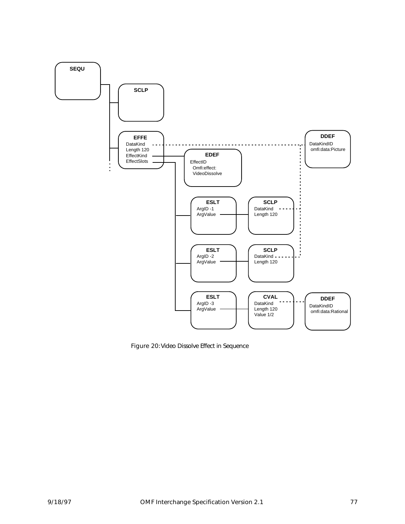<span id="page-88-0"></span>

Figure 20:Video Dissolve Effect in Sequence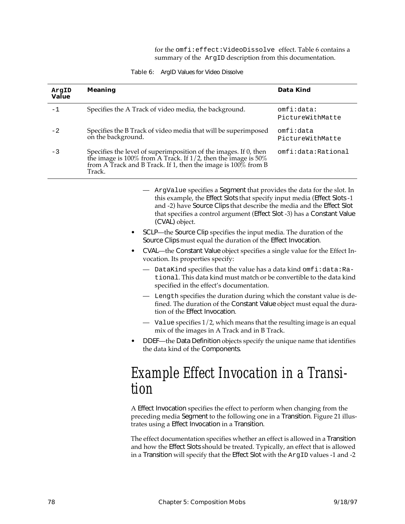for the omfi:effect:VideoDissolve effect. Table 6 contains a summary of the ArgID description from this documentation.

| Table 6: |  | ArgID Values for Video Dissolve |  |  |
|----------|--|---------------------------------|--|--|
|----------|--|---------------------------------|--|--|

| ArgID<br>Value | Meaning                                                                                                                                                                                                                                                                                                                | Data Kind                      |
|----------------|------------------------------------------------------------------------------------------------------------------------------------------------------------------------------------------------------------------------------------------------------------------------------------------------------------------------|--------------------------------|
| -1             | Specifies the A Track of video media, the background.                                                                                                                                                                                                                                                                  | omfi:data:<br>PictureWithMatte |
| $-2$           | Specifies the B Track of video media that will be superimposed<br>on the background.                                                                                                                                                                                                                                   | omfi∶data<br>PictureWithMatte  |
| -3             | Specifies the level of superimposition of the images. If 0, then<br>the image is 100% from A Track. If $1/2$ , then the image is 50%<br>from A Track and B Track. If 1, then the image is $100\%$ from B<br>Track.                                                                                                     | omfi:data:Rational             |
|                | ArgValue specifies a Segment that provides the data for the slot. In<br>this example, the Effect Slots that specify input media (Effect Slots -1<br>and -2) have Source Clips that describe the media and the Effect Slot<br>that specifies a control argument (Effect Slot -3) has a Constant Value<br>(CVAL) object. |                                |
|                | SCLP—the Source Clip specifies the input media. The duration of the<br>Source Clips must equal the duration of the Effect Invocation.                                                                                                                                                                                  |                                |
|                | CVAL—the Constant Value object specifies a single value for the Effect In-<br>$\bullet$<br>vocation. Its properties specify:                                                                                                                                                                                           |                                |
|                | DataKind specifies that the value has a data kind omfi: data: Ra-<br>tional. This data kind must match or be convertible to the data kind<br>specified in the effect's documentation.                                                                                                                                  |                                |
|                | Length specifies the duration during which the constant value is de-<br>fined. The duration of the Constant Value object must equal the dura-<br>tion of the Effect Invocation.                                                                                                                                        |                                |
|                | Value specifies $1/2$ , which means that the resulting image is an equal<br>mix of the images in A Track and in B Track.                                                                                                                                                                                               |                                |
|                | DDEF-the Data Definition objects specify the unique name that identifies<br>the data kind of the Components.                                                                                                                                                                                                           |                                |
|                | Example Effect Invocation in a Transi-                                                                                                                                                                                                                                                                                 |                                |
|                | tion                                                                                                                                                                                                                                                                                                                   |                                |
|                | A Effect Invocation specifies the effect to perform when changing from the<br>preceding media Segment to the following one in a Transition. Figure 21 illus-                                                                                                                                                           |                                |

The effect documentation specifies whether an effect is allowed in a Transition and how the Effect Slots should be treated. Typically, an effect that is allowed in a Transition will specify that the Effect Slot with the ArgID values -1 and -2

trates using a Effect Invocation in a Transition.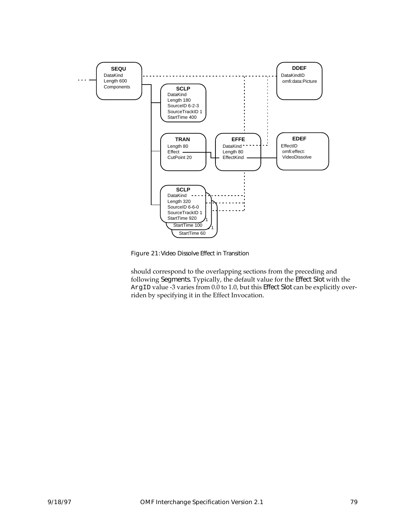<span id="page-90-0"></span>

Figure 21:Video Dissolve Effect in Transition

should correspond to the overlapping sections from the preceding and following Segments. Typically, the default value for the Effect Slot with the ArgID value -3 varies from 0.0 to 1.0, but this Effect Slot can be explicitly overriden by specifying it in the Effect Invocation.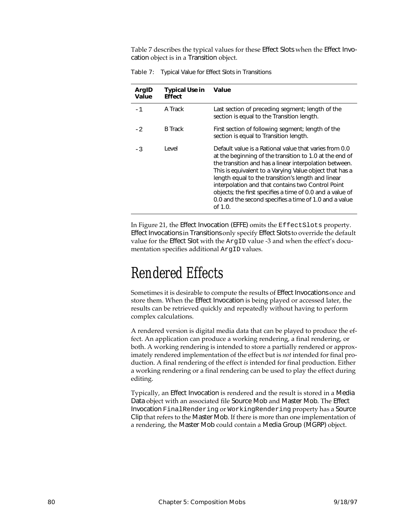Table 7 describes the typical values for these Effect Slots when the Effect Invocation object is in a Transition object.

| ArgID<br>Value | <b>Typical Use in</b><br><b>Effect</b> | <b>Value</b>                                                                                                                                                                                                                                                                                                                                                                                                                                                                           |
|----------------|----------------------------------------|----------------------------------------------------------------------------------------------------------------------------------------------------------------------------------------------------------------------------------------------------------------------------------------------------------------------------------------------------------------------------------------------------------------------------------------------------------------------------------------|
| $-1$           | A Track                                | Last section of preceding segment; length of the<br>section is equal to the Transition length.                                                                                                                                                                                                                                                                                                                                                                                         |
| $-2$           | <b>B</b> Track                         | First section of following segment; length of the<br>section is equal to Transition length.                                                                                                                                                                                                                                                                                                                                                                                            |
| $-3$           | Level                                  | Default value is a Rational value that varies from 0.0<br>at the beginning of the transition to 1.0 at the end of<br>the transition and has a linear interpolation between.<br>This is equivalent to a Varying Value object that has a<br>length equal to the transition's length and linear<br>interpolation and that contains two Control Point<br>objects; the first specifies a time of 0.0 and a value of<br>0.0 and the second specifies a time of 1.0 and a value<br>of $1.0$ . |

Table 7: Typical Value for Effect Slots in Transitions

In Figure [21,](#page-90-0) the Effect Invocation (EFFE) omits the EffectSlots property. Effect Invocations in Transitions only specify Effect Slots to override the default value for the Effect Slot with the ArgID value -3 and when the effect's documentation specifies additional ArgID values.

# Rendered Effects

Sometimes it is desirable to compute the results of Effect Invocations once and store them. When the Effect Invocation is being played or accessed later, the results can be retrieved quickly and repeatedly without having to perform complex calculations.

A rendered version is digital media data that can be played to produce the effect. An application can produce a working rendering, a final rendering, or both. A working rendering is intended to store a partially rendered or approximately rendered implementation of the effect but is *not* intended for final production. A final rendering of the effect *is* intended for final production. Either a working rendering or a final rendering can be used to play the effect during editing.

Typically, an Effect Invocation is rendered and the result is stored in a Media Data object with an associated file Source Mob and Master Mob. The Effect Invocation FinalRendering or WorkingRendering property has a Source Clip that refers to the Master Mob. If there is more than one implementation of a rendering, the Master Mob could contain a Media Group (MGRP) object.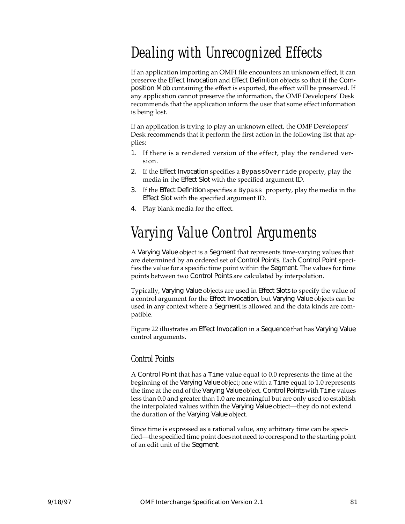# Dealing with Unrecognized Effects

If an application importing an OMFI file encounters an unknown effect, it can preserve the Effect Invocation and Effect Definition objects so that if the Composition Mob containing the effect is exported, the effect will be preserved. If any application cannot preserve the information, the OMF Developers' Desk recommends that the application inform the user that some effect information is being lost.

If an application is trying to play an unknown effect, the OMF Developers' Desk recommends that it perform the first action in the following list that applies:

- 1. If there is a rendered version of the effect, play the rendered version.
- 2. If the Effect Invocation specifies a BypassOverride property, play the media in the Effect Slot with the specified argument ID.
- 3. If the Effect Definition specifies a Bypass property, play the media in the Effect Slot with the specified argument ID.
- 4. Play blank media for the effect.

# Varying Value Control Arguments

A Varying Value object is a Segment that represents time-varying values that are determined by an ordered set of Control Points. Each Control Point specifies the value for a specific time point within the Segment. The values for time points between two Control Points are calculated by interpolation.

Typically, Varying Value objects are used in Effect Slots to specify the value of a control argument for the Effect Invocation, but Varying Value objects can be used in any context where a Segment is allowed and the data kinds are compatible.

Figure [22](#page-93-0) illustrates an Effect Invocation in a Sequence that has Varying Value control arguments.

#### Control Points

A Control Point that has a Time value equal to 0.0 represents the time at the beginning of the Varying Value object; one with a Time equal to 1.0 represents the time at the end of the Varying Value object. Control Points with Time values less than 0.0 and greater than 1.0 are meaningful but are only used to establish the interpolated values within the Varying Value object—they do not extend the duration of the Varying Value object.

Since time is expressed as a rational value, any arbitrary time can be specified—the specified time point does not need to correspond to the starting point of an edit unit of the Segment.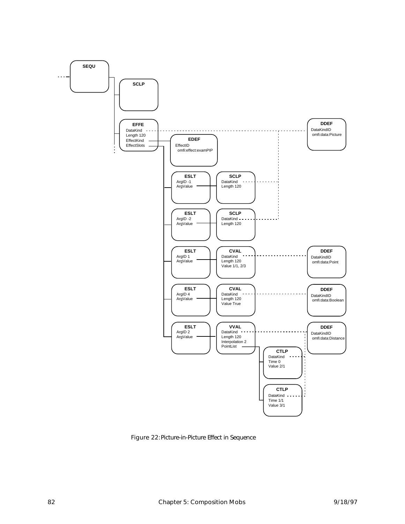<span id="page-93-0"></span>

Figure 22:Picture-in-Picture Effect in Sequence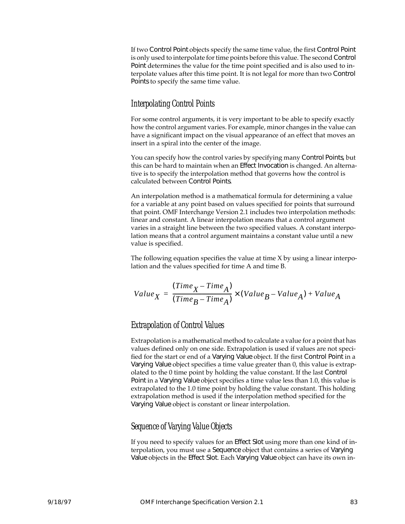If two Control Point objects specify the same time value, the first Control Point is only used to interpolate for time points before this value. The second Control Point determines the value for the time point specified and is also used to interpolate values after this time point. It is not legal for more than two Control Points to specify the same time value.

#### Interpolating Control Points

For some control arguments, it is very important to be able to specify exactly how the control argument varies. For example, minor changes in the value can have a significant impact on the visual appearance of an effect that moves an insert in a spiral into the center of the image.

You can specify how the control varies by specifying many Control Points, but this can be hard to maintain when an Effect Invocation is changed. An alternative is to specify the interpolation method that governs how the control is calculated between Control Points.

An interpolation method is a mathematical formula for determining a value for a variable at any point based on values specified for points that surround that point. OMF Interchange Version 2.1 includes two interpolation methods: linear and constant. A linear interpolation means that a control argument varies in a straight line between the two specified values. A constant interpolation means that a control argument maintains a constant value until a new value is specified.

The following equation specifies the value at time X by using a linear interpolation and the values specified for time A and time B.

$$
Value_{X} = \frac{(Time_{X} - Time_{A})}{(Time_{B} - Time_{A})} \times (Value_{B} - Value_{A}) + Value_{A}
$$

#### Extrapolation of Control Values

Extrapolation is a mathematical method to calculate a value for a point that has values defined only on one side. Extrapolation is used if values are not specified for the start or end of a Varying Value object. If the first Control Point in a Varying Value object specifies a time value greater than 0, this value is extrapolated to the 0 time point by holding the value constant. If the last Control Point in a Varying Value object specifies a time value less than 1.0, this value is extrapolated to the 1.0 time point by holding the value constant. This holding extrapolation method is used if the interpolation method specified for the Varying Value object is constant or linear interpolation.

#### Sequence of Varying Value Objects

If you need to specify values for an Effect Slot using more than one kind of interpolation, you must use a Sequence object that contains a series of Varying Value objects in the Effect Slot. Each Varying Value object can have its own in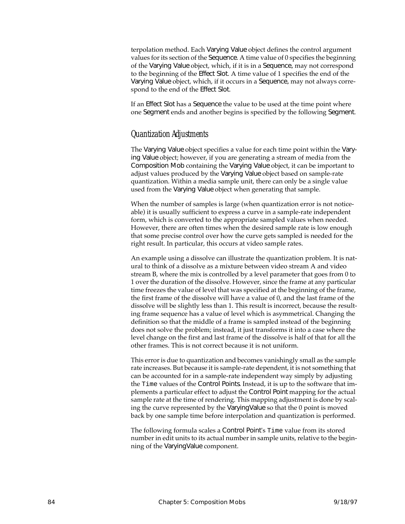terpolation method. Each Varying Value object defines the control argument values for its section of the Sequence. A time value of 0 specifies the beginning of the Varying Value object, which, if it is in a Sequence, may not correspond to the beginning of the Effect Slot. A time value of 1 specifies the end of the Varying Value object, which, if it occurs in a Sequence, may not always correspond to the end of the Effect Slot.

If an Effect Slot has a Sequence the value to be used at the time point where one Segment ends and another begins is specified by the following Segment.

#### Quantization Adjustments

The Varying Value object specifies a value for each time point within the Varying Value object; however, if you are generating a stream of media from the Composition Mob containing the Varying Value object, it can be important to adjust values produced by the Varying Value object based on sample-rate quantization. Within a media sample unit, there can only be a single value used from the Varying Value object when generating that sample.

When the number of samples is large (when quantization error is not noticeable) it is usually sufficient to express a curve in a sample-rate independent form, which is converted to the appropriate sampled values when needed. However, there are often times when the desired sample rate is low enough that some precise control over how the curve gets sampled is needed for the right result. In particular, this occurs at video sample rates.

An example using a dissolve can illustrate the quantization problem. It is natural to think of a dissolve as a mixture between video stream A and video stream B, where the mix is controlled by a level parameter that goes from 0 to 1 over the duration of the dissolve. However, since the frame at any particular time freezes the value of level that was specified at the beginning of the frame, the first frame of the dissolve will have a value of 0, and the last frame of the dissolve will be slightly less than 1. This result is incorrect, because the resulting frame sequence has a value of level which is asymmetrical. Changing the definition so that the middle of a frame is sampled instead of the beginning does not solve the problem; instead, it just transforms it into a case where the level change on the first and last frame of the dissolve is half of that for all the other frames. This is not correct because it is not uniform.

This error is due to quantization and becomes vanishingly small as the sample rate increases. But because it is sample-rate dependent, it is not something that can be accounted for in a sample-rate independent way simply by adjusting the Time values of the Control Points. Instead, it is up to the software that implements a particular effect to adjust the Control Point mapping for the actual sample rate at the time of rendering. This mapping adjustment is done by scaling the curve represented by the VaryingValue so that the 0 point is moved back by one sample time before interpolation and quantization is performed.

The following formula scales a Control Point's Time value from its stored number in edit units to its actual number in sample units, relative to the beginning of the VaryingValue component.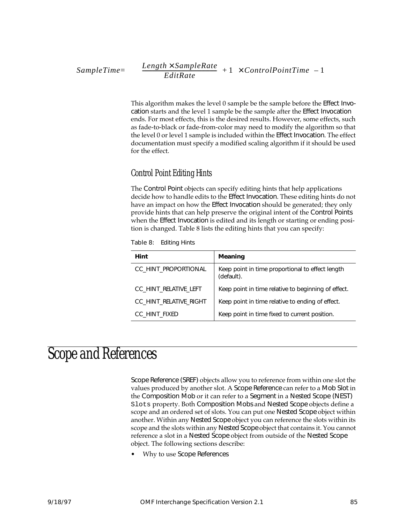$$
SampleTime = \left(\left(\left(\frac{Length \times SampleRate}{EditRate}\right) + 1\right) \times ControlPointTime\right) - 1\right)
$$

This algorithm makes the level 0 sample be the sample before the Effect Invocation starts and the level 1 sample be the sample after the Effect Invocation ends. For most effects, this is the desired results. However, some effects, such as fade-to-black or fade-from-color may need to modify the algorithm so that the level 0 or level 1 sample is included within the Effect Invocation. The effect documentation must specify a modified scaling algorithm if it should be used for the effect.

#### Control Point Editing Hints

The Control Point objects can specify editing hints that help applications decide how to handle edits to the Effect Invocation. These editing hints do not have an impact on how the Effect Invocation should be generated; they only provide hints that can help preserve the original intent of the Control Points when the Effect Invocation is edited and its length or starting or ending position is changed. Table 8 lists the editing hints that you can specify:

Table 8: Editing Hints

| Hint                   | <b>Meaning</b>                                                 |
|------------------------|----------------------------------------------------------------|
| CC HINT PROPORTIONAL   | Keep point in time proportional to effect length<br>(default). |
| CC HINT RELATIVE LEFT  | Keep point in time relative to beginning of effect.            |
| CC HINT RELATIVE RIGHT | Keep point in time relative to ending of effect.               |
| CC HINT FIXED          | Keep point in time fixed to current position.                  |

## Scope and References

Scope Reference (SREF) objects allow you to reference from within one slot the values produced by another slot. A Scope Reference can refer to a Mob Slot in the Composition Mob or it can refer to a Segment in a Nested Scope (NEST) Slots property. Both Composition Mobs and Nested Scope objects define a scope and an ordered set of slots. You can put one Nested Scope object within another. Within any Nested Scope object you can reference the slots within its scope and the slots within any Nested Scope object that contains it. You cannot reference a slot in a Nested Scope object from outside of the Nested Scope object. The following sections describe:

• Why to use Scope References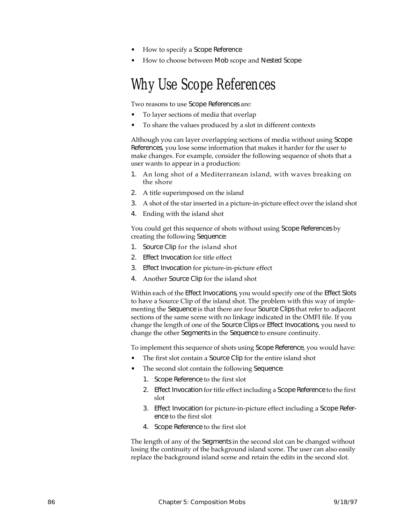- How to specify a Scope Reference
- How to choose between Mob scope and Nested Scope

## Why Use Scope References

Two reasons to use Scope References are:

- To layer sections of media that overlap
- To share the values produced by a slot in different contexts

Although you can layer overlapping sections of media without using Scope References, you lose some information that makes it harder for the user to make changes. For example, consider the following sequence of shots that a user wants to appear in a production:

- 1. An long shot of a Mediterranean island, with waves breaking on the shore
- 2. A title superimposed on the island
- 3. A shot of the star inserted in a picture-in-picture effect over the island shot
- 4. Ending with the island shot

You could get this sequence of shots without using Scope References by creating the following Sequence:

- 1. Source Clip for the island shot
- 2. Effect Invocation for title effect
- 3. Effect Invocation for picture-in-picture effect
- 4. Another Source Clip for the island shot

Within each of the Effect Invocations, you would specify one of the Effect Slots to have a Source Clip of the island shot. The problem with this way of implementing the Sequence is that there are four Source Clips that refer to adjacent sections of the same scene with no linkage indicated in the OMFI file. If you change the length of one of the Source Clips or Effect Invocations, you need to change the other Segments in the Sequence to ensure continuity.

To implement this sequence of shots using Scope Reference, you would have:

- The first slot contain a Source Clip for the entire island shot
- The second slot contain the following Sequence:
	- 1. Scope Reference to the first slot
	- 2. Effect Invocation for title effect including a Scope Reference to the first slot
	- 3. Effect Invocation for picture-in-picture effect including a Scope Reference to the first slot
	- 4. Scope Reference to the first slot

The length of any of the Segments in the second slot can be changed without losing the continuity of the background island scene. The user can also easily replace the background island scene and retain the edits in the second slot.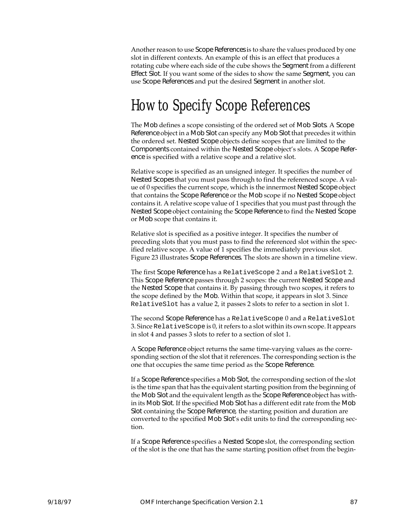Another reason to use Scope References is to share the values produced by one slot in different contexts. An example of this is an effect that produces a rotating cube where each side of the cube shows the Segment from a different Effect Slot. If you want some of the sides to show the same Segment, you can use Scope References and put the desired Segment in another slot.

## How to Specify Scope References

The Mob defines a scope consisting of the ordered set of Mob Slots. A Scope Reference object in a Mob Slot can specify any Mob Slot that precedes it within the ordered set. Nested Scope objects define scopes that are limited to the Components contained within the Nested Scope object's slots. A Scope Reference is specified with a relative scope and a relative slot.

Relative scope is specified as an unsigned integer. It specifies the number of Nested Scopes that you must pass through to find the referenced scope. A value of 0 specifies the current scope, which is the innermost Nested Scope object that contains the Scope Reference or the Mob scope if no Nested Scope object contains it. A relative scope value of 1 specifies that you must past through the Nested Scope object containing the Scope Reference to find the Nested Scope or Mob scope that contains it.

Relative slot is specified as a positive integer. It specifies the number of preceding slots that you must pass to find the referenced slot within the specified relative scope. A value of 1 specifies the immediately previous slot. Figure [23](#page-99-0) illustrates Scope References. The slots are shown in a timeline view.

The first Scope Reference has a RelativeScope 2 and a RelativeSlot 2. This Scope Reference passes through 2 scopes: the current Nested Scope and the Nested Scope that contains it. By passing through two scopes, it refers to the scope defined by the Mob. Within that scope, it appears in slot 3. Since RelativeSlot has a value 2, it passes 2 slots to refer to a section in slot 1.

The second Scope Reference has a RelativeScope 0 and a RelativeSlot 3. Since RelativeScope is 0, it refers to a slot within its own scope. It appears in slot 4 and passes 3 slots to refer to a section of slot 1.

A Scope Reference object returns the same time-varying values as the corresponding section of the slot that it references. The corresponding section is the one that occupies the same time period as the Scope Reference.

If a Scope Reference specifies a Mob Slot, the corresponding section of the slot is the time span that has the equivalent starting position from the beginning of the Mob Slot and the equivalent length as the Scope Reference object has within its Mob Slot. If the specified Mob Slot has a different edit rate from the Mob Slot containing the Scope Reference, the starting position and duration are converted to the specified Mob Slot's edit units to find the corresponding section.

If a Scope Reference specifies a Nested Scope slot, the corresponding section of the slot is the one that has the same starting position offset from the begin-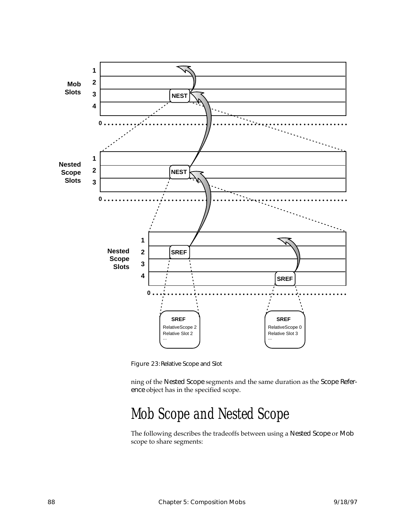<span id="page-99-0"></span>

Figure 23:Relative Scope and Slot

ning of the Nested Scope segments and the same duration as the Scope Reference object has in the specified scope.

## Mob Scope and Nested Scope

The following describes the tradeoffs between using a Nested Scope or Mob scope to share segments: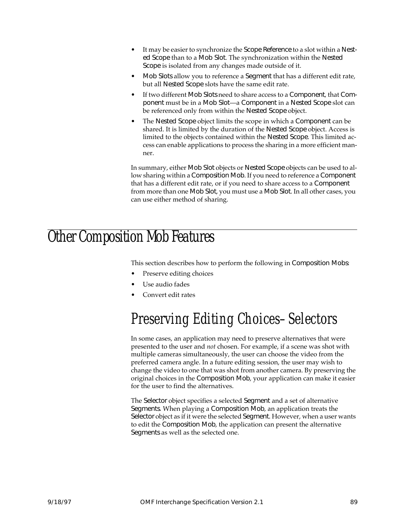- It may be easier to synchronize the Scope Reference to a slot within a Nested Scope than to a Mob Slot. The synchronization within the Nested Scope is isolated from any changes made outside of it.
- Mob Slots allow you to reference a Segment that has a different edit rate, but all Nested Scope slots have the same edit rate.
- If two different Mob Slots need to share access to a Component, that Component must be in a Mob Slot—a Component in a Nested Scope slot can be referenced only from within the Nested Scope object.
- The Nested Scope object limits the scope in which a Component can be shared. It is limited by the duration of the Nested Scope object. Access is limited to the objects contained within the Nested Scope. This limited access can enable applications to process the sharing in a more efficient manner.

In summary, either Mob Slot objects or Nested Scope objects can be used to allow sharing within a Composition Mob. If you need to reference a Component that has a different edit rate, or if you need to share access to a Component from more than one Mob Slot, you must use a Mob Slot. In all other cases, you can use either method of sharing.

## Other Composition Mob Features

This section describes how to perform the following in Composition Mobs:

- Preserve editing choices
- Use audio fades
- Convert edit rates

# Preserving Editing Choices–Selectors

In some cases, an application may need to preserve alternatives that were presented to the user and *not* chosen. For example, if a scene was shot with multiple cameras simultaneously, the user can choose the video from the preferred camera angle. In a future editing session, the user may wish to change the video to one that was shot from another camera. By preserving the original choices in the Composition Mob, your application can make it easier for the user to find the alternatives.

The Selector object specifies a selected Segment and a set of alternative Segments. When playing a Composition Mob, an application treats the Selector object as if it were the selected Segment. However, when a user wants to edit the Composition Mob, the application can present the alternative Segments as well as the selected one.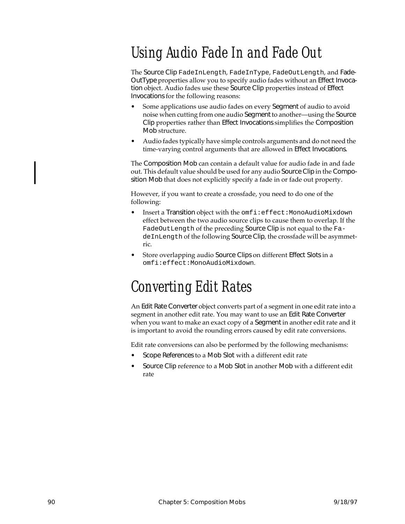# Using Audio Fade In and Fade Out

The Source Clip FadeInLength, FadeInType, FadeOutLength, and Fade-OutType properties allow you to specify audio fades without an Effect Invocation object. Audio fades use these Source Clip properties instead of Effect Invocations for the following reasons:

- Some applications use audio fades on every Segment of audio to avoid noise when cutting from one audio Segment to another—using the Source Clip properties rather than Effect Invocations simplifies the Composition Mob structure.
- Audio fades typically have simple controls arguments and do not need the time-varying control arguments that are allowed in Effect Invocations.

The Composition Mob can contain a default value for audio fade in and fade out. This default value should be used for any audio Source Clip in the Composition Mob that does not explicitly specify a fade in or fade out property.

However, if you want to create a crossfade, you need to do one of the following:

- Insert a Transition object with the omfi:effect:MonoAudioMixdown effect between the two audio source clips to cause them to overlap. If the FadeOutLength of the preceding Source Clip is not equal to the FadeInLength of the following Source Clip, the crossfade will be asymmetric.
- Store overlapping audio Source Clips on different Effect Slots in a omfi:effect:MonoAudioMixdown.

# Converting Edit Rates

An Edit Rate Converter object converts part of a segment in one edit rate into a segment in another edit rate. You may want to use an Edit Rate Converter when you want to make an exact copy of a Segment in another edit rate and it is important to avoid the rounding errors caused by edit rate conversions.

Edit rate conversions can also be performed by the following mechanisms:

- Scope References to a Mob Slot with a different edit rate
- Source Clip reference to a Mob Slot in another Mob with a different edit rate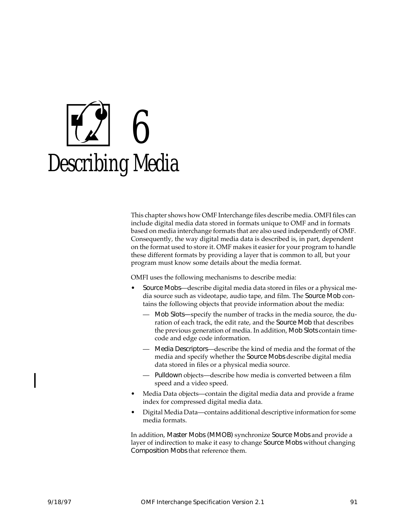# 6 Describing Media

This chapter shows how OMF Interchange files describe media. OMFI files can include digital media data stored in formats unique to OMF and in formats based on media interchange formats that are also used independently of OMF. Consequently, the way digital media data is described is, in part, dependent on the format used to store it. OMF makes it easier for your program to handle these different formats by providing a layer that is common to all, but your program must know some details about the media format.

OMFI uses the following mechanisms to describe media:

- Source Mobs—describe digital media data stored in files or a physical media source such as videotape, audio tape, and film. The Source Mob contains the following objects that provide information about the media:
	- Mob Slots—specify the number of tracks in the media source, the duration of each track, the edit rate, and the Source Mob that describes the previous generation of media. In addition, Mob Slots contain timecode and edge code information.
	- Media Descriptors—describe the kind of media and the format of the media and specify whether the Source Mobs describe digital media data stored in files or a physical media source.
	- Pulldown objects—describe how media is converted between a film speed and a video speed.
- Media Data objects—contain the digital media data and provide a frame index for compressed digital media data.
- Digital Media Data—contains additional descriptive information for some media formats.

In addition, Master Mobs (MMOB) synchronize Source Mobs and provide a layer of indirection to make it easy to change Source Mobs without changing Composition Mobs that reference them.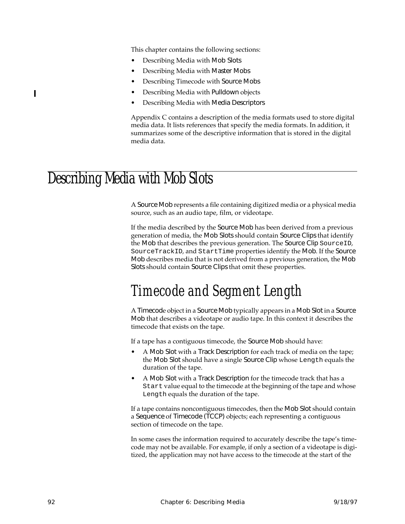This chapter contains the following sections:

- Describing Media with Mob Slots
- Describing Media with Master Mobs
- Describing Timecode with Source Mobs
- Describing Media with Pulldown objects
- Describing Media with Media Descriptors

Appendix [C](#page-238-0) contains a description of the media formats used to store digital media data. It lists references that specify the media formats. In addition, it summarizes some of the descriptive information that is stored in the digital media data.

## Describing Media with Mob Slots

A Source Mob represents a file containing digitized media or a physical media source, such as an audio tape, film, or videotape.

If the media described by the Source Mob has been derived from a previous generation of media, the Mob Slots should contain Source Clips that identify the Mob that describes the previous generation. The Source Clip SourceID, SourceTrackID, and StartTime properties identify the Mob. If the Source Mob describes media that is not derived from a previous generation, the Mob Slots should contain Source Clips that omit these properties.

## Timecode and Segment Length

A Timecode object in a Source Mob typically appears in a Mob Slot in a Source Mob that describes a videotape or audio tape. In this context it describes the timecode that exists on the tape.

If a tape has a contiguous timecode, the Source Mob should have:

- A Mob Slot with a Track Description for each track of media on the tape; the Mob Slot should have a single Source Clip whose Length equals the duration of the tape.
- A Mob Slot with a Track Description for the timecode track that has a Start value equal to the timecode at the beginning of the tape and whose Length equals the duration of the tape.

If a tape contains noncontiguous timecodes, then the Mob Slot should contain a Sequence of Timecode (TCCP) objects; each representing a contiguous section of timecode on the tape.

In some cases the information required to accurately describe the tape's timecode may not be available. For example, if only a section of a videotape is digitized, the application may not have access to the timecode at the start of the

ı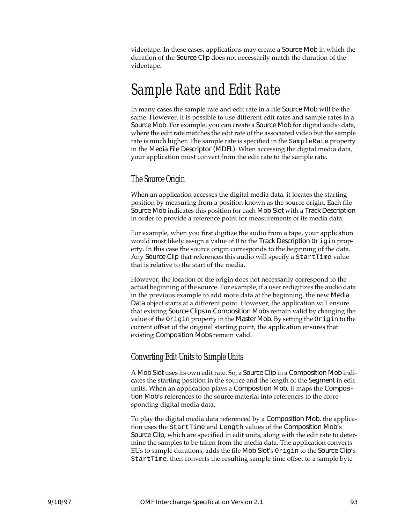videotape. In these cases, applications may create a Source Mob in which the duration of the Source Clip does not necessarily match the duration of the videotape.

## Sample Rate and Edit Rate

In many cases the sample rate and edit rate in a file Source Mob will be the same. However, it is possible to use different edit rates and sample rates in a Source Mob. For example, you can create a Source Mob for digital audio data, where the edit rate matches the edit rate of the associated video but the sample rate is much higher. The sample rate is specified in the SampleRate property in the Media File Descriptor (MDFL). When accessing the digital media data, your application must convert from the edit rate to the sample rate.

#### The Source Origin

When an application accesses the digital media data, it locates the starting position by measuring from a position known as the source origin. Each file Source Mob indicates this position for each Mob Slot with a Track Description in order to provide a reference point for measurements of its media data.

For example, when you first digitize the audio from a tape, your application would most likely assign a value of 0 to the Track Description Origin property. In this case the source origin corresponds to the beginning of the data. Any Source Clip that references this audio will specify a StartTime value that is relative to the start of the media.

However, the location of the origin does not necessarily correspond to the actual beginning of the source. For example, if a user redigitizes the audio data in the previous example to add more data at the beginning, the new Media Data object starts at a different point. However, the application will ensure that existing Source Clips in Composition Mobs remain valid by changing the value of the Origin property in the Master Mob. By setting the Origin to the current offset of the original starting point, the application ensures that existing Composition Mobs remain valid.

#### Converting Edit Units to Sample Units

A Mob Slot uses its own edit rate. So, a Source Clip in a Composition Mob indicates the starting position in the source and the length of the Segment in edit units. When an application plays a Composition Mob, it maps the Composition Mob's references to the source material into references to the corresponding digital media data.

To play the digital media data referenced by a Composition Mob, the application uses the StartTime and Length values of the Composition Mob's Source Clip, which are specified in edit units, along with the edit rate to determine the samples to be taken from the media data. The application converts EUs to sample durations, adds the file Mob Slot's Origin to the Source Clip's StartTime, then converts the resulting sample time offset to a sample byte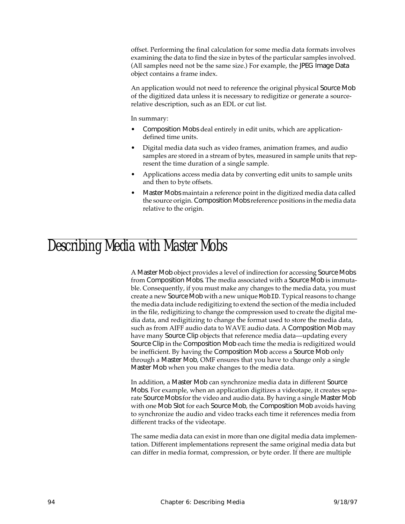offset. Performing the final calculation for some media data formats involves examining the data to find the size in bytes of the particular samples involved. (All samples need not be the same size.) For example, the JPEG Image Data object contains a frame index.

An application would not need to reference the original physical Source Mob of the digitized data unless it is necessary to redigitize or generate a sourcerelative description, such as an EDL or cut list.

In summary:

- Composition Mobs deal entirely in edit units, which are applicationdefined time units.
- Digital media data such as video frames, animation frames, and audio samples are stored in a stream of bytes, measured in sample units that represent the time duration of a single sample.
- Applications access media data by converting edit units to sample units and then to byte offsets.
- Master Mobs maintain a reference point in the digitized media data called the source origin. Composition Mobs reference positions in the media data relative to the origin.

#### Describing Media with Master Mobs

A Master Mob object provides a level of indirection for accessing Source Mobs from Composition Mobs. The media associated with a Source Mob is immutable. Consequently, if you must make any changes to the media data, you must create a new Source Mob with a new unique MobID. Typical reasons to change the media data include redigitizing to extend the section of the media included in the file, redigitizing to change the compression used to create the digital media data, and redigitizing to change the format used to store the media data, such as from AIFF audio data to WAVE audio data. A Composition Mob may have many Source Clip objects that reference media data—updating every Source Clip in the Composition Mob each time the media is redigitized would be inefficient. By having the Composition Mob access a Source Mob only through a Master Mob, OMF ensures that you have to change only a single Master Mob when you make changes to the media data.

In addition, a Master Mob can synchronize media data in different Source Mobs. For example, when an application digitizes a videotape, it creates separate Source Mobs for the video and audio data. By having a single Master Mob with one Mob Slot for each Source Mob, the Composition Mob avoids having to synchronize the audio and video tracks each time it references media from different tracks of the videotape.

The same media data can exist in more than one digital media data implementation. Different implementations represent the same original media data but can differ in media format, compression, or byte order. If there are multiple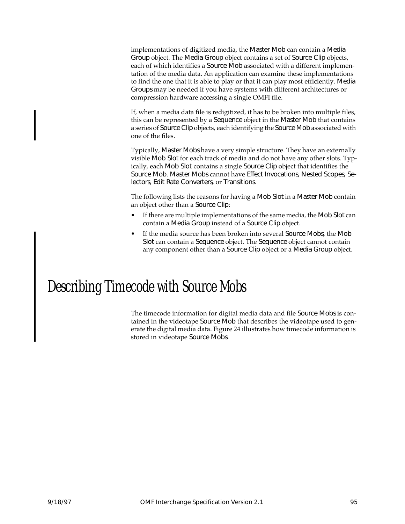implementations of digitized media, the Master Mob can contain a Media Group object. The Media Group object contains a set of Source Clip objects, each of which identifies a Source Mob associated with a different implementation of the media data. An application can examine these implementations to find the one that it is able to play or that it can play most efficiently. Media Groups may be needed if you have systems with different architectures or compression hardware accessing a single OMFI file.

If, when a media data file is redigitized, it has to be broken into multiple files, this can be represented by a Sequence object in the Master Mob that contains a series of Source Clip objects, each identifying the Source Mob associated with one of the files.

Typically, Master Mobs have a very simple structure. They have an externally visible Mob Slot for each track of media and do not have any other slots. Typically, each Mob Slot contains a single Source Clip object that identifies the Source Mob. Master Mobs cannot have Effect Invocations, Nested Scopes, Selectors, Edit Rate Converters, or Transitions.

The following lists the reasons for having a Mob Slot in a Master Mob contain an object other than a Source Clip:

- If there are multiple implementations of the same media, the Mob Slot can contain a Media Group instead of a Source Clip object.
- If the media source has been broken into several Source Mobs, the Mob Slot can contain a Sequence object. The Sequence object cannot contain any component other than a Source Clip object or a Media Group object.

## Describing Timecode with Source Mobs

The timecode information for digital media data and file Source Mobs is contained in the videotape Source Mob that describes the videotape used to generate the digital media data. Figure [24](#page-107-0) illustrates how timecode information is stored in videotape Source Mobs.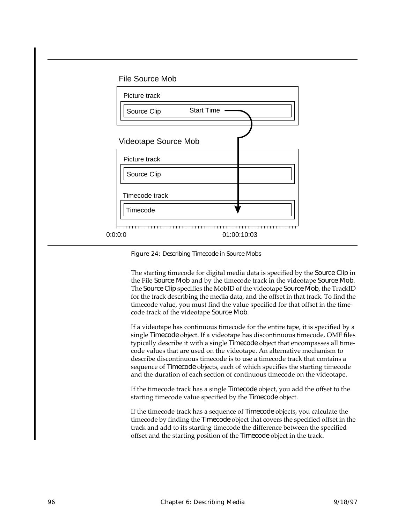#### File Source Mob

<span id="page-107-0"></span>

Figure 24: Describing Timecode in Source Mobs

The starting timecode for digital media data is specified by the Source Clip in the File Source Mob and by the timecode track in the videotape Source Mob. The Source Clip specifies the MobID of the videotape Source Mob, the TrackID for the track describing the media data, and the offset in that track. To find the timecode value, you must find the value specified for that offset in the timecode track of the videotape Source Mob.

If a videotape has continuous timecode for the entire tape, it is specified by a single Timecode object. If a videotape has discontinuous timecode, OMF files typically describe it with a single Timecode object that encompasses all timecode values that are used on the videotape. An alternative mechanism to describe discontinuous timecode is to use a timecode track that contains a sequence of Timecode objects, each of which specifies the starting timecode and the duration of each section of continuous timecode on the videotape.

If the timecode track has a single Timecode object, you add the offset to the starting timecode value specified by the Timecode object.

If the timecode track has a sequence of Timecode objects, you calculate the timecode by finding the Timecode object that covers the specified offset in the track and add to its starting timecode the difference between the specified offset and the starting position of the Timecode object in the track.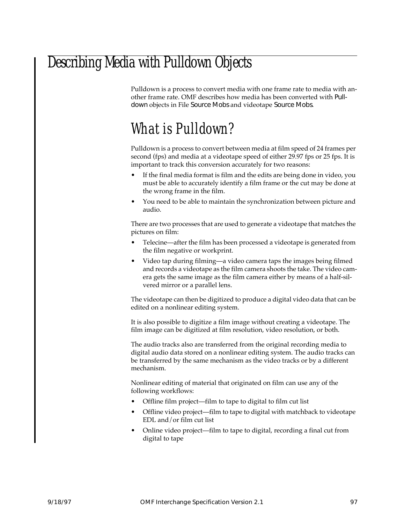### Describing Media with Pulldown Objects

Pulldown is a process to convert media with one frame rate to media with another frame rate. OMF describes how media has been converted with Pulldown objects in File Source Mobs and videotape Source Mobs.

### What is Pulldown?

Pulldown is a process to convert between media at film speed of 24 frames per second (fps) and media at a videotape speed of either 29.97 fps or 25 fps. It is important to track this conversion accurately for two reasons:

- If the final media format is film and the edits are being done in video, you must be able to accurately identify a film frame or the cut may be done at the wrong frame in the film.
- You need to be able to maintain the synchronization between picture and audio.

There are two processes that are used to generate a videotape that matches the pictures on film:

- Telecine—after the film has been processed a videotape is generated from the film negative or workprint.
- Video tap during filming—a video camera taps the images being filmed and records a videotape as the film camera shoots the take. The video camera gets the same image as the film camera either by means of a half-silvered mirror or a parallel lens.

The videotape can then be digitized to produce a digital video data that can be edited on a nonlinear editing system.

It is also possible to digitize a film image without creating a videotape. The film image can be digitized at film resolution, video resolution, or both.

The audio tracks also are transferred from the original recording media to digital audio data stored on a nonlinear editing system. The audio tracks can be transferred by the same mechanism as the video tracks or by a different mechanism.

Nonlinear editing of material that originated on film can use any of the following workflows:

- Offline film project—film to tape to digital to film cut list
- Offline video project—film to tape to digital with matchback to videotape EDL and/or film cut list
- Online video project—film to tape to digital, recording a final cut from digital to tape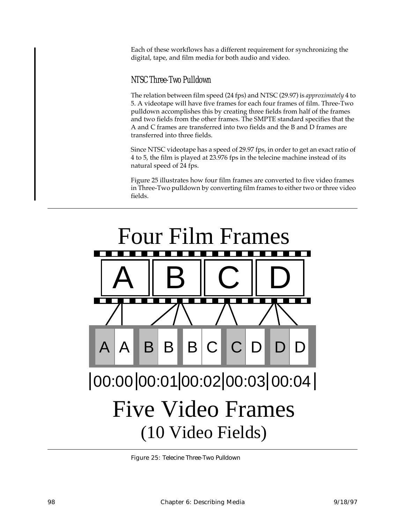Each of these workflows has a different requirement for synchronizing the digital, tape, and film media for both audio and video.

#### NTSC Three-Two Pulldown

The relation between film speed (24 fps) and NTSC (29.97) is *approximately* 4 to 5. A videotape will have five frames for each four frames of film. Three-Two pulldown accomplishes this by creating three fields from half of the frames and two fields from the other frames. The SMPTE standard specifies that the A and C frames are transferred into two fields and the B and D frames are transferred into three fields.

Since NTSC videotape has a speed of 29.97 fps, in order to get an exact ratio of 4 to 5, the film is played at 23.976 fps in the telecine machine instead of its natural speed of 24 fps.

Figure 25 illustrates how four film frames are converted to five video frames in Three-Two pulldown by converting film frames to either two or three video fields.



Figure 25: Telecine Three-Two Pulldown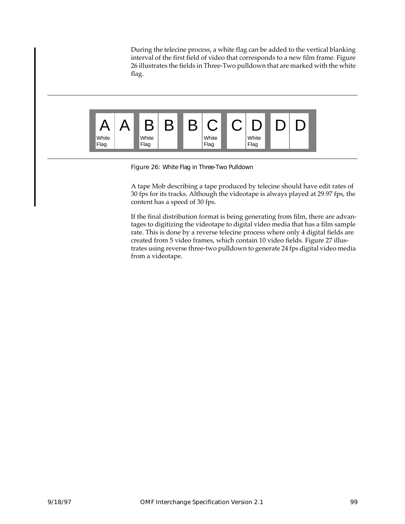During the telecine process, a white flag can be added to the vertical blanking interval of the first field of video that corresponds to a new film frame. Figure 26 illustrates the fields in Three-Two pulldown that are marked with the white flag.



Figure 26: White Flag in Three-Two Pulldown

A tape Mob describing a tape produced by telecine should have edit rates of 30 fps for its tracks. Although the videotape is always played at 29.97 fps, the content has a speed of 30 fps.

If the final distribution format is being generating from film, there are advantages to digitizing the videotape to digital video media that has a film sample rate. This is done by a reverse telecine process where only 4 digital fields are created from 5 video frames, which contain 10 video fields. Figure [27](#page-111-0) illustrates using reverse three-two pulldown to generate 24 fps digital video media from a videotape.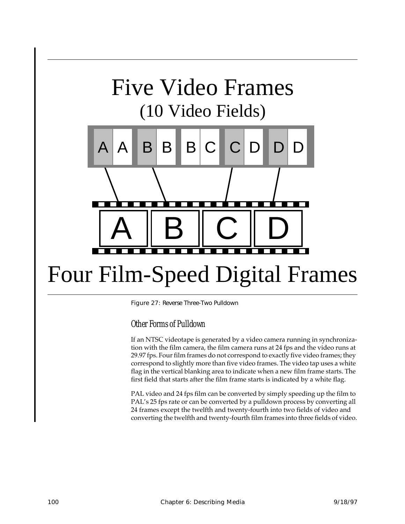# <span id="page-111-0"></span>Five Video Frames (10 Video Fields)



# Four Film-Speed Digital Frames

Figure 27: Reverse Three-Two Pulldown

Other Forms of Pulldown

If an NTSC videotape is generated by a video camera running in synchronization with the film camera, the film camera runs at 24 fps and the video runs at 29.97 fps. Four film frames do not correspond to exactly five video frames; they correspond to slightly more than five video frames. The video tap uses a white flag in the vertical blanking area to indicate when a new film frame starts. The first field that starts after the film frame starts is indicated by a white flag.

PAL video and 24 fps film can be converted by simply speeding up the film to PAL's 25 fps rate or can be converted by a pulldown process by converting all 24 frames except the twelfth and twenty-fourth into two fields of video and converting the twelfth and twenty-fourth film frames into three fields of video.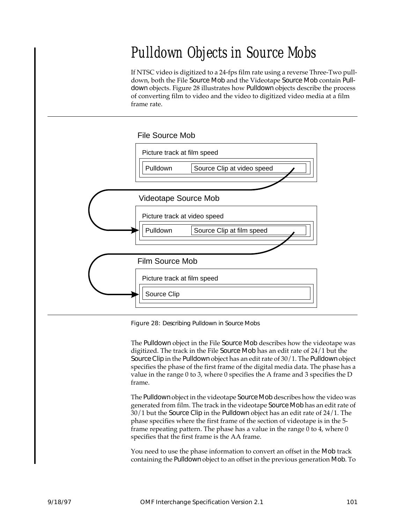## Pulldown Objects in Source Mobs

If NTSC video is digitized to a 24-fps film rate using a reverse Three-Two pulldown, both the File Source Mob and the Videotape Source Mob contain Pulldown objects. Figure 28 illustrates how Pulldown objects describe the process of converting film to video and the video to digitized video media at a film frame rate.



Figure 28: Describing Pulldown in Source Mobs

The Pulldown object in the File Source Mob describes how the videotape was digitized. The track in the File Source Mob has an edit rate of 24/1 but the Source Clip in the Pulldown object has an edit rate of 30/1. The Pulldown object specifies the phase of the first frame of the digital media data. The phase has a value in the range 0 to 3, where 0 specifies the A frame and 3 specifies the D frame.

The Pulldown object in the videotape Source Mob describes how the video was generated from film. The track in the videotape Source Mob has an edit rate of 30/1 but the Source Clip in the Pulldown object has an edit rate of 24/1. The phase specifies where the first frame of the section of videotape is in the 5 frame repeating pattern. The phase has a value in the range 0 to 4, where 0 specifies that the first frame is the AA frame.

You need to use the phase information to convert an offset in the Mob track containing the Pulldown object to an offset in the previous generation Mob. To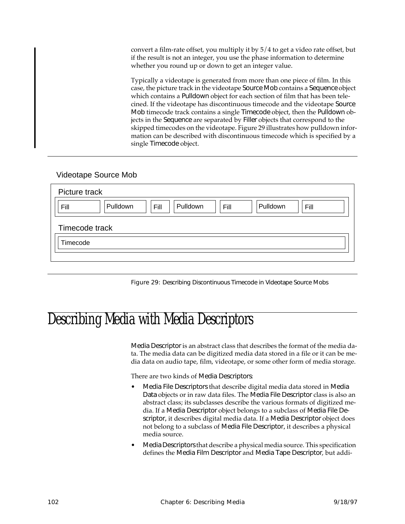convert a film-rate offset, you multiply it by 5/4 to get a video rate offset, but if the result is not an integer, you use the phase information to determine whether you round up or down to get an integer value.

Typically a videotape is generated from more than one piece of film. In this case, the picture track in the videotape Source Mob contains a Sequence object which contains a Pulldown object for each section of film that has been telecined. If the videotape has discontinuous timecode and the videotape Source Mob timecode track contains a single Timecode object, then the Pulldown objects in the Sequence are separated by Filler objects that correspond to the skipped timecodes on the videotape. Figure 29 illustrates how pulldown information can be described with discontinuous timecode which is specified by a single Timecode object.

#### Videotape Source Mob

| Picture track                                                    |
|------------------------------------------------------------------|
| Pulldown<br>Pulldown<br>Pulldown<br>Fill<br>Fill<br>Fill<br>Fill |
| Timecode track                                                   |
| Timecode                                                         |
|                                                                  |

Figure 29: Describing Discontinuous Timecode in Videotape Source Mobs

### Describing Media with Media Descriptors

Media Descriptor is an abstract class that describes the format of the media data. The media data can be digitized media data stored in a file or it can be media data on audio tape, film, videotape, or some other form of media storage.

There are two kinds of Media Descriptors:

- Media File Descriptors that describe digital media data stored in Media Data objects or in raw data files. The Media File Descriptor class is also an abstract class; its subclasses describe the various formats of digitized media. If a Media Descriptor object belongs to a subclass of Media File Descriptor, it describes digital media data. If a Media Descriptor object does not belong to a subclass of Media File Descriptor, it describes a physical media source.
- Media Descriptors that describe a physical media source. This specification defines the Media Film Descriptor and Media Tape Descriptor, but addi-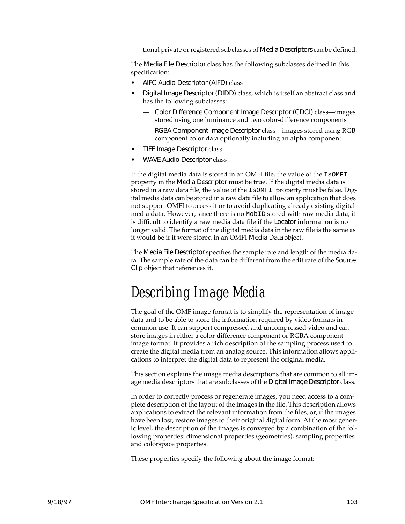tional private or registered subclasses of Media Descriptors can be defined.

The Media File Descriptor class has the following subclasses defined in this specification:

- AIFC Audio Descriptor (AIFD) class
- Digital Image Descriptor (DIDD) class, which is itself an abstract class and has the following subclasses:
	- Color Difference Component Image Descriptor (CDCI) class—images stored using one luminance and two color-difference components
	- RGBA Component Image Descriptor class—images stored using RGB component color data optionally including an alpha component
- TIFF Image Descriptor class
- WAVE Audio Descriptor class

If the digital media data is stored in an OMFI file, the value of the IsOMFI property in the Media Descriptor must be true. If the digital media data is stored in a raw data file, the value of the IsOMFI property must be false. Digital media data can be stored in a raw data file to allow an application that does not support OMFI to access it or to avoid duplicating already existing digital media data. However, since there is no MobID stored with raw media data, it is difficult to identify a raw media data file if the Locator information is no longer valid. The format of the digital media data in the raw file is the same as it would be if it were stored in an OMFI Media Data object.

The Media File Descriptor specifies the sample rate and length of the media data. The sample rate of the data can be different from the edit rate of the Source Clip object that references it.

### Describing Image Media

The goal of the OMF image format is to simplify the representation of image data and to be able to store the information required by video formats in common use. It can support compressed and uncompressed video and can store images in either a color difference component or RGBA component image format. It provides a rich description of the sampling process used to create the digital media from an analog source. This information allows applications to interpret the digital data to represent the original media.

This section explains the image media descriptions that are common to all image media descriptors that are subclasses of the Digital Image Descriptor class.

In order to correctly process or regenerate images, you need access to a complete description of the layout of the images in the file. This description allows applications to extract the relevant information from the files, or, if the images have been lost, restore images to their original digital form. At the most generic level, the description of the images is conveyed by a combination of the following properties: dimensional properties (geometries), sampling properties and colorspace properties.

These properties specify the following about the image format: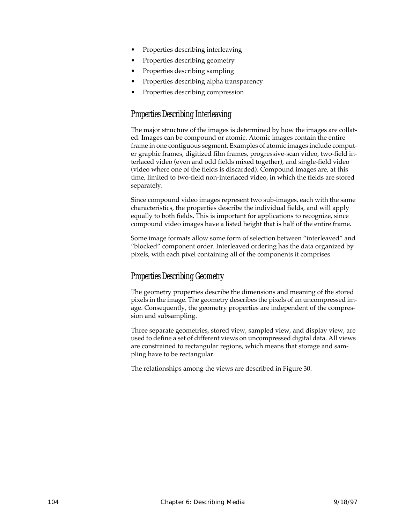- Properties describing interleaving
- Properties describing geometry
- Properties describing sampling
- Properties describing alpha transparency
- Properties describing compression

#### Properties Describing Interleaving

The major structure of the images is determined by how the images are collated. Images can be compound or atomic. Atomic images contain the entire frame in one contiguous segment. Examples of atomic images include computer graphic frames, digitized film frames, progressive-scan video, two-field interlaced video (even and odd fields mixed together), and single-field video (video where one of the fields is discarded). Compound images are, at this time, limited to two-field non-interlaced video, in which the fields are stored separately.

Since compound video images represent two sub-images, each with the same characteristics, the properties describe the individual fields, and will apply equally to both fields. This is important for applications to recognize, since compound video images have a listed height that is half of the entire frame.

Some image formats allow some form of selection between "interleaved" and "blocked" component order. Interleaved ordering has the data organized by pixels, with each pixel containing all of the components it comprises.

#### Properties Describing Geometry

The geometry properties describe the dimensions and meaning of the stored pixels in the image. The geometry describes the pixels of an uncompressed image. Consequently, the geometry properties are independent of the compression and subsampling.

Three separate geometries, stored view, sampled view, and display view, are used to define a set of different views on uncompressed digital data. All views are constrained to rectangular regions, which means that storage and sampling have to be rectangular.

The relationships among the views are described in Figure [30](#page-116-0).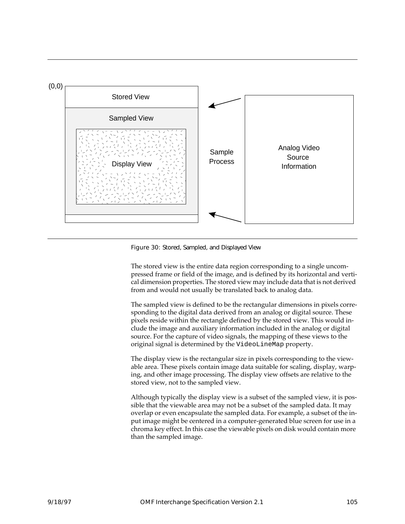<span id="page-116-0"></span>

Figure 30: Stored, Sampled, and Displayed View

The stored view is the entire data region corresponding to a single uncompressed frame or field of the image, and is defined by its horizontal and vertical dimension properties. The stored view may include data that is not derived from and would not usually be translated back to analog data.

The sampled view is defined to be the rectangular dimensions in pixels corresponding to the digital data derived from an analog or digital source. These pixels reside within the rectangle defined by the stored view. This would include the image and auxiliary information included in the analog or digital source. For the capture of video signals, the mapping of these views to the original signal is determined by the VideoLineMap property.

The display view is the rectangular size in pixels corresponding to the viewable area. These pixels contain image data suitable for scaling, display, warping, and other image processing. The display view offsets are relative to the stored view, not to the sampled view.

Although typically the display view is a subset of the sampled view, it is possible that the viewable area may not be a subset of the sampled data. It may overlap or even encapsulate the sampled data. For example, a subset of the input image might be centered in a computer-generated blue screen for use in a chroma key effect. In this case the viewable pixels on disk would contain more than the sampled image.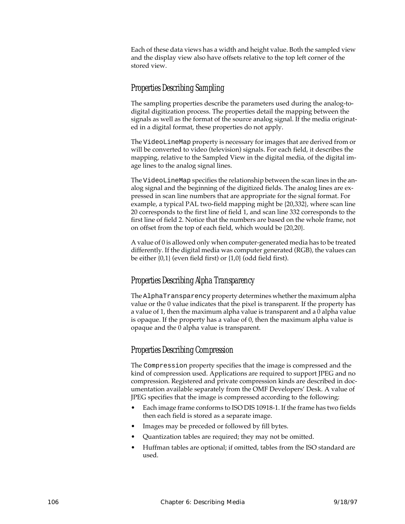Each of these data views has a width and height value. Both the sampled view and the display view also have offsets relative to the top left corner of the stored view.

#### Properties Describing Sampling

The sampling properties describe the parameters used during the analog-todigital digitization process. The properties detail the mapping between the signals as well as the format of the source analog signal. If the media originated in a digital format, these properties do not apply.

The VideoLineMap property is necessary for images that are derived from or will be converted to video (television) signals. For each field, it describes the mapping, relative to the Sampled View in the digital media, of the digital image lines to the analog signal lines.

The VideoLineMap specifies the relationship between the scan lines in the analog signal and the beginning of the digitized fields. The analog lines are expressed in scan line numbers that are appropriate for the signal format. For example, a typical PAL two-field mapping might be {20,332}, where scan line 20 corresponds to the first line of field 1, and scan line 332 corresponds to the first line of field 2. Notice that the numbers are based on the whole frame, not on offset from the top of each field, which would be {20,20}.

A value of 0 is allowed only when computer-generated media has to be treated differently. If the digital media was computer generated (RGB), the values can be either {0,1} (even field first) or {1,0} (odd field first).

#### Properties Describing Alpha Transparency

The AlphaTransparency property determines whether the maximum alpha value or the 0 value indicates that the pixel is transparent. If the property has a value of 1, then the maximum alpha value is transparent and a 0 alpha value is opaque. If the property has a value of 0, then the maximum alpha value is opaque and the 0 alpha value is transparent.

#### Properties Describing Compression

The Compression property specifies that the image is compressed and the kind of compression used. Applications are required to support JPEG and no compression. Registered and private compression kinds are described in documentation available separately from the OMF Developers' Desk. A value of JPEG specifies that the image is compressed according to the following:

- Each image frame conforms to ISO DIS 10918-1. If the frame has two fields then each field is stored as a separate image.
- Images may be preceded or followed by fill bytes.
- Quantization tables are required; they may not be omitted.
- Huffman tables are optional; if omitted, tables from the ISO standard are used.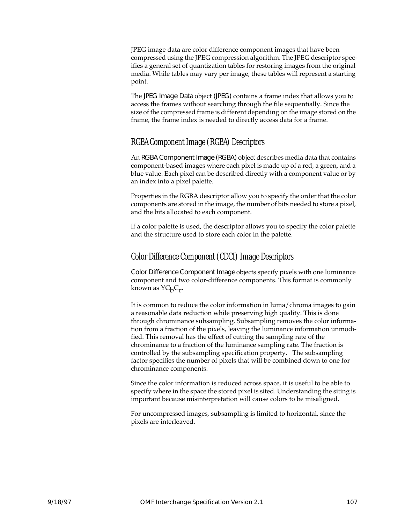JPEG image data are color difference component images that have been compressed using the JPEG compression algorithm. The JPEG descriptor specifies a general set of quantization tables for restoring images from the original media. While tables may vary per image, these tables will represent a starting point.

The JPEG Image Data object (JPEG) contains a frame index that allows you to access the frames without searching through the file sequentially. Since the size of the compressed frame is different depending on the image stored on the frame, the frame index is needed to directly access data for a frame.

#### RGBA Component Image (RGBA) Descriptors

An RGBA Component Image (RGBA) object describes media data that contains component-based images where each pixel is made up of a red, a green, and a blue value. Each pixel can be described directly with a component value or by an index into a pixel palette.

Properties in the RGBA descriptor allow you to specify the order that the color components are stored in the image, the number of bits needed to store a pixel, and the bits allocated to each component.

If a color palette is used, the descriptor allows you to specify the color palette and the structure used to store each color in the palette.

#### Color Difference Component (CDCI) Image Descriptors

Color Difference Component Image objects specify pixels with one luminance component and two color-difference components. This format is commonly known as  $YC<sub>b</sub>C<sub>r</sub>$ .

It is common to reduce the color information in luma/chroma images to gain a reasonable data reduction while preserving high quality. This is done through chrominance subsampling. Subsampling removes the color information from a fraction of the pixels, leaving the luminance information unmodified. This removal has the effect of cutting the sampling rate of the chrominance to a fraction of the luminance sampling rate. The fraction is controlled by the subsampling specification property. The subsampling factor specifies the number of pixels that will be combined down to one for chrominance components.

Since the color information is reduced across space, it is useful to be able to specify where in the space the stored pixel is sited. Understanding the siting is important because misinterpretation will cause colors to be misaligned.

For uncompressed images, subsampling is limited to horizontal, since the pixels are interleaved.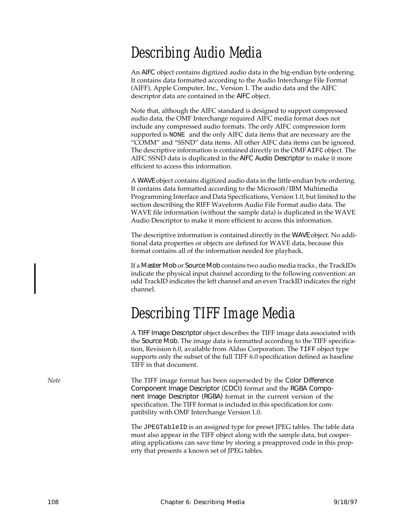## Describing Audio Media

An AIFC object contains digitized audio data in the big-endian byte ordering. It contains data formatted according to the Audio Interchange File Format (AIFF), Apple Computer, Inc., Version 1. The audio data and the AIFC descriptor data are contained in the AIFC object.

Note that, although the AIFC standard is designed to support compressed audio data, the OMF Interchange required AIFC media format does not include any compressed audio formats. The only AIFC compression form supported is NONE and the only AIFC data items that are necessary are the "COMM" and "SSND" data items. All other AIFC data items can be ignored. The descriptive information is contained directly in the OMF AIFC object. The AIFC SSND data is duplicated in the AIFC Audio Descriptor to make it more efficient to access this information.

A WAVE object contains digitized audio data in the little-endian byte ordering. It contains data formatted according to the Microsoft/IBM Multimedia Programming Interface and Data Specifications, Version 1.0, but limited to the section describing the RIFF Waveform Audio File Format audio data. The WAVE file information (without the sample data) is duplicated in the WAVE Audio Descriptor to make it more efficient to access this information.

The descriptive information is contained directly in the WAVE object. No additional data properties or objects are defined for WAVE data, because this format contains all of the information needed for playback.

If a Master Mob or Source Mob contains two audio media tracks , the TrackIDs indicate the physical input channel according to the following convention: an odd TrackID indicates the left channel and an even TrackID indicates the right channel.

### Describing TIFF Image Media

A TIFF Image Descriptor object describes the TIFF image data associated with the Source Mob. The image data is formatted according to the TIFF specification, Revision 6.0, available from Aldus Corporation. The TIFF object type supports only the subset of the full TIFF 6.0 specification defined as baseline TIFF in that document.

*Note* The TIFF image format has been superseded by the Color Difference Component Image Descriptor (CDCI) format and the RGBA Component Image Descriptor (RGBA) format in the current version of the specification. The TIFF format is included in this specification for compatibility with OMF Interchange Version 1.0.

> The JPEGTableID is an assigned type for preset JPEG tables. The table data must also appear in the TIFF object along with the sample data, but cooperating applications can save time by storing a preapproved code in this property that presents a known set of JPEG tables.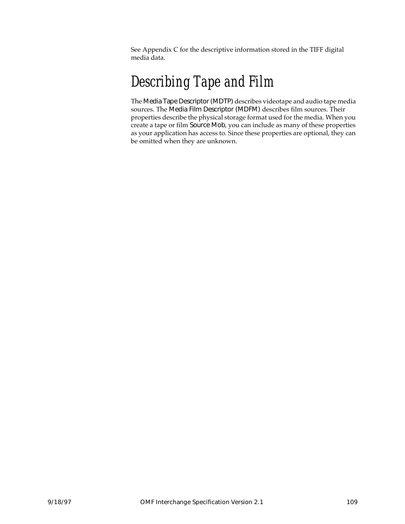See Appendix [C](#page-238-0) for the descriptive information stored in the TIFF digital media data.

### Describing Tape and Film

The Media Tape Descriptor (MDTP) describes videotape and audio tape media sources. The Media Film Descriptor (MDFM) describes film sources. Their properties describe the physical storage format used for the media. When you create a tape or film Source Mob, you can include as many of these properties as your application has access to. Since these properties are optional, they can be omitted when they are unknown.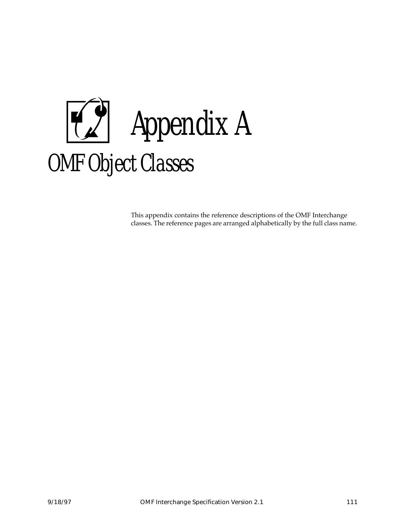

This appendix contains the reference descriptions of the OMF Interchange classes. The reference pages are arranged alphabetically by the full class name.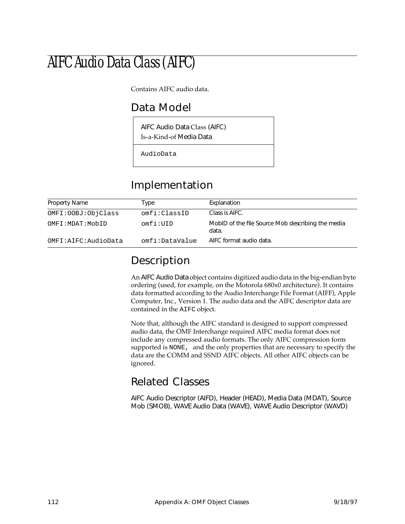## AIFC Audio Data Class (AIFC)

Contains AIFC audio data.

#### Data Model

AIFC Audio Data Class (AIFC) Is-a-Kind-of Media Data

AudioData

#### Implementation

| <b>Property Name</b> | Type           | Explanation                                                |
|----------------------|----------------|------------------------------------------------------------|
| OMFI: OOBJ: ObjClass | omfi:ClassID   | Class is AIFC.                                             |
| OMFI:MDAT:MobID      | omfi:IIID      | MobID of the file Source Mob describing the media<br>data. |
| OMFI:AIFC:AudioData  | omfi:DataValue | AIFC format audio data.                                    |

#### Description

An AIFC Audio Data object contains digitized audio data in the big-endian byte ordering (used, for example, on the Motorola 680x0 architecture). It contains data formatted according to the Audio Interchange File Format (AIFF), Apple Computer, Inc., Version 1. The audio data and the AIFC descriptor data are contained in the AIFC object.

Note that, although the AIFC standard is designed to support compressed audio data, the OMF Interchange required AIFC media format does not include any compressed audio formats. The only AIFC compression form supported is NONE, and the only properties that are necessary to specify the data are the COMM and SSND AIFC objects. All other AIFC objects can be ignored.

#### Related Classes

AIFC Audio Descriptor (AIFD), Header (HEAD), Media Data (MDAT), Source Mob (SMOB), WAVE Audio Data (WAVE), WAVE Audio Descriptor (WAVD)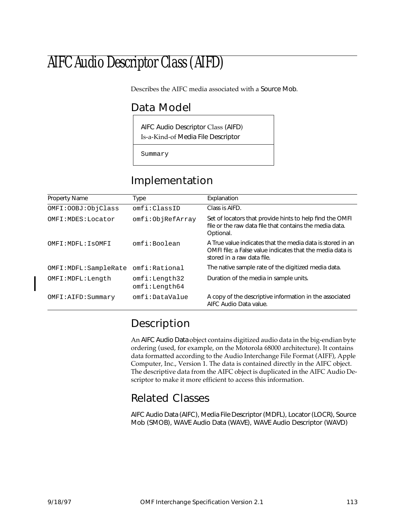## AIFC Audio Descriptor Class (AIFD)

Describes the AIFC media associated with a Source Mob.

#### Data Model

AIFC Audio Descriptor Class (AIFD) Is-a-Kind-of Media File Descriptor

Summary

#### Implementation

| <b>Property Name</b>   | Type                           | Explanation                                                                                                                                           |
|------------------------|--------------------------------|-------------------------------------------------------------------------------------------------------------------------------------------------------|
| OMFI: OOBJ: ObjClass   | omfi:ClassID                   | Class is AIFD.                                                                                                                                        |
| OMFI: MDES: Locator    | omfi:ObjRefArray               | Set of locators that provide hints to help find the OMFI<br>file or the raw data file that contains the media data.<br>Optional.                      |
| OMFI: MDFL: ISOMFI     | omfi:Boolean                   | A True value indicates that the media data is stored in an<br>OMFI file; a False value indicates that the media data is<br>stored in a raw data file. |
| OMFI: MDFL: SampleRate | omfi:Rational                  | The native sample rate of the digitized media data.                                                                                                   |
| OMFI:MDFL:Length       | omfi:Length32<br>omfi:Length64 | Duration of the media in sample units.                                                                                                                |
| OMFI:AIFD:Summary      | omfi:DataValue                 | A copy of the descriptive information in the associated<br>AIFC Audio Data value.                                                                     |

### Description

An AIFC Audio Data object contains digitized audio data in the big-endian byte ordering (used, for example, on the Motorola 68000 architecture). It contains data formatted according to the Audio Interchange File Format (AIFF), Apple Computer, Inc., Version 1. The data is contained directly in the AIFC object. The descriptive data from the AIFC object is duplicated in the AIFC Audio Descriptor to make it more efficient to access this information.

#### Related Classes

AIFC Audio Data (AIFC), Media File Descriptor (MDFL), Locator (LOCR), Source Mob (SMOB), WAVE Audio Data (WAVE), WAVE Audio Descriptor (WAVD)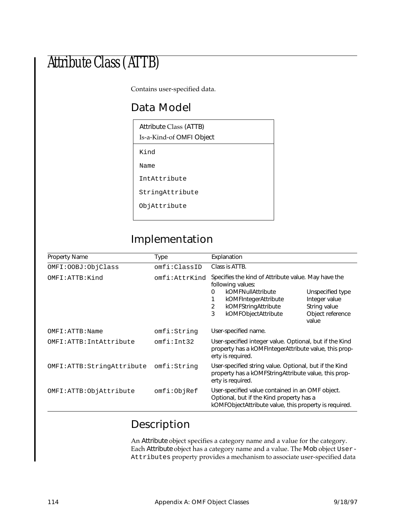## Attribute Class (ATTB)

Contains user-specified data.

#### Data Model

| Attribute Class (ATTB)<br>Is-a-Kind-of OMFI Object |
|----------------------------------------------------|
| Kind                                               |
| Name                                               |
| IntAttribute                                       |
| StringAttribute                                    |
| ObjAttribute                                       |

### Implementation

| <b>Property Name</b>      | Type          | Explanation                                                                                                                                                                        |                                                                                |
|---------------------------|---------------|------------------------------------------------------------------------------------------------------------------------------------------------------------------------------------|--------------------------------------------------------------------------------|
| OMFI: OOBJ: ObjClass      | omfi:ClassID  | Class is ATTB.                                                                                                                                                                     |                                                                                |
| OMFI:ATTB:Kind            | omfi:AttrKind | Specifies the kind of Attribute value. May have the<br>following values:<br>kOMFNullAttribute<br>0<br>kOMFIntegerAttribute<br>2<br>kOMFStringAttribute<br>3<br>kOMFObjectAttribute | Unspecified type<br>Integer value<br>String value<br>Object reference<br>value |
| OMFI:ATTB:Name            | omfi:String   | User-specified name.                                                                                                                                                               |                                                                                |
| OMFI: ATTB: IntAttribute  | omfi:Int32    | User-specified integer value. Optional, but if the Kind<br>property has a kOMFIntegerAttribute value, this prop-<br>erty is required.                                              |                                                                                |
| OMFI:ATTB:StringAttribute | omfi:String   | User-specified string value. Optional, but if the Kind<br>property has a kOMFString Attribute value, this prop-<br>erty is required.                                               |                                                                                |
| OMFI:ATTB:ObjAttribute    | omfi:ObjRef   | User-specified value contained in an OMF object.<br>Optional, but if the Kind property has a<br>kOMFObjectAttribute value, this property is required.                              |                                                                                |

### Description

An Attribute object specifies a category name and a value for the category. Each Attribute object has a category name and a value. The Mob object User-Attributes property provides a mechanism to associate user-specified data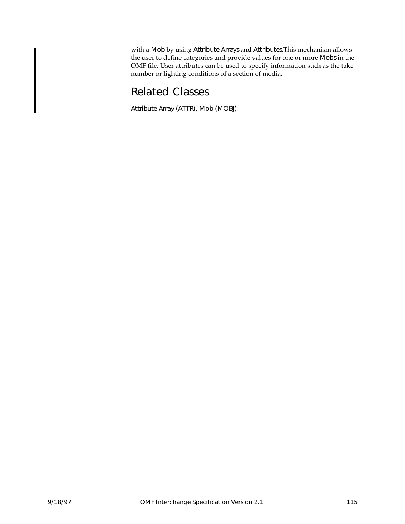with a Mob by using Attribute Arrays and Attributes.This mechanism allows the user to define categories and provide values for one or more Mobs in the OMF file. User attributes can be used to specify information such as the take number or lighting conditions of a section of media.

#### Related Classes

Attribute Array (ATTR), Mob (MOBJ)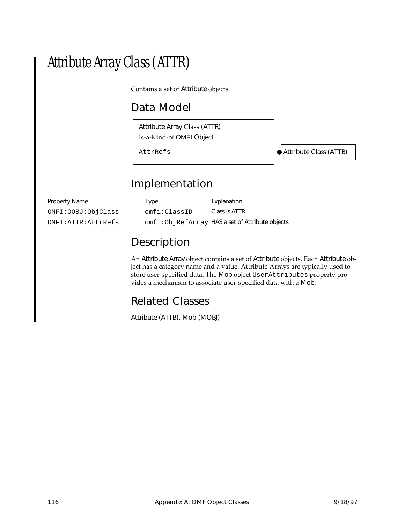## Attribute Array Class (ATTR)

Contains a set of Attribute objects.

### Data Model



### Implementation

| Property Name      | Type         | Explanation                                      |
|--------------------|--------------|--------------------------------------------------|
| OMFI:OOBJ:ObjClass | omfi:ClassID | Class is ATTR.                                   |
| OMFI:ATTR:AttrRefs |              | omfi:ObjRefArray HAS a set of Attribute objects. |

### Description

An Attribute Array object contains a set of Attribute objects. Each Attribute object has a category name and a value. Attribute Arrays are typically used to store user-specified data. The Mob object UserAttributes property provides a mechanism to associate user-specified data with a Mob.

### Related Classes

Attribute (ATTB), Mob (MOBJ)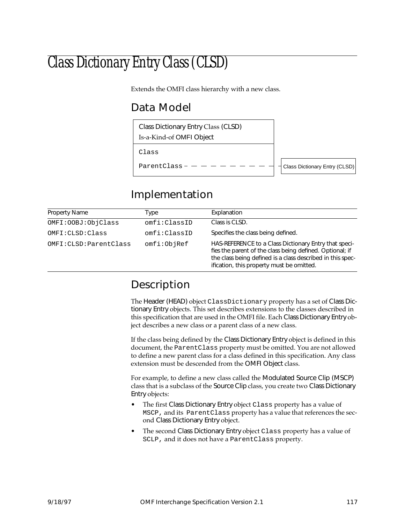## Class Dictionary Entry Class (CLSD)

Extends the OMFI class hierarchy with a new class.

### Data Model



### Implementation

| Property Name            | Type         | Explanation                                                                                                                                                                                                                  |
|--------------------------|--------------|------------------------------------------------------------------------------------------------------------------------------------------------------------------------------------------------------------------------------|
| OMFI: OOBJ: ObjClass     | omfi:ClassID | Class is CLSD.                                                                                                                                                                                                               |
| OMFI:CLSD:Class          | omfi:ClassID | Specifies the class being defined.                                                                                                                                                                                           |
| OMFI: CLSD: Parent Class | omfi:ObjRef  | HAS-REFERENCE to a Class Dictionary Entry that speci-<br>fies the parent of the class being defined. Optional; if<br>the class being defined is a class described in this spec-<br>ification, this property must be omitted. |

### Description

The Header (HEAD) object ClassDictionary property has a set of Class Dictionary Entry objects. This set describes extensions to the classes described in this specification that are used in the OMFI file. Each Class Dictionary Entry object describes a new class or a parent class of a new class.

If the class being defined by the Class Dictionary Entry object is defined in this document, the ParentClass property must be omitted. You are not allowed to define a new parent class for a class defined in this specification. Any class extension must be descended from the OMFI Object class.

For example, to define a new class called the Modulated Source Clip (MSCP) class that is a subclass of the Source Clip class, you create two Class Dictionary Entry objects:

- The first Class Dictionary Entry object Class property has a value of MSCP, and its ParentClass property has a value that references the second Class Dictionary Entry object.
- The second Class Dictionary Entry object Class property has a value of SCLP, and it does not have a ParentClass property.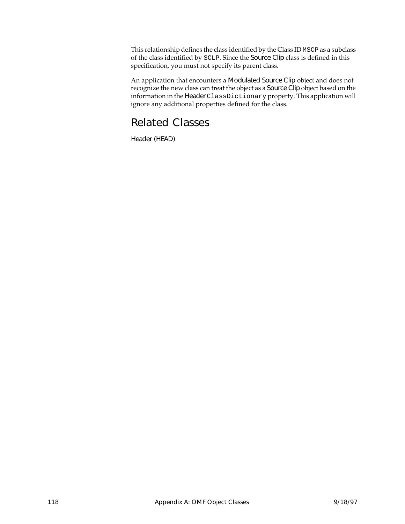This relationship defines the class identified by the Class ID MSCP as a subclass of the class identified by SCLP. Since the Source Clip class is defined in this specification, you must not specify its parent class.

An application that encounters a Modulated Source Clip object and does not recognize the new class can treat the object as a Source Clip object based on the information in the Header ClassDictionary property. This application will ignore any additional properties defined for the class.

#### Related Classes

Header (HEAD)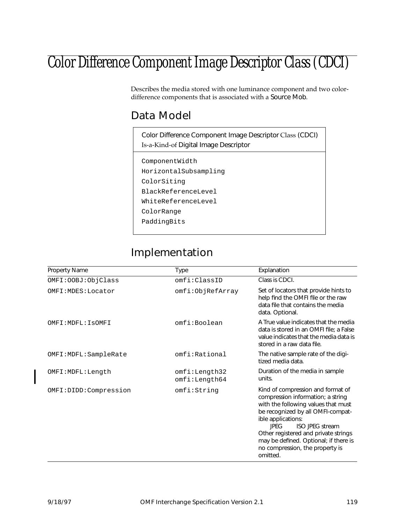## Color Difference Component Image Descriptor Class (CDCI)

Describes the media stored with one luminance component and two colordifference components that is associated with a Source Mob.

#### Data Model

| Color Difference Component Image Descriptor Class (CDCI)<br>Is-a-Kind-of Digital Image Descriptor |
|---------------------------------------------------------------------------------------------------|
| ComponentWidth                                                                                    |
| HorizontalSubsampling                                                                             |
| ColorSiting                                                                                       |
| BlackReferenceLevel                                                                               |
| WhiteReferenceLevel                                                                               |
| ColorRange                                                                                        |
| PaddingBits                                                                                       |
|                                                                                                   |

### Implementation

| Property Name          | Type                           | Explanation                                                                                                                                                                                                                                                                                                                                       |
|------------------------|--------------------------------|---------------------------------------------------------------------------------------------------------------------------------------------------------------------------------------------------------------------------------------------------------------------------------------------------------------------------------------------------|
| OMFI: OOBJ: ObjClass   | omfi:ClassID                   | Class is CDCI.                                                                                                                                                                                                                                                                                                                                    |
| OMFI: MDES: Locator    | omfi:ObjRefArray               | Set of locators that provide hints to<br>help find the OMFI file or the raw<br>data file that contains the media<br>data. Optional.                                                                                                                                                                                                               |
| OMFI: MDFL: ISOMFI     | omfi:Boolean                   | A True value indicates that the media<br>data is stored in an OMFI file; a False<br>value indicates that the media data is<br>stored in a raw data file.                                                                                                                                                                                          |
| OMFI: MDFL: SampleRate | omfi:Rational                  | The native sample rate of the digi-<br>tized media data.                                                                                                                                                                                                                                                                                          |
| OMFI: MDFL: Length     | omfi:Length32<br>omfi:Length64 | Duration of the media in sample<br>units.                                                                                                                                                                                                                                                                                                         |
| OMFI:DIDD:Compression  | omfi:String                    | Kind of compression and format of<br>compression information; a string<br>with the following values that must<br>be recognized by all OMFI-compat-<br>ible applications:<br><b>IPFG</b><br><b>ISO JPEG stream</b><br>Other registered and private strings<br>may be defined. Optional; if there is<br>no compression, the property is<br>omitted. |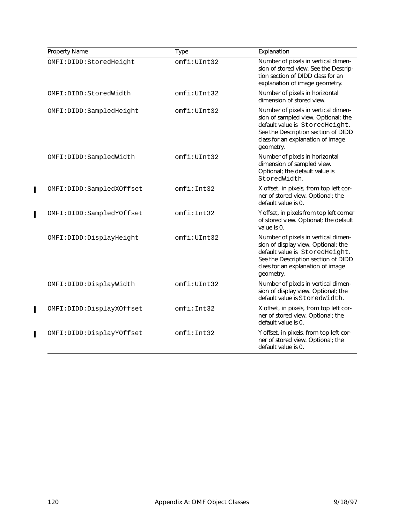| Property Name            | Type        | Explanation                                                                                                                                                                                           |
|--------------------------|-------------|-------------------------------------------------------------------------------------------------------------------------------------------------------------------------------------------------------|
| OMFI:DIDD:StoredHeight   | omfi:UInt32 | Number of pixels in vertical dimen-<br>sion of stored view. See the Descrip-<br>tion section of DIDD class for an<br>explanation of image geometry.                                                   |
| OMFI:DIDD:StoredWidth    | omfi:UInt32 | Number of pixels in horizontal<br>dimension of stored view.                                                                                                                                           |
| OMFI:DIDD:SampledHeight  | omfi:UInt32 | Number of pixels in vertical dimen-<br>sion of sampled view. Optional; the<br>default value is StoredHeight.<br>See the Description section of DIDD<br>class for an explanation of image<br>geometry. |
| OMFI:DIDD:SampledWidth   | omfi:UInt32 | Number of pixels in horizontal<br>dimension of sampled view.<br>Optional; the default value is<br>StoredWidth.                                                                                        |
| OMFI:DIDD:SampledXOffset | omfi:Int32  | X offset, in pixels, from top left cor-<br>ner of stored view. Optional; the<br>default value is 0.                                                                                                   |
| OMFI:DIDD:SampledYOffset | omfi:Int32  | Y offset, in pixels from top left corner<br>of stored view. Optional; the default<br>value is 0.                                                                                                      |
| OMFI:DIDD:DisplayHeight  | omfi:UInt32 | Number of pixels in vertical dimen-<br>sion of display view. Optional; the<br>default value is StoredHeight.<br>See the Description section of DIDD<br>class for an explanation of image<br>geometry. |
| OMFI:DIDD:DisplayWidth   | omfi:UInt32 | Number of pixels in vertical dimen-<br>sion of display view. Optional; the<br>default value is StoredWidth.                                                                                           |
| OMFI:DIDD:DisplayXOffset | omfi:Int32  | X offset, in pixels, from top left cor-<br>ner of stored view. Optional; the<br>default value is 0.                                                                                                   |
| OMFI:DIDD:DisplayYOffset | omfi:Int32  | Y offset, in pixels, from top left cor-<br>ner of stored view. Optional; the<br>default value is 0.                                                                                                   |

 $\begin{array}{c} \rule{0pt}{2.5ex} \rule{0pt}{2.5ex} \rule{0pt}{2.5ex} \rule{0pt}{2.5ex} \rule{0pt}{2.5ex} \rule{0pt}{2.5ex} \rule{0pt}{2.5ex} \rule{0pt}{2.5ex} \rule{0pt}{2.5ex} \rule{0pt}{2.5ex} \rule{0pt}{2.5ex} \rule{0pt}{2.5ex} \rule{0pt}{2.5ex} \rule{0pt}{2.5ex} \rule{0pt}{2.5ex} \rule{0pt}{2.5ex} \rule{0pt}{2.5ex} \rule{0pt}{2.5ex} \rule{0pt}{2.5ex} \rule{0$ 

 $\overline{\mathbf{I}}$ 

 $\begin{array}{c} \rule{0pt}{2.5ex} \rule{0pt}{2.5ex} \rule{0pt}{2.5ex} \rule{0pt}{2.5ex} \rule{0pt}{2.5ex} \rule{0pt}{2.5ex} \rule{0pt}{2.5ex} \rule{0pt}{2.5ex} \rule{0pt}{2.5ex} \rule{0pt}{2.5ex} \rule{0pt}{2.5ex} \rule{0pt}{2.5ex} \rule{0pt}{2.5ex} \rule{0pt}{2.5ex} \rule{0pt}{2.5ex} \rule{0pt}{2.5ex} \rule{0pt}{2.5ex} \rule{0pt}{2.5ex} \rule{0pt}{2.5ex} \rule{0$ 

 $\overline{\mathbf{I}}$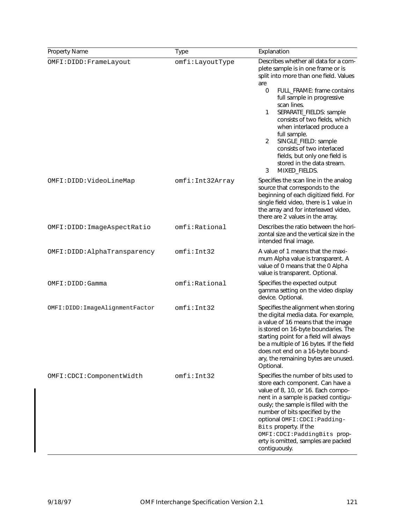| Property Name                    | <b>Type</b>     | Explanation                                                                                                                                                                                                                                                                                                                                                                                                                                                                |
|----------------------------------|-----------------|----------------------------------------------------------------------------------------------------------------------------------------------------------------------------------------------------------------------------------------------------------------------------------------------------------------------------------------------------------------------------------------------------------------------------------------------------------------------------|
| OMFI: DIDD: FrameLayout          | omfi:LayoutType | Describes whether all data for a com-<br>plete sample is in one frame or is<br>split into more than one field. Values<br>are<br>FULL_FRAME: frame contains<br>0<br>full sample in progressive<br>scan lines.<br>SEPARATE_FIELDS: sample<br>1<br>consists of two fields, which<br>when interlaced produce a<br>full sample.<br>SINGLE_FIELD: sample<br>2<br>consists of two interlaced<br>fields, but only one field is<br>stored in the data stream.<br>MIXED_FIELDS.<br>3 |
| OMFI:DIDD:VideoLineMap           | omfi:Int32Array | Specifies the scan line in the analog<br>source that corresponds to the<br>beginning of each digitized field. For<br>single field video, there is 1 value in<br>the array and for interleaved video,<br>there are 2 values in the array.                                                                                                                                                                                                                                   |
| OMFI:DIDD: ImageAspectRatio      | omfi: Rational  | Describes the ratio between the hori-<br>zontal size and the vertical size in the<br>intended final image.                                                                                                                                                                                                                                                                                                                                                                 |
| OMFI:DIDD:AlphaTransparency      | omfi:Int32      | A value of 1 means that the maxi-<br>mum Alpha value is transparent. A<br>value of 0 means that the 0 Alpha<br>value is transparent. Optional.                                                                                                                                                                                                                                                                                                                             |
| OMFI: DIDD: Gamma                | omfi:Rational   | Specifies the expected output<br>gamma setting on the video display<br>device. Optional.                                                                                                                                                                                                                                                                                                                                                                                   |
| OMFI: DIDD: ImageAlignmentFactor | omfi:Int32      | Specifies the alignment when storing<br>the digital media data. For example,<br>a value of 16 means that the image<br>is stored on 16-byte boundaries. The<br>starting point for a field will always<br>be a multiple of 16 bytes. If the field<br>does not end on a 16-byte bound-<br>ary, the remaining bytes are unused.<br>Optional.                                                                                                                                   |
| OMFI: CDCI: ComponentWidth       | omfi:Int32      | Specifies the number of bits used to<br>store each component. Can have a<br>value of 8, 10, or 16. Each compo-<br>nent in a sample is packed contigu-<br>ously; the sample is filled with the<br>number of bits specified by the<br>optional OMFI: CDCI: Padding-<br>Bits property. If the<br>OMFI:CDCI:PaddingBits prop-<br>erty is omitted, samples are packed<br>contiguously.                                                                                          |

 $\overline{\phantom{a}}$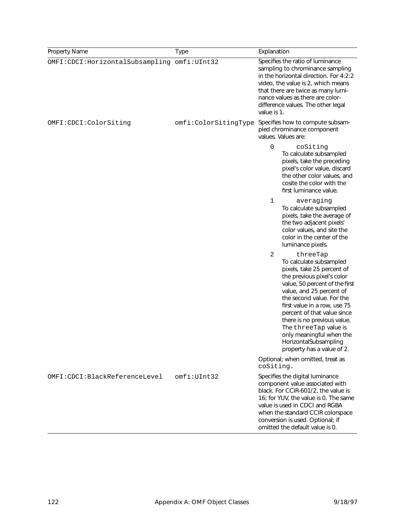| Property Name                               | <b>Type</b>          | Explanation                                                                                                                                                                                                                                                                                                                                                                                               |
|---------------------------------------------|----------------------|-----------------------------------------------------------------------------------------------------------------------------------------------------------------------------------------------------------------------------------------------------------------------------------------------------------------------------------------------------------------------------------------------------------|
| OMFI:CDCI:HorizontalSubsampling omfi:UInt32 |                      | Specifies the ratio of luminance<br>sampling to chrominance sampling<br>in the horizontal direction. For 4:2:2<br>video, the value is 2, which means<br>that there are twice as many lumi-<br>nance values as there are color-<br>difference values. The other legal<br>value is 1.                                                                                                                       |
| OMFI:CDCI:ColorSiting                       | omfi:ColorSitingType | Specifies how to compute subsam-<br>pled chrominance component<br>values. Values are:                                                                                                                                                                                                                                                                                                                     |
|                                             |                      | 0<br>coSiting<br>To calculate subsampled<br>pixels, take the preceding<br>pixel's color value, discard<br>the other color values, and<br>cosite the color with the<br>first luminance value.                                                                                                                                                                                                              |
|                                             |                      | 1<br>averaging<br>To calculate subsampled<br>pixels, take the average of<br>the two adjacent pixels'<br>color values, and site the<br>color in the center of the<br>luminance pixels.                                                                                                                                                                                                                     |
|                                             |                      | 2<br>threeTap<br>To calculate subsampled<br>pixels, take 25 percent of<br>the previous pixel's color<br>value, 50 percent of the first<br>value, and 25 percent of<br>the second value. For the<br>first value in a row, use 75<br>percent of that value since<br>there is no previous value.<br>The threeTap value is<br>only meaningful when the<br>HorizontalSubsampling<br>property has a value of 2. |
|                                             |                      | Optional; when omitted, treat as<br>coSiting.                                                                                                                                                                                                                                                                                                                                                             |
| OMFI:CDCI:BlackReferenceLevel               | omfi:UInt32          | Specifies the digital luminance<br>component value associated with<br>black. For CCIR-601/2, the value is<br>16; for YUV, the value is 0. The same<br>value is used in CDCI and RGBA<br>when the standard CCIR colorspace<br>conversion is used. Optional; if<br>omitted the default value is 0.                                                                                                          |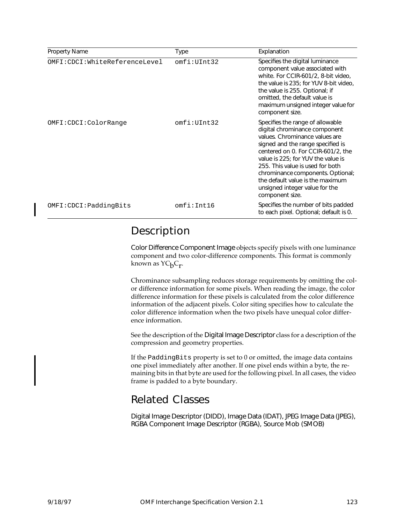| <b>Property Name</b>          | Type        | Explanation                                                                                                                                                                                                                                                                                                                                                                            |
|-------------------------------|-------------|----------------------------------------------------------------------------------------------------------------------------------------------------------------------------------------------------------------------------------------------------------------------------------------------------------------------------------------------------------------------------------------|
| OMFI:CDCI:WhiteReferenceLevel | omfi:UInt32 | Specifies the digital luminance<br>component value associated with<br>white. For CCIR-601/2, 8-bit video,<br>the value is 235; for YUV 8-bit video,<br>the value is 255. Optional; if<br>omitted, the default value is<br>maximum unsigned integer value for<br>component size.                                                                                                        |
| OMFI:CDCI:ColorRange          | omfi:UInt32 | Specifies the range of allowable<br>digital chrominance component<br>values. Chrominance values are<br>signed and the range specified is<br>centered on 0. For CCIR-601/2, the<br>value is 225; for YUV the value is<br>255. This value is used for both<br>chrominance components. Optional;<br>the default value is the maximum<br>unsigned integer value for the<br>component size. |
| OMFI: CDCI: PaddingBits       | omfi:Int16  | Specifies the number of bits padded<br>to each pixel. Optional; default is 0.                                                                                                                                                                                                                                                                                                          |

#### Description

Color Difference Component Image objects specify pixels with one luminance component and two color-difference components. This format is commonly known as  $\mathsf{YC}_{\mathsf{b}}\mathsf{C}_{\mathsf{r}}$ .

Chrominance subsampling reduces storage requirements by omitting the color difference information for some pixels. When reading the image, the color difference information for these pixels is calculated from the color difference information of the adjacent pixels. Color siting specifies how to calculate the color difference information when the two pixels have unequal color difference information.

See the description of the Digital Image Descriptor class for a description of the compression and geometry properties.

If the PaddingBits property is set to 0 or omitted, the image data contains one pixel immediately after another. If one pixel ends within a byte, the remaining bits in that byte are used for the following pixel. In all cases, the video frame is padded to a byte boundary.

#### Related Classes

Digital Image Descriptor (DIDD), Image Data (IDAT), JPEG Image Data (JPEG), RGBA Component Image Descriptor (RGBA), Source Mob (SMOB)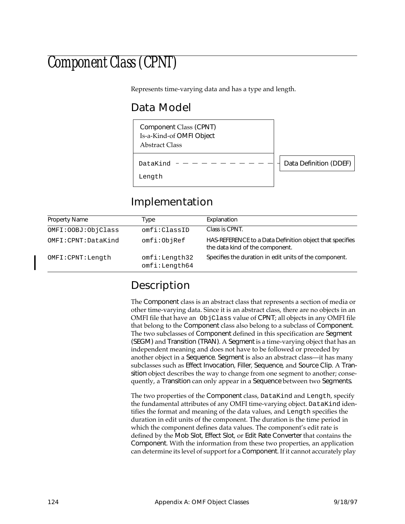## Component Class (CPNT)

Represents time-varying data and has a type and length.

### Data Model

Component Class (CPNT) Is-a-Kind-of OMFI Object Abstract Class

DataKind -

Length

Data Definition (DDEF)

#### Implementation

| <b>Property Name</b> | Type                           | Explanation                                                                                 |
|----------------------|--------------------------------|---------------------------------------------------------------------------------------------|
| OMFI: OOBJ: ObjClass | omfi:ClassID                   | Class is CPNT.                                                                              |
| OMFI:CPNT:DataKind   | omfi:ObjRef                    | HAS-REFERENCE to a Data Definition object that specifies<br>the data kind of the component. |
| OMFI: CPNT: Length   | omfi:Length32<br>omfi:Length64 | Specifies the duration in edit units of the component.                                      |

### Description

The Component class is an abstract class that represents a section of media or other time-varying data. Since it is an abstract class, there are no objects in an OMFI file that have an ObjClass value of CPNT; all objects in any OMFI file that belong to the Component class also belong to a subclass of Component. The two subclasses of Component defined in this specification are Segment (SEGM) and Transition (TRAN). A Segment is a time-varying object that has an independent meaning and does not have to be followed or preceded by another object in a Sequence. Segment is also an abstract class—it has many subclasses such as Effect Invocation, Filler, Sequence, and Source Clip. A Transition object describes the way to change from one segment to another; consequently, a Transition can only appear in a Sequence between two Segments.

The two properties of the Component class, DataKind and Length, specify the fundamental attributes of any OMFI time-varying object. DataKind identifies the format and meaning of the data values, and Length specifies the duration in edit units of the component. The duration is the time period in which the component defines data values. The component's edit rate is defined by the Mob Slot, Effect Slot, or Edit Rate Converter that contains the Component. With the information from these two properties, an application can determine its level of support for a Component. If it cannot accurately play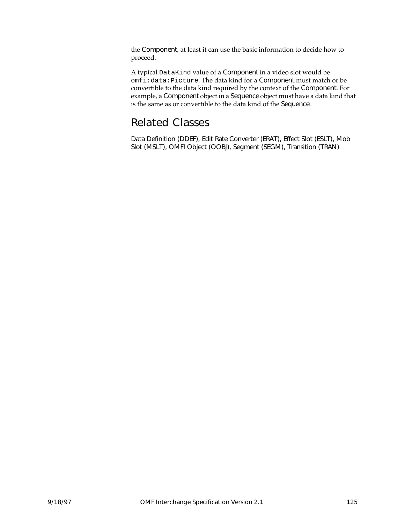the Component, at least it can use the basic information to decide how to proceed.

A typical DataKind value of a Component in a video slot would be omfi:data:Picture. The data kind for a Component must match or be convertible to the data kind required by the context of the Component. For example, a Component object in a Sequence object must have a data kind that is the same as or convertible to the data kind of the Sequence.

#### Related Classes

Data Definition (DDEF), Edit Rate Converter (ERAT), Effect Slot (ESLT), Mob Slot (MSLT), OMFI Object (OOBJ), Segment (SEGM), Transition (TRAN)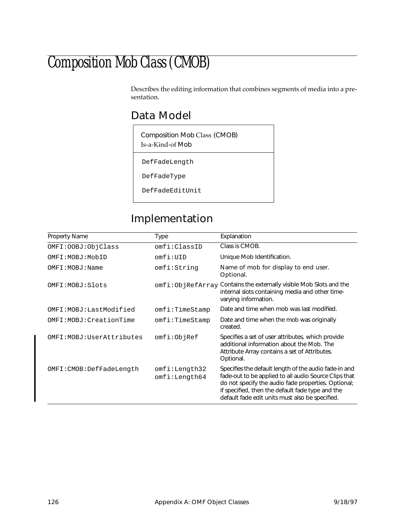## Composition Mob Class (CMOB)

Describes the editing information that combines segments of media into a presentation.

#### Data Model

Composition Mob Class (CMOB) Is-a-Kind-of Mob

DefFadeLength

DefFadeType

DefFadeEditUnit

### Implementation

| <b>Property Name</b>       | Type                           | Explanation                                                                                                                                                                                                                                                                  |
|----------------------------|--------------------------------|------------------------------------------------------------------------------------------------------------------------------------------------------------------------------------------------------------------------------------------------------------------------------|
| OMFI: OOBJ: ObjClass       | omfi:ClassID                   | Class is CMOB.                                                                                                                                                                                                                                                               |
| OMFT: MOBJ: MobID          | omfi:UID                       | Unique Mob Identification.                                                                                                                                                                                                                                                   |
| OMFI: MOBJ: Name           | omfi:String                    | Name of mob for display to end user.<br>Optional.                                                                                                                                                                                                                            |
| OMFI: MOBJ: Slots          |                                | omfi:ObjRefArray Contains the externally visible Mob Slots and the<br>internal slots containing media and other time-<br>varying information.                                                                                                                                |
| OMFI:MOBJ:LastModified     | omfi:TimeStamp                 | Date and time when mob was last modified.                                                                                                                                                                                                                                    |
| OMFI: MOBJ: CreationTime   | omfi:TimeStamp                 | Date and time when the mob was originally<br>created.                                                                                                                                                                                                                        |
| OMFI: MOBJ: UserAttributes | omfi:ObjRef                    | Specifies a set of user attributes, which provide<br>additional information about the Mob. The<br>Attribute Array contains a set of Attributes.<br>Optional.                                                                                                                 |
| OMFI: CMOB: DefFadeLength  | omfi:Length32<br>omfi:Length64 | Specifies the default length of the audio fade-in and<br>fade-out to be applied to all audio Source Clips that<br>do not specify the audio fade properties. Optional;<br>if specified, then the default fade type and the<br>default fade edit units must also be specified. |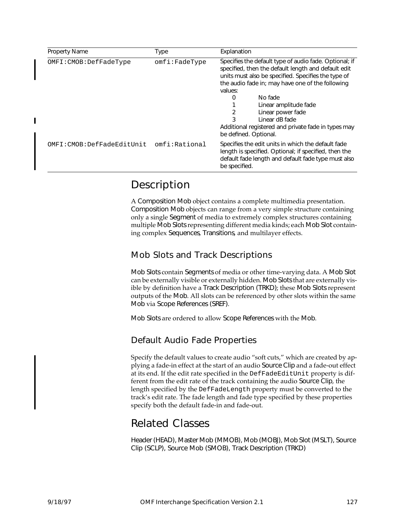| Property Name             | Type                | Explanation                                                                                                                                                                                                                                                                                                                                                                                                   |
|---------------------------|---------------------|---------------------------------------------------------------------------------------------------------------------------------------------------------------------------------------------------------------------------------------------------------------------------------------------------------------------------------------------------------------------------------------------------------------|
| OMFI: CMOB: DefFadeType   | $omfi$ : $FadeType$ | Specifies the default type of audio fade. Optional; if<br>specified, then the default length and default edit<br>units must also be specified. Specifies the type of<br>the audio fade in; may have one of the following<br>values:<br>No fade<br>0<br>Linear amplitude fade<br>2<br>Linear power fade<br>3<br>Linear dB fade<br>Additional registered and private fade in types may<br>be defined. Optional. |
| OMFI:CMOB:DefFadeEditUnit | omfi:Rational       | Specifies the edit units in which the default fade<br>length is specified. Optional; if specified, then the<br>default fade length and default fade type must also<br>be specified.                                                                                                                                                                                                                           |

#### Description

A Composition Mob object contains a complete multimedia presentation. Composition Mob objects can range from a very simple structure containing only a single Segment of media to extremely complex structures containing multiple Mob Slots representing different media kinds; each Mob Slot containing complex Sequences, Transitions, and multilayer effects.

#### Mob Slots and Track Descriptions

Mob Slots contain Segments of media or other time-varying data. A Mob Slot can be externally visible or externally hidden. Mob Slots that are externally visible by definition have a Track Description (TRKD); these Mob Slots represent outputs of the Mob. All slots can be referenced by other slots within the same Mob via Scope References (SREF).

Mob Slots are ordered to allow Scope References with the Mob.

#### Default Audio Fade Properties

Specify the default values to create audio "soft cuts," which are created by applying a fade-in effect at the start of an audio Source Clip and a fade-out effect at its end. If the edit rate specified in the DefFadeEditUnit property is different from the edit rate of the track containing the audio Source Clip, the length specified by the DefFadeLength property must be converted to the track's edit rate. The fade length and fade type specified by these properties specify both the default fade-in and fade-out.

#### Related Classes

Header (HEAD), Master Mob (MMOB), Mob (MOBJ), Mob Slot (MSLT), Source Clip (SCLP), Source Mob (SMOB), Track Description (TRKD)

I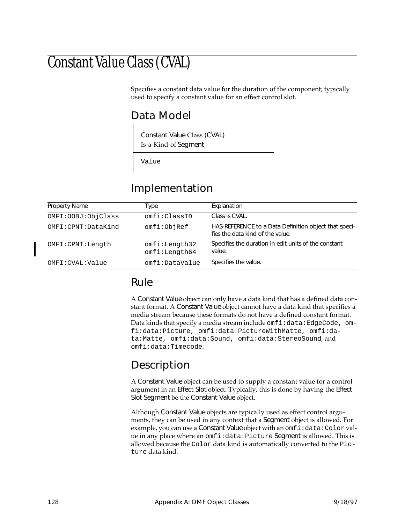## Constant Value Class (CVAL)

Specifies a constant data value for the duration of the component; typically used to specify a constant value for an effect control slot.

#### Data Model

Constant Value Class (CVAL) Is-a-Kind-of Segment

Value

#### Implementation

| <b>Property Name</b> | Type                           | Explanation                                                                               |
|----------------------|--------------------------------|-------------------------------------------------------------------------------------------|
| OMFI: OOBJ: ObjClass | omfi:ClassID                   | Class is CVAL.                                                                            |
| OMFI:CPNT:DataKind   | omfi:ObjRef                    | HAS-REFERENCE to a Data Definition object that speci-<br>fies the data kind of the value. |
| OMFI: CPNT: Length   | omfi:Length32<br>omfi:Length64 | Specifies the duration in edit units of the constant<br>value.                            |
| OMFI: CVAL: Value    | omfi:DataValue                 | Specifies the value.                                                                      |

#### Rule

A Constant Value object can only have a data kind that has a defined data constant format. A Constant Value object cannot have a data kind that specifies a media stream because these formats do not have a defined constant format. Data kinds that specify a media stream include omfi:data:EdgeCode, omfi:data:Picture, omfi:data:PictureWithMatte, omfi:data:Matte, omfi:data:Sound, omfi:data:StereoSound, and omfi:data:Timecode.

#### Description

A Constant Value object can be used to supply a constant value for a control argument in an Effect Slot object. Typically, this is done by having the Effect Slot Segment be the Constant Value object.

Although Constant Value objects are typically used as effect control arguments, they can be used in any context that a Segment object is allowed. For example, you can use a Constant Value object with an omfi: data: Color value in any place where an omfi:data:Picture Segment is allowed. This is allowed because the Color data kind is automatically converted to the Picture data kind.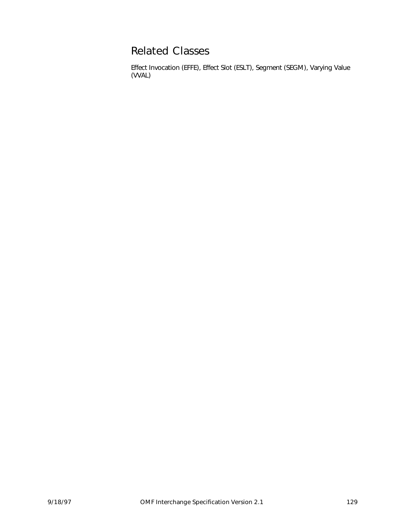#### Related Classes

Effect Invocation (EFFE), Effect Slot (ESLT), Segment (SEGM), Varying Value (VVAL)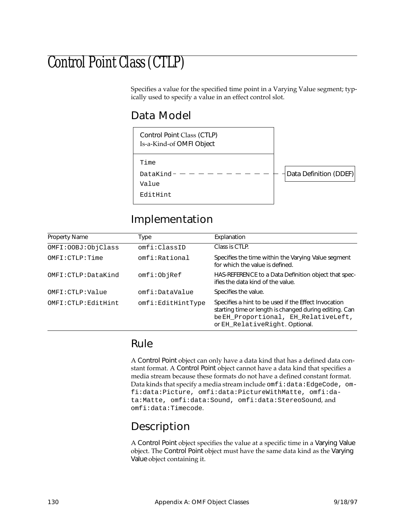## Control Point Class (CTLP)

Specifies a value for the specified time point in a Varying Value segment; typically used to specify a value in an effect control slot.

#### Data Model

| Control Point Class (CTLP)<br>Is-a-Kind-of OMFI Object |                        |
|--------------------------------------------------------|------------------------|
| Time<br>DataKind-<br>Value                             | Data Definition (DDEF) |
| EditHint                                               |                        |

#### Implementation

| Property Name        | Гуре              | Explanation                                                                                                                                                                              |
|----------------------|-------------------|------------------------------------------------------------------------------------------------------------------------------------------------------------------------------------------|
| OMFI: OOBJ: ObjClass | omfi:ClassID      | Class is CTLP.                                                                                                                                                                           |
| OMFI: CTLP: Time     | omfi:Rational     | Specifies the time within the Varying Value segment<br>for which the value is defined.                                                                                                   |
| OMFI: CTLP: DataKind | omfi:ObjRef       | HAS-REFERENCE to a Data Definition object that spec-<br>ifies the data kind of the value.                                                                                                |
| OMFI:CTLP:Value      | omfi:DataValue    | Specifies the value.                                                                                                                                                                     |
| OMFI: CTLP: EditHint | omfi:EditHintType | Specifies a hint to be used if the Effect Invocation<br>starting time or length is changed during editing. Can<br>be EH_Proportional, EH_RelativeLeft,<br>or EH_RelativeRight. Optional. |

#### Rule

A Control Point object can only have a data kind that has a defined data constant format. A Control Point object cannot have a data kind that specifies a media stream because these formats do not have a defined constant format. Data kinds that specify a media stream include omfi:data:EdgeCode, omfi:data:Picture, omfi:data:PictureWithMatte, omfi:data:Matte, omfi:data:Sound, omfi:data:StereoSound, and omfi:data:Timecode.

#### Description

A Control Point object specifies the value at a specific time in a Varying Value object. The Control Point object must have the same data kind as the Varying Value object containing it.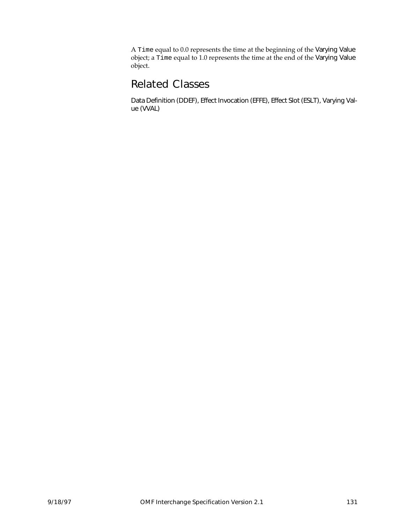A Time equal to 0.0 represents the time at the beginning of the Varying Value object; a Time equal to 1.0 represents the time at the end of the Varying Value object.

#### Related Classes

Data Definition (DDEF), Effect Invocation (EFFE), Effect Slot (ESLT), Varying Value (VVAL)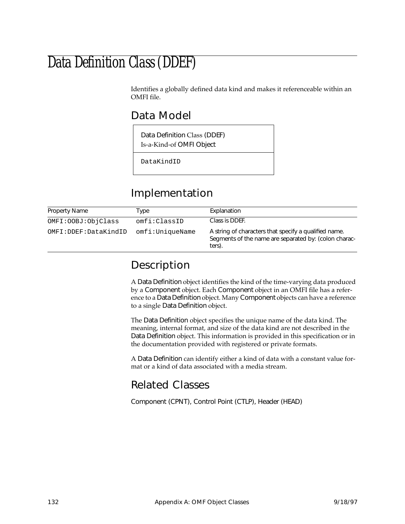### Data Definition Class (DDEF)

Identifies a globally defined data kind and makes it referenceable within an OMFI file.

#### Data Model

Data Definition Class (DDEF) Is-a-Kind-of OMFI Object

DataKindID

#### Implementation

| Property Name        | Type            | Explanation                                                                                                              |
|----------------------|-----------------|--------------------------------------------------------------------------------------------------------------------------|
| OMFI: OOBJ: ObjClass | omfi:ClassID    | Class is DDEF.                                                                                                           |
| OMFI:DDEF:DataKindID | omfi:UniqueName | A string of characters that specify a qualified name.<br>Segments of the name are separated by: (colon charac-<br>ters). |

#### Description

A Data Definition object identifies the kind of the time-varying data produced by a Component object. Each Component object in an OMFI file has a reference to a Data Definition object. Many Component objects can have a reference to a single Data Definition object.

The Data Definition object specifies the unique name of the data kind. The meaning, internal format, and size of the data kind are not described in the Data Definition object. This information is provided in this specification or in the documentation provided with registered or private formats.

A Data Definition can identify either a kind of data with a constant value format or a kind of data associated with a media stream.

#### Related Classes

Component (CPNT), Control Point (CTLP), Header (HEAD)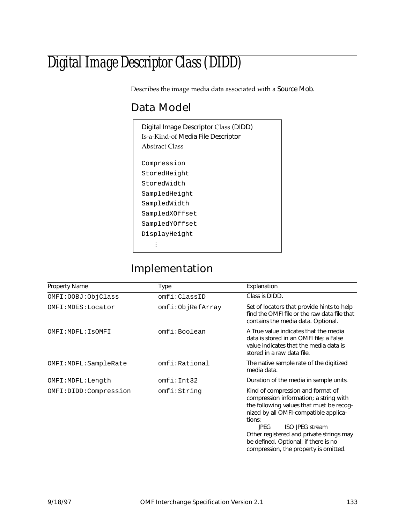# Digital Image Descriptor Class (DIDD)

Describes the image media data associated with a Source Mob.

## Data Model

| Digital Image Descriptor Class (DIDD)<br>Is-a-Kind-of Media File Descriptor<br>Abstract Class |
|-----------------------------------------------------------------------------------------------|
| Compression                                                                                   |
| StoredHeight                                                                                  |
| StoredWidth                                                                                   |
| SampledHeight                                                                                 |
| SampledWidth                                                                                  |
| SampledXOffset                                                                                |
| SampledYOffset                                                                                |
| DisplayHeight                                                                                 |
|                                                                                               |

## Implementation

| Property Name          | Type             | Explanation                                                                                                                                                                                                                                                                                                                                      |
|------------------------|------------------|--------------------------------------------------------------------------------------------------------------------------------------------------------------------------------------------------------------------------------------------------------------------------------------------------------------------------------------------------|
| OMFI: OOBJ: ObjClass   | omfi:ClassID     | Class is DIDD.                                                                                                                                                                                                                                                                                                                                   |
| OMFI: MDES: Locator    | omfi:ObjRefArray | Set of locators that provide hints to help<br>find the OMFI file or the raw data file that<br>contains the media data. Optional.                                                                                                                                                                                                                 |
| OMFI: MDFL: ISOMFI     | omfi:Boolean     | A True value indicates that the media<br>data is stored in an OMFI file; a False<br>value indicates that the media data is<br>stored in a raw data file.                                                                                                                                                                                         |
| OMFI: MDFL: SampleRate | omfi:Rational    | The native sample rate of the digitized<br>media data.                                                                                                                                                                                                                                                                                           |
| OMFI:MDFL:Length       | omfi:Int32       | Duration of the media in sample units.                                                                                                                                                                                                                                                                                                           |
| OMFI:DIDD:Compression  | omfi:String      | Kind of compression and format of<br>compression information; a string with<br>the following values that must be recog-<br>nized by all OMFI-compatible applica-<br>tions:<br><b>ISO JPEG stream</b><br><b>IPFG</b><br>Other registered and private strings may<br>be defined. Optional; if there is no<br>compression, the property is omitted. |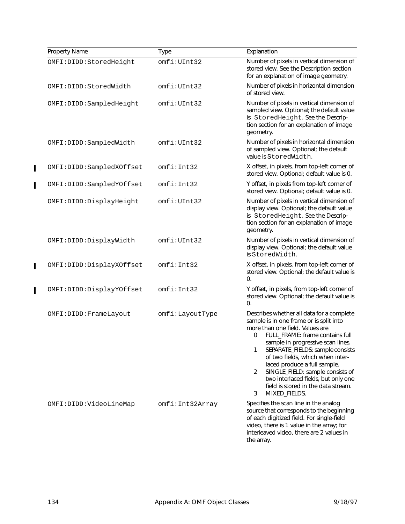| Property Name            | <b>Type</b>     | Explanation                                                                                                                                                                                                                                                                                                                                                                                                                                                    |
|--------------------------|-----------------|----------------------------------------------------------------------------------------------------------------------------------------------------------------------------------------------------------------------------------------------------------------------------------------------------------------------------------------------------------------------------------------------------------------------------------------------------------------|
| OMFI:DIDD:StoredHeight   | omfi:UInt32     | Number of pixels in vertical dimension of<br>stored view. See the Description section<br>for an explanation of image geometry.                                                                                                                                                                                                                                                                                                                                 |
| OMFI:DIDD:StoredWidth    | omfi:UInt32     | Number of pixels in horizontal dimension<br>of stored view.                                                                                                                                                                                                                                                                                                                                                                                                    |
| OMFI:DIDD:SampledHeight  | omfi:UInt32     | Number of pixels in vertical dimension of<br>sampled view. Optional; the default value<br>is StoredHeight. See the Descrip-<br>tion section for an explanation of image<br>geometry.                                                                                                                                                                                                                                                                           |
| OMFI:DIDD:SampledWidth   | omfi:UInt32     | Number of pixels in horizontal dimension<br>of sampled view. Optional; the default<br>value is StoredWidth.                                                                                                                                                                                                                                                                                                                                                    |
| OMFI:DIDD:SampledXOffset | omfi:Int32      | X offset, in pixels, from top-left corner of<br>stored view. Optional; default value is 0.                                                                                                                                                                                                                                                                                                                                                                     |
| OMFI:DIDD:SampledYOffset | omfi:Int32      | Y offset, in pixels from top-left corner of<br>stored view. Optional; default value is 0.                                                                                                                                                                                                                                                                                                                                                                      |
| OMFI:DIDD:DisplayHeight  | omfi:UInt32     | Number of pixels in vertical dimension of<br>display view. Optional; the default value<br>is StoredHeight. See the Descrip-<br>tion section for an explanation of image<br>geometry.                                                                                                                                                                                                                                                                           |
| OMFI:DIDD:DisplayWidth   | omfi:UInt32     | Number of pixels in vertical dimension of<br>display view. Optional; the default value<br>is StoredWidth.                                                                                                                                                                                                                                                                                                                                                      |
| OMFI:DIDD:DisplayXOffset | omfi:Int32      | X offset, in pixels, from top-left corner of<br>stored view. Optional; the default value is<br>0.                                                                                                                                                                                                                                                                                                                                                              |
| OMFI:DIDD:DisplayYOffset | omfi:Int32      | Y offset, in pixels, from top-left corner of<br>stored view. Optional; the default value is<br>0.                                                                                                                                                                                                                                                                                                                                                              |
| OMFI: DIDD: FrameLayout  | omfi:LayoutType | Describes whether all data for a complete<br>sample is in one frame or is split into<br>more than one field. Values are<br>0<br>FULL_FRAME: frame contains full<br>sample in progressive scan lines.<br>SEPARATE_FIELDS: sample consists<br>1<br>of two fields, which when inter-<br>laced produce a full sample.<br>SINGLE_FIELD: sample consists of<br>2<br>two interlaced fields, but only one<br>field is stored in the data stream.<br>MIXED_FIELDS.<br>3 |
| OMFI:DIDD:VideoLineMap   | omfi:Int32Array | Specifies the scan line in the analog<br>source that corresponds to the beginning<br>of each digitized field. For single-field<br>video, there is 1 value in the array; for<br>interleaved video, there are 2 values in<br>the array.                                                                                                                                                                                                                          |

 $\begin{array}{c} \rule{0pt}{2.5ex} \rule{0pt}{2.5ex} \rule{0pt}{2.5ex} \rule{0pt}{2.5ex} \rule{0pt}{2.5ex} \rule{0pt}{2.5ex} \rule{0pt}{2.5ex} \rule{0pt}{2.5ex} \rule{0pt}{2.5ex} \rule{0pt}{2.5ex} \rule{0pt}{2.5ex} \rule{0pt}{2.5ex} \rule{0pt}{2.5ex} \rule{0pt}{2.5ex} \rule{0pt}{2.5ex} \rule{0pt}{2.5ex} \rule{0pt}{2.5ex} \rule{0pt}{2.5ex} \rule{0pt}{2.5ex} \rule{0$ 

 $\overline{\mathbf{I}}$ 

 $\mathbf{I}$ 

 $\mathbf{I}$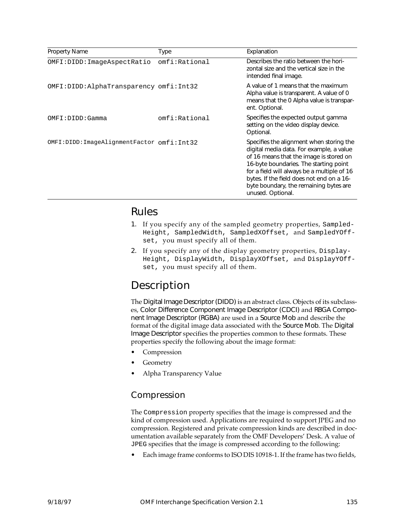| <b>Property Name</b>                      | Type          | Explanation                                                                                                                                                                                                                                                                                                                          |
|-------------------------------------------|---------------|--------------------------------------------------------------------------------------------------------------------------------------------------------------------------------------------------------------------------------------------------------------------------------------------------------------------------------------|
| OMFI:DIDD:ImageAspectRatio                | omfi:Rational | Describes the ratio between the hori-<br>zontal size and the vertical size in the<br>intended final image.                                                                                                                                                                                                                           |
| OMFI: DIDD: AlphaTransparency omfi: Int32 |               | A value of 1 means that the maximum<br>Alpha value is transparent. A value of 0<br>means that the 0 Alpha value is transpar-<br>ent. Optional.                                                                                                                                                                                       |
| OMFI:DIDD:Gamma                           | omfi:Rational | Specifies the expected output gamma<br>setting on the video display device.<br>Optional.                                                                                                                                                                                                                                             |
| OMFI:DIDD:ImageAlignmentFactor omfi:Int32 |               | Specifies the alignment when storing the<br>digital media data. For example, a value<br>of 16 means that the image is stored on<br>16-byte boundaries. The starting point<br>for a field will always be a multiple of 16<br>bytes. If the field does not end on a 16-<br>byte boundary, the remaining bytes are<br>unused. Optional. |

### Rules

- 1. If you specify any of the sampled geometry properties, Sampled-Height, SampledWidth, SampledXOffset, and SampledYOffset, you must specify all of them.
- 2. If you specify any of the display geometry properties, Display-Height, DisplayWidth, DisplayXOffset, and DisplayYOffset, you must specify all of them.

## Description

The Digital Image Descriptor (DIDD) is an abstract class. Objects of its subclasses, Color Difference Component Image Descriptor (CDCI) and RBGA Component Image Descriptor (RGBA) are used in a Source Mob and describe the format of the digital image data associated with the Source Mob. The Digital Image Descriptor specifies the properties common to these formats. These properties specify the following about the image format:

- **Compression**
- **Geometry**
- Alpha Transparency Value

#### Compression

The Compression property specifies that the image is compressed and the kind of compression used. Applications are required to support JPEG and no compression. Registered and private compression kinds are described in documentation available separately from the OMF Developers' Desk. A value of JPEG specifies that the image is compressed according to the following:

• Each image frame conforms to ISO DIS 10918-1. If the frame has two fields,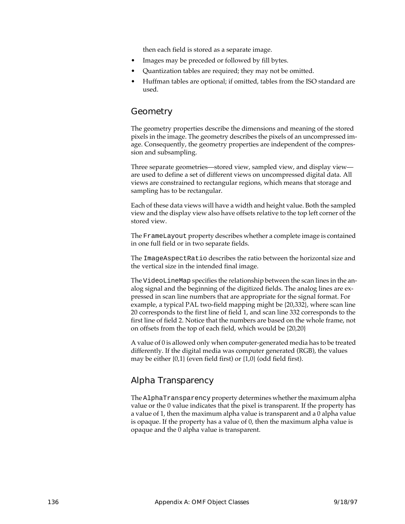then each field is stored as a separate image.

- Images may be preceded or followed by fill bytes.
- Quantization tables are required; they may not be omitted.
- Huffman tables are optional; if omitted, tables from the ISO standard are used.

#### Geometry

The geometry properties describe the dimensions and meaning of the stored pixels in the image. The geometry describes the pixels of an uncompressed image. Consequently, the geometry properties are independent of the compression and subsampling.

Three separate geometries—stored view, sampled view, and display view are used to define a set of different views on uncompressed digital data. All views are constrained to rectangular regions, which means that storage and sampling has to be rectangular.

Each of these data views will have a width and height value. Both the sampled view and the display view also have offsets relative to the top left corner of the stored view.

The FrameLayout property describes whether a complete image is contained in one full field or in two separate fields.

The ImageAspectRatio describes the ratio between the horizontal size and the vertical size in the intended final image.

The VideoLineMap specifies the relationship between the scan lines in the analog signal and the beginning of the digitized fields. The analog lines are expressed in scan line numbers that are appropriate for the signal format. For example, a typical PAL two-field mapping might be {20,332}, where scan line 20 corresponds to the first line of field 1, and scan line 332 corresponds to the first line of field 2. Notice that the numbers are based on the whole frame, not on offsets from the top of each field, which would be {20,20}

A value of 0 is allowed only when computer-generated media has to be treated differently. If the digital media was computer generated (RGB), the values may be either {0,1} (even field first) or {1,0} (odd field first).

#### Alpha Transparency

The AlphaTransparency property determines whether the maximum alpha value or the 0 value indicates that the pixel is transparent. If the property has a value of 1, then the maximum alpha value is transparent and a 0 alpha value is opaque. If the property has a value of 0, then the maximum alpha value is opaque and the 0 alpha value is transparent.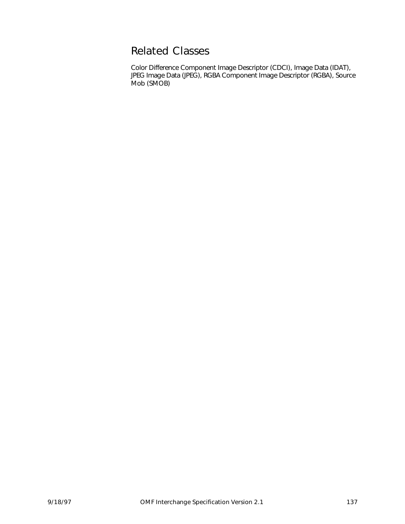## Related Classes

Color Difference Component Image Descriptor (CDCI), Image Data (IDAT), JPEG Image Data (JPEG), RGBA Component Image Descriptor (RGBA), Source Mob (SMOB)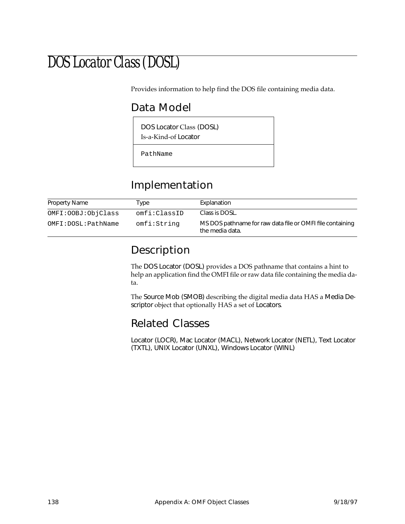# DOS Locator Class (DOSL)

Provides information to help find the DOS file containing media data.

## Data Model

DOS Locator Class (DOSL)

Is-a-Kind-of Locator

PathName

## Implementation

| Property Name        | Type         | Explanation                                                                  |
|----------------------|--------------|------------------------------------------------------------------------------|
| OMFI: OOBJ: ObjClass | omfi:ClassID | Class is DOSL.                                                               |
| OMFI:DOSL:PathName   | omfi:String  | MS DOS pathname for raw data file or OMFI file containing<br>the media data. |

## Description

The DOS Locator (DOSL) provides a DOS pathname that contains a hint to help an application find the OMFI file or raw data file containing the media data.

The Source Mob (SMOB) describing the digital media data HAS a Media Descriptor object that optionally HAS a set of Locators.

## Related Classes

Locator (LOCR), Mac Locator (MACL), Network Locator (NETL), Text Locator (TXTL), UNIX Locator (UNXL), Windows Locator (WINL)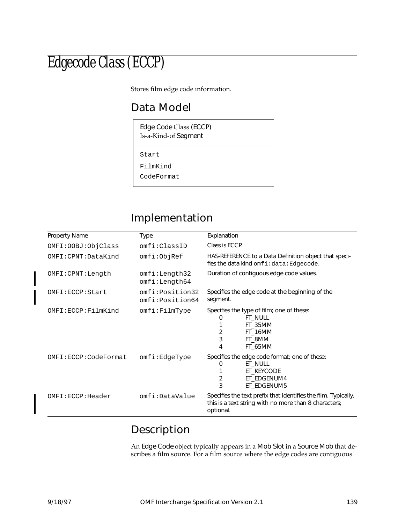# Edgecode Class (ECCP)

Stores film edge code information.

## Data Model

Edge Code Class (ECCP) Is-a-Kind-of Segment

Start

FilmKind

CodeFormat

## Implementation

| <b>Property Name</b> | Type                               | Explanation                                                                                                                           |
|----------------------|------------------------------------|---------------------------------------------------------------------------------------------------------------------------------------|
| OMFI: OOBJ: ObjClass | omfi:ClassID                       | Class is ECCP.                                                                                                                        |
| $OMFI:CPNT:}\$       | omfi:ObjRef                        | HAS-REFERENCE to a Data Definition object that speci-<br>fies the data kind omfi:data:Edgecode.                                       |
| OMFI:CPNT:Length     | omfi:Length32<br>omfi:Length64     | Duration of contiguous edge code values.                                                                                              |
| OMFI:ECCP:Start      | omfi:Position32<br>omfi:Position64 | Specifies the edge code at the beginning of the<br>segment.                                                                           |
| OMFI:ECCP:FilmKind   | omfi:FillmType                     | Specifies the type of film; one of these:<br><b>FT_NULL</b><br>$\mathbf{U}$<br>FT 35MM<br>2<br>FT_16MM<br>3<br>FT 8MM<br>FT 65MM<br>4 |
| OMFI:ECCP:CodeFormat | omfi:EdgeType                      | Specifies the edge code format; one of these:<br>ET_NULL<br>O<br>ET KEYCODE<br>2<br>ET_EDGENUM4<br>3<br>ET EDGENUM5                   |
| OMFI:ECCP:Header     | omfi:DataValue                     | Specifies the text prefix that identifies the film. Typically,<br>this is a text string with no more than 8 characters;<br>optional.  |

## Description

An Edge Code object typically appears in a Mob Slot in a Source Mob that describes a film source. For a film source where the edge codes are contiguous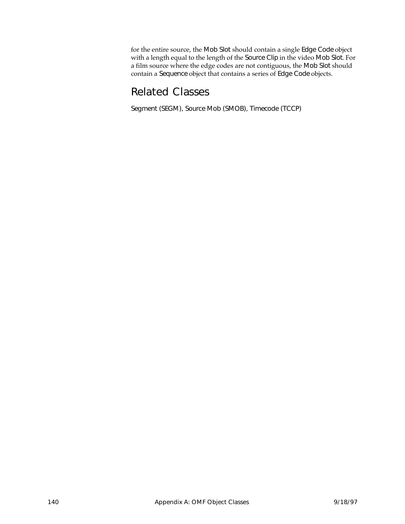for the entire source, the Mob Slot should contain a single Edge Code object with a length equal to the length of the Source Clip in the video Mob Slot. For a film source where the edge codes are not contiguous, the Mob Slot should contain a Sequence object that contains a series of Edge Code objects.

## Related Classes

Segment (SEGM), Source Mob (SMOB), Timecode (TCCP)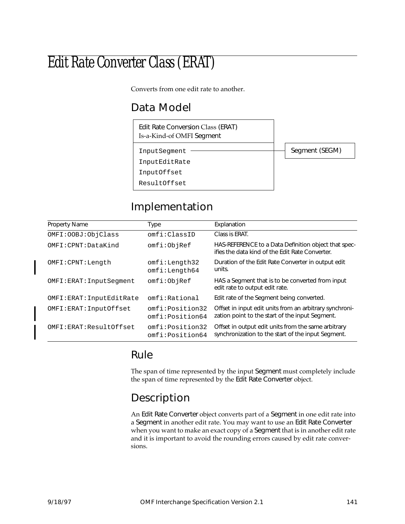# Edit Rate Converter Class (ERAT)

Converts from one edit rate to another.

## Data Model

Edit Rate Conversion Class (ERAT) Is-a-Kind-of OMFI Segment

InputSegment InputEditRate

InputOffset

ResultOffset

## Implementation

| <b>Property Name</b>      | Type                               | Explanation                                                                                                |
|---------------------------|------------------------------------|------------------------------------------------------------------------------------------------------------|
| OMFI: OOBJ: ObjClass      | omfi:ClassID                       | Class is ERAT.                                                                                             |
| OMFI:CPNT:DataKind        | omfi:ObjRef                        | HAS-REFERENCE to a Data Definition object that spec-<br>ifies the data kind of the Edit Rate Converter.    |
| OMFI: CPNT: Length        | omfi:Length32<br>omfi:Length64     | Duration of the Edit Rate Converter in output edit<br>units.                                               |
| OMFI: ERAT: InputSeqment  | omfi:ObjRef                        | HAS a Segment that is to be converted from input<br>edit rate to output edit rate.                         |
| OMFI: ERAT: InputEditRate | omfi:Rational                      | Edit rate of the Segment being converted.                                                                  |
| OMFI: ERAT: InputOffset   | omfi:Position32<br>omfi:Position64 | Offset in input edit units from an arbitrary synchroni-<br>zation point to the start of the input Segment. |
| OMFI: ERAT: ResultOffset  | omfi:Position32<br>omfi:Position64 | Offset in output edit units from the same arbitrary<br>synchronization to the start of the input Segment.  |

### Rule

The span of time represented by the input Segment must completely include the span of time represented by the Edit Rate Converter object.

## Description

An Edit Rate Converter object converts part of a Segment in one edit rate into a Segment in another edit rate. You may want to use an Edit Rate Converter when you want to make an exact copy of a Segment that is in another edit rate and it is important to avoid the rounding errors caused by edit rate conversions.

Segment (SEGM)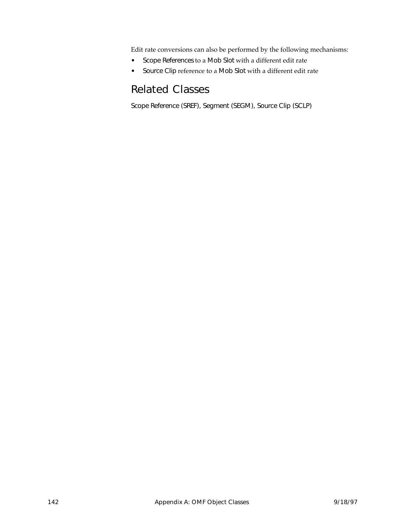Edit rate conversions can also be performed by the following mechanisms:

- Scope References to a Mob Slot with a different edit rate
- Source Clip reference to a Mob Slot with a different edit rate

## Related Classes

Scope Reference (SREF), Segment (SEGM), Source Clip (SCLP)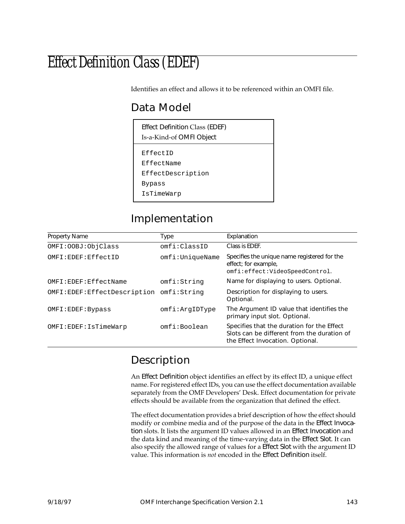# Effect Definition Class (EDEF)

Identifies an effect and allows it to be referenced within an OMFI file.

## Data Model

| <b>Effect Definition Class (EDEF)</b><br>Is-a-Kind-of OMFI Object   |  |  |
|---------------------------------------------------------------------|--|--|
| EffectID<br>EffectName<br>EffectDescription<br>Bypass<br>IsTimeWarp |  |  |

## Implementation

| <b>Property Name</b>                       | Type            | Explanation                                                                                                                   |
|--------------------------------------------|-----------------|-------------------------------------------------------------------------------------------------------------------------------|
| OMFI: OOBJ: ObjClass                       | omfi:ClassID    | Class is EDEF.                                                                                                                |
| OMFI:EDEF:EffectID                         | omfi:UniqueName | Specifies the unique name registered for the<br>effect; for example,<br>omfi:effect:VideoSpeedControl.                        |
| OMFI:EDEF:EffectName                       | omfi:String     | Name for displaying to users. Optional.                                                                                       |
| OMFI: EDEF: EffectDescription omfi: String |                 | Description for displaying to users.<br>Optional.                                                                             |
| OMFI: EDEF: Bypass                         | omfi:ArgIDType  | The Argument ID value that identifies the<br>primary input slot. Optional.                                                    |
| OMFI:EDEF:IsTimeWarp                       | omfi:Boolean    | Specifies that the duration for the Effect<br>Slots can be different from the duration of<br>the Effect Invocation. Optional. |

## Description

An Effect Definition object identifies an effect by its effect ID, a unique effect name. For registered effect IDs, you can use the effect documentation available separately from the OMF Developers' Desk. Effect documentation for private effects should be available from the organization that defined the effect.

The effect documentation provides a brief description of how the effect should modify or combine media and of the purpose of the data in the Effect Invocation slots. It lists the argument ID values allowed in an Effect Invocation and the data kind and meaning of the time-varying data in the Effect Slot. It can also specify the allowed range of values for a Effect Slot with the argument ID value. This information is *not* encoded in the Effect Definition itself.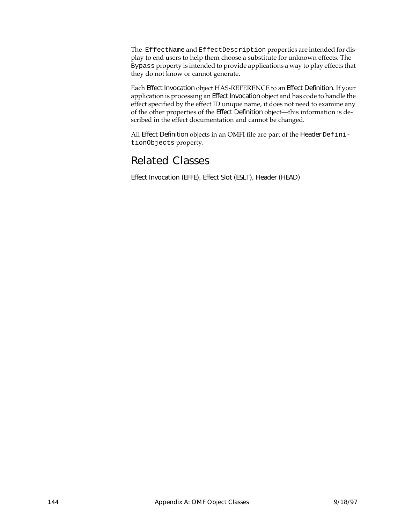The EffectName and EffectDescription properties are intended for display to end users to help them choose a substitute for unknown effects. The Bypass property is intended to provide applications a way to play effects that they do not know or cannot generate.

Each Effect Invocation object HAS-REFERENCE to an Effect Definition. If your application is processing an Effect Invocation object and has code to handle the effect specified by the effect ID unique name, it does not need to examine any of the other properties of the Effect Definition object—this information is described in the effect documentation and cannot be changed.

All Effect Definition objects in an OMFI file are part of the Header DefinitionObjects property.

## Related Classes

Effect Invocation (EFFE), Effect Slot (ESLT), Header (HEAD)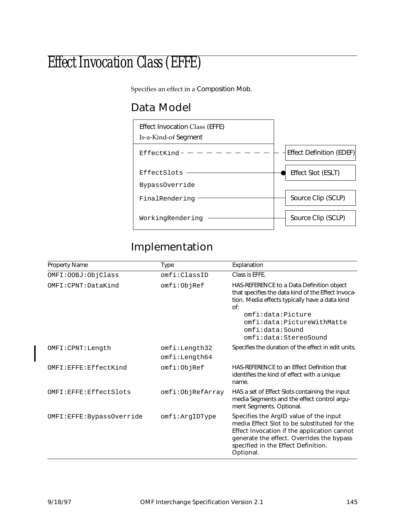# Effect Invocation Class (EFFE)

Specifies an effect in a Composition Mob.

## Data Model



## Implementation

| Property Name            | <b>Type</b>      | Explanation                                                                                                                                                                                                                           |
|--------------------------|------------------|---------------------------------------------------------------------------------------------------------------------------------------------------------------------------------------------------------------------------------------|
| OMFI: OOBJ: ObjClass     | omfi:ClasSTD     | Class is EFFE.                                                                                                                                                                                                                        |
| OMFI:CPNT: DataKind      | omfi:ObjRef      | HAS-REFERENCE to a Data Definition object<br>that specifies the data kind of the Effect Invoca-<br>tion. Media effects typically have a data kind<br>Of:                                                                              |
|                          |                  | omfi:data:Picture<br>omfi:data:PictureWithMatte<br>omfi:data:Sound<br>omfi:data:StereoSound                                                                                                                                           |
| OMFI: CPNT: Length       | omfi:Length32    | Specifies the duration of the effect in edit units.                                                                                                                                                                                   |
|                          | omfi:Length64    |                                                                                                                                                                                                                                       |
| OMFI:EFFE:EffectKind     | omfi:ObjRef      | HAS-REFERENCE to an Effect Definition that<br>identifies the kind of effect with a unique<br>name.                                                                                                                                    |
| OMFI:EFFE:EffectSlots    | omfi:ObjRefArray | HAS a set of Effect Slots containing the input<br>media Segments and the effect control argu-<br>ment Segments. Optional.                                                                                                             |
| OMFI:EFFE:BypassOverride | omfi:ArgIDType   | Specifies the ArgID value of the input<br>media Effect Slot to be substituted for the<br>Effect Invocation if the application cannot<br>generate the effect. Overrides the bypass<br>specified in the Effect Definition.<br>Optional. |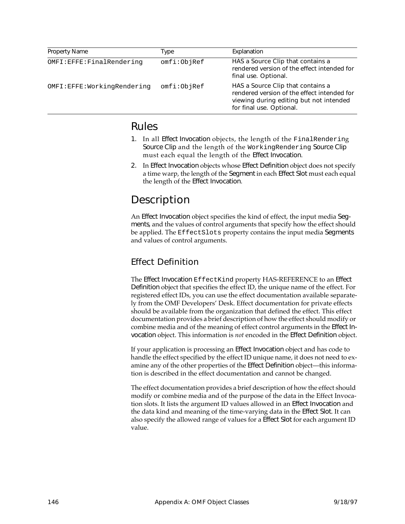| <b>Property Name</b>       | Type        | Explanation                                                                                                                                             |
|----------------------------|-------------|---------------------------------------------------------------------------------------------------------------------------------------------------------|
| OMFI:EFFE:FinalRendering   | omfi:ObjRef | HAS a Source Clip that contains a<br>rendered version of the effect intended for<br>final use. Optional.                                                |
| OMFI:EFFE:WorkingRendering | omfi:ObjRef | HAS a Source Clip that contains a<br>rendered version of the effect intended for<br>viewing during editing but not intended<br>for final use. Optional. |

### Rules

- 1. In all Effect Invocation objects, the length of the FinalRendering Source Clip and the length of the WorkingRendering Source Clip must each equal the length of the Effect Invocation.
- 2. In Effect Invocation objects whose Effect Definition object does not specify a time warp, the length of the Segment in each Effect Slot must each equal the length of the Effect Invocation.

## Description

An Effect Invocation object specifies the kind of effect, the input media Segments, and the values of control arguments that specify how the effect should be applied. The EffectSlots property contains the input media Segments and values of control arguments.

### Effect Definition

The Effect Invocation EffectKind property HAS-REFERENCE to an Effect Definition object that specifies the effect ID, the unique name of the effect. For registered effect IDs, you can use the effect documentation available separately from the OMF Developers' Desk. Effect documentation for private effects should be available from the organization that defined the effect. This effect documentation provides a brief description of how the effect should modify or combine media and of the meaning of effect control arguments in the Effect Invocation object. This information is *not* encoded in the Effect Definition object.

If your application is processing an Effect Invocation object and has code to handle the effect specified by the effect ID unique name, it does not need to examine any of the other properties of the Effect Definition object—this information is described in the effect documentation and cannot be changed.

The effect documentation provides a brief description of how the effect should modify or combine media and of the purpose of the data in the Effect Invocation slots. It lists the argument ID values allowed in an Effect Invocation and the data kind and meaning of the time-varying data in the Effect Slot. It can also specify the allowed range of values for a Effect Slot for each argument ID value.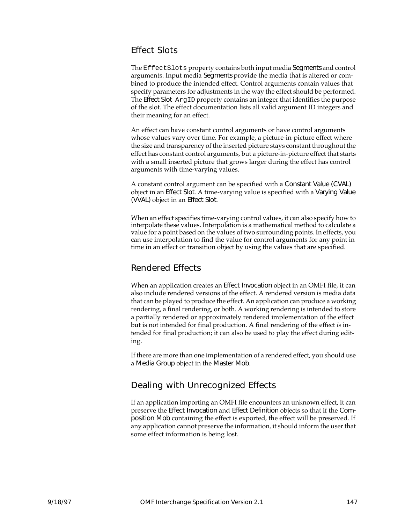#### Effect Slots

The EffectSlots property contains both input media Segments and control arguments. Input media Segments provide the media that is altered or combined to produce the intended effect. Control arguments contain values that specify parameters for adjustments in the way the effect should be performed. The Effect Slot ArgID property contains an integer that identifies the purpose of the slot. The effect documentation lists all valid argument ID integers and their meaning for an effect.

An effect can have constant control arguments or have control arguments whose values vary over time. For example, a picture-in-picture effect where the size and transparency of the inserted picture stays constant throughout the effect has constant control arguments, but a picture-in-picture effect that starts with a small inserted picture that grows larger during the effect has control arguments with time-varying values.

A constant control argument can be specified with a Constant Value (CVAL) object in an Effect Slot. A time-varying value is specified with a Varying Value (VVAL) object in an Effect Slot.

When an effect specifies time-varying control values, it can also specify how to interpolate these values. Interpolation is a mathematical method to calculate a value for a point based on the values of two surrounding points. In effects, you can use interpolation to find the value for control arguments for any point in time in an effect or transition object by using the values that are specified.

#### Rendered Effects

When an application creates an Effect Invocation object in an OMFI file, it can also include rendered versions of the effect. A rendered version is media data that can be played to produce the effect. An application can produce a working rendering, a final rendering, or both. A working rendering is intended to store a partially rendered or approximately rendered implementation of the effect but is not intended for final production. A final rendering of the effect *is* intended for final production; it can also be used to play the effect during editing.

If there are more than one implementation of a rendered effect, you should use a Media Group object in the Master Mob.

#### Dealing with Unrecognized Effects

If an application importing an OMFI file encounters an unknown effect, it can preserve the Effect Invocation and Effect Definition objects so that if the Composition Mob containing the effect is exported, the effect will be preserved. If any application cannot preserve the information, it should inform the user that some effect information is being lost.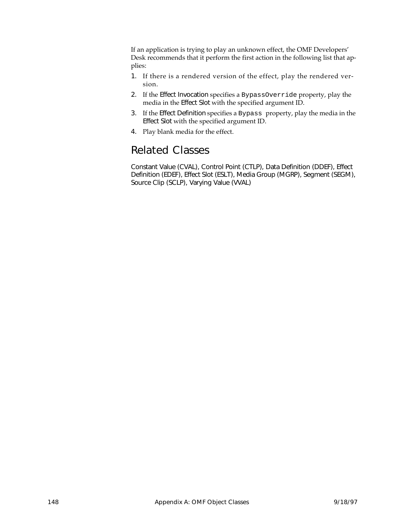If an application is trying to play an unknown effect, the OMF Developers' Desk recommends that it perform the first action in the following list that applies:

- 1. If there is a rendered version of the effect, play the rendered version.
- 2. If the Effect Invocation specifies a BypassOverride property, play the media in the Effect Slot with the specified argument ID.
- 3. If the Effect Definition specifies a Bypass property, play the media in the Effect Slot with the specified argument ID.
- 4. Play blank media for the effect.

## Related Classes

Constant Value (CVAL), Control Point (CTLP), Data Definition (DDEF), Effect Definition (EDEF), Effect Slot (ESLT), Media Group (MGRP), Segment (SEGM), Source Clip (SCLP), Varying Value (VVAL)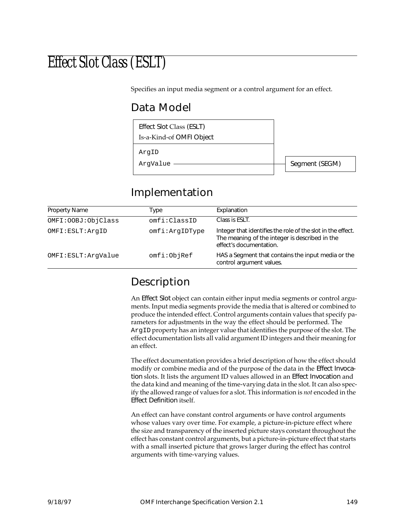# Effect Slot Class (ESLT)

Specifies an input media segment or a control argument for an effect.

## Data Model



## Implementation

| Property Name        | Type           | Explanation                                                                                                                              |
|----------------------|----------------|------------------------------------------------------------------------------------------------------------------------------------------|
| OMFI: OOBJ: ObjClass | omfi:ClassID   | Class is ESLT.                                                                                                                           |
| OMFI:ESLT:ArqID      | omfi:ArgIDType | Integer that identifies the role of the slot in the effect.<br>The meaning of the integer is described in the<br>effect's documentation. |
| OMFI:ESLT:ArqValue   | omfi:ObjRef    | HAS a Segment that contains the input media or the<br>control argument values.                                                           |

## Description

An Effect Slot object can contain either input media segments or control arguments. Input media segments provide the media that is altered or combined to produce the intended effect. Control arguments contain values that specify parameters for adjustments in the way the effect should be performed. The ArgID property has an integer value that identifies the purpose of the slot. The effect documentation lists all valid argument ID integers and their meaning for an effect.

The effect documentation provides a brief description of how the effect should modify or combine media and of the purpose of the data in the Effect Invocation slots. It lists the argument ID values allowed in an Effect Invocation and the data kind and meaning of the time-varying data in the slot. It can also specify the allowed range of values for a slot. This information is *not* encoded in the Effect Definition itself.

An effect can have constant control arguments or have control arguments whose values vary over time. For example, a picture-in-picture effect where the size and transparency of the inserted picture stays constant throughout the effect has constant control arguments, but a picture-in-picture effect that starts with a small inserted picture that grows larger during the effect has control arguments with time-varying values.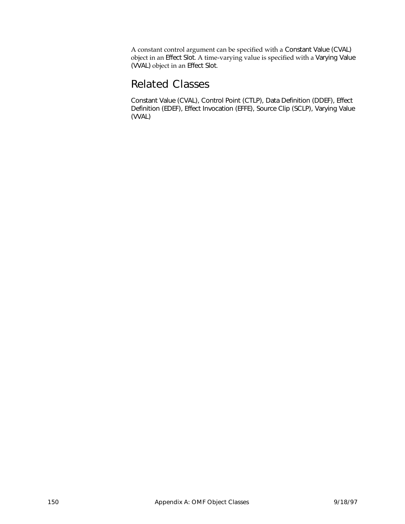A constant control argument can be specified with a Constant Value (CVAL) object in an Effect Slot. A time-varying value is specified with a Varying Value (VVAL) object in an Effect Slot.

### Related Classes

Constant Value (CVAL), Control Point (CTLP), Data Definition (DDEF), Effect Definition (EDEF), Effect Invocation (EFFE), Source Clip (SCLP), Varying Value (VVAL)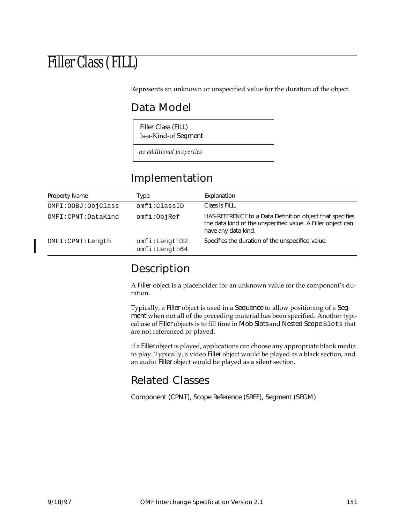# Filler Class (FILL)

Represents an unknown or unspecified value for the duration of the object.

## Data Model

Filler Class (FILL) Is-a-Kind-of Segment

*no additional properties*

## Implementation

| <b>Property Name</b> | Type                           | Explanation                                                                                                                                    |
|----------------------|--------------------------------|------------------------------------------------------------------------------------------------------------------------------------------------|
| OMFI: OOBJ: ObjClass | omfi:ClassID                   | Class is FILL.                                                                                                                                 |
| OMFI:CPNT:DataKind   | omfi:ObjRef                    | HAS-REFERENCE to a Data Definition object that specifies<br>the data kind of the unspecified value. A Filler object can<br>have any data kind. |
| OMFI: CPNT: Length   | omfi:Length32<br>omfi:Length64 | Specifies the duration of the unspecified value.                                                                                               |

## Description

A Filler object is a placeholder for an unknown value for the component's duration.

Typically, a Filler object is used in a Sequence to allow positioning of a Segment when not all of the preceding material has been specified. Another typical use of Filler objects is to fill time in Mob Slots and Nested Scope Slots that are not referenced or played.

If a Filler object is played, applications can choose any appropriate blank media to play. Typically, a video Filler object would be played as a black section, and an audio Filler object would be played as a silent section.

## Related Classes

Component (CPNT), Scope Reference (SREF), Segment (SEGM)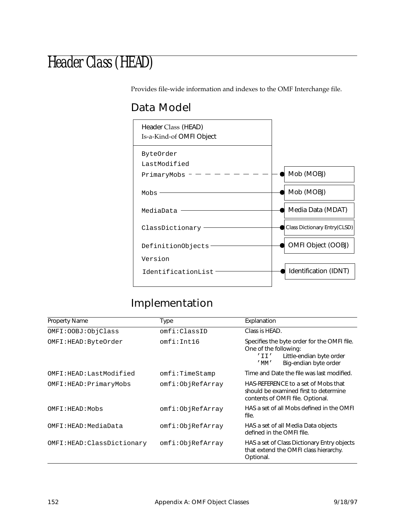## Header Class (HEAD)

Provides file-wide information and indexes to the OMF Interchange file.

## Data Model



## Implementation

| <b>Property Name</b>       | Type             | Explanation                                                                                                                                                     |
|----------------------------|------------------|-----------------------------------------------------------------------------------------------------------------------------------------------------------------|
| OMFI: OOBJ: ObjClass       | omfi:ClassID     | Class is HEAD.                                                                                                                                                  |
| OMFI:HEAD:ByteOrder        | omfi:Int16       | Specifies the byte order for the OMFI file.<br>One of the following:<br>Little-endian byte order<br>'II'<br>Big-endian byte order<br>$^{\prime}$ MM $^{\prime}$ |
| OMFI:HEAD:LastModified     | omfi:TimeStamp   | Time and Date the file was last modified.                                                                                                                       |
| OMFI:HEAD: PrimaryMobs     | omfi:ObjRefArray | HAS-REFERENCE to a set of Mobs that<br>should be examined first to determine<br>contents of OMFI file. Optional.                                                |
| OMFI:HEAD:Mobs             | omfi:ObjRefArray | HAS a set of all Mobs defined in the OMFI<br>file.                                                                                                              |
| OMFI:HEAD:MediaData        | omfi:ObjRefArray | HAS a set of all Media Data objects<br>defined in the OMFI file.                                                                                                |
| OMFI:HEAD: ClassDictionary | omfi:ObjRefArray | HAS a set of Class Dictionary Entry objects<br>that extend the OMFI class hierarchy.<br>Optional.                                                               |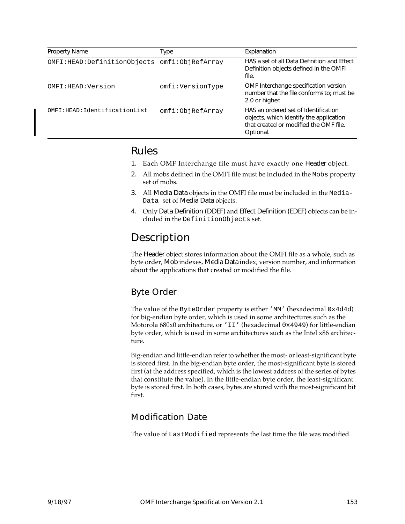| <b>Property Name</b>                             | Type             | Explanation                                                                                                                            |
|--------------------------------------------------|------------------|----------------------------------------------------------------------------------------------------------------------------------------|
| OMFI: HEAD: Definition Objects omfi: ObjRefArray |                  | HAS a set of all Data Definition and Effect<br>Definition objects defined in the OMFI<br>file.                                         |
| OMFI:HEAD:Version                                | omfi:VersionType | OMF Interchange specification version<br>number that the file conforms to; must be<br>2.0 or higher.                                   |
| OMFI: HEAD: IdentificationList                   | omfi:ObjRefArray | HAS an ordered set of Identification<br>objects, which identify the application<br>that created or modified the OMF file.<br>Optional. |

#### Rules

- 1. Each OMF Interchange file must have exactly one Header object.
- 2. All mobs defined in the OMFI file must be included in the Mobs property set of mobs.
- 3. All Media Data objects in the OMFI file must be included in the Media-Data set of Media Data objects.
- 4. Only Data Definition (DDEF) and Effect Definition (EDEF) objects can be included in the DefinitionObjects set.

## Description

The Header object stores information about the OMFI file as a whole, such as byte order, Mob indexes, Media Data index, version number, and information about the applications that created or modified the file.

### Byte Order

The value of the ByteOrder property is either 'MM' (hexadecimal 0x4d4d) for big-endian byte order, which is used in some architectures such as the Motorola 680x0 architecture, or 'II' (hexadecimal 0x4949) for little-endian byte order, which is used in some architectures such as the Intel x86 architecture.

Big-endian and little-endian refer to whether the most- or least-significant byte is stored first. In the big-endian byte order, the most-significant byte is stored first (at the address specified, which is the lowest address of the series of bytes that constitute the value). In the little-endian byte order, the least-significant byte is stored first. In both cases, bytes are stored with the most-significant bit first.

#### Modification Date

The value of LastModified represents the last time the file was modified.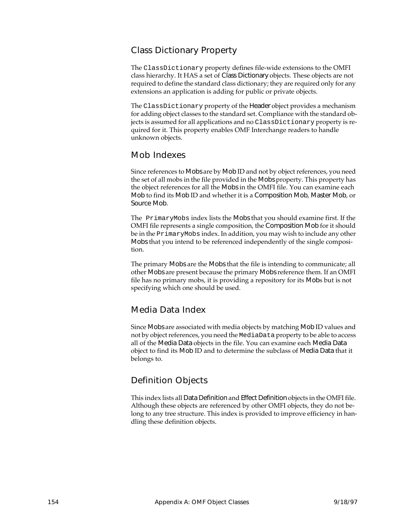#### Class Dictionary Property

The ClassDictionary property defines file-wide extensions to the OMFI class hierarchy. It HAS a set of Class Dictionary objects. These objects are not required to define the standard class dictionary; they are required only for any extensions an application is adding for public or private objects.

The ClassDictionary property of the Header object provides a mechanism for adding object classes to the standard set. Compliance with the standard objects is assumed for all applications and no ClassDictionary property is required for it. This property enables OMF Interchange readers to handle unknown objects.

#### Mob Indexes

Since references to Mobs are by Mob ID and not by object references, you need the set of all mobs in the file provided in the Mobs property. This property has the object references for all the Mobs in the OMFI file. You can examine each Mob to find its Mob ID and whether it is a Composition Mob, Master Mob, or Source Mob.

The PrimaryMobs index lists the Mobs that you should examine first. If the OMFI file represents a single composition, the Composition Mob for it should be in the PrimaryMobs index. In addition, you may wish to include any other Mobs that you intend to be referenced independently of the single composition.

The primary Mobs are the Mobs that the file is intending to communicate; all other Mobs are present because the primary Mobs reference them. If an OMFI file has no primary mobs, it is providing a repository for its Mobs but is not specifying which one should be used.

#### Media Data Index

Since Mobs are associated with media objects by matching Mob ID values and not by object references, you need the MediaData property to be able to access all of the Media Data objects in the file. You can examine each Media Data object to find its Mob ID and to determine the subclass of Media Data that it belongs to.

#### Definition Objects

This index lists all Data Definition and Effect Definition objects in the OMFI file. Although these objects are referenced by other OMFI objects, they do not belong to any tree structure. This index is provided to improve efficiency in handling these definition objects.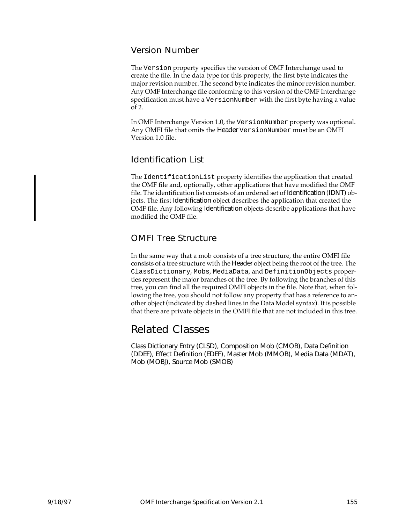#### Version Number

The Version property specifies the version of OMF Interchange used to create the file. In the data type for this property, the first byte indicates the major revision number. The second byte indicates the minor revision number. Any OMF Interchange file conforming to this version of the OMF Interchange specification must have a VersionNumber with the first byte having a value of 2.

In OMF Interchange Version 1.0, the VersionNumber property was optional. Any OMFI file that omits the Header VersionNumber must be an OMFI Version 1.0 file.

#### Identification List

The IdentificationList property identifies the application that created the OMF file and, optionally, other applications that have modified the OMF file. The identification list consists of an ordered set of Identification (IDNT) objects. The first Identification object describes the application that created the OMF file. Any following Identification objects describe applications that have modified the OMF file.

#### OMFI Tree Structure

In the same way that a mob consists of a tree structure, the entire OMFI file consists of a tree structure with the Header object being the root of the tree. The ClassDictionary, Mobs, MediaData, and DefinitionObjects properties represent the major branches of the tree. By following the branches of this tree, you can find all the required OMFI objects in the file. Note that, when following the tree, you should not follow any property that has a reference to another object (indicated by dashed lines in the Data Model syntax). It is possible that there are private objects in the OMFI file that are not included in this tree.

## Related Classes

Class Dictionary Entry (CLSD), Composition Mob (CMOB), Data Definition (DDEF), Effect Definition (EDEF), Master Mob (MMOB), Media Data (MDAT), Mob (MOBJ), Source Mob (SMOB)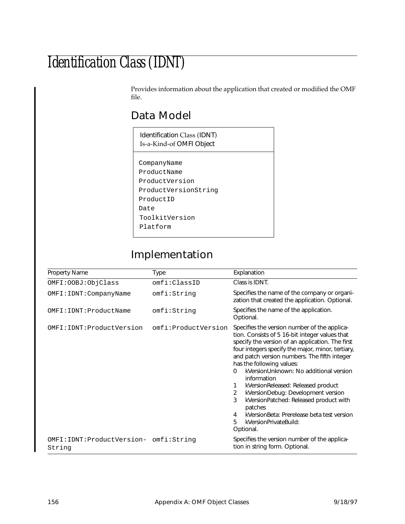# Identification Class (IDNT)

Provides information about the application that created or modified the OMF file.

## Data Model

| Identification Class (IDNT)<br>Is-a-Kind-of OMFI Object |
|---------------------------------------------------------|
| CompanyName                                             |
| ProductName                                             |
|                                                         |
| ProductVersion                                          |
| ProductVersionString                                    |
| ProductID                                               |
| Date                                                    |
| ToolkitVersion                                          |
| Platform                                                |

## Implementation

| <b>Property Name</b>                               | Type                | Explanation                                                                                                                                                                                                                                                                                                                                                                                                                                                                                                                                                                                             |
|----------------------------------------------------|---------------------|---------------------------------------------------------------------------------------------------------------------------------------------------------------------------------------------------------------------------------------------------------------------------------------------------------------------------------------------------------------------------------------------------------------------------------------------------------------------------------------------------------------------------------------------------------------------------------------------------------|
| OMFI: OOBJ: ObjClass                               | omfi:ClassID        | Class is IDNT.                                                                                                                                                                                                                                                                                                                                                                                                                                                                                                                                                                                          |
| OMFI: IDNT: CompanyName                            | omfi:String         | Specifies the name of the company or organi-<br>zation that created the application. Optional.                                                                                                                                                                                                                                                                                                                                                                                                                                                                                                          |
| OMFI: IDNT: ProductName                            | omfi:String         | Specifies the name of the application.<br>Optional.                                                                                                                                                                                                                                                                                                                                                                                                                                                                                                                                                     |
| OMFI: IDNT: ProductVersion                         | omfi:ProductVersion | Specifies the version number of the applica-<br>tion. Consists of 5 16-bit integer values that<br>specify the version of an application. The first<br>four integers specify the major, minor, tertiary,<br>and patch version numbers. The fifth integer<br>has the following values:<br>kVersionUnknown: No additional version<br>$\Omega$<br>information<br>kVersionReleased: Released product<br>1<br>kVersionDebug: Development version<br>2<br>3<br>kVersionPatched: Released product with<br>patches<br>kVersionBeta: Prerelease beta test version<br>4<br>5<br>kVersionPrivateBuild:<br>Optional. |
| OMFI: IDNT: ProductVersion- omfi: String<br>String |                     | Specifies the version number of the applica-<br>tion in string form. Optional.                                                                                                                                                                                                                                                                                                                                                                                                                                                                                                                          |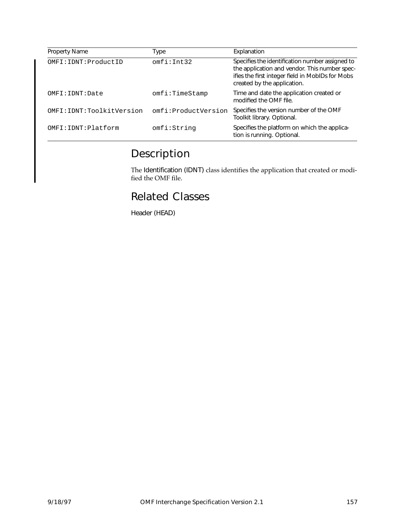| Property Name              | Type                | Explanation                                                                                                                                                                         |
|----------------------------|---------------------|-------------------------------------------------------------------------------------------------------------------------------------------------------------------------------------|
| OMFI: IDNT: ProductID      | omfi:Int.32         | Specifies the identification number assigned to<br>the application and vendor. This number spec-<br>ifies the first integer field in MobIDs for Mobs<br>created by the application. |
| OMFI:IDNT: Date            | omfi:TimeStamp      | Time and date the application created or<br>modified the OMF file.                                                                                                                  |
| OMFI: IDNT: ToolkitVersion | omfi:ProductVersion | Specifies the version number of the OMF<br>Toolkit library. Optional.                                                                                                               |
| OMFI: IDNT: Platform       | omfi:String         | Specifies the platform on which the applica-<br>tion is running. Optional.                                                                                                          |

## Description

The Identification (IDNT) class identifies the application that created or modified the OMF file.

### Related Classes

Header (HEAD)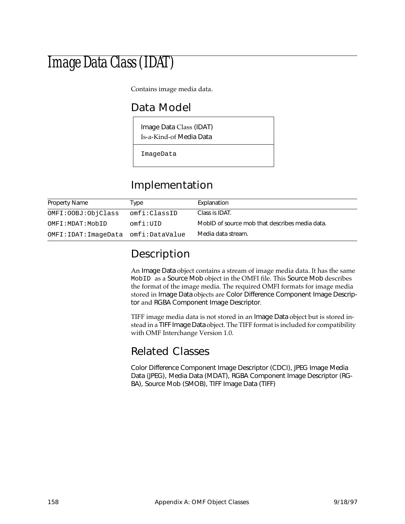# Image Data Class (IDAT)

Contains image media data.

## Data Model

Image Data Class (IDAT) Is-a-Kind-of Media Data

ImageData

## Implementation

| Property Name                         | Type         | Explanation                                    |
|---------------------------------------|--------------|------------------------------------------------|
| OMFI:OOBJ:ObjClass                    | omfi:ClassID | Class is IDAT.                                 |
| OMFI:MDAT:MobID                       | omfi:UID     | MobID of source mob that describes media data. |
| OMFI: IDAT: ImageData omfi: DataValue |              | Media data stream.                             |

## Description

An Image Data object contains a stream of image media data. It has the same MobID as a Source Mob object in the OMFI file. This Source Mob describes the format of the image media. The required OMFI formats for image media stored in Image Data objects are Color Difference Component Image Descriptor and RGBA Component Image Descriptor.

TIFF image media data is not stored in an Image Data object but is stored instead in a TIFF Image Data object. The TIFF format is included for compatibility with OMF Interchange Version 1.0.

### Related Classes

Color Difference Component Image Descriptor (CDCI), JPEG Image Media Data (JPEG), Media Data (MDAT), RGBA Component Image Descriptor (RG-BA), Source Mob (SMOB), TIFF Image Data (TIFF)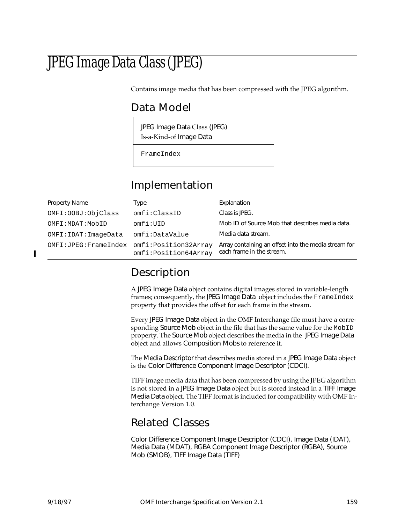# JPEG Image Data Class (JPEG)

Contains image media that has been compressed with the JPEG algorithm.

## Data Model

JPEG Image Data Class (JPEG) Is-a-Kind-of Image Data

FrameIndex

## Implementation

| <b>Property Name</b>                         | Type                 | Explanation                                                                       |
|----------------------------------------------|----------------------|-----------------------------------------------------------------------------------|
| OMFI: OOBJ: ObjClass                         | omfi:ClassID         | Class is JPEG.                                                                    |
| OMFI: MDAT: MobID                            | omfi:UID             | Mob ID of Source Mob that describes media data.                                   |
| OMFI: IDAT: ImageData                        | omfi:DataValue       | Media data stream.                                                                |
| OMFI: JPEG: FrameIndex omfi: Position32Array | omfi:Position64Array | Array containing an offset into the media stream for<br>each frame in the stream. |

## Description

A JPEG Image Data object contains digital images stored in variable-length frames; consequently, the JPEG Image Data object includes the Frame Index property that provides the offset for each frame in the stream.

Every JPEG Image Data object in the OMF Interchange file must have a corresponding Source Mob object in the file that has the same value for the MobID property. The Source Mob object describes the media in the JPEG Image Data object and allows Composition Mobs to reference it.

The Media Descriptor that describes media stored in a JPEG Image Data object is the Color Difference Component Image Descriptor (CDCI).

TIFF image media data that has been compressed by using the JPEG algorithm is not stored in a JPEG Image Data object but is stored instead in a TIFF Image Media Data object. The TIFF format is included for compatibility with OMF Interchange Version 1.0.

## Related Classes

Color Difference Component Image Descriptor (CDCI), Image Data (IDAT), Media Data (MDAT), RGBA Component Image Descriptor (RGBA), Source Mob (SMOB), TIFF Image Data (TIFF)

ı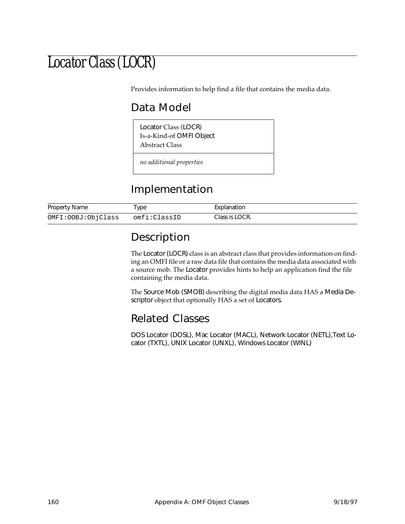## Locator Class (LOCR)

Provides information to help find a file that contains the media data.

## Data Model

Locator Class (LOCR) Is-a-Kind-of OMFI Object Abstract Class

*no additional properties*

## Implementation

| <b>Property Name</b> | 'ype         | Explanation    |
|----------------------|--------------|----------------|
| OMFI:OOBJ:ObjClass   | omfi:ClassID | Class is LOCR. |

## Description

The Locator (LOCR) class is an abstract class that provides information on finding an OMFI file or a raw data file that contains the media data associated with a source mob. The Locator provides hints to help an application find the file containing the media data.

The Source Mob (SMOB) describing the digital media data HAS a Media Descriptor object that optionally HAS a set of Locators.

## Related Classes

DOS Locator (DOSL), Mac Locator (MACL), Network Locator (NETL),Text Locator (TXTL), UNIX Locator (UNXL), Windows Locator (WINL)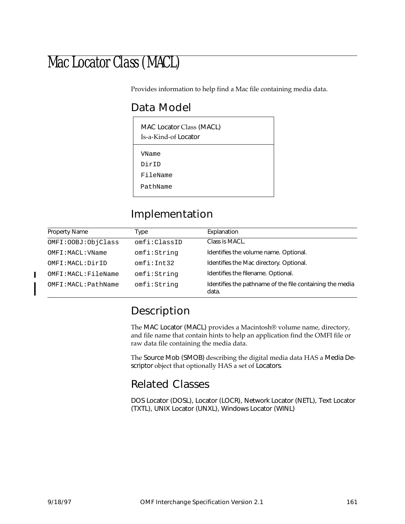# Mac Locator Class (MACL)

Provides information to help find a Mac file containing media data.

## Data Model

| MAC Locator Class (MACL)<br>Is-a-Kind-of Locator |  |  |
|--------------------------------------------------|--|--|
| VName                                            |  |  |
| DirTD                                            |  |  |
| FileName                                         |  |  |
| PathName                                         |  |  |

## Implementation

| <b>Property Name</b> | Type         | Explanation                                                       |
|----------------------|--------------|-------------------------------------------------------------------|
| OMFI: OOBJ: ObjClass | omfi:ClassID | Class is MACL.                                                    |
| OMFI: MACL: VName    | omfi:String  | Identifies the volume name. Optional.                             |
| OMFI: MACL: DirID    | omfi:Int32   | Identifies the Mac directory. Optional.                           |
| OMFI: MACL: FileName | omfi:String  | Identifies the filename. Optional.                                |
| OMFI: MACL: PathName | omfi:String  | Identifies the pathname of the file containing the media<br>data. |

## Description

The MAC Locator (MACL) provides a Macintosh® volume name, directory, and file name that contain hints to help an application find the OMFI file or raw data file containing the media data.

The Source Mob (SMOB) describing the digital media data HAS a Media Descriptor object that optionally HAS a set of Locators.

## Related Classes

DOS Locator (DOSL), Locator (LOCR), Network Locator (NETL), Text Locator (TXTL), UNIX Locator (UNXL), Windows Locator (WINL)

 $\blacksquare$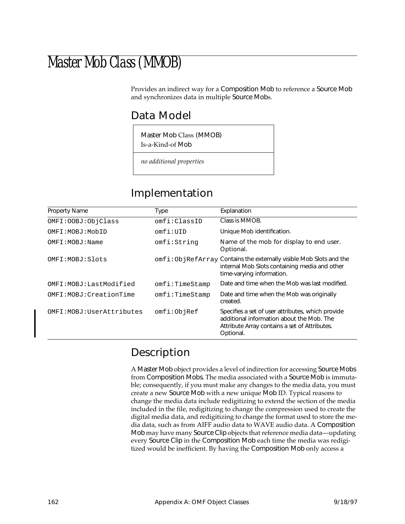## Master Mob Class (MMOB)

Provides an indirect way for a Composition Mob to reference a Source Mob and synchronizes data in multiple Source Mobs.

### Data Model

Master Mob Class (MMOB) Is-a-Kind-of Mob

*no additional properties*

## Implementation

| <b>Property Name</b>       | Type           | Explanation                                                                                                                                                  |
|----------------------------|----------------|--------------------------------------------------------------------------------------------------------------------------------------------------------------|
| OMFI: OOBJ: ObjClass       | omfi:ClassID   | Class is MMOB.                                                                                                                                               |
| OMFI:MOBJ:MobID            | omfi:IIID      | Unique Mob identification.                                                                                                                                   |
| OMFI: MOBJ: Name           | omfi:String    | Name of the mob for display to end user.<br>Optional.                                                                                                        |
| OMFI: MOBJ: Slots          |                | omfi:ObjRefArray Contains the externally visible Mob Slots and the<br>internal Mob Slots containing media and other<br>time-varying information.             |
| OMFI: MOBJ: Last Modified  | omfi:TimeStamp | Date and time when the Mob was last modified.                                                                                                                |
| OMFI: MOBJ: CreationTime   | omfi:TimeStamp | Date and time when the Mob was originally<br>created.                                                                                                        |
| OMFI: MOBJ: UserAttributes | omfi:ObjRef    | Specifies a set of user attributes, which provide<br>additional information about the Mob. The<br>Attribute Array contains a set of Attributes.<br>Optional. |

### Description

A Master Mob object provides a level of indirection for accessing Source Mobs from Composition Mobs. The media associated with a Source Mob is immutable; consequently, if you must make any changes to the media data, you must create a new Source Mob with a new unique Mob ID. Typical reasons to change the media data include redigitizing to extend the section of the media included in the file, redigitizing to change the compression used to create the digital media data, and redigitizing to change the format used to store the media data, such as from AIFF audio data to WAVE audio data. A Composition Mob may have many Source Clip objects that reference media data—updating every Source Clip in the Composition Mob each time the media was redigitized would be inefficient. By having the Composition Mob only access a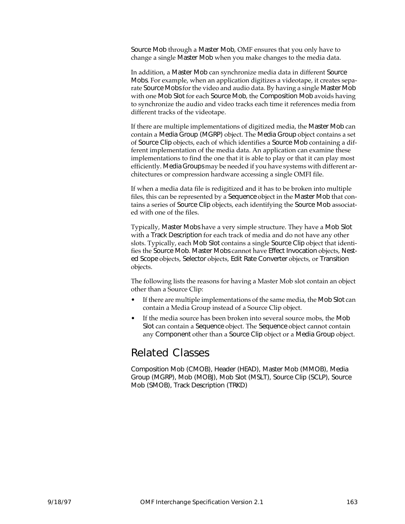Source Mob through a Master Mob, OMF ensures that you only have to change a single Master Mob when you make changes to the media data.

In addition, a Master Mob can synchronize media data in different Source Mobs. For example, when an application digitizes a videotape, it creates separate Source Mobs for the video and audio data. By having a single Master Mob with one Mob Slot for each Source Mob, the Composition Mob avoids having to synchronize the audio and video tracks each time it references media from different tracks of the videotape.

If there are multiple implementations of digitized media, the Master Mob can contain a Media Group (MGRP) object. The Media Group object contains a set of Source Clip objects, each of which identifies a Source Mob containing a different implementation of the media data. An application can examine these implementations to find the one that it is able to play or that it can play most efficiently. Media Groups may be needed if you have systems with different architectures or compression hardware accessing a single OMFI file.

If when a media data file is redigitized and it has to be broken into multiple files, this can be represented by a Sequence object in the Master Mob that contains a series of Source Clip objects, each identifying the Source Mob associated with one of the files.

Typically, Master Mobs have a very simple structure. They have a Mob Slot with a Track Description for each track of media and do not have any other slots. Typically, each Mob Slot contains a single Source Clip object that identifies the Source Mob. Master Mobs cannot have Effect Invocation objects, Nested Scope objects, Selector objects, Edit Rate Converter objects, or Transition objects.

The following lists the reasons for having a Master Mob slot contain an object other than a Source Clip:

- If there are multiple implementations of the same media, the Mob Slot can contain a Media Group instead of a Source Clip object.
- If the media source has been broken into several source mobs, the Mob Slot can contain a Sequence object. The Sequence object cannot contain any Component other than a Source Clip object or a Media Group object.

### Related Classes

Composition Mob (CMOB), Header (HEAD), Master Mob (MMOB), Media Group (MGRP), Mob (MOBJ), Mob Slot (MSLT), Source Clip (SCLP), Source Mob (SMOB), Track Description (TRKD)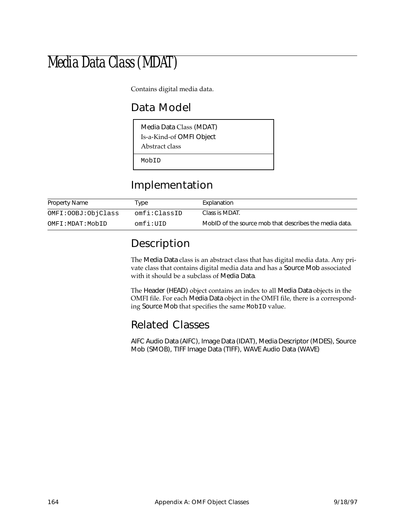# Media Data Class (MDAT)

Contains digital media data.

## Data Model

| Media Data Class (MDAT)<br>Is-a-Kind-of OMFI Object<br>Abstract class |
|-----------------------------------------------------------------------|
| MobID                                                                 |

## Implementation

| <b>Property Name</b> | ™уре         | Explanation                                            |
|----------------------|--------------|--------------------------------------------------------|
| OMFI: OOBJ: ObjClass | omfi:ClassID | Class is MDAT.                                         |
| OMFI:MDAT:MobID      | omfi:UID     | MobID of the source mob that describes the media data. |

## Description

The Media Data class is an abstract class that has digital media data. Any private class that contains digital media data and has a Source Mob associated with it should be a subclass of Media Data.

The Header (HEAD) object contains an index to all Media Data objects in the OMFI file. For each Media Data object in the OMFI file, there is a corresponding Source Mob that specifies the same MobID value.

## Related Classes

AIFC Audio Data (AIFC), Image Data (IDAT), Media Descriptor (MDES), Source Mob (SMOB), TIFF Image Data (TIFF), WAVE Audio Data (WAVE)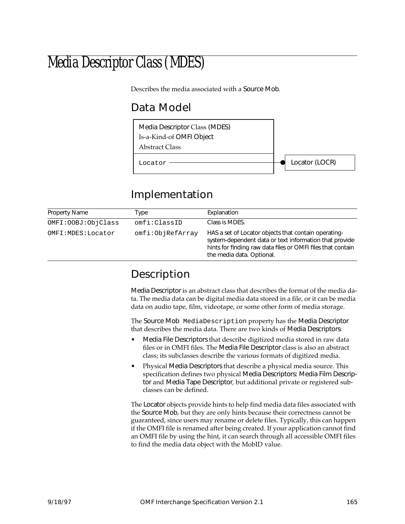# Media Descriptor Class (MDES)

Describes the media associated with a Source Mob.

## Data Model



## Implementation

| <b>Property Name</b> | Type             | Explanation                                                                                                                                                                                                |
|----------------------|------------------|------------------------------------------------------------------------------------------------------------------------------------------------------------------------------------------------------------|
| OMFI: OOBJ: ObjClass | omfi:ClassID     | Class is MDES.                                                                                                                                                                                             |
| OMFI: MDES: Locator  | omfi:ObjRefArray | HAS a set of Locator objects that contain operating-<br>system-dependent data or text information that provide<br>hints for finding raw data files or OMFI files that contain<br>the media data. Optional. |

## Description

Media Descriptor is an abstract class that describes the format of the media data. The media data can be digital media data stored in a file, or it can be media data on audio tape, film, videotape, or some other form of media storage.

The Source Mob MediaDescription property has the Media Descriptor that describes the media data. There are two kinds of Media Descriptors:

- Media File Descriptors that describe digitized media stored in raw data files or in OMFI files. The Media File Descriptor class is also an abstract class; its subclasses describe the various formats of digitized media.
- Physical Media Descriptors that describe a physical media source. This specification defines two physical Media Descriptors: Media Film Descriptor and Media Tape Descriptor, but additional private or registered subclasses can be defined.

The Locator objects provide hints to help find media data files associated with the Source Mob, but they are only hints because their correctness cannot be guaranteed, since users may rename or delete files. Typically, this can happen if the OMFI file is renamed after being created. If your application cannot find an OMFI file by using the hint, it can search through all accessible OMFI files to find the media data object with the MobID value.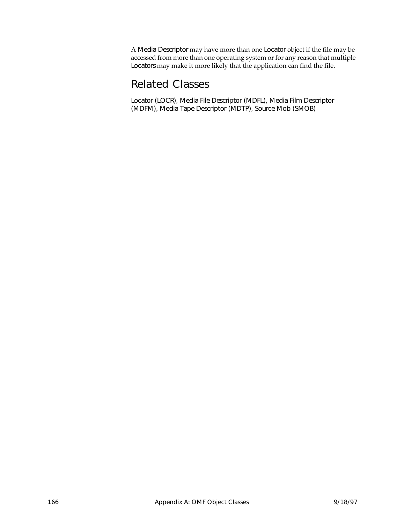A Media Descriptor may have more than one Locator object if the file may be accessed from more than one operating system or for any reason that multiple Locators may make it more likely that the application can find the file.

### Related Classes

Locator (LOCR), Media File Descriptor (MDFL), Media Film Descriptor (MDFM), Media Tape Descriptor (MDTP), Source Mob (SMOB)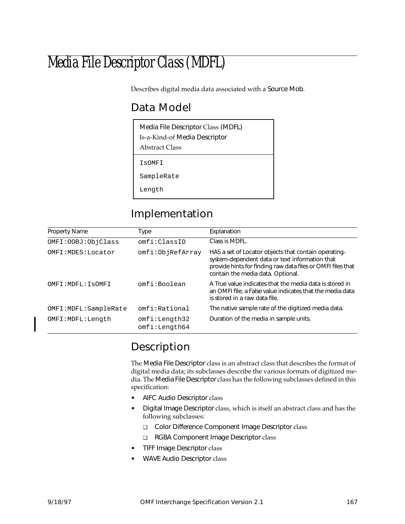# Media File Descriptor Class (MDFL)

Describes digital media data associated with a Source Mob.

## Data Model

| Media File Descriptor Class (MDFL)<br>Is-a-Kind-of Media Descriptor<br>Abstract Class |  |  |  |  |
|---------------------------------------------------------------------------------------|--|--|--|--|
| IsOMFI                                                                                |  |  |  |  |
| SampleRate                                                                            |  |  |  |  |
| Length                                                                                |  |  |  |  |

## Implementation

| <b>Property Name</b>   | Type                           | Explanation                                                                                                                                                                                                |
|------------------------|--------------------------------|------------------------------------------------------------------------------------------------------------------------------------------------------------------------------------------------------------|
| OMFI: OOBJ: ObjClass   | omfi:ClassID                   | Class is MDFL.                                                                                                                                                                                             |
| OMFI: MDES: Locator    | omfi:ObjRefArray               | HAS a set of Locator objects that contain operating-<br>system-dependent data or text information that<br>provide hints for finding raw data files or OMFI files that<br>contain the media data. Optional. |
| OMFI: MDFL: ISOMFI     | omfi:Boolean                   | A True value indicates that the media data is stored in<br>an OMFI file; a False value indicates that the media data<br>is stored in a raw data file.                                                      |
| OMFI: MDFL: SampleRate | omfi:Rational                  | The native sample rate of the digitized media data.                                                                                                                                                        |
| OMFI:MDFL:Length       | omfi:Length32<br>omfi:Length64 | Duration of the media in sample units.                                                                                                                                                                     |

## Description

The Media File Descriptor class is an abstract class that describes the format of digital media data; its subclasses describe the various formats of digitized media. The Media File Descriptor class has the following subclasses defined in this specification:

- AIFC Audio Descriptor class
- Digital Image Descriptor class, which is itself an abstract class and has the following subclasses:
	- ❑ Color Difference Component Image Descriptor class
	- ❑ RGBA Component Image Descriptor class
- TIFF Image Descriptor class
- WAVE Audio Descriptor class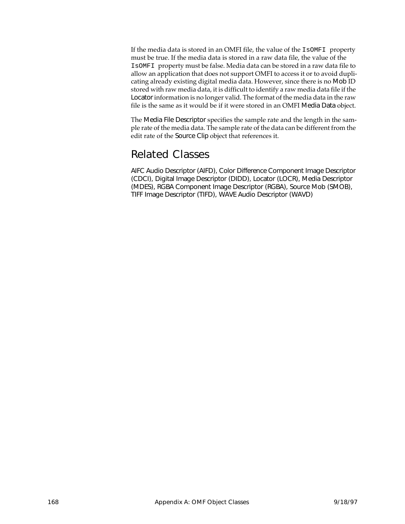If the media data is stored in an OMFI file, the value of the IsOMFI property must be true. If the media data is stored in a raw data file, the value of the IsOMFI property must be false. Media data can be stored in a raw data file to allow an application that does not support OMFI to access it or to avoid duplicating already existing digital media data. However, since there is no Mob ID stored with raw media data, it is difficult to identify a raw media data file if the Locator information is no longer valid. The format of the media data in the raw file is the same as it would be if it were stored in an OMFI Media Data object.

The Media File Descriptor specifies the sample rate and the length in the sample rate of the media data. The sample rate of the data can be different from the edit rate of the Source Clip object that references it.

### Related Classes

AIFC Audio Descriptor (AIFD), Color Difference Component Image Descriptor (CDCI), Digital Image Descriptor (DIDD), Locator (LOCR), Media Descriptor (MDES), RGBA Component Image Descriptor (RGBA), Source Mob (SMOB), TIFF Image Descriptor (TIFD), WAVE Audio Descriptor (WAVD)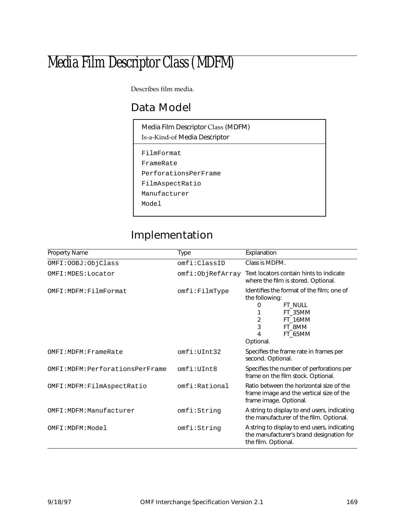# Media Film Descriptor Class (MDFM)

Describes film media.

# Data Model

| Media Film Descriptor Class (MDFM)<br>Is-a-Kind-of Media Descriptor |
|---------------------------------------------------------------------|
| FilmFormat                                                          |
| FrameRate                                                           |
| PerforationsPerFrame                                                |
| FilmAspectRatio                                                     |
| Manufacturer                                                        |
| Model                                                               |
|                                                                     |

# Implementation

| <b>Property Name</b>           | Type             | Explanation                                                                                                                                                            |
|--------------------------------|------------------|------------------------------------------------------------------------------------------------------------------------------------------------------------------------|
| OMFI: OOBJ: ObjClass           | omfi:ClassID     | Class is MDFM.                                                                                                                                                         |
| OMFI: MDES: Locator            | omfi:ObjRefArray | Text locators contain hints to indicate<br>where the film is stored. Optional.                                                                                         |
| OMFI: MDFM: FilmFormat         | omfi:FillmType   | Identifies the format of the film; one of<br>the following:<br><b>FT_NULL</b><br>0<br>FT 35MM<br>$\overline{2}$<br>FT 16MM<br>3<br>FT_8MM<br>4<br>FT_65MM<br>Optional. |
| OMFI: MDFM: FrameRate          | omfi:UInt.32     | Specifies the frame rate in frames per<br>second. Optional.                                                                                                            |
| OMFI:MDFM:PerforationsPerFrame | omfi:UInt8       | Specifies the number of perforations per<br>frame on the film stock. Optional.                                                                                         |
| OMFI: MDFM: FilmAspectRatio    | omfi:Rational    | Ratio between the horizontal size of the<br>frame image and the vertical size of the<br>frame image. Optional.                                                         |
| OMFI: MDFM: Manufacturer       | omfi:String      | A string to display to end users, indicating<br>the manufacturer of the film. Optional.                                                                                |
| OMFI:MDFM:Model                | omfi:String      | A string to display to end users, indicating<br>the manufacturer's brand designation for<br>the film. Optional.                                                        |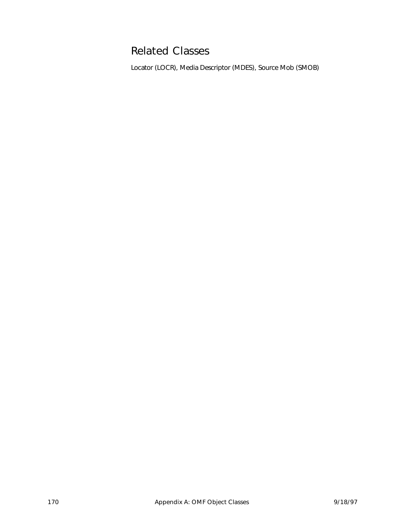# Related Classes

Locator (LOCR), Media Descriptor (MDES), Source Mob (SMOB)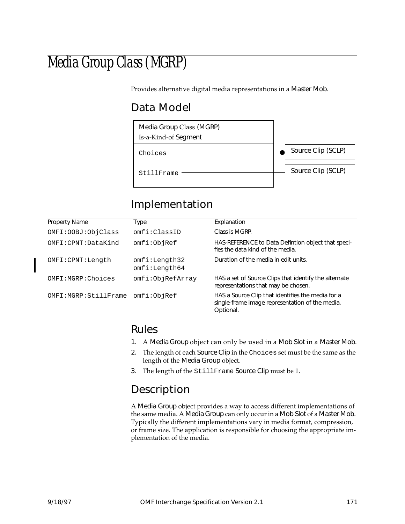# Media Group Class (MGRP)

Provides alternative digital media representations in a Master Mob.

# Data Model



# Implementation

| <b>Property Name</b>   | Type                           | Explanation                                                                                                       |
|------------------------|--------------------------------|-------------------------------------------------------------------------------------------------------------------|
| OMFI: OOBJ: ObjClass   | omfi:ClassID                   | Class is MGRP.                                                                                                    |
| OMFI: CPNT: DataKind   | omfi:ObjRef                    | HAS-REFERENCE to Data Defintion object that speci-<br>fies the data kind of the media.                            |
| OMFI: CPNT: Length     | omfi:Length32<br>omfi:Length64 | Duration of the media in edit units.                                                                              |
| OMFI:MGRP:Choices      | omfi:ObjRefArray               | HAS a set of Source Clips that identify the alternate<br>representations that may be chosen.                      |
| OMFI: MGRP: StillFrame | omfi:ObjRef                    | HAS a Source Clip that identifies the media for a<br>single-frame image representation of the media.<br>Optional. |

### Rules

- 1. A Media Group object can only be used in a Mob Slot in a Master Mob.
- 2. The length of each Source Clip in the Choices set must be the same as the length of the Media Group object.
- 3. The length of the StillFrame Source Clip must be 1.

# Description

A Media Group object provides a way to access different implementations of the same media. A Media Group can only occur in a Mob Slot of a Master Mob. Typically the different implementations vary in media format, compression, or frame size. The application is responsible for choosing the appropriate implementation of the media.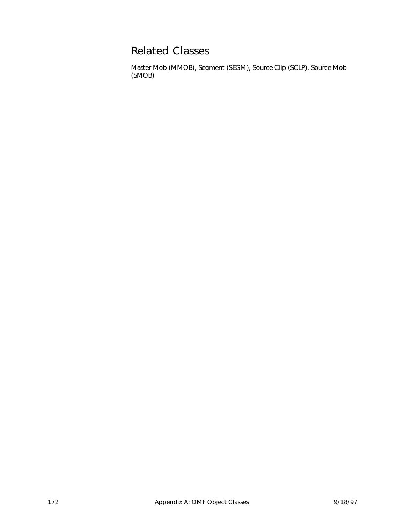## Related Classes

Master Mob (MMOB), Segment (SEGM), Source Clip (SCLP), Source Mob (SMOB)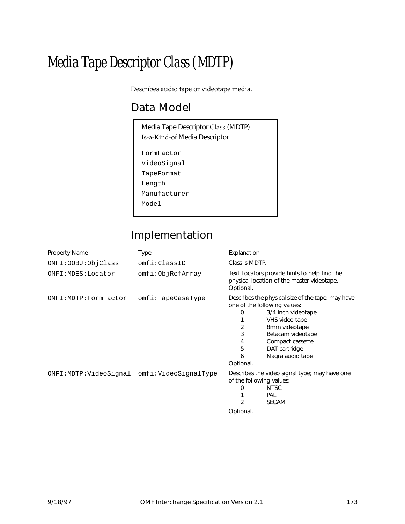# Media Tape Descriptor Class (MDTP)

Describes audio tape or videotape media.

# Data Model

| Media Tape Descriptor Class (MDTP)<br>Is-a-Kind-of Media Descriptor |  |  |
|---------------------------------------------------------------------|--|--|
| FormFactor<br>VideoSignal                                           |  |  |
| TapeFormat                                                          |  |  |
| Length                                                              |  |  |
| Manufacturer                                                        |  |  |
| Model                                                               |  |  |
|                                                                     |  |  |

# Implementation

| <b>Property Name</b>   | Type                 | Explanation                                                                                                                                                                                                                                                         |  |
|------------------------|----------------------|---------------------------------------------------------------------------------------------------------------------------------------------------------------------------------------------------------------------------------------------------------------------|--|
| OMFI: OOBJ: ObjClass   | omfi:ClassID         | Class is MDTP.                                                                                                                                                                                                                                                      |  |
| OMFI: MDES: Locator    | omfi:ObjRefArray     | Text Locators provide hints to help find the<br>physical location of the master videotape.<br>Optional.                                                                                                                                                             |  |
| OMFI: MDTP: FormFactor | omfi:TapeCaseType    | Describes the physical size of the tape; may have<br>one of the following values:<br>3/4 inch videotape<br>0<br>VHS video tape<br>2<br>8mm videotape<br>3<br>Betacam videotape<br>Compact cassette<br>4<br>5<br>DAT cartridge<br>Nagra audio tape<br>6<br>Optional. |  |
| OMFI:MDTP:VideoSignal  | omfi:VideoSignalType | Describes the video signal type; may have one<br>of the following values:<br><b>NTSC</b><br>0<br>PAL<br>2<br><b>SECAM</b><br>Optional.                                                                                                                              |  |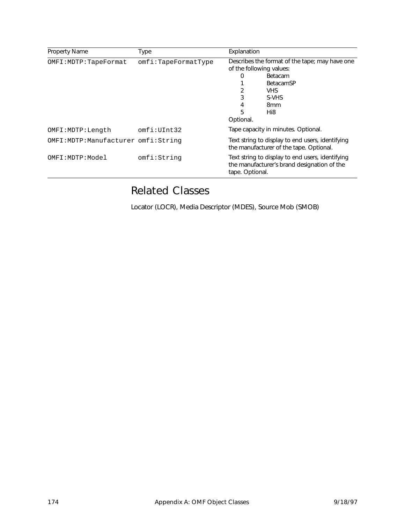| <b>Property Name</b>                  | Type                | Explanation                                               |                                                                                                                                 |
|---------------------------------------|---------------------|-----------------------------------------------------------|---------------------------------------------------------------------------------------------------------------------------------|
| OMFI: MDTP: TapeFormat                | omfi:TapeFormatType | of the following values:<br>0<br>3<br>4<br>5<br>Optional. | Describes the format of the tape; may have one<br><b>Betacam</b><br><b>BetacamSP</b><br>VHS.<br>S-VHS<br>8 <sub>mm</sub><br>Hi8 |
| OMFI:MDTP:Length                      | omfi:UInt.32        |                                                           | Tape capacity in minutes. Optional.                                                                                             |
| OMFI: MDTP: Manufacturer omfi: String |                     |                                                           | Text string to display to end users, identifying<br>the manufacturer of the tape. Optional.                                     |
| OMFI:MDTP:Model                       | omfi:String         | tape. Optional.                                           | Text string to display to end users, identifying<br>the manufacturer's brand designation of the                                 |

# Related Classes

Locator (LOCR), Media Descriptor (MDES), Source Mob (SMOB)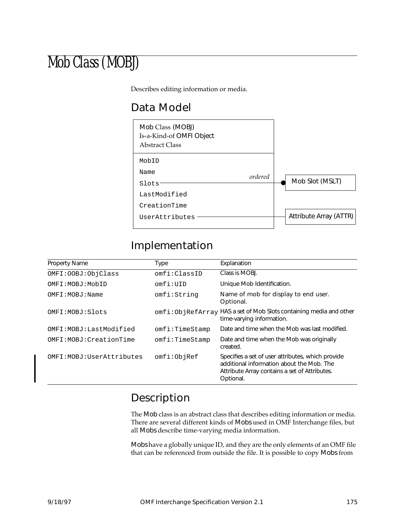# Mob Class (MOBJ)

Describes editing information or media.

### Data Model



#### Implementation

| <b>Property Name</b>       | Type           | Explanation                                                                                                                                                  |
|----------------------------|----------------|--------------------------------------------------------------------------------------------------------------------------------------------------------------|
| OMFI: OOBJ: ObjClass       | omfi:ClassID   | Class is MOBJ.                                                                                                                                               |
| OMFI:MOBJ:MobID            | omfi:UID       | Unique Mob Identification.                                                                                                                                   |
| OMFI: MOBJ: Name           | omfi:String    | Name of mob for display to end user.<br>Optional.                                                                                                            |
| OMFI:MOBJ:Slots            |                | omfi:ObjRefArray HAS a set of Mob Slots containing media and other<br>time-varying information.                                                              |
| OMFI: MOBJ: Last Modified  | omfi:TimeStamp | Date and time when the Mob was last modified.                                                                                                                |
| OMFI: MOBJ: CreationTime   | omfi:TimeStamp | Date and time when the Mob was originally<br>created.                                                                                                        |
| OMFI: MOBJ: UserAttributes | omfi:ObjRef    | Specifies a set of user attributes, which provide<br>additional information about the Mob. The<br>Attribute Array contains a set of Attributes.<br>Optional. |

# Description

The Mob class is an abstract class that describes editing information or media. There are several different kinds of Mobs used in OMF Interchange files, but all Mobs describe time-varying media information.

Mobs have a globally unique ID, and they are the only elements of an OMF file that can be referenced from outside the file. It is possible to copy Mobs from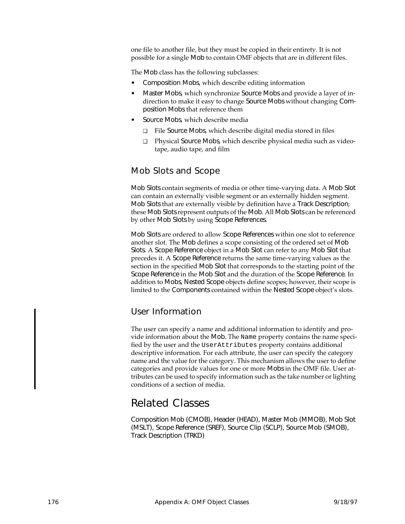one file to another file, but they must be copied in their entirety. It is not possible for a single Mob to contain OMF objects that are in different files.

The Mob class has the following subclasses:

- Composition Mobs, which describe editing information
- Master Mobs, which synchronize Source Mobs and provide a layer of indirection to make it easy to change Source Mobs without changing Composition Mobs that reference them
- Source Mobs, which describe media
	- ❑ File Source Mobs, which describe digital media stored in files
	- ❑ Physical Source Mobs, which describe physical media such as videotape, audio tape, and film

#### Mob Slots and Scope

Mob Slots contain segments of media or other time-varying data. A Mob Slot can contain an externally visible segment or an externally hidden segment. Mob Slots that are externally visible by definition have a Track Description; these Mob Slots represent outputs of the Mob. All Mob Slots can be referenced by other Mob Slots by using Scope References.

Mob Slots are ordered to allow Scope References within one slot to reference another slot. The Mob defines a scope consisting of the ordered set of Mob Slots. A Scope Reference object in a Mob Slot can refer to any Mob Slot that precedes it. A Scope Reference returns the same time-varying values as the section in the specified Mob Slot that corresponds to the starting point of the Scope Reference in the Mob Slot and the duration of the Scope Reference. In addition to Mobs, Nested Scope objects define scopes; however, their scope is limited to the Components contained within the Nested Scope object's slots.

#### User Information

The user can specify a name and additional information to identify and provide information about the Mob. The Name property contains the name specified by the user and the UserAttributes property contains additional descriptive information. For each attribute, the user can specify the category name and the value for the category. This mechanism allows the user to define categories and provide values for one or more Mobs in the OMF file. User attributes can be used to specify information such as the take number or lighting conditions of a section of media.

#### Related Classes

Composition Mob (CMOB), Header (HEAD), Master Mob (MMOB), Mob Slot (MSLT), Scope Reference (SREF), Source Clip (SCLP), Source Mob (SMOB), Track Description (TRKD)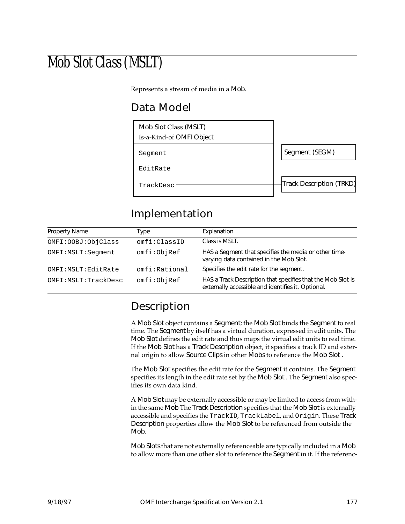# Mob Slot Class (MSLT)

Represents a stream of media in a Mob.

# Data Model



# Implementation

| <b>Property Name</b>  | Type          | Explanation                                                                                                       |
|-----------------------|---------------|-------------------------------------------------------------------------------------------------------------------|
| OMFI: OOBJ: ObjClass  | omfi:ClassID  | Class is MSLT.                                                                                                    |
| OMFI: MSLT: Seqment   | omfi:ObjRef   | HAS a Segment that specifies the media or other time-<br>varying data contained in the Mob Slot.                  |
| OMFI: MSLT: EditRate  | omfi:Rational | Specifies the edit rate for the segment.                                                                          |
| OMFI: MSLT: TrackDesc | omfi:ObjRef   | HAS a Track Description that specifies that the Mob Slot is<br>externally accessible and identifies it. Optional. |

# Description

A Mob Slot object contains a Segment; the Mob Slot binds the Segment to real time. The Segment by itself has a virtual duration, expressed in edit units. The Mob Slot defines the edit rate and thus maps the virtual edit units to real time. If the Mob Slot has a Track Description object, it specifies a track ID and external origin to allow Source Clips in other Mobs to reference the Mob Slot .

The Mob Slot specifies the edit rate for the Segment it contains. The Segment specifies its length in the edit rate set by the Mob Slot . The Segment also specifies its own data kind.

A Mob Slot may be externally accessible or may be limited to access from within the same Mob The Track Description specifies that the Mob Slot is externally accessible and specifies the TrackID, TrackLabel, and Origin. These Track Description properties allow the Mob Slot to be referenced from outside the Mob.

Mob Slots that are not externally referenceable are typically included in a Mob to allow more than one other slot to reference the Segment in it. If the referenc-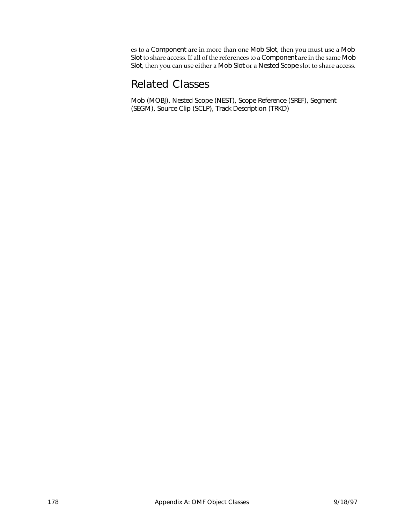es to a Component are in more than one Mob Slot, then you must use a Mob Slot to share access. If all of the references to a Component are in the same Mob Slot, then you can use either a Mob Slot or a Nested Scope slot to share access.

### Related Classes

Mob (MOBJ), Nested Scope (NEST), Scope Reference (SREF), Segment (SEGM), Source Clip (SCLP), Track Description (TRKD)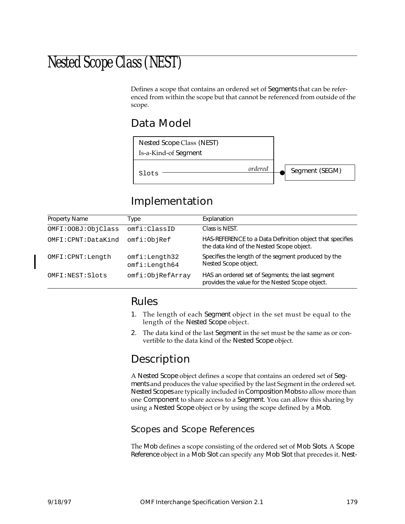# Nested Scope Class (NEST)

Defines a scope that contains an ordered set of Segments that can be referenced from within the scope but that cannot be referenced from outside of the scope.

### Data Model



# Implementation

| Property Name        | Type                           | Explanation                                                                                           |
|----------------------|--------------------------------|-------------------------------------------------------------------------------------------------------|
| OMFI: OOBJ: ObjClass | omfi:ClassID                   | Class is NEST.                                                                                        |
| OMFI:CPNT:DataKind   | omfi:ObjRef                    | HAS-REFERENCE to a Data Definition object that specifies<br>the data kind of the Nested Scope object. |
| OMFI: CPNT: Length   | omfi:Length32<br>omfi:Length64 | Specifies the length of the segment produced by the<br>Nested Scope object.                           |
| OMFI:NEST:Slots      | omfi:ObjRefArray               | HAS an ordered set of Segments; the last segment<br>provides the value for the Nested Scope object.   |

### Rules

- 1. The length of each Segment object in the set must be equal to the length of the Nested Scope object.
- 2. The data kind of the last Segment in the set must be the same as or convertible to the data kind of the Nested Scope object.

### Description

A Nested Scope object defines a scope that contains an ordered set of Segments and produces the value specified by the last Segment in the ordered set. Nested Scopes are typically included in Composition Mobs to allow more than one Component to share access to a Segment. You can allow this sharing by using a Nested Scope object or by using the scope defined by a Mob.

#### Scopes and Scope References

The Mob defines a scope consisting of the ordered set of Mob Slots. A Scope Reference object in a Mob Slot can specify any Mob Slot that precedes it. Nest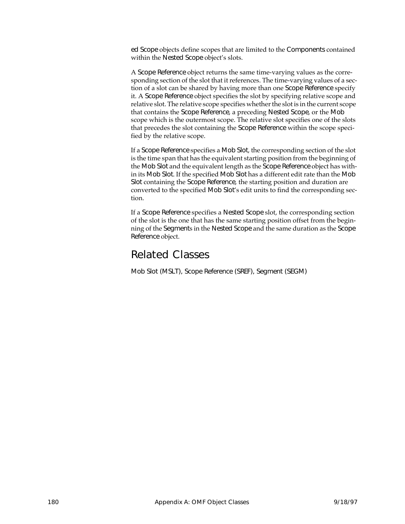ed Scope objects define scopes that are limited to the Components contained within the Nested Scope object's slots.

A Scope Reference object returns the same time-varying values as the corresponding section of the slot that it references. The time-varying values of a section of a slot can be shared by having more than one Scope Reference specify it. A Scope Reference object specifies the slot by specifying relative scope and relative slot. The relative scope specifies whether the slot is in the current scope that contains the Scope Reference, a preceding Nested Scope, or the Mob scope which is the outermost scope. The relative slot specifies one of the slots that precedes the slot containing the Scope Reference within the scope specified by the relative scope.

If a Scope Reference specifies a Mob Slot, the corresponding section of the slot is the time span that has the equivalent starting position from the beginning of the Mob Slot and the equivalent length as the Scope Reference object has within its Mob Slot. If the specified Mob Slot has a different edit rate than the Mob Slot containing the Scope Reference, the starting position and duration are converted to the specified Mob Slot's edit units to find the corresponding section.

If a Scope Reference specifies a Nested Scope slot, the corresponding section of the slot is the one that has the same starting position offset from the beginning of the Segments in the Nested Scope and the same duration as the Scope Reference object.

### Related Classes

Mob Slot (MSLT), Scope Reference (SREF), Segment (SEGM)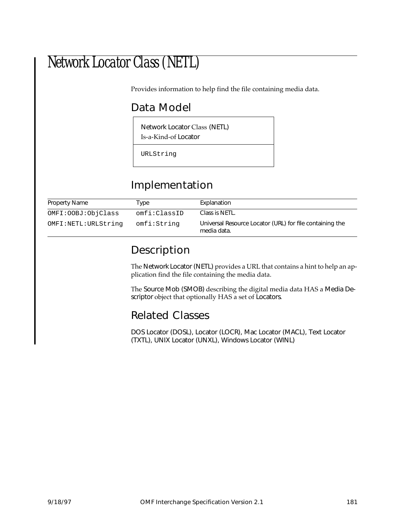# Network Locator Class (NETL)

Provides information to help find the file containing media data.

# Data Model

Network Locator Class (NETL) Is-a-Kind-of Locator

URLString

# Implementation

| Property Name       | Type         | Explanation                                                             |
|---------------------|--------------|-------------------------------------------------------------------------|
| OMFI:OOBJ:ObjClass  | omfi:ClassID | Class is NETL.                                                          |
| OMFI:NETL:URLString | omfi:String  | Universal Resource Locator (URL) for file containing the<br>media data. |

# Description

The Network Locator (NETL) provides a URL that contains a hint to help an application find the file containing the media data.

The Source Mob (SMOB) describing the digital media data HAS a Media Descriptor object that optionally HAS a set of Locators.

### Related Classes

DOS Locator (DOSL), Locator (LOCR), Mac Locator (MACL), Text Locator (TXTL), UNIX Locator (UNXL), Windows Locator (WINL)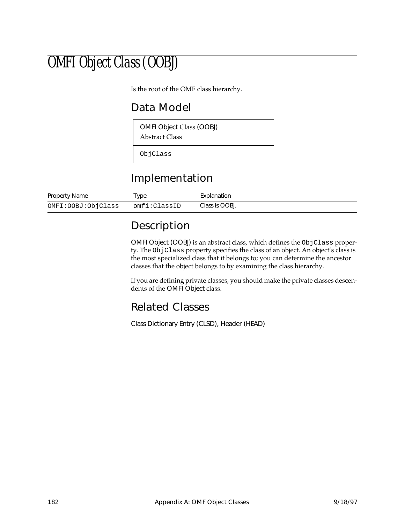# OMFI Object Class (OOBJ)

Is the root of the OMF class hierarchy.

# Data Model

OMFI Object Class (OOBJ)

Abstract Class

ObjClass

# Implementation

| Property Name      | Туре         | Explanation    |
|--------------------|--------------|----------------|
| OMFI:OOBJ:ObjClass | omfi:ClassID | Class is OOBJ. |

# Description

OMFI Object (OOBJ) is an abstract class, which defines the ObjClass property. The ObjClass property specifies the class of an object. An object's class is the most specialized class that it belongs to; you can determine the ancestor classes that the object belongs to by examining the class hierarchy.

If you are defining private classes, you should make the private classes descendents of the OMFI Object class.

### Related Classes

Class Dictionary Entry (CLSD), Header (HEAD)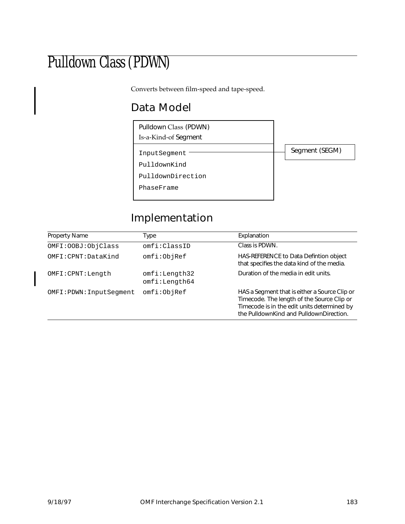# Pulldown Class (PDWN)

Converts between film-speed and tape-speed.

# Data Model



# Implementation

| Property Name            | Type                           | Explanation                                                                                                                                                                           |
|--------------------------|--------------------------------|---------------------------------------------------------------------------------------------------------------------------------------------------------------------------------------|
| OMFI: OOBJ: ObjClass     | omfi:ClassID                   | Class is PDWN.                                                                                                                                                                        |
| OMFI: CPNT: DataKind     | omfi:ObjRef                    | HAS-REFERENCE to Data Defintion object<br>that specifies the data kind of the media.                                                                                                  |
| OMFI: CPNT: Length       | omfi:Length32<br>omfi:Length64 | Duration of the media in edit units.                                                                                                                                                  |
| OMFI: PDWN: InputSegment | omfi:ObjRef                    | HAS a Segment that is either a Source Clip or<br>Timecode. The length of the Source Clip or<br>Timecode is in the edit units determined by<br>the PulldownKind and PulldownDirection. |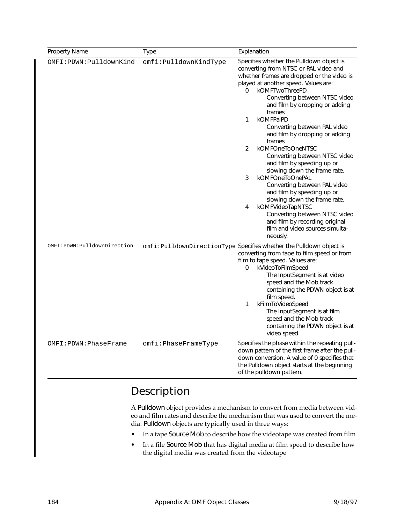| Property Name                 | <b>Type</b>           | Explanation                                                                                                                                                                                                                                                                                                                                                                                                                                                                                                                                                                                                                                                                                                                                                                   |
|-------------------------------|-----------------------|-------------------------------------------------------------------------------------------------------------------------------------------------------------------------------------------------------------------------------------------------------------------------------------------------------------------------------------------------------------------------------------------------------------------------------------------------------------------------------------------------------------------------------------------------------------------------------------------------------------------------------------------------------------------------------------------------------------------------------------------------------------------------------|
| OMFI: PDWN: PulldownKind      | omfi:PulldownKindType | Specifies whether the Pulldown object is<br>converting from NTSC or PAL video and<br>whether frames are dropped or the video is<br>played at another speed. Values are:<br>0<br>kOMFTwoThreePD<br>Converting between NTSC video<br>and film by dropping or adding<br>frames<br>kOMFPalPD<br>$\mathbf{1}$<br>Converting between PAL video<br>and film by dropping or adding<br>frames<br>2<br>kOMFOneToOneNTSC<br>Converting between NTSC video<br>and film by speeding up or<br>slowing down the frame rate.<br>3<br>kOMFOneToOnePAL<br>Converting between PAL video<br>and film by speeding up or<br>slowing down the frame rate.<br>kOMFVideoTapNTSC<br>4<br>Converting between NTSC video<br>and film by recording original<br>film and video sources simulta-<br>neously. |
| OMFI: PDWN: PulldownDirection |                       | omfi: PulldownDirectionType Specifies whether the Pulldown object is<br>converting from tape to film speed or from<br>film to tape speed. Values are:<br>kVideoToFilmSpeed<br>0<br>The InputSegment is at video<br>speed and the Mob track<br>containing the PDWN object is at<br>film speed.<br>kFilmToVideoSpeed<br>1<br>The InputSegment is at film<br>speed and the Mob track<br>containing the PDWN object is at<br>video speed.                                                                                                                                                                                                                                                                                                                                         |
| OMFI:PDWN:PhaseFrame          | omfi:PhaseFrameType   | Specifies the phase within the repeating pull-<br>down pattern of the first frame after the pull-<br>down conversion. A value of 0 specifies that<br>the Pulldown object starts at the beginning<br>of the pulldown pattern.                                                                                                                                                                                                                                                                                                                                                                                                                                                                                                                                                  |

# Description

A Pulldown object provides a mechanism to convert from media between video and film rates and describe the mechanism that was used to convert the media. Pulldown objects are typically used in three ways:

- In a tape Source Mob to describe how the videotape was created from film
- In a file Source Mob that has digital media at film speed to describe how the digital media was created from the videotape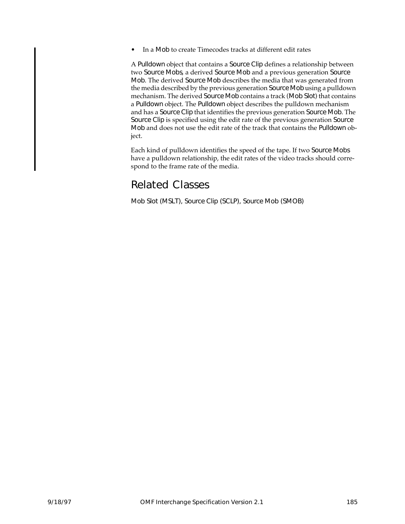• In a Mob to create Timecodes tracks at different edit rates

A Pulldown object that contains a Source Clip defines a relationship between two Source Mobs, a derived Source Mob and a previous generation Source Mob. The derived Source Mob describes the media that was generated from the media described by the previous generation Source Mob using a pulldown mechanism. The derived Source Mob contains a track (Mob Slot) that contains a Pulldown object. The Pulldown object describes the pulldown mechanism and has a Source Clip that identifies the previous generation Source Mob. The Source Clip is specified using the edit rate of the previous generation Source Mob and does not use the edit rate of the track that contains the Pulldown object.

Each kind of pulldown identifies the speed of the tape. If two Source Mobs have a pulldown relationship, the edit rates of the video tracks should correspond to the frame rate of the media.

## Related Classes

Mob Slot (MSLT), Source Clip (SCLP), Source Mob (SMOB)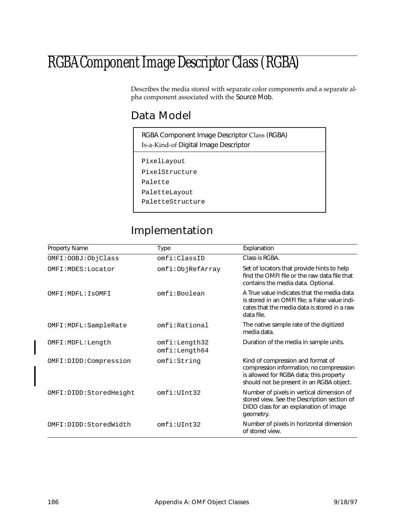# RGBA Component Image Descriptor Class (RGBA)

Describes the media stored with separate color components and a separate alpha component associated with the Source Mob.

## Data Model

| RGBA Component Image Descriptor Class (RGBA)<br>Is-a-Kind-of Digital Image Descriptor |  |
|---------------------------------------------------------------------------------------|--|
| PixelLayout                                                                           |  |
| PixelStructure                                                                        |  |
| Palette                                                                               |  |
| PaletteLayout                                                                         |  |
| PaletteStructure                                                                      |  |
|                                                                                       |  |

# Implementation

| <b>Property Name</b>   | Type                           | Explanation                                                                                                                                                          |
|------------------------|--------------------------------|----------------------------------------------------------------------------------------------------------------------------------------------------------------------|
| OMFI: OOBJ: ObjClass   | omfi:ClassID                   | Class is RGBA.                                                                                                                                                       |
| OMFI: MDES: Locator    | omfi:ObjRefArray               | Set of locators that provide hints to help<br>find the OMEI file or the raw data file that<br>contains the media data. Optional.                                     |
| OMFI: MDFL: ISOMFI     | omfi:Boolean                   | A True value indicates that the media data<br>is stored in an OMFI file; a False value indi-<br>cates that the media data is stored in a raw<br>data file.           |
| OMFI: MDFL: SampleRate | omfi:Rational                  | The native sample rate of the digitized<br>media data.                                                                                                               |
| OMFI: MDFL: Length     | omfi:Length32<br>omfi:Length64 | Duration of the media in sample units.                                                                                                                               |
| OMFI:DIDD:Compression  | omfi:String                    | Kind of compression and format of<br>compression information; no compresssion<br>is allowed for RGBA data; this property<br>should not be present in an RGBA object. |
| OMFI:DIDD:StoredHeight | omfi:UInt32                    | Number of pixels in vertical dimension of<br>stored view. See the Description section of<br>DIDD class for an explanation of image<br>geometry.                      |
| OMFI:DIDD:StoredWidth  | omfi:UInt32                    | Number of pixels in horizontal dimension<br>of stored view.                                                                                                          |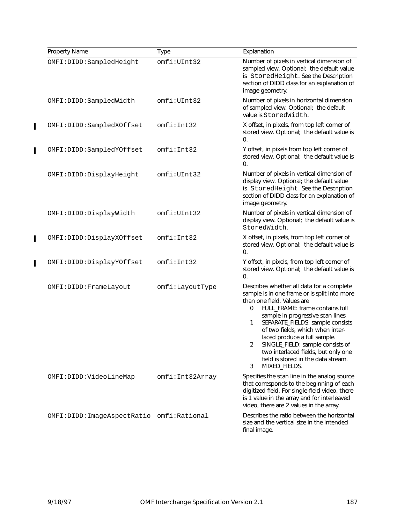| Property Name                            | Type            | Explanation                                                                                                                                                                                                                                                                                                                                                                                                                                                    |
|------------------------------------------|-----------------|----------------------------------------------------------------------------------------------------------------------------------------------------------------------------------------------------------------------------------------------------------------------------------------------------------------------------------------------------------------------------------------------------------------------------------------------------------------|
| OMFI:DIDD:SampledHeight                  | omfi:UInt32     | Number of pixels in vertical dimension of<br>sampled view. Optional; the default value<br>is StoredHeight. See the Description<br>section of DIDD class for an explanation of<br>image geometry.                                                                                                                                                                                                                                                               |
| OMFI:DIDD:SampledWidth                   | omfi:UInt32     | Number of pixels in horizontal dimension<br>of sampled view. Optional; the default<br>value is StoredWidth.                                                                                                                                                                                                                                                                                                                                                    |
| OMFI:DIDD:SampledXOffset                 | omfi:Int32      | X offset, in pixels, from top left corner of<br>stored view. Optional; the default value is<br>0.                                                                                                                                                                                                                                                                                                                                                              |
| OMFI:DIDD:SampledYOffset                 | omfi:Int32      | Y offset, in pixels from top left corner of<br>stored view. Optional; the default value is<br>0.                                                                                                                                                                                                                                                                                                                                                               |
| OMFI:DIDD:DisplayHeight                  | omfi:UInt32     | Number of pixels in vertical dimension of<br>display view. Optional; the default value<br>is StoredHeight. See the Description<br>section of DIDD class for an explanation of<br>image geometry.                                                                                                                                                                                                                                                               |
| OMFI:DIDD:DisplayWidth                   | omfi:UInt32     | Number of pixels in vertical dimension of<br>display view. Optional; the default value is<br>StoredWidth.                                                                                                                                                                                                                                                                                                                                                      |
| OMFI:DIDD:DisplayXOffset                 | omfi:Int32      | X offset, in pixels, from top left corner of<br>stored view. Optional; the default value is<br>0.                                                                                                                                                                                                                                                                                                                                                              |
| OMFI:DIDD:DisplayYOffset                 | omfi:Int32      | Y offset, in pixels, from top left corner of<br>stored view. Optional; the default value is<br>0.                                                                                                                                                                                                                                                                                                                                                              |
| OMFI: DIDD: FrameLayout                  | omfi:LayoutType | Describes whether all data for a complete<br>sample is in one frame or is split into more<br>than one field. Values are<br>FULL_FRAME: frame contains full<br>0<br>sample in progressive scan lines.<br>1<br>SEPARATE_FIELDS: sample consists<br>of two fields, which when inter-<br>laced produce a full sample.<br>2<br>SINGLE_FIELD: sample consists of<br>two interlaced fields, but only one<br>field is stored in the data stream.<br>3<br>MIXED_FIELDS. |
| OMFI:DIDD:VideoLineMap                   | omfi:Int32Array | Specifies the scan line in the analog source<br>that corresponds to the beginning of each<br>digitized field. For single-field video, there<br>is 1 value in the array and for interleaved<br>video, there are 2 values in the array.                                                                                                                                                                                                                          |
| OMFI:DIDD:ImageAspectRatio omfi:Rational |                 | Describes the ratio between the horizontal<br>size and the vertical size in the intended<br>final image.                                                                                                                                                                                                                                                                                                                                                       |

 $\mathbf{I}$ 

 $\overline{1}$ 

 $\overline{\mathbf{I}}$ 

 $\mathbf I$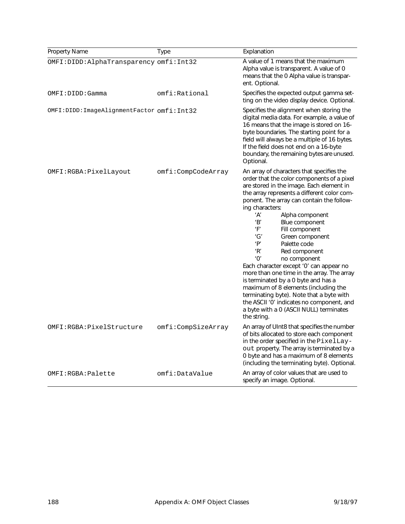| Property Name                             | <b>Type</b>        | Explanation                                                                                                                                                                                                                                                                                                                                                                                                                                                                                                                                                                                                                                                                                                                                               |
|-------------------------------------------|--------------------|-----------------------------------------------------------------------------------------------------------------------------------------------------------------------------------------------------------------------------------------------------------------------------------------------------------------------------------------------------------------------------------------------------------------------------------------------------------------------------------------------------------------------------------------------------------------------------------------------------------------------------------------------------------------------------------------------------------------------------------------------------------|
| OMFI:DIDD:AlphaTransparency omfi:Int32    |                    | A value of 1 means that the maximum<br>Alpha value is transparent. A value of 0<br>means that the 0 Alpha value is transpar-<br>ent. Optional.                                                                                                                                                                                                                                                                                                                                                                                                                                                                                                                                                                                                            |
| OMFI: DIDD: Gamma                         | omfi:Rational      | Specifies the expected output gamma set-<br>ting on the video display device. Optional.                                                                                                                                                                                                                                                                                                                                                                                                                                                                                                                                                                                                                                                                   |
| OMFI:DIDD:ImageAlignmentFactor omfi:Int32 |                    | Specifies the alignment when storing the<br>digital media data. For example, a value of<br>16 means that the image is stored on 16-<br>byte boundaries. The starting point for a<br>field will always be a multiple of 16 bytes.<br>If the field does not end on a 16-byte<br>boundary, the remaining bytes are unused.<br>Optional.                                                                                                                                                                                                                                                                                                                                                                                                                      |
| OMFI:RGBA:PixelLayout                     | omfi:CompCodeArray | An array of characters that specifies the<br>order that the color components of a pixel<br>are stored in the image. Each element in<br>the array represents a different color com-<br>ponent. The array can contain the follow-<br>ing characters:<br>'A'<br>Alpha component<br>'B'<br>Blue component<br>'F'<br>Fill component<br>'G'<br>Green component<br>'P'<br>Palette code<br>'R'<br>Red component<br>'0'<br>no component<br>Each character except '0' can appear no<br>more than one time in the array. The array<br>is terminated by a 0 byte and has a<br>maximum of 8 elements (including the<br>terminating byte). Note that a byte with<br>the ASCII '0' indicates no component, and<br>a byte with a 0 (ASCII NULL) terminates<br>the string. |
| OMFI:RGBA:PixelStructure                  | omfi:CompSizeArray | An array of UInt8 that specifies the number<br>of bits allocated to store each component<br>in the order specified in the PixelLay-<br>out property. The array is terminated by a<br>0 byte and has a maximum of 8 elements<br>(including the terminating byte). Optional.                                                                                                                                                                                                                                                                                                                                                                                                                                                                                |
| OMFI:RGBA:Palette                         | omfi:DataValue     | An array of color values that are used to<br>specify an image. Optional.                                                                                                                                                                                                                                                                                                                                                                                                                                                                                                                                                                                                                                                                                  |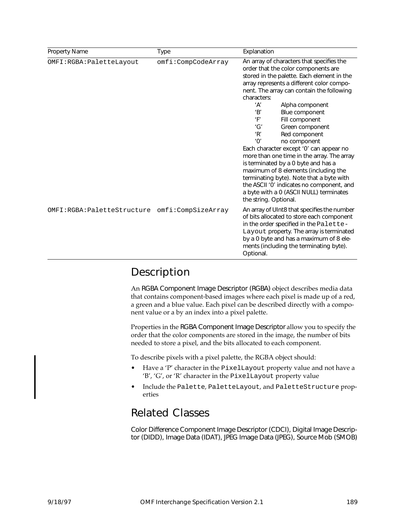| Property Name              | Type               | Explanation                                                                                                                                                                                                                                                                                                                                                                                                                                                                                                                                                                                                                                                                                                                       |
|----------------------------|--------------------|-----------------------------------------------------------------------------------------------------------------------------------------------------------------------------------------------------------------------------------------------------------------------------------------------------------------------------------------------------------------------------------------------------------------------------------------------------------------------------------------------------------------------------------------------------------------------------------------------------------------------------------------------------------------------------------------------------------------------------------|
| OMFI:RGBA: PaletteLayout   | omfi:CompCodeArray | An array of characters that specifies the<br>order that the color components are<br>stored in the palette. Each element in the<br>array represents a different color compo-<br>nent. The array can contain the following<br>characters:<br>Alpha component<br>ʻA'<br>'B'<br>Blue component<br>Fill component<br>'F'<br>'G'<br>Green component<br>'R'<br>Red component<br>'0'<br>no component<br>Each character except '0' can appear no<br>more than one time in the array. The array<br>is terminated by a 0 byte and has a<br>maximum of 8 elements (including the<br>terminating byte). Note that a byte with<br>the ASCII '0' indicates no component, and<br>a byte with a 0 (ASCII NULL) terminates<br>the string. Optional. |
| OMFI:RGBA:PaletteStructure | omfi:CompSizeArray | An array of UInt8 that specifies the number<br>of bits allocated to store each component<br>in the order specified in the Palette-<br>Layout property. The array is terminated<br>by a 0 byte and has a maximum of 8 ele-<br>ments (including the terminating byte).<br>Optional.                                                                                                                                                                                                                                                                                                                                                                                                                                                 |

### Description

An RGBA Component Image Descriptor (RGBA) object describes media data that contains component-based images where each pixel is made up of a red, a green and a blue value. Each pixel can be described directly with a component value or a by an index into a pixel palette.

Properties in the RGBA Component Image Descriptor allow you to specify the order that the color components are stored in the image, the number of bits needed to store a pixel, and the bits allocated to each component.

To describe pixels with a pixel palette, the RGBA object should:

- Have a 'P' character in the PixelLayout property value and not have a 'B', 'G', or 'R' character in the PixelLayout property value
- Include the Palette, PaletteLayout, and PaletteStructure properties

## Related Classes

Color Difference Component Image Descriptor (CDCI), Digital Image Descriptor (DIDD), Image Data (IDAT), JPEG Image Data (JPEG), Source Mob (SMOB)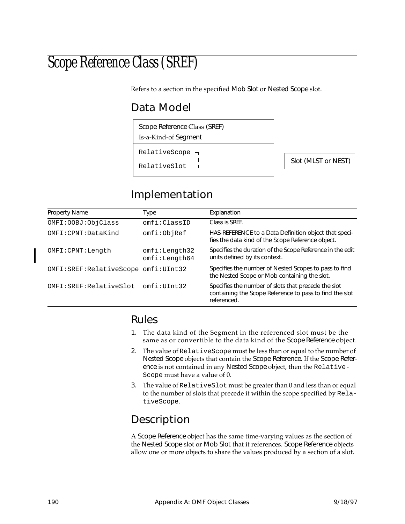# Scope Reference Class (SREF)

Refers to a section in the specified Mob Slot or Nested Scope slot.

# Data Model



# Implementation

| Property Name                          | Type                           | Explanation                                                                                                                   |
|----------------------------------------|--------------------------------|-------------------------------------------------------------------------------------------------------------------------------|
| OMFI: OOBJ: ObjClass                   | omfi:ClassID                   | Class is SREF.                                                                                                                |
| OMFI: CPNT: DataKind                   | omfi:ObjRef                    | HAS-REFERENCE to a Data Definition object that speci-<br>fies the data kind of the Scope Reference object.                    |
| OMFI: CPNT: Length                     | omfi:Length32<br>omfi:Length64 | Specifies the duration of the Scope Reference in the edit<br>units defined by its context.                                    |
| OMFI: SREF: RelativeScope omfi: UInt32 |                                | Specifies the number of Nested Scopes to pass to find<br>the Nested Scope or Mob containing the slot.                         |
| OMFI: SREF: RelativeSlot               | omfi:UInt32                    | Specifies the number of slots that precede the slot<br>containing the Scope Reference to pass to find the slot<br>referenced. |

## Rules

- 1. The data kind of the Segment in the referenced slot must be the same as or convertible to the data kind of the Scope Reference object.
- 2. The value of RelativeScope must be less than or equal to the number of Nested Scope objects that contain the Scope Reference. If the Scope Reference is not contained in any Nested Scope object, then the Relative-Scope must have a value of 0.
- 3. The value of RelativeSlot must be greater than 0 and less than or equal to the number of slots that precede it within the scope specified by RelativeScope.

# Description

A Scope Reference object has the same time-varying values as the section of the Nested Scope slot or Mob Slot that it references. Scope Reference objects allow one or more objects to share the values produced by a section of a slot.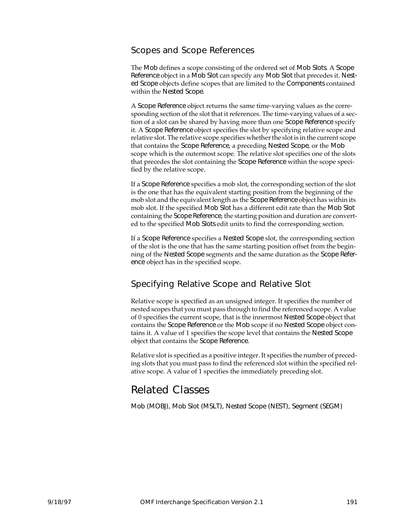#### Scopes and Scope References

The Mob defines a scope consisting of the ordered set of Mob Slots. A Scope Reference object in a Mob Slot can specify any Mob Slot that precedes it. Nested Scope objects define scopes that are limited to the Components contained within the Nested Scope.

A Scope Reference object returns the same time-varying values as the corresponding section of the slot that it references. The time-varying values of a section of a slot can be shared by having more than one Scope Reference specify it. A Scope Reference object specifies the slot by specifying relative scope and relative slot. The relative scope specifies whether the slot is in the current scope that contains the Scope Reference, a preceding Nested Scope, or the Mob scope which is the outermost scope. The relative slot specifies one of the slots that precedes the slot containing the Scope Reference within the scope specified by the relative scope.

If a Scope Reference specifies a mob slot, the corresponding section of the slot is the one that has the equivalent starting position from the beginning of the mob slot and the equivalent length as the Scope Reference object has within its mob slot. If the specified Mob Slot has a different edit rate than the Mob Slot containing the Scope Reference, the starting position and duration are converted to the specified Mob Slots edit units to find the corresponding section.

If a Scope Reference specifies a Nested Scope slot, the corresponding section of the slot is the one that has the same starting position offset from the beginning of the Nested Scope segments and the same duration as the Scope Reference object has in the specified scope.

#### Specifying Relative Scope and Relative Slot

Relative scope is specified as an unsigned integer. It specifies the number of nested scopes that you must pass through to find the referenced scope. A value of 0 specifies the current scope, that is the innermost Nested Scope object that contains the Scope Reference or the Mob scope if no Nested Scope object contains it. A value of 1 specifies the scope level that contains the Nested Scope object that contains the Scope Reference.

Relative slot is specified as a positive integer. It specifies the number of preceding slots that you must pass to find the referenced slot within the specified relative scope. A value of 1 specifies the immediately preceding slot.

# Related Classes

Mob (MOBJ), Mob Slot (MSLT), Nested Scope (NEST), Segment (SEGM)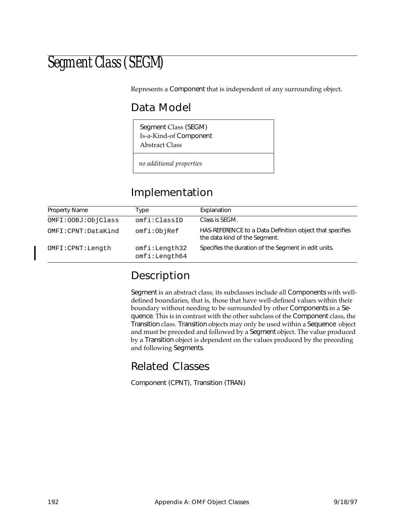# Segment Class (SEGM)

Represents a Component that is independent of any surrounding object.

# Data Model

Segment Class (SEGM) Is-a-Kind-of Component Abstract Class

*no additional properties*

# Implementation

| Property Name        | Type                           | Explanation                                                                               |
|----------------------|--------------------------------|-------------------------------------------------------------------------------------------|
| OMFI: OOBJ: ObjClass | omfi:ClassID                   | Class is SEGM.                                                                            |
| OMFI:CPNT:DataKind   | omfi:ObjRef                    | HAS-REFERENCE to a Data Definition object that specifies<br>the data kind of the Segment. |
| OMFI: CPNT: Length   | omfi:Length32<br>omfi:Length64 | Specifies the duration of the Segment in edit units.                                      |

# Description

Segment is an abstract class; its subclasses include all Components with welldefined boundaries, that is, those that have well-defined values within their boundary without needing to be surrounded by other Components in a Sequence. This is in contrast with the other subclass of the Component class, the Transition class. Transition objects may only be used within a Sequence object and must be preceded and followed by a Segment object. The value produced by a Transition object is dependent on the values produced by the preceding and following Segments.

# Related Classes

Component (CPNT), Transition (TRAN)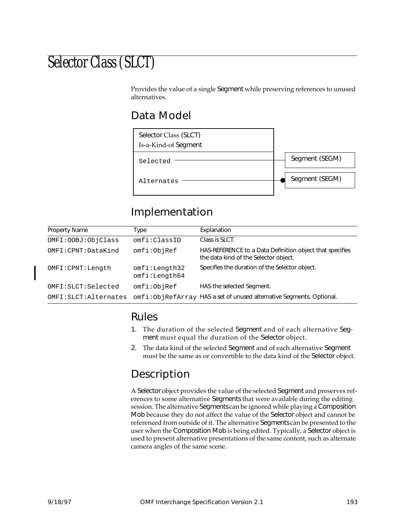# Selector Class (SLCT)

Provides the value of a single Segment while preserving references to unused alternatives.

## Data Model



# Implementation

| Property Name          | Type                           | Explanation                                                                                       |
|------------------------|--------------------------------|---------------------------------------------------------------------------------------------------|
| OMFI: OOBJ: ObjClass   | omfi:ClassID                   | Class is SLCT.                                                                                    |
| OMFI:CPNT:DataKind     | omfi:ObjRef                    | HAS-REFERENCE to a Data Definition object that specifies<br>the data kind of the Selector object. |
| OMFI: CPNT: Length     | omfi:Length32<br>omfi:Length64 | Specifies the duration of the Selector object.                                                    |
| OMFI:SLCT:Selected     | omfi:ObjRef                    | HAS the selected Segment.                                                                         |
| OMFI: SLCT: Alternates |                                | omfi:ObjRefArray HAS a set of unused alternative Segments. Optional.                              |

#### Rules

- 1. The duration of the selected Segment and of each alternative Segment must equal the duration of the Selector object.
- 2. The data kind of the selected Segment and of each alternative Segment must be the same as or convertible to the data kind of the Selector object.

# Description

A Selector object provides the value of the selected Segment and preserves references to some alternative Segments that were available during the editing session. The alternative Segments can be ignored while playing a Composition Mob because they do not affect the value of the Selector object and cannot be referenced from outside of it. The alternative Segments can be presented to the user when the Composition Mob is being edited. Typically, a Selector object is used to present alternative presentations of the same content, such as alternate camera angles of the same scene.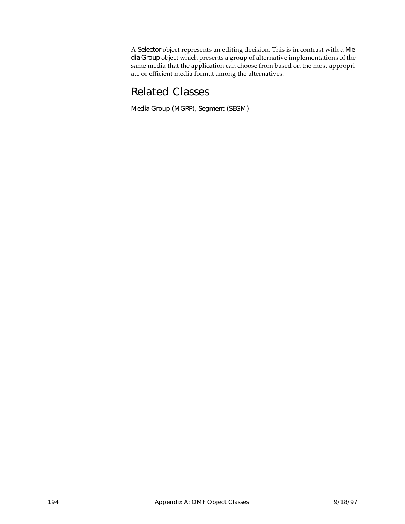A Selector object represents an editing decision. This is in contrast with a Media Group object which presents a group of alternative implementations of the same media that the application can choose from based on the most appropriate or efficient media format among the alternatives.

# Related Classes

Media Group (MGRP), Segment (SEGM)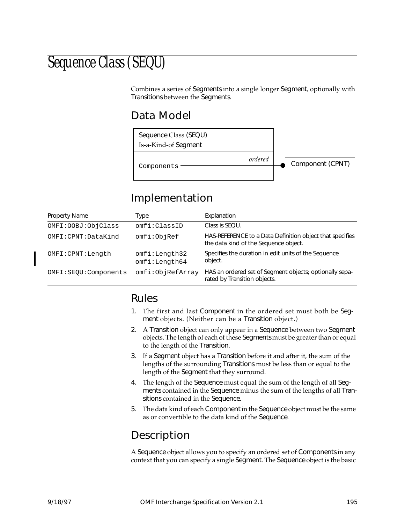# Sequence Class (SEQU)

Combines a series of Segments into a single longer Segment, optionally with Transitions between the Segments.

## Data Model



# Implementation

| <b>Property Name</b>   | Type                           | Explanation                                                                                       |
|------------------------|--------------------------------|---------------------------------------------------------------------------------------------------|
| OMFI: OOBJ: ObjClass   | omfi:ClassID                   | Class is SEOU.                                                                                    |
| OMFI: CPNT: DataKind   | omfi:ObjRef                    | HAS-REFERENCE to a Data Definition object that specifies<br>the data kind of the Sequence object. |
| OMFI: CPNT: Length     | omfi:Length32<br>omfi:Length64 | Specifies the duration in edit units of the Sequence<br>object.                                   |
| OMFI: SEQU: Components | omfi:ObjRefArray               | HAS an ordered set of Segment objects; optionally sepa-<br>rated by Transition objects.           |

#### Rules

- 1. The first and last Component in the ordered set must both be Segment objects. (Neither can be a Transition object.)
- 2. A Transition object can only appear in a Sequence between two Segment objects. The length of each of these Segments must be greater than or equal to the length of the Transition.
- 3. If a Segment object has a Transition before it and after it, the sum of the lengths of the surrounding Transitions must be less than or equal to the length of the Segment that they surround.
- 4. The length of the Sequence must equal the sum of the length of all Segments contained in the Sequence minus the sum of the lengths of all Transitions contained in the Sequence.
- 5. The data kind of each Component in the Sequence object must be the same as or convertible to the data kind of the Sequence.

# Description

A Sequence object allows you to specify an ordered set of Components in any context that you can specify a single Segment. The Sequence object is the basic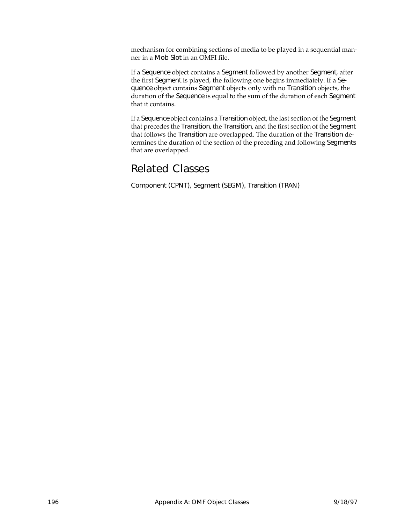mechanism for combining sections of media to be played in a sequential manner in a Mob Slot in an OMFI file.

If a Sequence object contains a Segment followed by another Segment, after the first Segment is played, the following one begins immediately. If a Sequence object contains Segment objects only with no Transition objects, the duration of the Sequence is equal to the sum of the duration of each Segment that it contains.

If a Sequence object contains a Transition object, the last section of the Segment that precedes the Transition, the Transition, and the first section of the Segment that follows the Transition are overlapped. The duration of the Transition determines the duration of the section of the preceding and following Segments that are overlapped.

## Related Classes

Component (CPNT), Segment (SEGM), Transition (TRAN)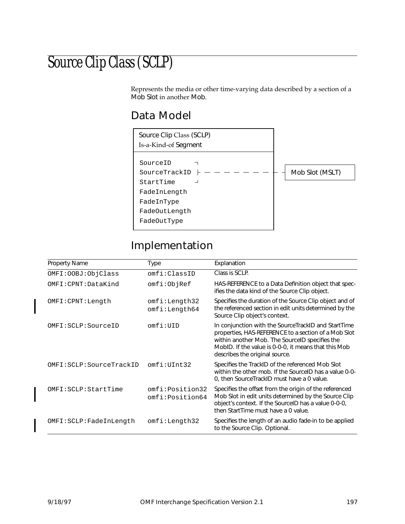# Source Clip Class (SCLP)

Represents the media or other time-varying data described by a section of a Mob Slot in another Mob.

## Data Model



# Implementation

| <b>Property Name</b>    | Type                               | Explanation                                                                                                                                                                                                                                             |
|-------------------------|------------------------------------|---------------------------------------------------------------------------------------------------------------------------------------------------------------------------------------------------------------------------------------------------------|
| OMFI: OOBJ: ObjClass    | omfi:ClassID                       | Class is SCLP.                                                                                                                                                                                                                                          |
| OMFI:CPNT:DataKind      | omfi:ObjRef                        | HAS-REFERENCE to a Data Definition object that spec-<br>ifies the data kind of the Source Clip object.                                                                                                                                                  |
| OMFI:CPNT:Length        | omfi:Length32<br>omfi:Length64     | Specifies the duration of the Source Clip object and of<br>the referenced section in edit units determined by the<br>Source Clip object's context.                                                                                                      |
| OMFI:SCLP:SourceID      | omfi:UID                           | In conjunction with the SourceTrackID and StartTime<br>properties, HAS-REFERENCE to a section of a Mob Slot<br>within another Mob. The SourcelD specifies the<br>MobID. If the value is 0-0-0, it means that this Mob<br>describes the original source. |
| OMFI:SCLP:SourceTrackID | omfi:UInt32                        | Specifies the TrackID of the referenced Mob Slot<br>within the other mob. If the SourceID has a value 0-0-<br>0, then Source TrackID must have a 0 value.                                                                                               |
| OMFI:SCLP:StartTime     | omfi:Position32<br>omfi:Position64 | Specifies the offset from the origin of the referenced<br>Mob Slot in edit units determined by the Source Clip<br>object's context. If the SourceID has a value 0-0-0,<br>then StartTime must have a 0 value.                                           |
| OMFI:SCLP:FadeInLength  | omfi:Length32                      | Specifies the length of an audio fade-in to be applied<br>to the Source Clip. Optional.                                                                                                                                                                 |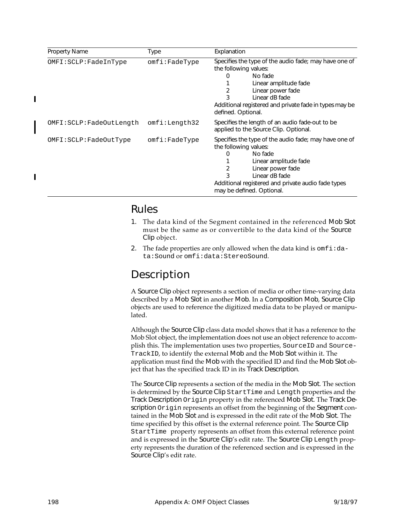| Property Name           | Type                | Explanation                                                                                                                                                                                                                                                        |
|-------------------------|---------------------|--------------------------------------------------------------------------------------------------------------------------------------------------------------------------------------------------------------------------------------------------------------------|
| OMFI:SCLP: FadeInType   | $omfi$ : FadeType   | Specifies the type of the audio fade; may have one of<br>the following values:<br>No fade<br>0<br>Linear amplitude fade<br>Linear power fade<br>2<br>Linear dB fade<br>Additional registered and private fade in types may be<br>defined. Optional.                |
| OMFI:SCLP:FadeOutLength | omfi:Length32       | Specifies the length of an audio fade-out to be<br>applied to the Source Clip. Optional.                                                                                                                                                                           |
| OMFI:SCLP:FadeOutType   | $omfi$ : $FadeType$ | Specifies the type of the audio fade; may have one of<br>the following values:<br>No fade<br>$\Omega$<br>Linear amplitude fade<br>Linear power fade<br>2<br>3<br>Linear dB fade<br>Additional registered and private audio fade types<br>may be defined. Optional. |

#### Rules

- 1. The data kind of the Segment contained in the referenced Mob Slot must be the same as or convertible to the data kind of the Source Clip object.
- 2. The fade properties are only allowed when the data kind is  $\text{omfi} : da$ ta:Sound or omfi:data:StereoSound.

## Description

A Source Clip object represents a section of media or other time-varying data described by a Mob Slot in another Mob. In a Composition Mob, Source Clip objects are used to reference the digitized media data to be played or manipulated.

Although the Source Clip class data model shows that it has a reference to the Mob Slot object, the implementation does not use an object reference to accomplish this. The implementation uses two properties, SourceID and Source-TrackID, to identify the external Mob and the Mob Slot within it. The application must find the Mob with the specified ID and find the Mob Slot object that has the specified track ID in its Track Description.

The Source Clip represents a section of the media in the Mob Slot. The section is determined by the Source Clip StartTime and Length properties and the Track Description Origin property in the referenced Mob Slot. The Track Description Origin represents an offset from the beginning of the Segment contained in the Mob Slot and is expressed in the edit rate of the Mob Slot. The time specified by this offset is the external reference point. The Source Clip StartTime property represents an offset from this external reference point and is expressed in the Source Clip's edit rate. The Source Clip Length property represents the duration of the referenced section and is expressed in the Source Clip's edit rate.

 $\blacksquare$ 

Π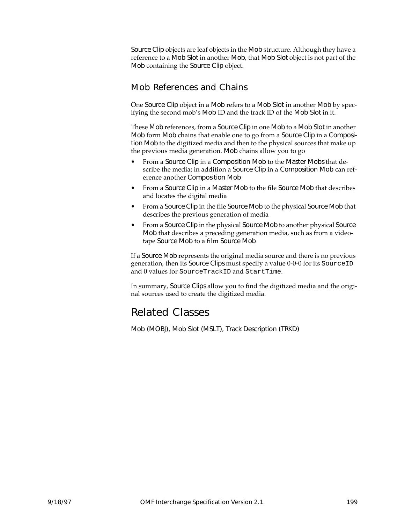Source Clip objects are leaf objects in the Mob structure. Although they have a reference to a Mob Slot in another Mob, that Mob Slot object is not part of the Mob containing the Source Clip object.

#### Mob References and Chains

One Source Clip object in a Mob refers to a Mob Slot in another Mob by specifying the second mob's Mob ID and the track ID of the Mob Slot in it.

These Mob references, from a Source Clip in one Mob to a Mob Slot in another Mob form Mob chains that enable one to go from a Source Clip in a Composition Mob to the digitized media and then to the physical sources that make up the previous media generation. Mob chains allow you to go

- From a Source Clip in a Composition Mob to the Master Mobs that describe the media; in addition a Source Clip in a Composition Mob can reference another Composition Mob
- From a Source Clip in a Master Mob to the file Source Mob that describes and locates the digital media
- From a Source Clip in the file Source Mob to the physical Source Mob that describes the previous generation of media
- From a Source Clip in the physical Source Mob to another physical Source Mob that describes a preceding generation media, such as from a videotape Source Mob to a film Source Mob

If a Source Mob represents the original media source and there is no previous generation, then its Source Clips must specify a value 0-0-0 for its SourceID and 0 values for SourceTrackID and StartTime.

In summary, Source Clips allow you to find the digitized media and the original sources used to create the digitized media.

## Related Classes

Mob (MOBJ), Mob Slot (MSLT), Track Description (TRKD)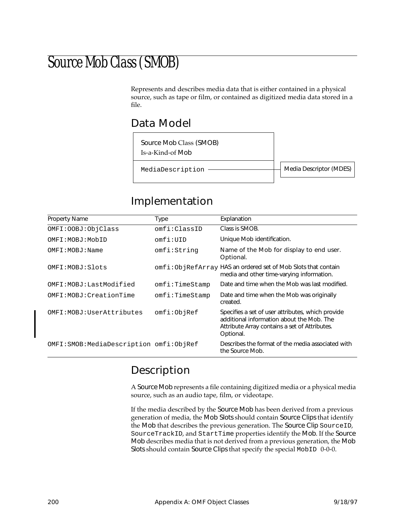# Source Mob Class (SMOB)

Represents and describes media data that is either contained in a physical source, such as tape or film, or contained as digitized media data stored in a file.

## Data Model

Source Mob Class (SMOB) Is-a-Kind-of Mob

MediaDescription ———————————————————— Media Descriptor (MDES)

### Implementation

| <b>Property Name</b>                      | Type           | Explanation                                                                                                                                                  |
|-------------------------------------------|----------------|--------------------------------------------------------------------------------------------------------------------------------------------------------------|
| OMFI: OOBJ: ObjClass                      | omfi:ClassID   | Class is SMOB.                                                                                                                                               |
| OMFI:MOBJ:MobID                           | omfi:UID       | Unique Mob identification.                                                                                                                                   |
| OMFI: MOBJ: Name                          | omfi:String    | Name of the Mob for display to end user.<br>Optional.                                                                                                        |
| OMFI:MOBJ:Slots                           |                | omfi:ObjRefArray HAS an ordered set of Mob Slots that contain<br>media and other time-varying information.                                                   |
| OMFI:MOBJ:LastModified                    | omfi:TimeStamp | Date and time when the Mob was last modified.                                                                                                                |
| OMFI:MOBJ:CreationTime                    | omfi:TimeStamp | Date and time when the Mob was originally<br>created.                                                                                                        |
| OMFI: MOBJ: UserAttributes                | omfi:ObjRef    | Specifies a set of user attributes, which provide<br>additional information about the Mob. The<br>Attribute Array contains a set of Attributes.<br>Optional. |
| OMFI: SMOB: MediaDescription omfi: ObjRef |                | Describes the format of the media associated with<br>the Source Mob.                                                                                         |

# Description

A Source Mob represents a file containing digitized media or a physical media source, such as an audio tape, film, or videotape.

If the media described by the Source Mob has been derived from a previous generation of media, the Mob Slots should contain Source Clips that identify the Mob that describes the previous generation. The Source Clip SourceID, SourceTrackID, and StartTime properties identify the Mob. If the Source Mob describes media that is not derived from a previous generation, the Mob Slots should contain Source Clips that specify the special MobID 0-0-0.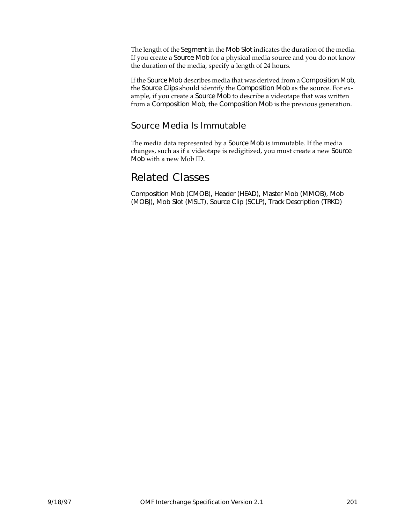The length of the Segment in the Mob Slot indicates the duration of the media. If you create a Source Mob for a physical media source and you do not know the duration of the media, specify a length of 24 hours.

If the Source Mob describes media that was derived from a Composition Mob, the Source Clips should identify the Composition Mob as the source. For example, if you create a Source Mob to describe a videotape that was written from a Composition Mob, the Composition Mob is the previous generation.

#### Source Media Is Immutable

The media data represented by a Source Mob is immutable. If the media changes, such as if a videotape is redigitized, you must create a new Source Mob with a new Mob ID.

#### Related Classes

Composition Mob (CMOB), Header (HEAD), Master Mob (MMOB), Mob (MOBJ), Mob Slot (MSLT), Source Clip (SCLP), Track Description (TRKD)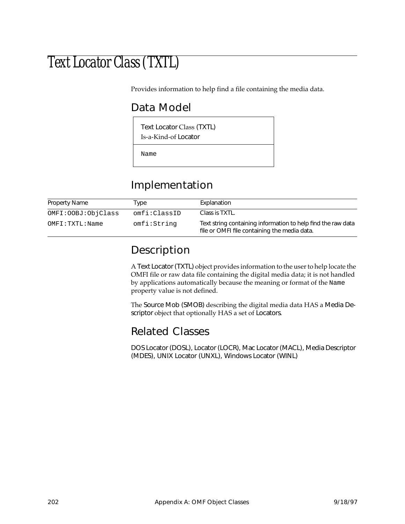# Text Locator Class (TXTL)

Provides information to help find a file containing the media data.

# Data Model

Text Locator Class (TXTL)

Is-a-Kind-of Locator

Name

# Implementation

| <b>Property Name</b> | Type         | Explanation                                                                                                  |
|----------------------|--------------|--------------------------------------------------------------------------------------------------------------|
| OMFI: OOBJ: ObjClass | omfi:ClassID | Class is TXTL.                                                                                               |
| OMFI:TXTL:Name       | omfi:String  | Text string containing information to help find the raw data<br>file or OMFI file containing the media data. |

## Description

A Text Locator (TXTL) object provides information to the user to help locate the OMFI file or raw data file containing the digital media data; it is not handled by applications automatically because the meaning or format of the Name property value is not defined.

The Source Mob (SMOB) describing the digital media data HAS a Media Descriptor object that optionally HAS a set of Locators.

# Related Classes

DOS Locator (DOSL), Locator (LOCR), Mac Locator (MACL), Media Descriptor (MDES), UNIX Locator (UNXL), Windows Locator (WINL)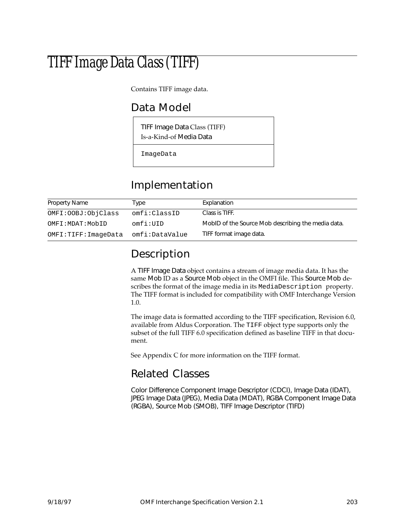# TIFF Image Data Class (TIFF)

Contains TIFF image data.

## Data Model

TIFF Image Data Class (TIFF) Is-a-Kind-of Media Data

ImageData

# Implementation

| <b>Property Name</b> | Type           | Explanation                                        |
|----------------------|----------------|----------------------------------------------------|
| OMFI: OOBJ: ObjClass | omfi:ClassID   | Class is TIFF.                                     |
| OMFI:MDAT:MobID      | omfi:UID       | MobID of the Source Mob describing the media data. |
| OMFI:TIFF:ImageData  | omfi:DataValue | TIFF format image data.                            |

# Description

A TIFF Image Data object contains a stream of image media data. It has the same Mob ID as a Source Mob object in the OMFI file. This Source Mob describes the format of the image media in its MediaDescription property. The TIFF format is included for compatibility with OMF Interchange Version 1.0.

The image data is formatted according to the TIFF specification, Revision 6.0, available from Aldus Corporation. The TIFF object type supports only the subset of the full TIFF 6.0 specification defined as baseline TIFF in that document.

See Appendix [C](#page-238-0) for more information on the TIFF format.

### Related Classes

Color Difference Component Image Descriptor (CDCI), Image Data (IDAT), JPEG Image Data (JPEG), Media Data (MDAT), RGBA Component Image Data (RGBA), Source Mob (SMOB), TIFF Image Descriptor (TIFD)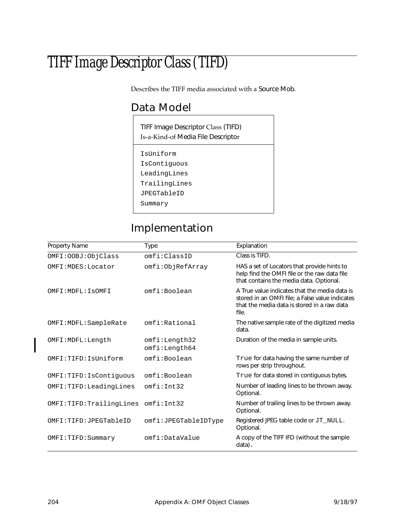# TIFF Image Descriptor Class (TIFD)

Describes the TIFF media associated with a Source Mob.

# Data Model

TIFF Image Descriptor Class (TIFD) Is-a-Kind-of Media File Descriptor

IsUniform

- IsContiguous
- LeadingLines
- TrailingLines

JPEGTableID

Summary

# Implementation

| Property Name           | <b>Type</b>                    | Explanation                                                                                                                                              |
|-------------------------|--------------------------------|----------------------------------------------------------------------------------------------------------------------------------------------------------|
| OMFI: OOBJ: ObjClass    | omfi:ClassID                   | Class is TIFD.                                                                                                                                           |
| OMFI: MDES: Locator     | omfi:ObjRefArray               | HAS a set of Locators that provide hints to<br>help find the OMFI file or the raw data file<br>that contains the media data. Optional.                   |
| OMFI: MDFL: ISOMFI      | omfi:Boolean                   | A True value indicates that the media data is<br>stored in an OMFI file; a False value indicates<br>that the media data is stored in a raw data<br>file. |
| OMFI: MDFL: SampleRate  | omfi:Rational                  | The native sample rate of the digitized media<br>data.                                                                                                   |
| OMFI: MDFL: Length      | omfi:Length32<br>omfi:Length64 | Duration of the media in sample units.                                                                                                                   |
| OMFI:TIFD:IsUniform     | omfi:Boolean                   | True for data having the same number of<br>rows per strip throughout.                                                                                    |
| OMFI:TIFD: IsContiguous | omfi:Boolean                   | True for data stored in contiguous bytes.                                                                                                                |
| OMFI:TIFD:LeadingLines  | omfi:Int32                     | Number of leading lines to be thrown away.<br>Optional.                                                                                                  |
| OMFI:TIFD:TrailingLines | omfi:Int32                     | Number of trailing lines to be thrown away.<br>Optional.                                                                                                 |
| OMFI:TIFD:JPEGTableID   | omfi:JPEGTableIDType           | Registered JPEG table code or JT_NULL.<br>Optional.                                                                                                      |
| OMFI:TIFD:Summary       | omfi:DataValue                 | A copy of the TIFF IFD (without the sample<br>data).                                                                                                     |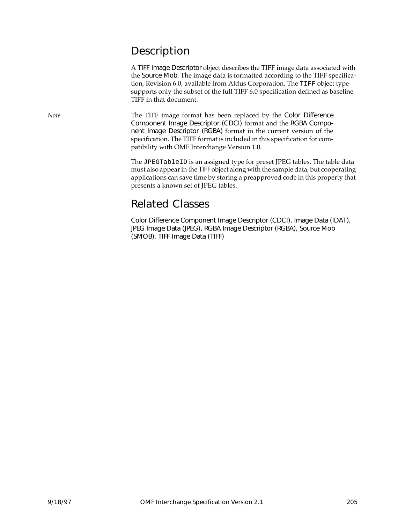### Description

A TIFF Image Descriptor object describes the TIFF image data associated with the Source Mob. The image data is formatted according to the TIFF specification, Revision 6.0, available from Aldus Corporation. The TIFF object type supports only the subset of the full TIFF 6.0 specification defined as baseline TIFF in that document.

*Note* The TIFF image format has been replaced by the Color Difference Component Image Descriptor (CDCI) format and the RGBA Component Image Descriptor (RGBA) format in the current version of the specification. The TIFF format is included in this specification for compatibility with OMF Interchange Version 1.0.

> The JPEGTableID is an assigned type for preset JPEG tables. The table data must also appear in the TIFF object along with the sample data, but cooperating applications can save time by storing a preapproved code in this property that presents a known set of JPEG tables.

### Related Classes

Color Difference Component Image Descriptor (CDCI), Image Data (IDAT), JPEG Image Data (JPEG), RGBA Image Descriptor (RGBA), Source Mob (SMOB), TIFF Image Data (TIFF)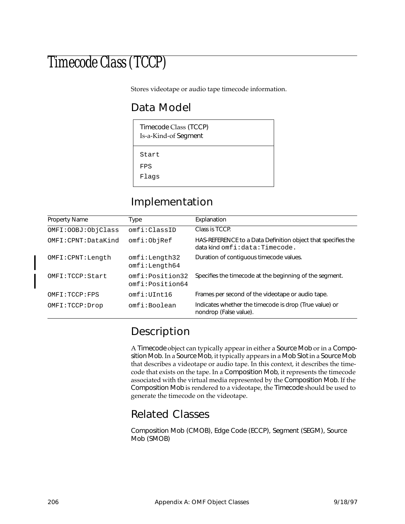# Timecode Class (TCCP)

Stores videotape or audio tape timecode information.

# Data Model

| Timecode Class (TCCP)<br>Is-a-Kind-of Segment |
|-----------------------------------------------|
| Start                                         |
| FPS                                           |
| Flaqs                                         |

### Implementation

| Property Name        | Type                               | Explanation                                                                                          |
|----------------------|------------------------------------|------------------------------------------------------------------------------------------------------|
| OMFI: OOBJ: ObjClass | omfi:ClassID                       | Class is TCCP.                                                                                       |
| OMFI:CPNT:DataKind   | omfi:ObjRef                        | HAS-REFERENCE to a Data Definition object that specifies the<br>$data$ kind $omfi$ : data: Timecode. |
| OMFI: CPNT: Length   | omfi:Length32<br>omfi:Length64     | Duration of contiguous timecode values.                                                              |
| OMFI:TCCP:Start      | omfi:Position32<br>omfi:Position64 | Specifies the timecode at the beginning of the segment.                                              |
| OMFI:TCCP:FPS        | omfi:IIInt16                       | Frames per second of the videotape or audio tape.                                                    |
| OMFI:TCCP:Drop       | omfi:Boolean                       | Indicates whether the timecode is drop (True value) or<br>nondrop (False value).                     |

# Description

A Timecode object can typically appear in either a Source Mob or in a Composition Mob. In a Source Mob, it typically appears in a Mob Slot in a Source Mob that describes a videotape or audio tape. In this context, it describes the timecode that exists on the tape. In a Composition Mob, it represents the timecode associated with the virtual media represented by the Composition Mob. If the Composition Mob is rendered to a videotape, the Timecode should be used to generate the timecode on the videotape.

### Related Classes

Composition Mob (CMOB), Edge Code (ECCP), Segment (SEGM), Source Mob (SMOB)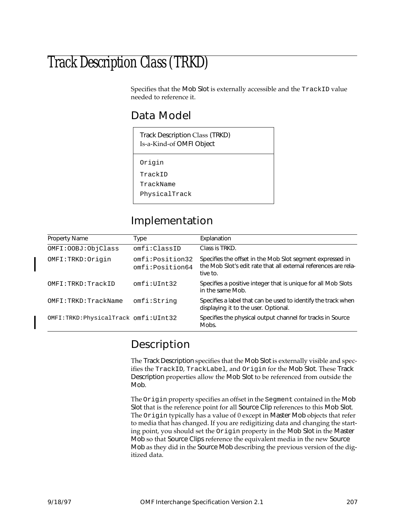# Track Description Class (TRKD)

Specifies that the Mob Slot is externally accessible and the TrackID value needed to reference it.

### Data Model

| Track Description Class (TRKD)<br>Is-a-Kind-of OMFI Object |
|------------------------------------------------------------|
| Origin                                                     |
| TrackID                                                    |
| TrackName                                                  |

# PhysicalTrack

### Implementation

| Property Name                       | Type                               | Explanation                                                                                                                              |
|-------------------------------------|------------------------------------|------------------------------------------------------------------------------------------------------------------------------------------|
| OMFI: OOBJ: ObjClass                | omfi:ClassID                       | Class is TRKD.                                                                                                                           |
| OMFI:TRKD:Origin                    | omfi:Position32<br>omfi:Position64 | Specifies the offset in the Mob Slot segment expressed in<br>the Mob Slot's edit rate that all external references are rela-<br>tive to. |
| OMFI:TRKD:TrackID                   | omfi:UInt32                        | Specifies a positive integer that is unique for all Mob Slots<br>in the same Mob.                                                        |
| OMFI:TRKD:TrackName                 | omfi:String                        | Specifies a label that can be used to identify the track when<br>displaying it to the user. Optional.                                    |
| OMFI:TRKD:PhysicalTrack omfi:UInt32 |                                    | Specifies the physical output channel for tracks in Source<br>Mobs.                                                                      |

# Description

The Track Description specifies that the Mob Slot is externally visible and specifies the TrackID, TrackLabel, and Origin for the Mob Slot. These Track Description properties allow the Mob Slot to be referenced from outside the Mob.

The Origin property specifies an offset in the Segment contained in the Mob Slot that is the reference point for all Source Clip references to this Mob Slot. The Origin typically has a value of 0 except in Master Mob objects that refer to media that has changed. If you are redigitizing data and changing the starting point, you should set the Origin property in the Mob Slot in the Master Mob so that Source Clips reference the equivalent media in the new Source Mob as they did in the Source Mob describing the previous version of the digitized data.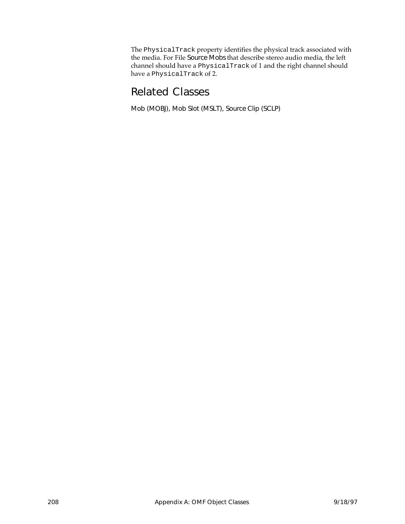The PhysicalTrack property identifies the physical track associated with the media. For File Source Mobs that describe stereo audio media, the left channel should have a PhysicalTrack of 1 and the right channel should have a PhysicalTrack of 2.

# Related Classes

Mob (MOBJ), Mob Slot (MSLT), Source Clip (SCLP)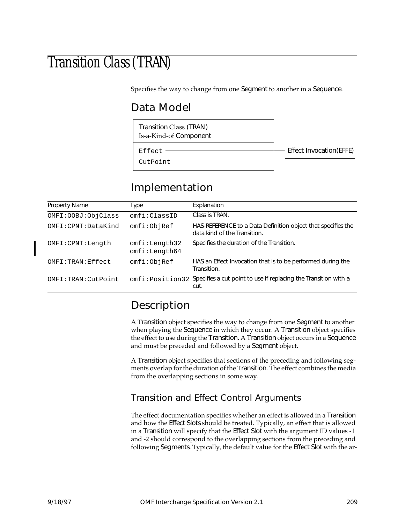# Transition Class (TRAN)

Specifies the way to change from one Segment to another in a Sequence.

# Data Model

Transition Class (TRAN) Is-a-Kind-of Component

Effect Invocation(EFFE)

Effect CutPoint

# Implementation

| <b>Property Name</b> | Type                           | Explanation                                                                                  |
|----------------------|--------------------------------|----------------------------------------------------------------------------------------------|
|                      |                                |                                                                                              |
| OMFI: OOBJ: ObjClass | omfi:ClassID                   | Class is TRAN.                                                                               |
| OMFI:CPNT:DataKind   | omfi:ObjRef                    | HAS-REFERENCE to a Data Definition object that specifies the<br>data kind of the Transition. |
| OMFI: CPNT: Length   | omfi:Length32<br>omfi:Length64 | Specifies the duration of the Transition.                                                    |
| OMFI:TRAN:Effect     | omfi:ObjRef                    | HAS an Effect Invocation that is to be performed during the<br>Transition.                   |
| OMFI:TRAN:CutPoint   |                                | omfi: Position32 Specifies a cut point to use if replacing the Transition with a<br>cut.     |

### Description

A Transition object specifies the way to change from one Segment to another when playing the Sequence in which they occur. A Transition object specifies the effect to use during the Transition. A Transition object occurs in a Sequence and must be preceded and followed by a Segment object.

A Transition object specifies that sections of the preceding and following segments overlap for the duration of the Transition. The effect combines the media from the overlapping sections in some way.

#### Transition and Effect Control Arguments

The effect documentation specifies whether an effect is allowed in a Transition and how the Effect Slots should be treated. Typically, an effect that is allowed in a Transition will specify that the Effect Slot with the argument ID values -1 and -2 should correspond to the overlapping sections from the preceding and following Segments. Typically, the default value for the Effect Slot with the ar-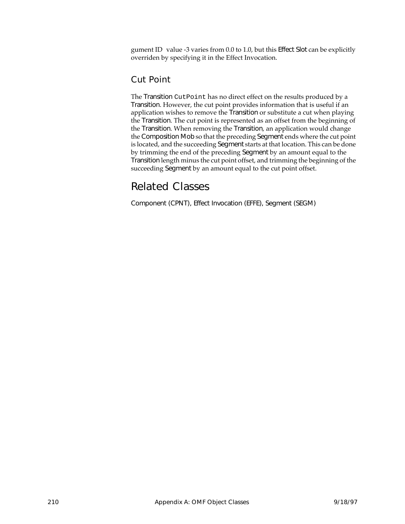gument ID value -3 varies from 0.0 to 1.0, but this Effect Slot can be explicitly overriden by specifying it in the Effect Invocation.

#### Cut Point

The Transition CutPoint has no direct effect on the results produced by a Transition. However, the cut point provides information that is useful if an application wishes to remove the Transition or substitute a cut when playing the Transition. The cut point is represented as an offset from the beginning of the Transition. When removing the Transition, an application would change the Composition Mob so that the preceding Segment ends where the cut point is located, and the succeeding Segment starts at that location. This can be done by trimming the end of the preceding Segment by an amount equal to the Transition length minus the cut point offset, and trimming the beginning of the succeeding Segment by an amount equal to the cut point offset.

# Related Classes

Component (CPNT), Effect Invocation (EFFE), Segment (SEGM)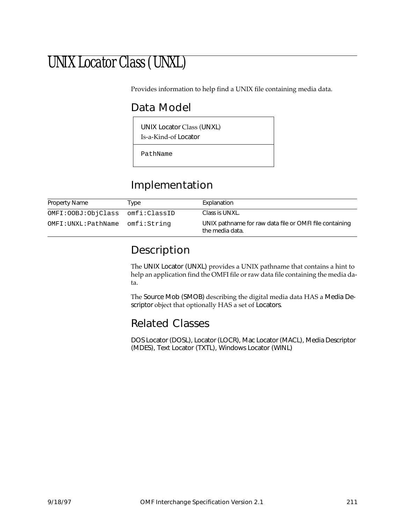# UNIX Locator Class (UNXL)

Provides information to help find a UNIX file containing media data.

### Data Model

UNIX Locator Class (UNXL)

Is-a-Kind-of Locator

PathName

### Implementation

| Property Name      | Type         | Explanation                                                                |
|--------------------|--------------|----------------------------------------------------------------------------|
| OMFI:OOBJ:ObjClass | omfi:ClassID | Class is UNXL.                                                             |
| OMFI:UNXL:PathName | omfi:String  | UNIX pathname for raw data file or OMFI file containing<br>the media data. |

### Description

The UNIX Locator (UNXL) provides a UNIX pathname that contains a hint to help an application find the OMFI file or raw data file containing the media data.

The Source Mob (SMOB) describing the digital media data HAS a Media Descriptor object that optionally HAS a set of Locators.

### Related Classes

DOS Locator (DOSL), Locator (LOCR), Mac Locator (MACL), Media Descriptor (MDES), Text Locator (TXTL), Windows Locator (WINL)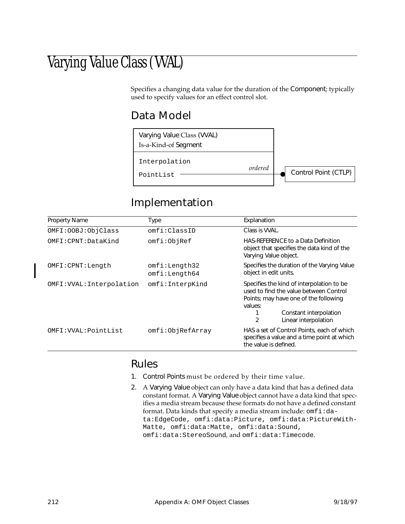# Varying Value Class (VVAL)

Specifies a changing data value for the duration of the Component; typically used to specify values for an effect control slot.

### Data Model



### Implementation

| <b>Property Name</b>      | Type                           | Explanation                                                                                                                                                                                    |
|---------------------------|--------------------------------|------------------------------------------------------------------------------------------------------------------------------------------------------------------------------------------------|
| OMFI: OOBJ: ObjClass      | omfi:ClassID                   | Class is VVAL.                                                                                                                                                                                 |
| OMFI:CPNT:DataKind        | omfi:ObjRef                    | HAS-REFERENCE to a Data Definition<br>object that specifies the data kind of the<br>Varying Value object.                                                                                      |
| OMFI:CPNT:Length          | omfi:Length32<br>omfi:Length64 | Specifies the duration of the Varying Value<br>object in edit units.                                                                                                                           |
| OMFI: VVAL: Interpolation | omfi:InterpKind                | Specifies the kind of interpolation to be<br>used to find the value between Control<br>Points; may have one of the following<br>values:<br>Constant interpolation<br>2<br>Linear interpolation |
| OMFI: VVAL: PointList     | omfi:ObjRefArray               | HAS a set of Control Points, each of which<br>specifies a value and a time point at which<br>the value is defined.                                                                             |

#### Rules

- 1. Control Points must be ordered by their time value.
- 2. A Varying Value object can only have a data kind that has a defined data constant format. A Varying Value object cannot have a data kind that specifies a media stream because these formats do not have a defined constant format. Data kinds that specify a media stream include: omfi:data:EdgeCode, omfi:data:Picture, omfi:data:PictureWith-Matte, omfi:data:Matte, omfi:data:Sound, omfi:data:StereoSound, and omfi:data:Timecode.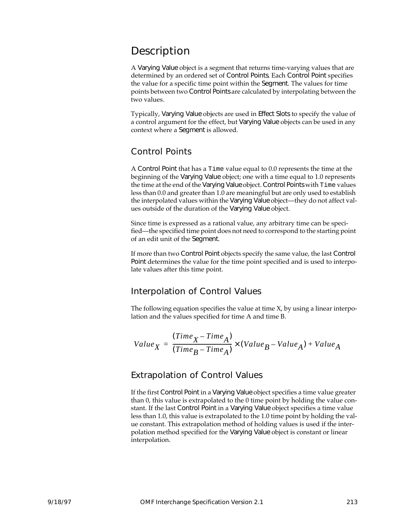### Description

A Varying Value object is a segment that returns time-varying values that are determined by an ordered set of Control Points. Each Control Point specifies the value for a specific time point within the Segment. The values for time points between two Control Points are calculated by interpolating between the two values.

Typically, Varying Value objects are used in Effect Slots to specify the value of a control argument for the effect, but Varying Value objects can be used in any context where a Segment is allowed.

#### Control Points

A Control Point that has a Time value equal to 0.0 represents the time at the beginning of the Varying Value object; one with a time equal to 1.0 represents the time at the end of the Varying Value object. Control Points with Time values less than 0.0 and greater than 1.0 are meaningful but are only used to establish the interpolated values within the Varying Value object—they do not affect values outside of the duration of the Varying Value object.

Since time is expressed as a rational value, any arbitrary time can be specified—the specified time point does not need to correspond to the starting point of an edit unit of the Segment.

If more than two Control Point objects specify the same value, the last Control Point determines the value for the time point specified and is used to interpolate values after this time point.

#### Interpolation of Control Values

The following equation specifies the value at time X, by using a linear interpolation and the values specified for time A and time B.

$$
Value_{X} = \frac{(Time_{X} - Time_{A})}{(Time_{B} - Time_{A})} \times (Value_{B} - Value_{A}) + Value_{A}
$$

#### Extrapolation of Control Values

If the first Control Point in a Varying Value object specifies a time value greater than 0, this value is extrapolated to the 0 time point by holding the value constant. If the last Control Point in a Varying Value object specifies a time value less than 1.0, this value is extrapolated to the 1.0 time point by holding the value constant. This extrapolation method of holding values is used if the interpolation method specified for the Varying Value object is constant or linear interpolation.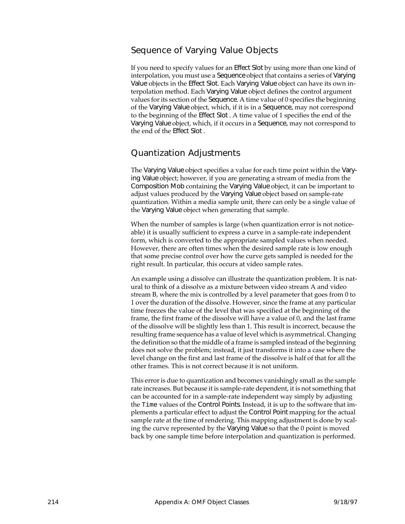#### Sequence of Varying Value Objects

If you need to specify values for an Effect Slot by using more than one kind of interpolation, you must use a Sequence object that contains a series of Varying Value objects in the Effect Slot. Each Varying Value object can have its own interpolation method. Each Varying Value object defines the control argument values for its section of the Sequence. A time value of 0 specifies the beginning of the Varying Value object, which, if it is in a Sequence, may not correspond to the beginning of the Effect Slot . A time value of 1 specifies the end of the Varying Value object, which, if it occurs in a Sequence, may not correspond to the end of the Effect Slot .

#### Quantization Adjustments

The Varying Value object specifies a value for each time point within the Varying Value object; however, if you are generating a stream of media from the Composition Mob containing the Varying Value object, it can be important to adjust values produced by the Varying Value object based on sample-rate quantization. Within a media sample unit, there can only be a single value of the Varying Value object when generating that sample.

When the number of samples is large (when quantization error is not noticeable) it is usually sufficient to express a curve in a sample-rate independent form, which is converted to the appropriate sampled values when needed. However, there are often times when the desired sample rate is low enough that some precise control over how the curve gets sampled is needed for the right result. In particular, this occurs at video sample rates.

An example using a dissolve can illustrate the quantization problem. It is natural to think of a dissolve as a mixture between video stream A and video stream B, where the mix is controlled by a level parameter that goes from 0 to 1 over the duration of the dissolve. However, since the frame at any particular time freezes the value of the level that was specified at the beginning of the frame, the first frame of the dissolve will have a value of 0, and the last frame of the dissolve will be slightly less than 1. This result is incorrect, because the resulting frame sequence has a value of level which is asymmetrical. Changing the definition so that the middle of a frame is sampled instead of the beginning does not solve the problem; instead, it just transforms it into a case where the level change on the first and last frame of the dissolve is half of that for all the other frames. This is not correct because it is not uniform.

This error is due to quantization and becomes vanishingly small as the sample rate increases. But because it is sample-rate dependent, it is not something that can be accounted for in a sample-rate independent way simply by adjusting the Time values of the Control Points. Instead, it is up to the software that implements a particular effect to adjust the Control Point mapping for the actual sample rate at the time of rendering. This mapping adjustment is done by scaling the curve represented by the Varying Value so that the 0 point is moved back by one sample time before interpolation and quantization is performed.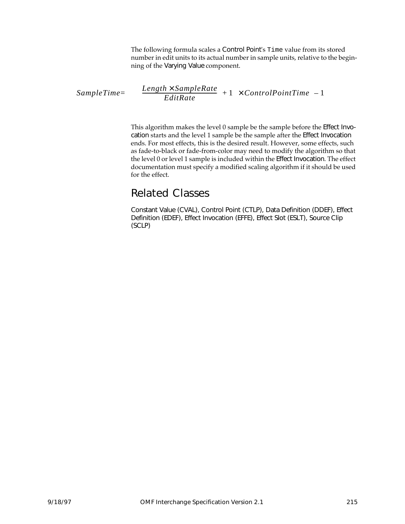The following formula scales a Control Point's Time value from its stored number in edit units to its actual number in sample units, relative to the beginning of the Varying Value component.

$$
SampleTime = \left(\left(\left(\frac{Length \times SampleRate}{EditRate}\right) + 1\right) \times ControlPointTime\right) - 1\right)
$$

This algorithm makes the level 0 sample be the sample before the Effect Invocation starts and the level 1 sample be the sample after the Effect Invocation ends. For most effects, this is the desired result. However, some effects, such as fade-to-black or fade-from-color may need to modify the algorithm so that the level 0 or level 1 sample is included within the Effect Invocation. The effect documentation must specify a modified scaling algorithm if it should be used for the effect.

#### Related Classes

Constant Value (CVAL), Control Point (CTLP), Data Definition (DDEF), Effect Definition (EDEF), Effect Invocation (EFFE), Effect Slot (ESLT), Source Clip (SCLP)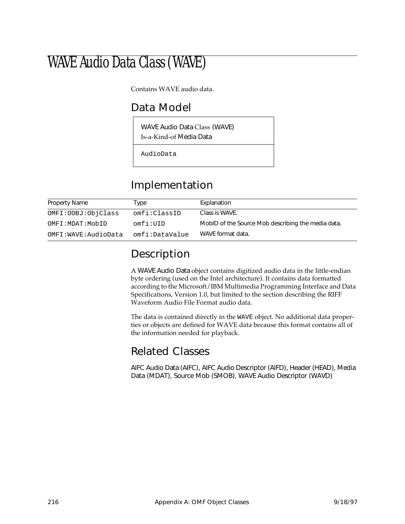# WAVE Audio Data Class (WAVE)

Contains WAVE audio data.

### Data Model

WAVE Audio Data Class (WAVE) Is-a-Kind-of Media Data

AudioData

### Implementation

| Property Name         | Type           | Explanation                                        |
|-----------------------|----------------|----------------------------------------------------|
| OMFI: OOBJ: ObjClass  | omfi:ClassID   | Class is WAVE.                                     |
| OMFI:MDAT:MobID       | omfi:IIID      | MobID of the Source Mob describing the media data. |
| OMFI: WAVE: AudioData | omfi:DataValue | WAVE format data.                                  |

### Description

A WAVE Audio Data object contains digitized audio data in the little-endian byte ordering (used on the Intel architecture). It contains data formatted according to the Microsoft/IBM Multimedia Programming Interface and Data Specifications, Version 1.0, but limited to the section describing the RIFF Waveform Audio File Format audio data.

The data is contained directly in the WAVE object. No additional data properties or objects are defined for WAVE data because this format contains all of the information needed for playback.

#### Related Classes

AIFC Audio Data (AIFC), AIFC Audio Descriptor (AIFD), Header (HEAD), Media Data (MDAT), Source Mob (SMOB), WAVE Audio Descriptor (WAVD)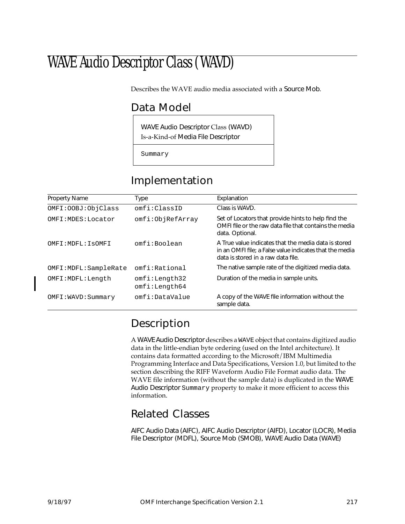# WAVE Audio Descriptor Class (WAVD)

Describes the WAVE audio media associated with a Source Mob.

### Data Model

WAVE Audio Descriptor Class (WAVD) Is-a-Kind-of Media File Descriptor

Summary

# Implementation

| <b>Property Name</b>   | Type                           | Explanation                                                                                                                                           |
|------------------------|--------------------------------|-------------------------------------------------------------------------------------------------------------------------------------------------------|
| OMFI: OOBJ: ObjClass   | omfi:ClassID                   | Class is WAVD.                                                                                                                                        |
| OMFI: MDES: Locator    | omfi:ObjRefArray               | Set of Locators that provide hints to help find the<br>OMFI file or the raw data file that contains the media<br>data. Optional.                      |
| OMFI: MDFL: ISOMFI     | omfi:Boolean                   | A True value indicates that the media data is stored<br>in an OMFI file; a False value indicates that the media<br>data is stored in a raw data file. |
| OMFI: MDFL: SampleRate | omfi:Rational                  | The native sample rate of the digitized media data.                                                                                                   |
| OMFI: MDFL: Length     | omfi:Length32<br>omfi:Length64 | Duration of the media in sample units.                                                                                                                |
| OMFI: WAVD: Summary    | omfi:DataValue                 | A copy of the WAVE file information without the<br>sample data.                                                                                       |

# Description

A WAVE Audio Descriptor describes a WAVE object that contains digitized audio data in the little-endian byte ordering (used on the Intel architecture). It contains data formatted according to the Microsoft/IBM Multimedia Programming Interface and Data Specifications, Version 1.0, but limited to the section describing the RIFF Waveform Audio File Format audio data. The WAVE file information (without the sample data) is duplicated in the WAVE Audio Descriptor Summary property to make it more efficient to access this information.

# Related Classes

AIFC Audio Data (AIFC), AIFC Audio Descriptor (AIFD), Locator (LOCR), Media File Descriptor (MDFL), Source Mob (SMOB), WAVE Audio Data (WAVE)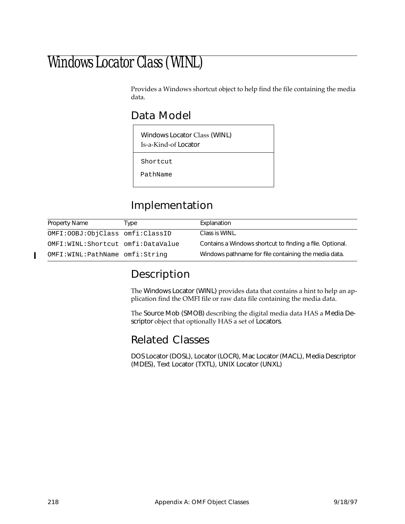# Windows Locator Class (WINL)

Provides a Windows shortcut object to help find the file containing the media data.

### Data Model

Windows Locator Class (WINL) Is-a-Kind-of Locator

Shortcut

PathName

# Implementation

| Property Name                      | Type | Explanation                                              |
|------------------------------------|------|----------------------------------------------------------|
| OMFI: OOBJ: ObjClass omfi: ClassID |      | Class is WINL.                                           |
| OMFI:WINL:Shortcut omfi:DataValue  |      | Contains a Windows shortcut to finding a file. Optional. |
| OMFI:WINL:PathName omfi:String     |      | Windows pathname for file containing the media data.     |

### Description

The Windows Locator (WINL) provides data that contains a hint to help an application find the OMFI file or raw data file containing the media data.

The Source Mob (SMOB) describing the digital media data HAS a Media Descriptor object that optionally HAS a set of Locators.

#### Related Classes

DOS Locator (DOSL), Locator (LOCR), Mac Locator (MACL), Media Descriptor (MDES), Text Locator (TXTL), UNIX Locator (UNXL)

Γ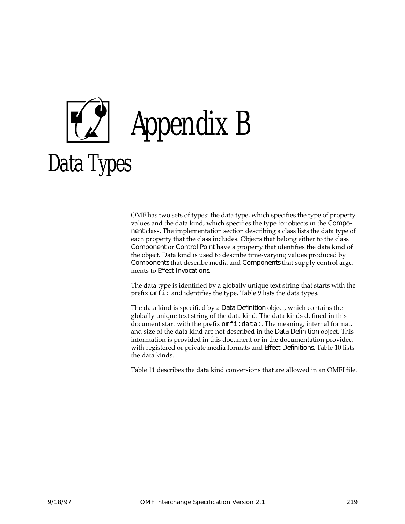

OMF has two sets of types: the data type, which specifies the type of property values and the data kind, which specifies the type for objects in the Component class. The implementation section describing a class lists the data type of each property that the class includes. Objects that belong either to the class Component or Control Point have a property that identifies the data kind of the object. Data kind is used to describe time-varying values produced by Components that describe media and Components that supply control arguments to Effect Invocations.

The data type is identified by a globally unique text string that starts with the prefix omfi: and identifies the type. Table [9](#page-231-0) lists the data types.

The data kind is specified by a Data Definition object, which contains the globally unique text string of the data kind. The data kinds defined in this document start with the prefix omfi:data: The meaning, internal format, and size of the data kind are not described in the Data Definition object. This information is provided in this document or in the documentation provided with registered or private media formats and Effect Definitions. Table [10](#page-235-0) lists the data kinds.

Table [11](#page-236-0) describes the data kind conversions that are allowed in an OMFI file.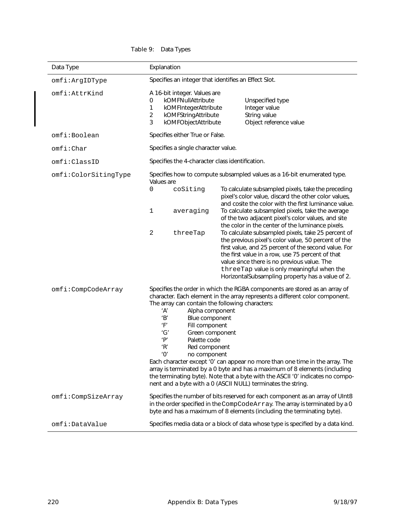<span id="page-231-0"></span>

| Data Type            | Explanation                                                                                                                                                                                                                 |                                                                                                                                                                                                                                                                                                                                                                                                                                                                            |
|----------------------|-----------------------------------------------------------------------------------------------------------------------------------------------------------------------------------------------------------------------------|----------------------------------------------------------------------------------------------------------------------------------------------------------------------------------------------------------------------------------------------------------------------------------------------------------------------------------------------------------------------------------------------------------------------------------------------------------------------------|
| omfi:ArgIDType       | Specifies an integer that identifies an Effect Slot.                                                                                                                                                                        |                                                                                                                                                                                                                                                                                                                                                                                                                                                                            |
| omfi:AttrKind        | A 16-bit integer. Values are<br>kOMFNullAttribute<br>0<br>kOMFIntegerAttribute<br>1<br>$\overline{a}$<br>kOMFStringAttribute<br>3<br>kOMFObjectAttribute                                                                    | Unspecified type<br>Integer value<br>String value<br>Object reference value                                                                                                                                                                                                                                                                                                                                                                                                |
| omfi:Boolean         | Specifies either True or False.                                                                                                                                                                                             |                                                                                                                                                                                                                                                                                                                                                                                                                                                                            |
| omfi:Char            | Specifies a single character value.                                                                                                                                                                                         |                                                                                                                                                                                                                                                                                                                                                                                                                                                                            |
| omfi:ClassID         | Specifies the 4-character class identification.                                                                                                                                                                             |                                                                                                                                                                                                                                                                                                                                                                                                                                                                            |
| omfi:ColorSitingType | Values are                                                                                                                                                                                                                  | Specifies how to compute subsampled values as a 16-bit enumerated type.                                                                                                                                                                                                                                                                                                                                                                                                    |
|                      | 0<br>coSiting                                                                                                                                                                                                               | To calculate subsampled pixels, take the preceding<br>pixel's color value, discard the other color values,<br>and cosite the color with the first luminance value.                                                                                                                                                                                                                                                                                                         |
|                      | 1<br>averaging                                                                                                                                                                                                              | To calculate subsampled pixels, take the average<br>of the two adjacent pixel's color values, and site<br>the color in the center of the luminance pixels.                                                                                                                                                                                                                                                                                                                 |
|                      | 2<br>threeTap                                                                                                                                                                                                               | To calculate subsampled pixels, take 25 percent of<br>the previous pixel's color value, 50 percent of the<br>first value, and 25 percent of the second value. For<br>the first value in a row, use 75 percent of that<br>value since there is no previous value. The<br>threeTap value is only meaningful when the<br>HorizontalSubsampling property has a value of 2.                                                                                                     |
| omfi:CompCodeArray   | The array can contain the following characters:<br>'A'<br>Alpha component<br>'B'<br>Blue component<br>'F'<br>Fill component<br>'G'<br>Green component<br>'P'<br>Palette code<br>'R'<br>Red component<br>'Ο'<br>no component | Specifies the order in which the RGBA components are stored as an array of<br>character. Each element in the array represents a different color component.<br>Each character except 'O' can appear no more than one time in the array. The<br>array is terminated by a 0 byte and has a maximum of 8 elements (including<br>the terminating byte). Note that a byte with the ASCII '0' indicates no compo-<br>nent and a byte with a 0 (ASCII NULL) terminates the string. |
| omfi:CompSizeArray   |                                                                                                                                                                                                                             | Specifies the number of bits reserved for each component as an array of UInt8<br>in the order specified in the CompCodeArray. The array is terminated by a 0<br>byte and has a maximum of 8 elements (including the terminating byte).                                                                                                                                                                                                                                     |
| omfi:DataValue       |                                                                                                                                                                                                                             | Specifies media data or a block of data whose type is specified by a data kind.                                                                                                                                                                                                                                                                                                                                                                                            |

#### Table 9: Data Types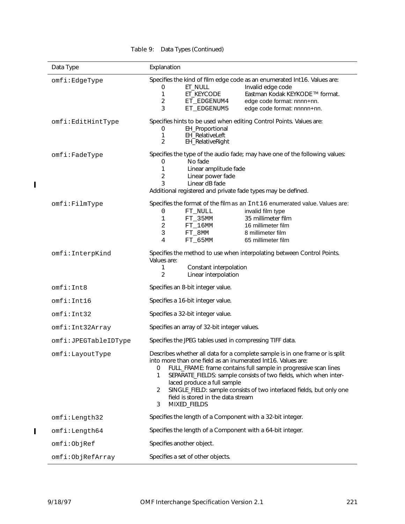| Data Type               | Explanation                                                                                                                                                                                                                                                                                                                                                                                                                                                            |
|-------------------------|------------------------------------------------------------------------------------------------------------------------------------------------------------------------------------------------------------------------------------------------------------------------------------------------------------------------------------------------------------------------------------------------------------------------------------------------------------------------|
| omfi:EdgeType           | Specifies the kind of film edge code as an enumerated Int16. Values are:<br>ET_NULL<br>Invalid edge code<br>0<br>1<br>ET_KEYCODE<br>Eastman Kodak KEYKODE ™ format.<br>$\overline{c}$<br>edge code format: nnnn+nn.<br>ET EDGENUM4<br>3<br>ET_EDGENUM5<br>edge code format: nnnnn+nn.                                                                                                                                                                                  |
| omfi:EditHintType       | Specifies hints to be used when editing Control Points. Values are:<br>EH_Proportional<br>0<br>1<br>EH_RelativeLeft<br>EH_RelativeRight<br>2                                                                                                                                                                                                                                                                                                                           |
| $omfi$ : $Fad$ e $Type$ | Specifies the type of the audio fade; may have one of the following values:<br>No fade<br>0<br>1<br>Linear amplitude fade<br>$\overline{c}$<br>Linear power fade<br>3<br>Linear dB fade<br>Additional registered and private fade types may be defined.                                                                                                                                                                                                                |
| omfi:FilmType           | Specifies the format of the film as an Int16 enumerated value. Values are:<br>0<br>FT_NULL<br>invalid film type<br>35 millimeter film<br>1<br>$FT_35MM$<br>$\overline{c}$<br>$FT_16MM$<br>16 millimeter film<br>3<br>8 millimeter film<br>FT_8MM<br>$\overline{4}$<br>65 millimeter film<br>$FT_65$ MM                                                                                                                                                                 |
| omfi:InterpKind         | Specifies the method to use when interpolating between Control Points.<br>Values are:<br>1<br>Constant interpolation<br>2<br>Linear interpolation                                                                                                                                                                                                                                                                                                                      |
| omfi:Int8               | Specifies an 8-bit integer value.                                                                                                                                                                                                                                                                                                                                                                                                                                      |
| omfi:Int16              | Specifies a 16-bit integer value.                                                                                                                                                                                                                                                                                                                                                                                                                                      |
| omfi:Int32              | Specifies a 32-bit integer value.                                                                                                                                                                                                                                                                                                                                                                                                                                      |
| omfi:Int32Array         | Specifies an array of 32-bit integer values.                                                                                                                                                                                                                                                                                                                                                                                                                           |
| omfi:JPEGTableIDType    | Specifies the JPEG tables used in compressing TIFF data.                                                                                                                                                                                                                                                                                                                                                                                                               |
| omfi:LayoutType         | Describes whether all data for a complete sample is in one frame or is split<br>into more than one field as an inumerated Int16. Values are:<br>FULL_FRAME: frame contains full sample in progressive scan lines<br>0<br>SEPARATE_FIELDS: sample consists of two fields, which when inter-<br>1<br>laced produce a full sample<br>SINGLE_FIELD: sample consists of two interlaced fields, but only one<br>2<br>field is stored in the data stream<br>MIXED_FIELDS<br>3 |
| omfi:Length32           | Specifies the length of a Component with a 32-bit integer.                                                                                                                                                                                                                                                                                                                                                                                                             |
| omfi:Length64           | Specifies the length of a Component with a 64-bit integer.                                                                                                                                                                                                                                                                                                                                                                                                             |
| omfi:ObjRef             | Specifies another object.                                                                                                                                                                                                                                                                                                                                                                                                                                              |
| omfi:ObjRefArray        | Specifies a set of other objects.                                                                                                                                                                                                                                                                                                                                                                                                                                      |

#### Table 9: Data Types (Continued)

 $\blacksquare$ 

 $\mathbf I$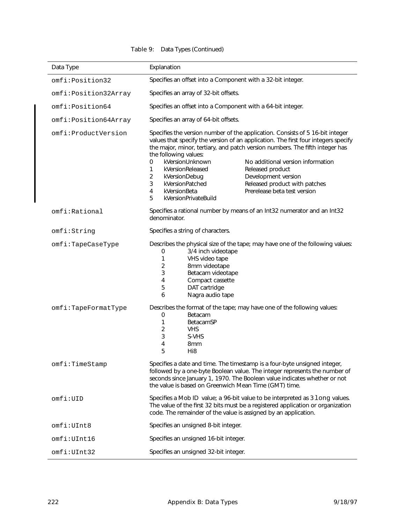#### Table 9: Data Types (Continued)

| Data Type            | Explanation                                                                                                                                                                                                                                                                                                                                                                                                                                                                                                                                                                                                         |  |
|----------------------|---------------------------------------------------------------------------------------------------------------------------------------------------------------------------------------------------------------------------------------------------------------------------------------------------------------------------------------------------------------------------------------------------------------------------------------------------------------------------------------------------------------------------------------------------------------------------------------------------------------------|--|
| omfi:Position32      | Specifies an offset into a Component with a 32-bit integer.                                                                                                                                                                                                                                                                                                                                                                                                                                                                                                                                                         |  |
| omfi:Position32Array | Specifies an array of 32-bit offsets.                                                                                                                                                                                                                                                                                                                                                                                                                                                                                                                                                                               |  |
| omfi:Position64      | Specifies an offset into a Component with a 64-bit integer.                                                                                                                                                                                                                                                                                                                                                                                                                                                                                                                                                         |  |
| omfi:Position64Array | Specifies an array of 64-bit offsets.                                                                                                                                                                                                                                                                                                                                                                                                                                                                                                                                                                               |  |
| omfi:ProductVersion  | Specifies the version number of the application. Consists of 5 16-bit integer<br>values that specify the version of an application. The first four integers specify<br>the major, minor, tertiary, and patch version numbers. The fifth integer has<br>the following values:<br>kVersionUnknown<br>No additional version information<br>0<br>$\mathbf{1}$<br>kVersionReleased<br>Released product<br>$\overline{a}$<br>Development version<br>kVersionDebug<br>3<br>kVersionPatched<br>Released product with patches<br>Prerelease beta test version<br>$\overline{4}$<br>kVersionBeta<br>5<br>kVersionPrivateBuild |  |
| omfi: Rational       | Specifies a rational number by means of an Int32 numerator and an Int32<br>denominator.                                                                                                                                                                                                                                                                                                                                                                                                                                                                                                                             |  |
| omfi:String          | Specifies a string of characters.                                                                                                                                                                                                                                                                                                                                                                                                                                                                                                                                                                                   |  |
| $omfi$ :TapeCaseType | Describes the physical size of the tape; may have one of the following values:<br>3/4 inch videotape<br>0<br>1<br>VHS video tape<br>2<br>8mm videotape<br>3<br>Betacam videotape<br>4<br>Compact cassette<br>5<br>DAT cartridge<br>6<br>Nagra audio tape                                                                                                                                                                                                                                                                                                                                                            |  |
| omfi:TapeFormatType  | Describes the format of the tape; may have one of the following values:<br>0<br>Betacam<br>1<br>BetacamSP<br>2<br><b>VHS</b><br>3<br>S-VHS<br>4<br>8 <sub>mm</sub><br>5<br>Hi <sub>8</sub>                                                                                                                                                                                                                                                                                                                                                                                                                          |  |
| omfi:TimeStamp       | Specifies a date and time. The timestamp is a four-byte unsigned integer,<br>followed by a one-byte Boolean value. The integer represents the number of<br>seconds since January 1, 1970. The Boolean value indicates whether or not<br>the value is based on Greenwich Mean Time (GMT) time.                                                                                                                                                                                                                                                                                                                       |  |
| omfi:UID             | Specifies a Mob ID value; a 96-bit value to be interpreted as 3 long values.<br>The value of the first 32 bits must be a registered application or organization<br>code. The remainder of the value is assigned by an application.                                                                                                                                                                                                                                                                                                                                                                                  |  |
| omfi:UInt8           | Specifies an unsigned 8-bit integer.                                                                                                                                                                                                                                                                                                                                                                                                                                                                                                                                                                                |  |
| omfi:UInt16          | Specifies an unsigned 16-bit integer.                                                                                                                                                                                                                                                                                                                                                                                                                                                                                                                                                                               |  |
| omfi:UInt32          | Specifies an unsigned 32-bit integer.                                                                                                                                                                                                                                                                                                                                                                                                                                                                                                                                                                               |  |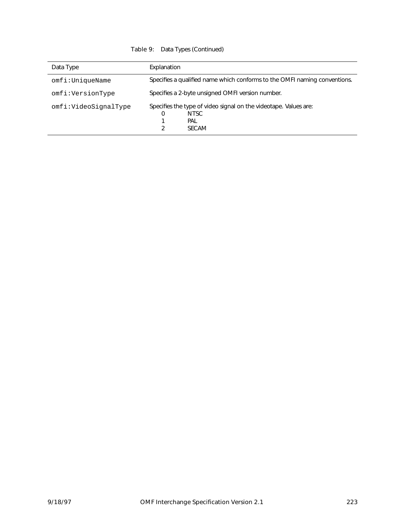#### Table 9: Data Types (Continued)

| Data Type            | Explanation                                                                                               |
|----------------------|-----------------------------------------------------------------------------------------------------------|
| omfi:UniqueName      | Specifies a qualified name which conforms to the OMFI naming conventions.                                 |
| omfi:VersionType     | Specifies a 2-byte unsigned OMFI version number.                                                          |
| omfi:VideoSignalType | Specifies the type of video signal on the videotape. Values are:<br>NTSC<br>0<br>PAL<br><b>SECAM</b><br>2 |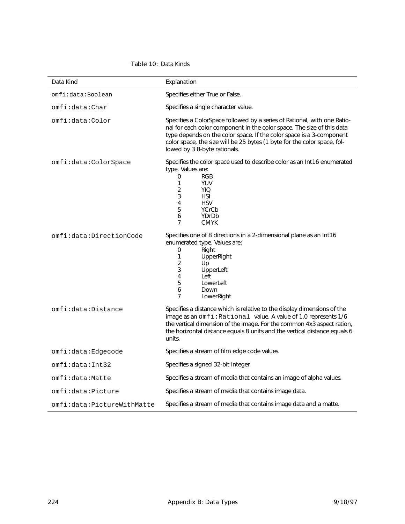<span id="page-235-0"></span>

| Data Kind                  | Explanation                                                                                                                                                                                                                                                                                                                            |
|----------------------------|----------------------------------------------------------------------------------------------------------------------------------------------------------------------------------------------------------------------------------------------------------------------------------------------------------------------------------------|
| omfi:data:Boolean          | Specifies either True or False.                                                                                                                                                                                                                                                                                                        |
| omfi:data:Char             | Specifies a single character value.                                                                                                                                                                                                                                                                                                    |
| omfi:data:Color            | Specifies a ColorSpace followed by a series of Rational, with one Ratio-<br>nal for each color component in the color space. The size of this data<br>type depends on the color space. If the color space is a 3-component<br>color space, the size will be 25 bytes (1 byte for the color space, fol-<br>lowed by 3 8-byte rationals. |
| omfi:data:ColorSpace       | Specifies the color space used to describe color as an Int16 enumerated<br>type. Values are:<br>0<br><b>RGB</b><br>1<br><b>YUV</b><br>2<br><b>YIQ</b><br>3<br><b>HSI</b><br>4<br><b>HSV</b><br>5<br>YCrCb<br>6<br>YDrDb<br>7<br><b>CMYK</b>                                                                                            |
| omfi:data:DirectionCode    | Specifies one of 8 directions in a 2-dimensional plane as an Int16<br>enumerated type. Values are:<br>$\Omega$<br>Right<br>1<br>UpperRight<br>$\overline{2}$<br>Up<br>3<br>UpperLeft<br>4<br>Left<br>5<br>LowerLeft<br>6<br>Down<br>7<br>LowerRight                                                                                    |
| omfi:data:Distance         | Specifies a distance which is relative to the display dimensions of the<br>image as an omfi: Rational value. A value of 1.0 represents 1/6<br>the vertical dimension of the image. For the common 4x3 aspect ration,<br>the horizontal distance equals 8 units and the vertical distance equals 6<br>units.                            |
| omfi:data:Edgecode         | Specifies a stream of film edge code values.                                                                                                                                                                                                                                                                                           |
| omfi:data:Int32            | Specifies a signed 32-bit integer.                                                                                                                                                                                                                                                                                                     |
| omfi:data:Matte            | Specifies a stream of media that contains an image of alpha values.                                                                                                                                                                                                                                                                    |
| omfi:data:Picture          | Specifies a stream of media that contains image data.                                                                                                                                                                                                                                                                                  |
| omfi:data:PictureWithMatte | Specifies a stream of media that contains image data and a matte.                                                                                                                                                                                                                                                                      |

#### Table 10: Data Kinds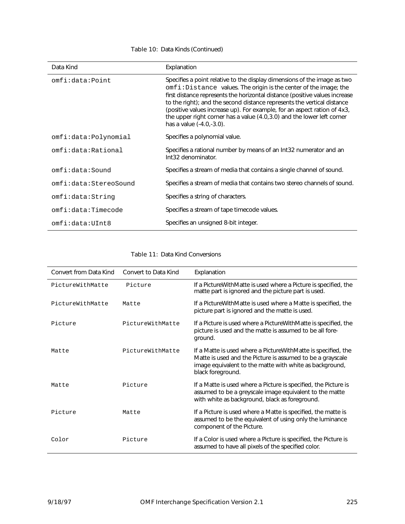<span id="page-236-0"></span>

| Data Kind             | Explanation                                                                                                                                                                                                                                                                                                                                                                                                                                                                                  |
|-----------------------|----------------------------------------------------------------------------------------------------------------------------------------------------------------------------------------------------------------------------------------------------------------------------------------------------------------------------------------------------------------------------------------------------------------------------------------------------------------------------------------------|
| omfi:data:Point       | Specifies a point relative to the display dimensions of the image as two<br>omfi: Distance values. The origin is the center of the image; the<br>first distance represents the horizontal distance (positive values increase<br>to the right); and the second distance represents the vertical distance<br>(positive values increase up). For example, for an aspect ration of 4x3,<br>the upper right corner has a value (4.0,3.0) and the lower left corner<br>has a value $(-4.0,-3.0)$ . |
| omfi:data:Polynomial  | Specifies a polynomial value.                                                                                                                                                                                                                                                                                                                                                                                                                                                                |
| omfi:data:Rational    | Specifies a rational number by means of an Int32 numerator and an<br>Int32 denominator.                                                                                                                                                                                                                                                                                                                                                                                                      |
| omfi:data:Sound       | Specifies a stream of media that contains a single channel of sound.                                                                                                                                                                                                                                                                                                                                                                                                                         |
| omfi:data:StereoSound | Specifies a stream of media that contains two stereo channels of sound.                                                                                                                                                                                                                                                                                                                                                                                                                      |
| omfi:data:String      | Specifies a string of characters.                                                                                                                                                                                                                                                                                                                                                                                                                                                            |
| omfi:data:Timecode    | Specifies a stream of tape timecode values.                                                                                                                                                                                                                                                                                                                                                                                                                                                  |
| omfi:data:UInt8       | Specifies an unsigned 8-bit integer.                                                                                                                                                                                                                                                                                                                                                                                                                                                         |

#### Table 10: Data Kinds (Continued)

Table 11: Data Kind Conversions

| Convert from Data Kind | Convert to Data Kind | Explanation                                                                                                                                                                                                   |
|------------------------|----------------------|---------------------------------------------------------------------------------------------------------------------------------------------------------------------------------------------------------------|
| PictureWithMatte       | Picture              | If a Picture With Matte is used where a Picture is specified, the<br>matte part is ignored and the picture part is used.                                                                                      |
| PictureWithMatte       | Matte                | If a Picture With Matte is used where a Matte is specified, the<br>picture part is ignored and the matte is used.                                                                                             |
| Picture                | PictureWithMatte     | If a Picture is used where a Picture With Matte is specified, the<br>picture is used and the matte is assumed to be all fore-<br>ground.                                                                      |
| Matte                  | PictureWithMatte     | If a Matte is used where a Picture With Matte is specified, the<br>Matte is used and the Picture is assumed to be a grayscale<br>image equivalent to the matte with white as background,<br>black foreground. |
| Matte                  | Picture              | If a Matte is used where a Picture is specified, the Picture is<br>assumed to be a greyscale image equivalent to the matte<br>with white as background, black as foreground.                                  |
| Picture                | Matte                | If a Picture is used where a Matte is specified, the matte is<br>assumed to be the equivalent of using only the luminance<br>component of the Picture.                                                        |
| Color                  | Picture              | If a Color is used where a Picture is specified, the Picture is<br>assumed to have all pixels of the specified color.                                                                                         |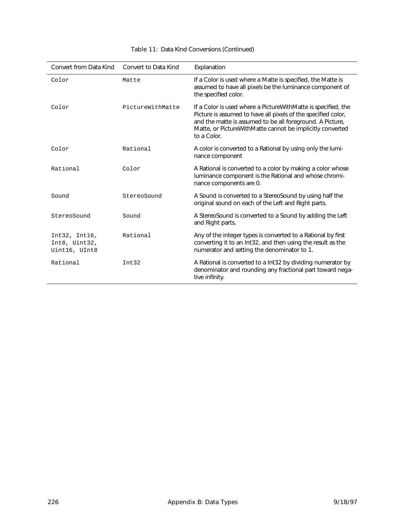| Convert from Data Kind                          | Convert to Data Kind | Explanation                                                                                                                                                                                                                                                               |
|-------------------------------------------------|----------------------|---------------------------------------------------------------------------------------------------------------------------------------------------------------------------------------------------------------------------------------------------------------------------|
| Color                                           | Matte                | If a Color is used where a Matte is specified, the Matte is<br>assumed to have all pixels be the luminance component of<br>the specified color.                                                                                                                           |
| Color                                           | PictureWithMatte     | If a Color is used where a Picture With Matte is specified, the<br>Picture is assumed to have all pixels of the specified color,<br>and the matte is assumed to be all foreground. A Picture,<br>Matte, or PictureWithMatte cannot be implicitly converted<br>to a Color. |
| Color                                           | Rational             | A color is converted to a Rational by using only the lumi-<br>nance component                                                                                                                                                                                             |
| Rational                                        | Color                | A Rational is converted to a color by making a color whose<br>luminance component is the Rational and whose chromi-<br>nance components are 0.                                                                                                                            |
| Sound                                           | StereoSound          | A Sound is converted to a StereoSound by using half the<br>original sound on each of the Left and Right parts.                                                                                                                                                            |
| StereoSound                                     | Sound                | A StereoSound is converted to a Sound by adding the Left<br>and Right parts.                                                                                                                                                                                              |
| Int32, Int16,<br>Int8, Uint32,<br>Uint16, UInt8 | Rational             | Any of the integer types is converted to a Rational by first<br>converting it to an Int32, and then using the result as the<br>numerator and setting the denominator to 1.                                                                                                |
| Rational                                        | Int32                | A Rational is converted to a Int32 by dividing numerator by<br>denominator and rounding any fractional part toward nega-<br>tive infinity.                                                                                                                                |

#### Table 11: Data Kind Conversions (Continued)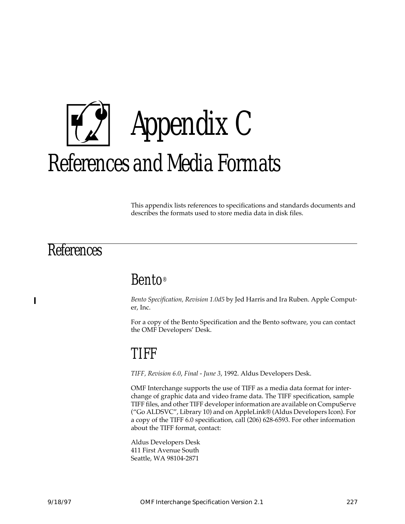

This appendix lists references to specifications and standards documents and describes the formats used to store media data in disk files.

# **References**

 $\blacksquare$ 

# Bento®

*Bento Specification, Revision 1.0d5* by Jed Harris and Ira Ruben. Apple Computer, Inc.

For a copy of the Bento Specification and the Bento software, you can contact the OMF Developers' Desk.

# TIFF

*TIFF, Revision 6.0*, *Final - June 3*, 1992. Aldus Developers Desk.

OMF Interchange supports the use of TIFF as a media data format for interchange of graphic data and video frame data. The TIFF specification, sample TIFF files, and other TIFF developer information are available on CompuServe ("Go ALDSVC", Library 10) and on AppleLink® (Aldus Developers Icon). For a copy of the TIFF 6.0 specification, call (206) 628-6593. For other information about the TIFF format, contact:

Aldus Developers Desk 411 First Avenue South Seattle, WA 98104-2871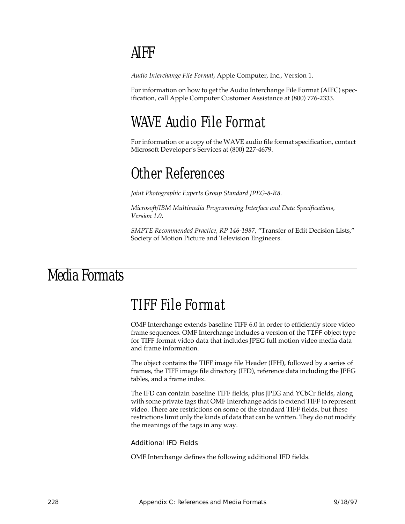# AIFF

*Audio Interchange File Format*, Apple Computer, Inc., Version 1.

For information on how to get the Audio Interchange File Format (AIFC) specification, call Apple Computer Customer Assistance at (800) 776-2333.

# WAVE Audio File Format

For information or a copy of the WAVE audio file format specification, contact Microsoft Developer's Services at (800) 227-4679.

# Other References

*Joint Photographic Experts Group Standard JPEG-8-R8*.

*Microsoft/IBM Multimedia Programming Interface and Data Specifications, Version 1.0*.

*SMPTE Recommended Practice, RP 146-1987*, "Transfer of Edit Decision Lists," Society of Motion Picture and Television Engineers.

# Media Formats

# TIFF File Format

OMF Interchange extends baseline TIFF 6.0 in order to efficiently store video frame sequences. OMF Interchange includes a version of the TIFF object type for TIFF format video data that includes JPEG full motion video media data and frame information.

The object contains the TIFF image file Header (IFH), followed by a series of frames, the TIFF image file directory (IFD), reference data including the JPEG tables, and a frame index.

The IFD can contain baseline TIFF fields, plus JPEG and YCbCr fields, along with some private tags that OMF Interchange adds to extend TIFF to represent video. There are restrictions on some of the standard TIFF fields, but these restrictions limit only the kinds of data that can be written. They do not modify the meanings of the tags in any way.

Additional IFD Fields

OMF Interchange defines the following additional IFD fields.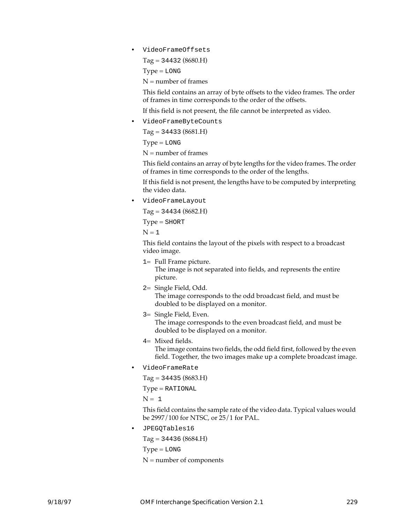• VideoFrameOffsets

Tag = 34432 (8680.H)

 $Type = LONG$ 

 $N =$  number of frames

This field contains an array of byte offsets to the video frames. The order of frames in time corresponds to the order of the offsets.

If this field is not present, the file cannot be interpreted as video.

• VideoFrameByteCounts

 $Tag = 34433 (8681.H)$ 

 $Type = LONG$ 

 $N =$  number of frames

This field contains an array of byte lengths for the video frames. The order of frames in time corresponds to the order of the lengths.

If this field is not present, the lengths have to be computed by interpreting the video data.

• VideoFrameLayout

Tag = 34434 (8682.H)

Type = SHORT

 $N = 1$ 

This field contains the layout of the pixels with respect to a broadcast video image.

- 1= Full Frame picture. The image is not separated into fields, and represents the entire picture.
- 2= Single Field, Odd.

The image corresponds to the odd broadcast field, and must be doubled to be displayed on a monitor.

- 3= Single Field, Even. The image corresponds to the even broadcast field, and must be doubled to be displayed on a monitor.
- 4= Mixed fields.

The image contains two fields, the odd field first, followed by the even field. Together, the two images make up a complete broadcast image.

• VideoFrameRate

Tag = 34435 (8683.H)

Type = RATIONAL

 $N = 1$ 

This field contains the sample rate of the video data. Typical values would be 2997/100 for NTSC, or 25/1 for PAL.

• JPEGQTables16

Tag = 34436 (8684.H)

 $Type = LOG$ 

 $N =$  number of components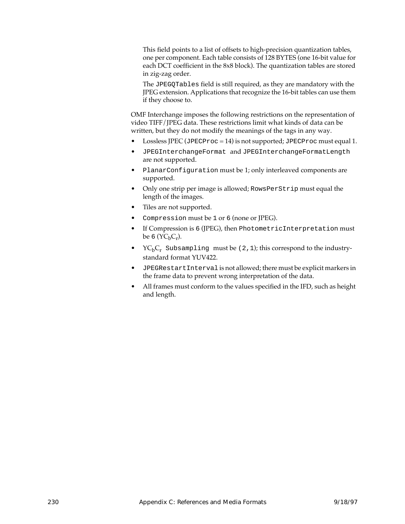This field points to a list of offsets to high-precision quantization tables, one per component. Each table consists of 128 BYTES (one 16-bit value for each DCT coefficient in the 8x8 block). The quantization tables are stored in zig-zag order.

The JPEGQTables field is still required, as they are mandatory with the JPEG extension. Applications that recognize the 16-bit tables can use them if they choose to.

OMF Interchange imposes the following restrictions on the representation of video TIFF/JPEG data. These restrictions limit what kinds of data can be written, but they do not modify the meanings of the tags in any way.

- Lossless JPEC (JPECProc = 14) is not supported; JPECProc must equal 1.
- JPEGInterchangeFormat and JPEGInterchangeFormatLength are not supported.
- PlanarConfiguration must be 1; only interleaved components are supported.
- Only one strip per image is allowed; RowsPerStrip must equal the length of the images.
- Tiles are not supported.
- Compression must be 1 or 6 (none or JPEG).
- If Compression is 6 (JPEG), then PhotometricInterpretation must be 6  $(YC_bC_r)$ .
- $\text{YC}_{\text{b}}\text{C}_{\text{r}}$  Subsampling must be (2, 1); this correspond to the industrystandard format YUV422.
- JPEGRestartInterval is not allowed; there must be explicit markers in the frame data to prevent wrong interpretation of the data.
- All frames must conform to the values specified in the IFD, such as height and length.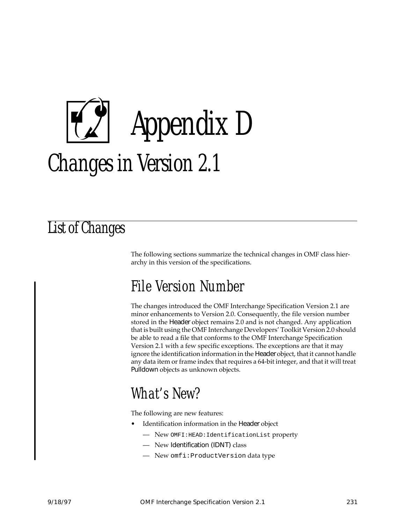# Appendix D Changes in Version 2.1

# List of Changes

The following sections summarize the technical changes in OMF class hierarchy in this version of the specifications.

# File Version Number

The changes introduced the OMF Interchange Specification Version 2.1 are minor enhancements to Version 2.0. Consequently, the file version number stored in the Header object remains 2.0 and is not changed. Any application that is built using the OMF Interchange Developers' Toolkit Version 2.0 should be able to read a file that conforms to the OMF Interchange Specification Version 2.1 with a few specific exceptions. The exceptions are that it may ignore the identification information in the Header object, that it cannot handle any data item or frame index that requires a 64-bit integer, and that it will treat Pulldown objects as unknown objects.

# What's New?

The following are new features:

- Identification information in the Header object
	- New OMFI:HEAD:IdentificationList property
	- New Identification (IDNT) class
	- New omfi:ProductVersion data type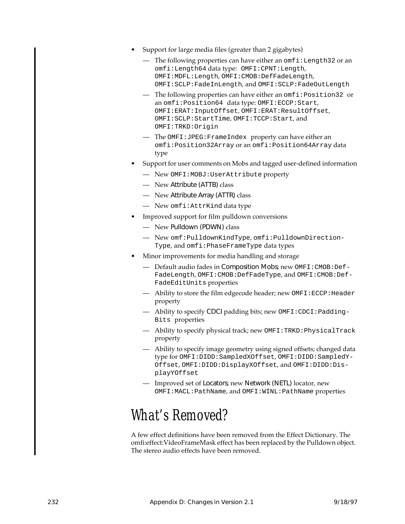- Support for large media files (greater than 2 gigabytes)
	- The following properties can have either an omfi:Length32 or an omfi:Length64 data type: OMFI:CPNT:Length, OMFI:MDFL:Length, OMFI:CMOB:DefFadeLength, OMFI:SCLP:FadeInLength, and OMFI:SCLP:FadeOutLength
	- The following properties can have either an omfi:Position32 or an omfi:Position64 data type: OMFI:ECCP:Start, OMFI:ERAT:InputOffset, OMFI:ERAT:ResultOffset, OMFI:SCLP:StartTime, OMFI:TCCP:Start, and OMFI:TRKD:Origin
	- The OMFI:JPEG:FrameIndex property can have either an omfi:Position32Array or an omfi:Position64Array data type
- Support for user comments on Mobs and tagged user-defined information
	- New OMFI:MOBJ:UserAttribute property
	- New Attribute (ATTB) class
	- New Attribute Array (ATTR) class
	- New omfi:AttrKind data type
- Improved support for film pulldown conversions
	- New Pulldown (PDWN) class
	- New omf:PulldownKindType, omfi:PulldownDirection-Type, and omfi:PhaseFrameType data types
- Minor improvements for media handling and storage
	- Default audio fades in Composition Mobs; new OMFI:CMOB:Def-FadeLength, OMFI:CMOB:DefFadeType, and OMFI:CMOB:Def-FadeEditUnits properties
	- Ability to store the film edgecode header; new OMFI:ECCP:Header property
	- Ability to specify CDCI padding bits; new OMFI:CDCI:Padding-Bits properties
	- Ability to specify physical track; new OMFI:TRKD:PhysicalTrack property
	- Ability to specify image geometry using signed offsets; changed data type for OMFI:DIDD:SampledXOffset, OMFI:DIDD:SampledY-Offset, OMFI:DIDD:DisplayXOffset, and OMFI:DIDD:DisplayYOffset
	- Improved set of Locators; new Network (NETL) locator, new OMFI:MACL:PathName, and OMFI:WINL:PathName properties

# What's Removed?

A few effect definitions have been removed from the Effect Dictionary. The omfi:effect:VideoFrameMask effect has been replaced by the Pulldown object. The stereo audio effects have been removed.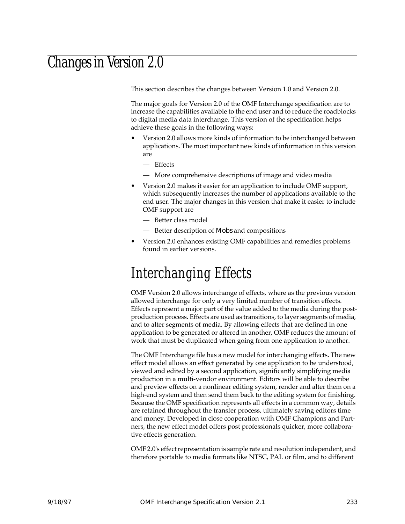# Changes in Version 2.0

This section describes the changes between Version 1.0 and Version 2.0.

The major goals for Version 2.0 of the OMF Interchange specification are to increase the capabilities available to the end user and to reduce the roadblocks to digital media data interchange. This version of the specification helps achieve these goals in the following ways:

- Version 2.0 allows more kinds of information to be interchanged between applications. The most important new kinds of information in this version are
	- Effects
	- More comprehensive descriptions of image and video media
- Version 2.0 makes it easier for an application to include OMF support, which subsequently increases the number of applications available to the end user. The major changes in this version that make it easier to include OMF support are
	- Better class model
	- Better description of Mobs and compositions
- Version 2.0 enhances existing OMF capabilities and remedies problems found in earlier versions.

# Interchanging Effects

OMF Version 2.0 allows interchange of effects, where as the previous version allowed interchange for only a very limited number of transition effects. Effects represent a major part of the value added to the media during the postproduction process. Effects are used as transitions, to layer segments of media, and to alter segments of media. By allowing effects that are defined in one application to be generated or altered in another, OMF reduces the amount of work that must be duplicated when going from one application to another.

The OMF Interchange file has a new model for interchanging effects. The new effect model allows an effect generated by one application to be understood, viewed and edited by a second application, significantly simplifying media production in a multi-vendor environment. Editors will be able to describe and preview effects on a nonlinear editing system, render and alter them on a high-end system and then send them back to the editing system for finishing. Because the OMF specification represents all effects in a common way, details are retained throughout the transfer process, ultimately saving editors time and money. Developed in close cooperation with OMF Champions and Partners, the new effect model offers post professionals quicker, more collaborative effects generation.

OMF 2.0's effect representation is sample rate and resolution independent, and therefore portable to media formats like NTSC, PAL or film, and to different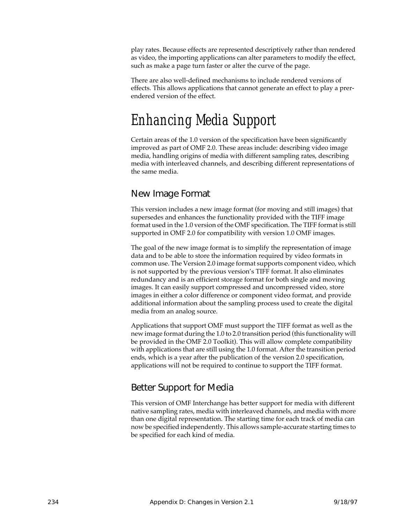play rates. Because effects are represented descriptively rather than rendered as video, the importing applications can alter parameters to modify the effect, such as make a page turn faster or alter the curve of the page.

There are also well-defined mechanisms to include rendered versions of effects. This allows applications that cannot generate an effect to play a prerendered version of the effect.

# Enhancing Media Support

Certain areas of the 1.0 version of the specification have been significantly improved as part of OMF 2.0. These areas include: describing video image media, handling origins of media with different sampling rates, describing media with interleaved channels, and describing different representations of the same media.

#### New Image Format

This version includes a new image format (for moving and still images) that supersedes and enhances the functionality provided with the TIFF image format used in the 1.0 version of the OMF specification. The TIFF format is still supported in OMF 2.0 for compatibility with version 1.0 OMF images.

The goal of the new image format is to simplify the representation of image data and to be able to store the information required by video formats in common use. The Version 2.0 image format supports component video, which is not supported by the previous version's TIFF format. It also eliminates redundancy and is an efficient storage format for both single and moving images. It can easily support compressed and uncompressed video, store images in either a color difference or component video format, and provide additional information about the sampling process used to create the digital media from an analog source.

Applications that support OMF must support the TIFF format as well as the new image format during the 1.0 to 2.0 transition period (this functionality will be provided in the OMF 2.0 Toolkit). This will allow complete compatibility with applications that are still using the 1.0 format. After the transition period ends, which is a year after the publication of the version 2.0 specification, applications will not be required to continue to support the TIFF format.

#### Better Support for Media

This version of OMF Interchange has better support for media with different native sampling rates, media with interleaved channels, and media with more than one digital representation. The starting time for each track of media can now be specified independently. This allows sample-accurate starting times to be specified for each kind of media.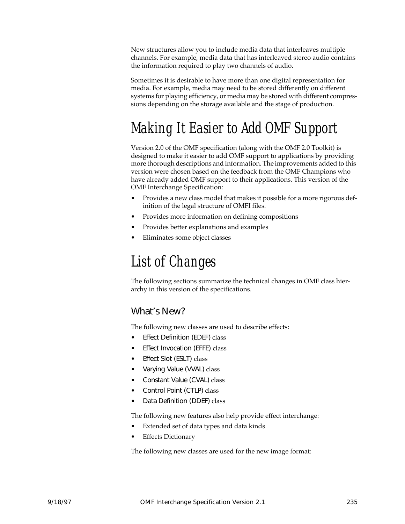New structures allow you to include media data that interleaves multiple channels. For example, media data that has interleaved stereo audio contains the information required to play two channels of audio.

Sometimes it is desirable to have more than one digital representation for media. For example, media may need to be stored differently on different systems for playing efficiency, or media may be stored with different compressions depending on the storage available and the stage of production.

# Making It Easier to Add OMF Support

Version 2.0 of the OMF specification (along with the OMF 2.0 Toolkit) is designed to make it easier to add OMF support to applications by providing more thorough descriptions and information. The improvements added to this version were chosen based on the feedback from the OMF Champions who have already added OMF support to their applications. This version of the OMF Interchange Specification:

- Provides a new class model that makes it possible for a more rigorous definition of the legal structure of OMFI files.
- Provides more information on defining compositions
- Provides better explanations and examples
- Eliminates some object classes

# List of Changes

The following sections summarize the technical changes in OMF class hierarchy in this version of the specifications.

#### What's New?

The following new classes are used to describe effects:

- **Effect Definition (EDEF) class**
- Effect Invocation (EFFE) class
- Effect Slot (ESLT) class
- Varying Value (VVAL) class
- Constant Value (CVAL) class
- Control Point (CTLP) class
- Data Definition (DDEF) class

The following new features also help provide effect interchange:

- Extended set of data types and data kinds
- **Effects Dictionary**

The following new classes are used for the new image format: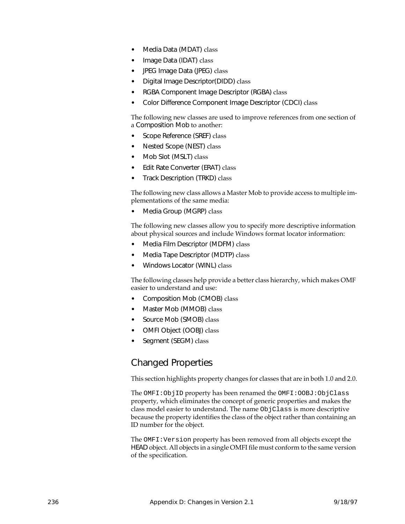- Media Data (MDAT) class
- Image Data (IDAT) class
- JPEG Image Data (JPEG) class
- Digital Image Descriptor(DIDD) class
- RGBA Component Image Descriptor (RGBA) class
- Color Difference Component Image Descriptor (CDCI) class

The following new classes are used to improve references from one section of a Composition Mob to another:

- Scope Reference (SREF) class
- Nested Scope (NEST) class
- Mob Slot (MSLT) class
- Edit Rate Converter (ERAT) class
- Track Description (TRKD) class

The following new class allows a Master Mob to provide access to multiple implementations of the same media:

• Media Group (MGRP) class

The following new classes allow you to specify more descriptive information about physical sources and include Windows format locator information:

- Media Film Descriptor (MDFM) class
- Media Tape Descriptor (MDTP) class
- Windows Locator (WINL) class

The following classes help provide a better class hierarchy, which makes OMF easier to understand and use:

- Composition Mob (CMOB) class
- Master Mob (MMOB) class
- Source Mob (SMOB) class
- OMFI Object (OOBJ) class
- Segment (SEGM) class

#### Changed Properties

This section highlights property changes for classes that are in both 1.0 and 2.0.

The OMFI:ObjID property has been renamed the OMFI:OOBJ:ObjClass property, which eliminates the concept of generic properties and makes the class model easier to understand. The name ObjClass is more descriptive because the property identifies the class of the object rather than containing an ID number for the object.

The OMFI:Version property has been removed from all objects except the HEAD object. All objects in a single OMFI file must conform to the same version of the specification.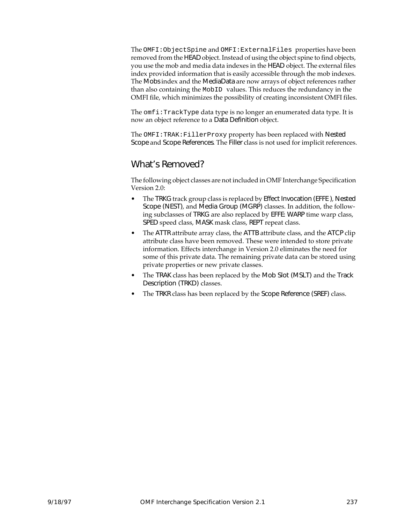The OMFI:ObjectSpine and OMFI:ExternalFiles properties have been removed from the HEAD object. Instead of using the object spine to find objects, you use the mob and media data indexes in the HEAD object. The external files index provided information that is easily accessible through the mob indexes. The Mobs index and the MediaData are now arrays of object references rather than also containing the MobID values. This reduces the redundancy in the OMFI file, which minimizes the possibility of creating inconsistent OMFI files.

The  $omfi:TrackType$  data type is no longer an enumerated data type. It is now an object reference to a Data Definition object.

The OMFI:TRAK:FillerProxy property has been replaced with Nested Scope and Scope References. The Filler class is not used for implicit references.

#### What's Removed?

The following object classes are not included in OMF Interchange Specification Version 2.0:

- The TRKG track group class is replaced by Effect Invocation (EFFE), Nested Scope (NEST), and Media Group (MGRP) classes. In addition, the following subclasses of TRKG are also replaced by EFFE: WARP time warp class, SPED speed class, MASK mask class, REPT repeat class.
- The ATTR attribute array class, the ATTB attribute class, and the ATCP clip attribute class have been removed. These were intended to store private information. Effects interchange in Version 2.0 eliminates the need for some of this private data. The remaining private data can be stored using private properties or new private classes.
- The TRAK class has been replaced by the Mob Slot (MSLT) and the Track Description (TRKD) classes.
- The TRKR class has been replaced by the Scope Reference (SREF) class.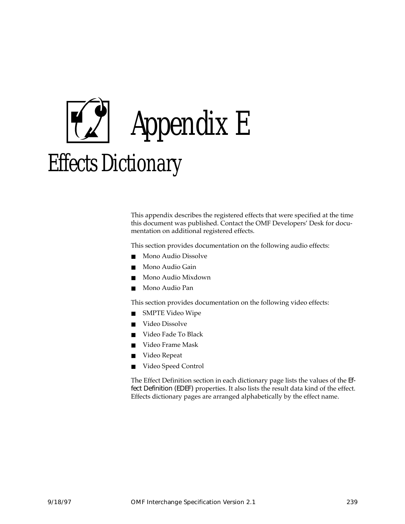

This appendix describes the registered effects that were specified at the time this document was published. Contact the OMF Developers' Desk for documentation on additional registered effects.

This section provides documentation on the following audio effects:

- Mono Audio Dissolve
- Mono Audio Gain
- Mono Audio Mixdown
- Mono Audio Pan

This section provides documentation on the following video effects:

- SMPTE Video Wipe
- Video Dissolve
- Video Fade To Black
- Video Frame Mask
- Video Repeat
- Video Speed Control

The Effect Definition section in each dictionary page lists the values of the Effect Definition (EDEF) properties. It also lists the result data kind of the effect. Effects dictionary pages are arranged alphabetically by the effect name.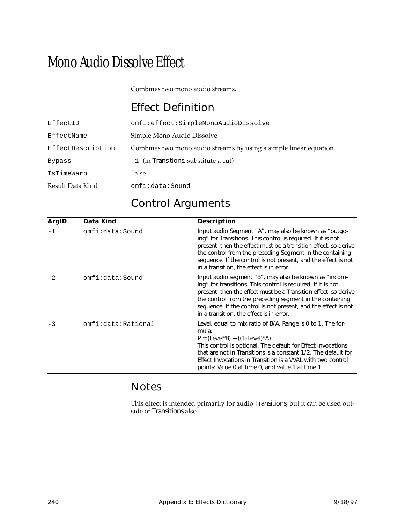# Mono Audio Dissolve Effect

Combines two mono audio streams.

# Effect Definition

| EffectID          | omfi:effect:SimpleMonoAudioDissolve                                |
|-------------------|--------------------------------------------------------------------|
| EffectName        | Simple Mono Audio Dissolve                                         |
| EffectDescription | Combines two mono audio streams by using a simple linear equation. |
| <b>Bypass</b>     | -1 (in Transitions, substitute a cut)                              |
| IsTimeWarp        | False                                                              |
| Result Data Kind  | omfi:data:Sound                                                    |

# Control Arguments

| ArgID | Data Kind          | <b>Description</b>                                                                                                                                                                                                                                                                                                                                                 |
|-------|--------------------|--------------------------------------------------------------------------------------------------------------------------------------------------------------------------------------------------------------------------------------------------------------------------------------------------------------------------------------------------------------------|
| $-1$  | omfi:data:Sound    | Input audio Segment "A", may also be known as "outgo-<br>ing" for Transitions. This control is required. If it is not<br>present, then the effect must be a transition effect, so derive<br>the control from the preceding Segment in the containing<br>sequence. If the control is not present, and the effect is not<br>in a transition, the effect is in error. |
| $-2$  | omfi:data:Sound    | Input audio segment "B", may also be known as "incom-<br>ing" for transitions. This control is required. If it is not<br>present, then the effect must be a Transition effect, so derive<br>the control from the preceding segment in the containing<br>sequence. If the control is not present, and the effect is not<br>in a transition, the effect is in error. |
| $-3$  | omfi:data:Rational | Level, equal to mix ratio of B/A. Range is 0 to 1. The for-<br>mula:<br>$P = (Level*B) + ((1-level)*A)$<br>This control is optional. The default for Effect Invocations<br>that are not in Transitions is a constant 1/2. The default for<br>Effect Invocations in Transition is a VVAL with two control<br>points: Value 0 at time 0, and value 1 at time 1.      |

#### Notes

This effect is intended primarily for audio Transitions, but it can be used outside of Transitions also.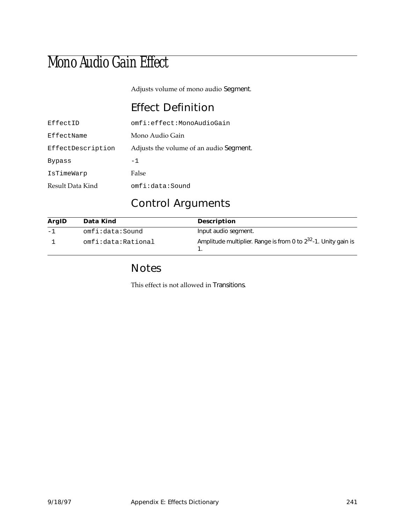## Mono Audio Gain Effect

Adjusts volume of mono audio Segment.

#### Effect Definition

| EffectID          | omfi:effect:MonoAudioGain               |
|-------------------|-----------------------------------------|
| EffectName        | Mono Audio Gain                         |
| EffectDescription | Adjusts the volume of an audio Segment. |
| Bypass            | -1                                      |
| IsTimeWarp        | False                                   |
| Result Data Kind  | omfi:data:Sound                         |

#### Control Arguments

| ArgID | Data Kind          | <b>Description</b>                                                  |
|-------|--------------------|---------------------------------------------------------------------|
| $-1$  | omfi:data:Sound    | Input audio segment.                                                |
|       | omfi:data:Rational | Amplitude multiplier. Range is from 0 to $2^{32}$ -1. Unity gain is |

#### Notes

This effect is not allowed in Transitions.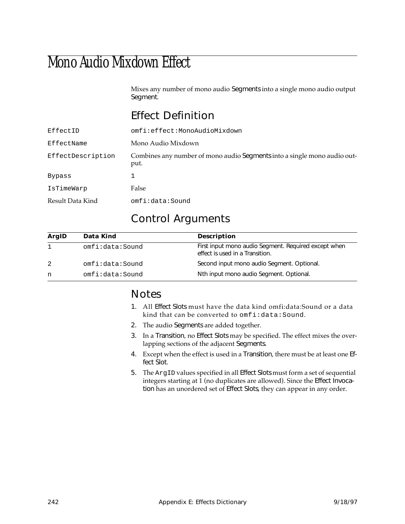## Mono Audio Mixdown Effect

Mixes any number of mono audio Segments into a single mono audio output Segment.

#### Effect Definition

| EffectID          | omfi:effect:MonoAudioMixdown                                                     |
|-------------------|----------------------------------------------------------------------------------|
| EffectName        | Mono Audio Mixdown                                                               |
| EffectDescription | Combines any number of mono audio Segments into a single mono audio out-<br>put. |
| Bypass            |                                                                                  |
| IsTimeWarp        | False                                                                            |
| Result Data Kind  | omfi:data:Sound                                                                  |

#### Control Arguments

| ArgID | Data Kind       | <b>Description</b>                                                                      |
|-------|-----------------|-----------------------------------------------------------------------------------------|
|       | omfi:data:Sound | First input mono audio Segment. Required except when<br>effect is used in a Transition. |
| 2     | omfi:data:Sound | Second input mono audio Segment. Optional.                                              |
| n     | omfi:data:Sound | Nth input mono audio Segment. Optional.                                                 |

#### Notes

- 1. All Effect Slots must have the data kind omfi:data:Sound or a data kind that can be converted to omfi:data:Sound.
- 2. The audio Segments are added together.
- 3. In a Transition, no Effect Slots may be specified. The effect mixes the overlapping sections of the adjacent Segments.
- 4. Except when the effect is used in a Transition, there must be at least one Effect Slot.
- 5. The ArgID values specified in all Effect Slots must form a set of sequential integers starting at 1 (no duplicates are allowed). Since the Effect Invocation has an unordered set of Effect Slots, they can appear in any order.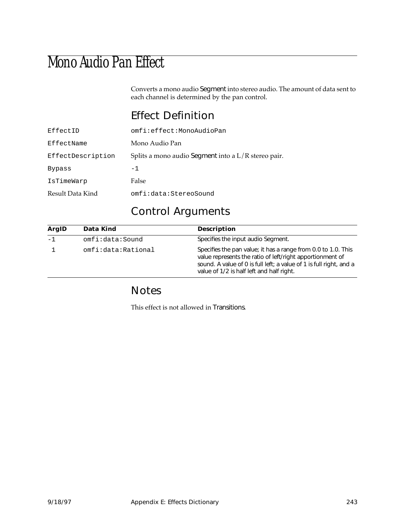## Mono Audio Pan Effect

Converts a mono audio Segment into stereo audio. The amount of data sent to each channel is determined by the pan control.

#### Effect Definition

| EffectID          | omfi:effect:MonoAudioPan                              |
|-------------------|-------------------------------------------------------|
| EffectName        | Mono Audio Pan                                        |
| EffectDescription | Splits a mono audio Segment into a $L/R$ stereo pair. |
| Bypass            | $-1$                                                  |
| IsTimeWarp        | False                                                 |
| Result Data Kind  | omfi:data:StereoSound                                 |

#### Control Arguments

| ArgID | Data Kind          | <b>Description</b>                                                                                                                                                                                                                             |
|-------|--------------------|------------------------------------------------------------------------------------------------------------------------------------------------------------------------------------------------------------------------------------------------|
| $-1$  | omfi:data:Sound    | Specifies the input audio Segment.                                                                                                                                                                                                             |
|       | omfi:data:Rational | Specifies the pan value; it has a range from 0.0 to 1.0. This<br>value represents the ratio of left/right apportionment of<br>sound. A value of 0 is full left; a value of 1 is full right, and a<br>value of 1/2 is half left and half right. |

#### Notes

This effect is not allowed in Transitions.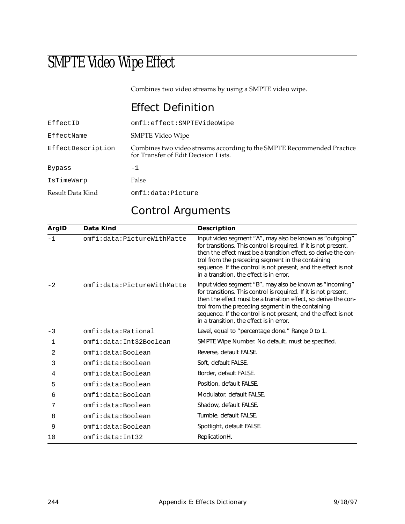## SMPTE Video Wipe Effect

Combines two video streams by using a SMPTE video wipe.

#### Effect Definition

| EffectID          | omfi:effect:SMPTEVideoWipe                                                                                     |
|-------------------|----------------------------------------------------------------------------------------------------------------|
| EffectName        | <b>SMPTE Video Wipe</b>                                                                                        |
| EffectDescription | Combines two video streams according to the SMPTE Recommended Practice<br>for Transfer of Edit Decision Lists. |
| <b>Bypass</b>     | $-1$                                                                                                           |
| IsTimeWarp        | False                                                                                                          |
| Result Data Kind  | omfi:data:Picture                                                                                              |

#### Control Arguments

| ArgID | Data Kind                  | <b>Description</b>                                                                                                                                                                                                                                                                                                                                                 |
|-------|----------------------------|--------------------------------------------------------------------------------------------------------------------------------------------------------------------------------------------------------------------------------------------------------------------------------------------------------------------------------------------------------------------|
| $-1$  | omfi:data:PictureWithMatte | Input video segment "A", may also be known as "outgoing"<br>for transitions. This control is required. If it is not present,<br>then the effect must be a transition effect, so derive the con-<br>trol from the preceding segment in the containing<br>sequence. If the control is not present, and the effect is not<br>in a transition, the effect is in error. |
| $-2$  | omfi:data:PictureWithMatte | Input video segment "B", may also be known as "incoming"<br>for transitions. This control is required. If it is not present,<br>then the effect must be a transition effect, so derive the con-<br>trol from the preceding segment in the containing<br>sequence. If the control is not present, and the effect is not<br>in a transition, the effect is in error. |
| $-3$  | omfi:data:Rational         | Level, equal to "percentage done." Range 0 to 1.                                                                                                                                                                                                                                                                                                                   |
| 1     | omfi:data:Int32Boolean     | SMPTE Wipe Number. No default, must be specified.                                                                                                                                                                                                                                                                                                                  |
| 2     | omfi:data:Boolean          | Reverse, default FALSE.                                                                                                                                                                                                                                                                                                                                            |
| 3     | omfi:data:Boolean          | Soft, default FALSE.                                                                                                                                                                                                                                                                                                                                               |
| 4     | omfi:data:Boolean          | Border, default FALSE.                                                                                                                                                                                                                                                                                                                                             |
| 5     | omfi:data:Boolean          | Position, default FALSE.                                                                                                                                                                                                                                                                                                                                           |
| 6     | omfi:data:Boolean          | Modulator, default FALSE.                                                                                                                                                                                                                                                                                                                                          |
| 7     | omfi:data:Boolean          | Shadow, default FALSE.                                                                                                                                                                                                                                                                                                                                             |
| 8     | omfi:data:Boolean          | Tumble, default FALSE.                                                                                                                                                                                                                                                                                                                                             |
| 9     | omfi:data:Boolean          | Spotlight, default FALSE.                                                                                                                                                                                                                                                                                                                                          |
| 10    | omfi:data:Int32            | ReplicationH.                                                                                                                                                                                                                                                                                                                                                      |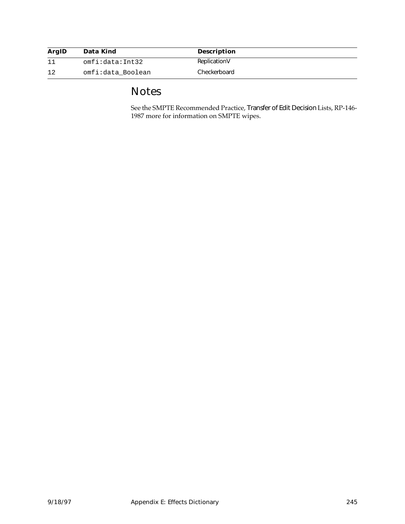| <b>ArgID</b> | Data Kind         | <b>Description</b> |
|--------------|-------------------|--------------------|
|              | omfi:data:Int32   | ReplicationV       |
| 12           | omfi:data Boolean | Checkerboard       |

#### Notes

See the SMPTE Recommended Practice, Transfer of Edit Decision Lists, RP-146- 1987 more for information on SMPTE wipes.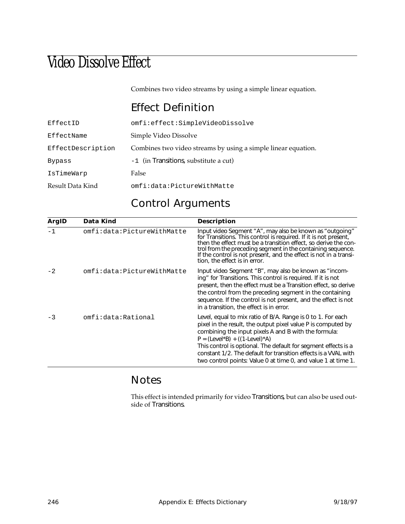## Video Dissolve Effect

Combines two video streams by using a simple linear equation.

#### Effect Definition

| EffectID          | omfi:effect:SimpleVideoDissolve                               |
|-------------------|---------------------------------------------------------------|
| EffectName        | Simple Video Dissolve                                         |
| EffectDescription | Combines two video streams by using a simple linear equation. |
| Bypass            | -1 (in Transitions, substitute a cut)                         |
| IsTimeWarp        | False                                                         |
| Result Data Kind  | omfi:data:PictureWithMatte                                    |

#### Control Arguments

| ArgID | Data Kind                  | <b>Description</b>                                                                                                                                                                                                                                                                                                                                                                                                           |
|-------|----------------------------|------------------------------------------------------------------------------------------------------------------------------------------------------------------------------------------------------------------------------------------------------------------------------------------------------------------------------------------------------------------------------------------------------------------------------|
| $-1$  | omfi:data:PictureWithMatte | Input video Segment "A", may also be known as "outgoing"<br>for Transitions. This control is required. If it is not present,<br>then the effect must be a transition effect, so derive the con-<br>trol from the preceding segment in the containing sequence.<br>If the control is not present, and the effect is not in a transi-<br>tion, the effect is in error.                                                         |
| $-2$  | omfi:data:PictureWithMatte | Input video Segment "B", may also be known as "incom-<br>ing" for Transitions. This control is required. If it is not<br>present, then the effect must be a Transition effect, so derive<br>the control from the preceding segment in the containing<br>sequence. If the control is not present, and the effect is not<br>in a transition, the effect is in error.                                                           |
| $-3$  | omfi:data:Rational         | Level, equal to mix ratio of B/A. Range is 0 to 1. For each<br>pixel in the result, the output pixel value P is computed by<br>combining the input pixels A and B with the formula:<br>$P = (Level*B) + ((1-level)*A)$<br>This control is optional. The default for segment effects is a<br>constant 1/2. The default for transition effects is a VVAL with<br>two control points: Value 0 at time 0, and value 1 at time 1. |

#### Notes

This effect is intended primarily for video Transitions, but can also be used outside of Transitions.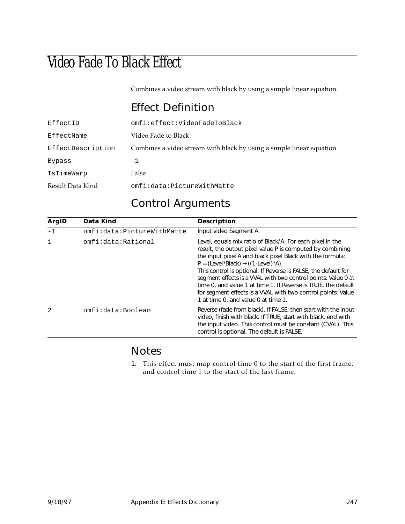## Video Fade To Black Effect

Combines a video stream with black by using a simple linear equation.

#### Effect Definition

| EffectID          | omfi:effect:VideoFadeToBlack                                         |
|-------------------|----------------------------------------------------------------------|
| EffectName        | Video Fade to Black                                                  |
| EffectDescription | Combines a video stream with black by using a simple linear equation |
| Bypass            | $-1$                                                                 |
| IsTimeWarp        | False                                                                |
| Result Data Kind  | omfi:data:PictureWithMatte                                           |

#### Control Arguments

| ArgID        | Data Kind                  | <b>Description</b>                                                                                                                                                                                                                                                                                                                                                                                                                                                                                                                     |
|--------------|----------------------------|----------------------------------------------------------------------------------------------------------------------------------------------------------------------------------------------------------------------------------------------------------------------------------------------------------------------------------------------------------------------------------------------------------------------------------------------------------------------------------------------------------------------------------------|
| $-1$         | omfi:data:PictureWithMatte | Input video Segment A.                                                                                                                                                                                                                                                                                                                                                                                                                                                                                                                 |
| $\mathbf{1}$ | omfi:data:Rational         | Level, equals mix ratio of Black/A. For each pixel in the<br>result, the output pixel value P is computed by combining<br>the input pixel A and black pixel Black with the formula:<br>$P = (Level*Black) + ((1-level)*A)$<br>This control is optional. If Reverse is FALSE, the default for<br>segment effects is a VVAL with two control points: Value 0 at<br>time 0, and value 1 at time 1. If Reverse is TRUE, the default<br>for segment effects is a VVAL with two control points: Value<br>1 at time 0, and value 0 at time 1. |
| 2            | omfi:data:Boolean          | Reverse (fade from black). If FALSE, then start with the input<br>video, finish with black. If TRUE, start with black, end with<br>the input video. This control must be constant (CVAL). This<br>control is optional. The default is FALSE.                                                                                                                                                                                                                                                                                           |

#### Notes

1. This effect must map control time 0 to the start of the first frame, and control time 1 to the start of the last frame.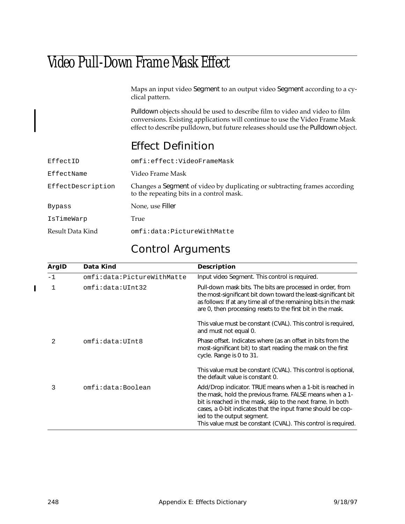## Video Pull-Down Frame Mask Effect

Maps an input video Segment to an output video Segment according to a cyclical pattern.

Pulldown objects should be used to describe film to video and video to film conversions. Existing applications will continue to use the Video Frame Mask effect to describe pulldown, but future releases should use the Pulldown object.

#### Effect Definition

| EffectID          | omfi:effect:VideoFrameMask                                                                                            |
|-------------------|-----------------------------------------------------------------------------------------------------------------------|
| EffectName        | Video Frame Mask                                                                                                      |
| EffectDescription | Changes a Segment of video by duplicating or subtracting frames according<br>to the repeating bits in a control mask. |
| <b>Bypass</b>     | None, use Filler                                                                                                      |
| IsTimeWarp        | True                                                                                                                  |
| Result Data Kind  | omfi:data:PictureWithMatte                                                                                            |
|                   |                                                                                                                       |

#### Control Arguments

| ArgID | Data Kind                  | <b>Description</b>                                                                                                                                                                                                                                                                                                                                  |
|-------|----------------------------|-----------------------------------------------------------------------------------------------------------------------------------------------------------------------------------------------------------------------------------------------------------------------------------------------------------------------------------------------------|
| $-1$  | omfi:data:PictureWithMatte | Input video Segment. This control is required.                                                                                                                                                                                                                                                                                                      |
|       | omfi:data:UInt32           | Pull-down mask bits. The bits are processed in order, from<br>the most-significant bit down toward the least-significant bit<br>as follows: If at any time all of the remaining bits in the mask<br>are 0, then processing resets to the first bit in the mask.                                                                                     |
|       |                            | This value must be constant (CVAL). This control is required,<br>and must not equal 0.                                                                                                                                                                                                                                                              |
| 2     | omfi:data:UInt8            | Phase offset. Indicates where (as an offset in bits from the<br>most-significant bit) to start reading the mask on the first<br>cycle. Range is 0 to 31.                                                                                                                                                                                            |
|       |                            | This value must be constant (CVAL). This control is optional,<br>the default value is constant 0.                                                                                                                                                                                                                                                   |
| 3     | omfi:data:Boolean          | Add/Drop indicator. TRUE means when a 1-bit is reached in<br>the mask, hold the previous frame. FALSE means when a 1-<br>bit is reached in the mask, skip to the next frame. In both<br>cases, a 0-bit indicates that the input frame should be cop-<br>ied to the output segment.<br>This value must be constant (CVAL). This control is required. |

 $\blacksquare$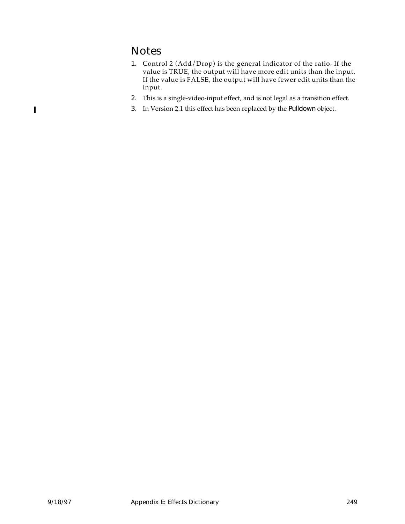#### Notes

- 1. Control 2 (Add/Drop) is the general indicator of the ratio. If the value is TRUE, the output will have more edit units than the input. If the value is FALSE, the output will have fewer edit units than the input.
- 2. This is a single-video-input effect, and is not legal as a transition effect.
- 3. In Version 2.1 this effect has been replaced by the Pulldown object.

 $\blacksquare$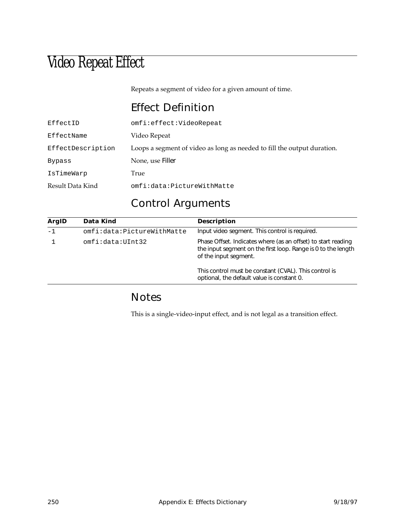## Video Repeat Effect

Repeats a segment of video for a given amount of time.

#### Effect Definition

| EffectID          | omfi:effect:VideoRepeat                                                 |
|-------------------|-------------------------------------------------------------------------|
| EffectName        | Video Repeat                                                            |
| EffectDescription | Loops a segment of video as long as needed to fill the output duration. |
| Bypass            | None, use Filler                                                        |
| IsTimeWarp        | True                                                                    |
| Result Data Kind  | omfi:data:PictureWithMatte                                              |

#### Control Arguments

| ArgID | Data Kind                  | <b>Description</b>                                                                                                                                      |
|-------|----------------------------|---------------------------------------------------------------------------------------------------------------------------------------------------------|
| $-1$  | omfi:data:PictureWithMatte | Input video segment. This control is required.                                                                                                          |
|       | omfi:data:UInt32           | Phase Offset. Indicates where (as an offset) to start reading<br>the input segment on the first loop. Range is 0 to the length<br>of the input segment. |
|       |                            | This control must be constant (CVAL). This control is<br>optional, the default value is constant 0.                                                     |

#### Notes

This is a single-video-input effect, and is not legal as a transition effect.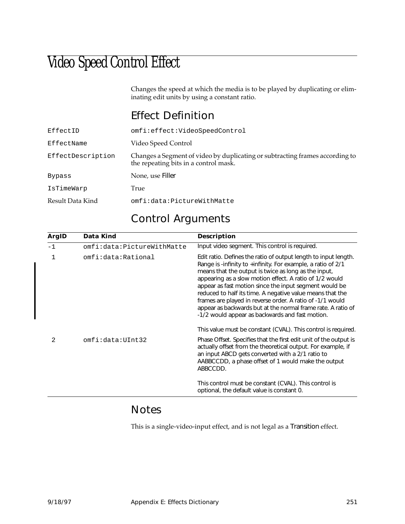## Video Speed Control Effect

Changes the speed at which the media is to be played by duplicating or eliminating edit units by using a constant ratio.

#### Effect Definition

| EffectID          | omfi:effect:VideoSpeedControl                                                                                         |
|-------------------|-----------------------------------------------------------------------------------------------------------------------|
| EffectName        | Video Speed Control                                                                                                   |
| EffectDescription | Changes a Segment of video by duplicating or subtracting frames according to<br>the repeating bits in a control mask. |
| Bypass            | None, use Filler                                                                                                      |
| IsTimeWarp        | True                                                                                                                  |
| Result Data Kind  | omfi:data:PictureWithMatte                                                                                            |

#### Control Arguments

| ArgID | Data Kind                  | <b>Description</b>                                                                                                                                                                                                                                                                                                                                                                                                                                                                                                                                          |
|-------|----------------------------|-------------------------------------------------------------------------------------------------------------------------------------------------------------------------------------------------------------------------------------------------------------------------------------------------------------------------------------------------------------------------------------------------------------------------------------------------------------------------------------------------------------------------------------------------------------|
| $-1$  | omfi:data:PictureWithMatte | Input video segment. This control is required.                                                                                                                                                                                                                                                                                                                                                                                                                                                                                                              |
| 1     | omfi:data:Rational         | Edit ratio. Defines the ratio of output length to input length.<br>Range is -infinity to +infinity. For example, a ratio of $2/1$<br>means that the output is twice as long as the input,<br>appearing as a slow motion effect. A ratio of 1/2 would<br>appear as fast motion since the input segment would be<br>reduced to half its time. A negative value means that the<br>frames are played in reverse order. A ratio of -1/1 would<br>appear as backwards but at the normal frame rate. A ratio of<br>-1/2 would appear as backwards and fast motion. |
|       |                            | This value must be constant (CVAL). This control is required.                                                                                                                                                                                                                                                                                                                                                                                                                                                                                               |
| 2     | omfi:data:UInt32           | Phase Offset. Specifies that the first edit unit of the output is<br>actually offset from the theoretical output. For example, if<br>an input ABCD gets converted with a 2/1 ratio to<br>AABBCCDD, a phase offset of 1 would make the output<br>ABBCCDD.                                                                                                                                                                                                                                                                                                    |
|       |                            | This control must be constant (CVAL). This control is<br>optional, the default value is constant 0.                                                                                                                                                                                                                                                                                                                                                                                                                                                         |

#### Notes

This is a single-video-input effect, and is not legal as a Transition effect.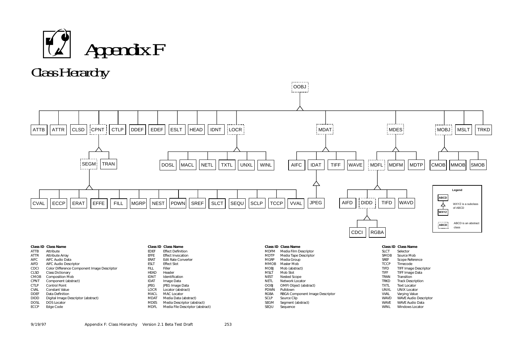<span id="page-264-0"></span>



|             | <b>Class ID Class Name</b>                  |             | <b>Class ID Class Name</b>       |                  | <b>Class ID Class Name</b>      |             | <b>Class ID Class Name</b>   |
|-------------|---------------------------------------------|-------------|----------------------------------|------------------|---------------------------------|-------------|------------------------------|
| ATTB        | Attribute                                   | <b>EDEF</b> | <b>Effect Definition</b>         | <b>MDFM</b>      | Media Film Descriptor           | <b>SLCT</b> | Selector                     |
| ATTR        | Attribute Array                             | EFFE        | <b>Effect Invocation</b>         | <b>MDTP</b>      | Media Tape Descriptor           | <b>SMOB</b> | Source Mob                   |
| <b>AIFC</b> | AIFC Audio Data                             | <b>ERAT</b> | <b>Edit Rate Converter</b>       | <b>MGRP</b>      | Media Group                     | <b>SREF</b> | Scope Reference              |
| <b>AIFD</b> | AIFC Audio Descriptor                       | <b>ESL1</b> | <b>Effect Slot</b>               | <b>MMOB</b>      | Master Mob                      | <b>TCCF</b> | Timecode                     |
| <b>CDCI</b> | Color Difference Component Image Descriptor | <b>FILL</b> | Filler                           | <b>MOBJ</b>      | Mob (abstract)                  | <b>TIFD</b> | <b>TIFF Image Descriptor</b> |
| <b>CLSD</b> | <b>Class Dictionary</b>                     | <b>HEAD</b> | Header                           | MSL <sub>1</sub> | Mob Slot                        | <b>TIFF</b> | TIFF Image Data              |
| <b>CMOB</b> | <b>Composition Mob</b>                      | <b>IDN</b>  | Identification                   | <b>NEST</b>      | Nested Scope                    | TRAN        | Transition                   |
| <b>CPNT</b> | Component (abstract)                        | <b>IDAT</b> | Image Data                       | <b>NETL</b>      | Network Locator                 | TRKD        | <b>Track Description</b>     |
| <b>CTLP</b> | <b>Control Point</b>                        | <b>JPEG</b> | JPEG Image Data                  | <b>OOBJ</b>      | OMFI Object (abstract)          | <b>TXTL</b> | <b>Text Locator</b>          |
| <b>CVAL</b> | <b>Constant Value</b>                       | <b>LOCR</b> | Locator (abstract)               | <b>PDWN</b>      | Pulldown                        | <b>UNXL</b> | <b>UNIX Locator</b>          |
| <b>DDEF</b> | Data Definition                             | <b>MACL</b> | <b>MAC Locator</b>               | <b>RGBA</b>      | RBGA Component Image Descriptor | <b>VVAL</b> | Varying Value                |
| <b>DIDD</b> | Digital Image Descriptor (abstract)         | <b>MDAT</b> | Media Data (abstract)            | <b>SCLP</b>      | Source Clip                     | <b>WAVD</b> | <b>WAVE Audio Descriptor</b> |
| <b>DOSL</b> | <b>DOS Locator</b>                          | <b>MDES</b> | Media Descriptor (abstract)      | <b>SEGM</b>      | Segment (abstract)              | <b>WAVE</b> | <b>WAVE Audio Data</b>       |
| <b>ECCP</b> | Edge Code                                   | <b>MDFI</b> | Media File Descriptor (abstract) | SEQU             | Sequence                        | <b>WINI</b> | <b>Windows Locator</b>       |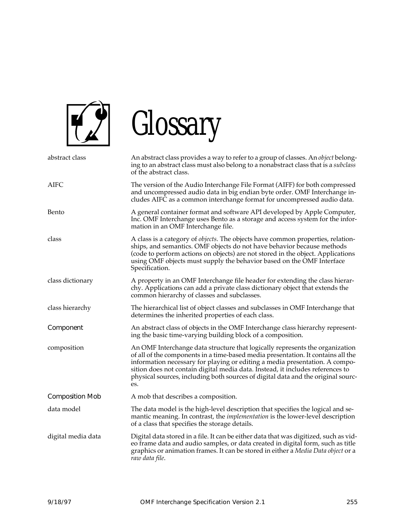

# Glossary

| abstract class         | An abstract class provides a way to refer to a group of classes. An object belong-<br>ing to an abstract class must also belong to a nonabstract class that is a subclass<br>of the abstract class.                                                                                                                                                                                                                          |
|------------------------|------------------------------------------------------------------------------------------------------------------------------------------------------------------------------------------------------------------------------------------------------------------------------------------------------------------------------------------------------------------------------------------------------------------------------|
| AIFC                   | The version of the Audio Interchange File Format (AIFF) for both compressed<br>and uncompressed audio data in big endian byte order. OMF Interchange in-<br>cludes AIFC as a common interchange format for uncompressed audio data.                                                                                                                                                                                          |
| Bento                  | A general container format and software API developed by Apple Computer,<br>Inc. OMF Interchange uses Bento as a storage and access system for the infor-<br>mation in an OMF Interchange file.                                                                                                                                                                                                                              |
| class                  | A class is a category of <i>objects</i> . The objects have common properties, relation-<br>ships, and semantics. OMF objects do not have behavior because methods<br>(code to perform actions on objects) are not stored in the object. Applications<br>using OMF objects must supply the behavior based on the OMF Interface<br>Specification.                                                                              |
| class dictionary       | A property in an OMF Interchange file header for extending the class hierar-<br>chy. Applications can add a private class dictionary object that extends the<br>common hierarchy of classes and subclasses.                                                                                                                                                                                                                  |
| class hierarchy        | The hierarchical list of object classes and subclasses in OMF Interchange that<br>determines the inherited properties of each class.                                                                                                                                                                                                                                                                                         |
| Component              | An abstract class of objects in the OMF Interchange class hierarchy represent-<br>ing the basic time-varying building block of a composition.                                                                                                                                                                                                                                                                                |
| composition            | An OMF Interchange data structure that logically represents the organization<br>of all of the components in a time-based media presentation. It contains all the<br>information necessary for playing or editing a media presentation. A compo-<br>sition does not contain digital media data. Instead, it includes references to<br>physical sources, including both sources of digital data and the original sourc-<br>es. |
| <b>Composition Mob</b> | A mob that describes a composition.                                                                                                                                                                                                                                                                                                                                                                                          |
| data model             | The data model is the high-level description that specifies the logical and se-<br>mantic meaning. In contrast, the <i>implementation</i> is the lower-level description<br>of a class that specifies the storage details.                                                                                                                                                                                                   |
| digital media data     | Digital data stored in a file. It can be either data that was digitized, such as vid-<br>eo frame data and audio samples, or data created in digital form, such as title<br>graphics or animation frames. It can be stored in either a Media Data object or a<br>raw data file.                                                                                                                                              |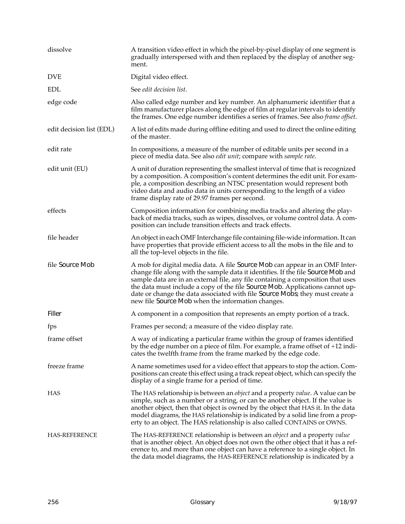| dissolve                 | A transition video effect in which the pixel-by-pixel display of one segment is<br>gradually interspersed with and then replaced by the display of another seg-<br>ment.                                                                                                                                                                                                                                                                                                 |
|--------------------------|--------------------------------------------------------------------------------------------------------------------------------------------------------------------------------------------------------------------------------------------------------------------------------------------------------------------------------------------------------------------------------------------------------------------------------------------------------------------------|
| <b>DVE</b>               | Digital video effect.                                                                                                                                                                                                                                                                                                                                                                                                                                                    |
| <b>EDL</b>               | See edit decision list.                                                                                                                                                                                                                                                                                                                                                                                                                                                  |
| edge code                | Also called edge number and key number. An alphanumeric identifier that a<br>film manufacturer places along the edge of film at regular intervals to identify<br>the frames. One edge number identifies a series of frames. See also <i>frame offset</i> .                                                                                                                                                                                                               |
| edit decision list (EDL) | A list of edits made during offline editing and used to direct the online editing<br>of the master.                                                                                                                                                                                                                                                                                                                                                                      |
| edit rate                | In compositions, a measure of the number of editable units per second in a<br>piece of media data. See also <i>edit unit</i> ; compare with <i>sample rate</i> .                                                                                                                                                                                                                                                                                                         |
| edit unit (EU)           | A unit of duration representing the smallest interval of time that is recognized<br>by a composition. A composition's content determines the edit unit. For exam-<br>ple, a composition describing an NTSC presentation would represent both<br>video data and audio data in units corresponding to the length of a video<br>frame display rate of 29.97 frames per second.                                                                                              |
| effects                  | Composition information for combining media tracks and altering the play-<br>back of media tracks, such as wipes, dissolves, or volume control data. A com-<br>position can include transition effects and track effects.                                                                                                                                                                                                                                                |
| file header              | An object in each OMF Interchange file containing file-wide information. It can<br>have properties that provide efficient access to all the mobs in the file and to<br>all the top-level objects in the file.                                                                                                                                                                                                                                                            |
| file Source Mob          | A mob for digital media data. A file Source Mob can appear in an OMF Inter-<br>change file along with the sample data it identifies. If the file Source Mob and<br>sample data are in an external file, any file containing a composition that uses<br>the data must include a copy of the file Source Mob. Applications cannot up-<br>date or change the data associated with file Source Mobs; they must create a<br>new file Source Mob when the information changes. |
| Filler                   | A component in a composition that represents an empty portion of a track.                                                                                                                                                                                                                                                                                                                                                                                                |
| fps                      | Frames per second; a measure of the video display rate.                                                                                                                                                                                                                                                                                                                                                                                                                  |
| frame offset             | A way of indicating a particular frame within the group of frames identified<br>by the edge number on a piece of film. For example, a frame offset of +12 indi-<br>cates the twelfth frame from the frame marked by the edge code.                                                                                                                                                                                                                                       |
| freeze frame             | A name sometimes used for a video effect that appears to stop the action. Com-<br>positions can create this effect using a track repeat object, which can specify the<br>display of a single frame for a period of time.                                                                                                                                                                                                                                                 |
| <b>HAS</b>               | The HAS relationship is between an <i>object</i> and a property <i>value</i> . A value can be<br>simple, such as a number or a string, or can be another object. If the value is<br>another object, then that object is owned by the object that HAS it. In the data<br>model diagrams, the HAS relationship is indicated by a solid line from a prop-<br>erty to an object. The HAS relationship is also called CONTAINS or OWNS.                                       |
| <b>HAS-REFERENCE</b>     | The HAS-REFERENCE relationship is between an <i>object</i> and a property <i>value</i><br>that is another object. An object does not own the other object that it has a ref-<br>erence to, and more than one object can have a reference to a single object. In<br>the data model diagrams, the HAS-REFERENCE relationship is indicated by a                                                                                                                             |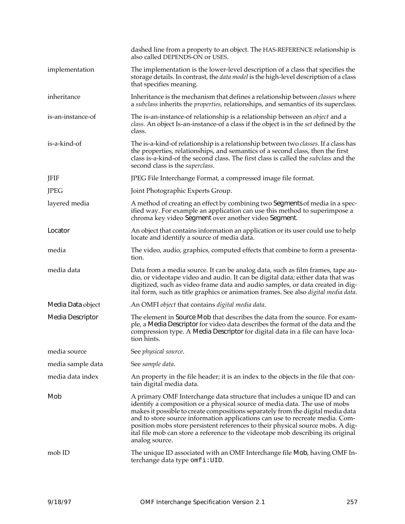|                   | dashed line from a property to an object. The HAS-REFERENCE relationship is<br>also called DEPENDS-ON or USES.                                                                                                                                                                                                                                                                                                                                                                                                       |
|-------------------|----------------------------------------------------------------------------------------------------------------------------------------------------------------------------------------------------------------------------------------------------------------------------------------------------------------------------------------------------------------------------------------------------------------------------------------------------------------------------------------------------------------------|
| implementation    | The implementation is the lower-level description of a class that specifies the<br>storage details. In contrast, the <i>data model</i> is the high-level description of a class<br>that specifies meaning.                                                                                                                                                                                                                                                                                                           |
| inheritance       | Inheritance is the mechanism that defines a relationship between <i>classes</i> where<br>a subclass inherits the <i>properties</i> , relationships, and semantics of its superclass.                                                                                                                                                                                                                                                                                                                                 |
| is-an-instance-of | The is-an-instance-of relationship is a relationship between an <i>object</i> and a<br>class. An object Is-an-instance-of a class if the object is in the set defined by the<br>class.                                                                                                                                                                                                                                                                                                                               |
| is-a-kind-of      | The is-a-kind-of relationship is a relationship between two <i>classes</i> . If a class has<br>the properties, relationships, and semantics of a second class, then the first<br>class is-a-kind-of the second class. The first class is called the subclass and the<br>second class is the <i>superclass</i> .                                                                                                                                                                                                      |
| JFIF              | JPEG File Interchange Format, a compressed image file format.                                                                                                                                                                                                                                                                                                                                                                                                                                                        |
| <b>JPEG</b>       | Joint Photographic Experts Group.                                                                                                                                                                                                                                                                                                                                                                                                                                                                                    |
| layered media     | A method of creating an effect by combining two Segments of media in a spec-<br>ified way. For example an application can use this method to superimpose a<br>chroma key video Segment over another video Segment.                                                                                                                                                                                                                                                                                                   |
| Locator           | An object that contains information an application or its user could use to help<br>locate and identify a source of media data.                                                                                                                                                                                                                                                                                                                                                                                      |
| media             | The video, audio, graphics, computed effects that combine to form a presenta-<br>tion.                                                                                                                                                                                                                                                                                                                                                                                                                               |
| media data        | Data from a media source. It can be analog data, such as film frames, tape au-<br>dio, or videotape video and audio. It can be digital data; either data that was<br>digitized, such as video frame data and audio samples, or data created in dig-<br>ital form, such as title graphics or animation frames. See also digital media data.                                                                                                                                                                           |
| Media Data object | An OMFI object that contains digital media data.                                                                                                                                                                                                                                                                                                                                                                                                                                                                     |
| Media Descriptor  | The element in Source Mob that describes the data from the source. For exam-<br>ple, a Media Descriptor for video data describes the format of the data and the<br>compression type. A Media Descriptor for digital data in a file can have loca-<br>tion hints.                                                                                                                                                                                                                                                     |
| media source      | See physical source.                                                                                                                                                                                                                                                                                                                                                                                                                                                                                                 |
| media sample data | See sample data.                                                                                                                                                                                                                                                                                                                                                                                                                                                                                                     |
| media data index  | An property in the file header; it is an index to the objects in the file that con-<br>tain digital media data.                                                                                                                                                                                                                                                                                                                                                                                                      |
| Mob               | A primary OMF Interchange data structure that includes a unique ID and can<br>identify a composition or a physical source of media data. The use of mobs<br>makes it possible to create compositions separately from the digital media data<br>and to store source information applications can use to recreate media. Com-<br>position mobs store persistent references to their physical source mobs. A dig-<br>ital file mob can store a reference to the videotape mob describing its original<br>analog source. |
| mob ID            | The unique ID associated with an OMF Interchange file Mob, having OMF In-<br>terchange data type omfi:UID.                                                                                                                                                                                                                                                                                                                                                                                                           |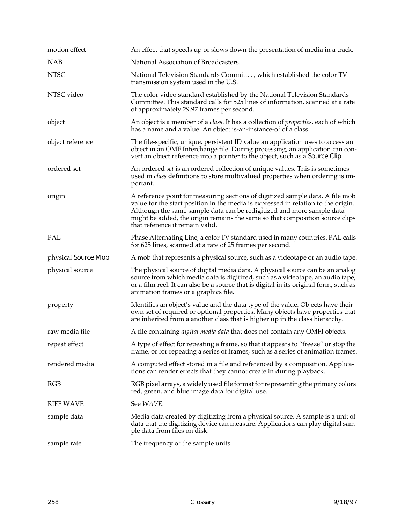| motion effect       | An effect that speeds up or slows down the presentation of media in a track.                                                                                                                                                                                                                                                                                   |
|---------------------|----------------------------------------------------------------------------------------------------------------------------------------------------------------------------------------------------------------------------------------------------------------------------------------------------------------------------------------------------------------|
| <b>NAB</b>          | National Association of Broadcasters.                                                                                                                                                                                                                                                                                                                          |
| <b>NTSC</b>         | National Television Standards Committee, which established the color TV<br>transmission system used in the U.S.                                                                                                                                                                                                                                                |
| NTSC video          | The color video standard established by the National Television Standards<br>Committee. This standard calls for 525 lines of information, scanned at a rate<br>of approximately 29.97 frames per second.                                                                                                                                                       |
| object              | An object is a member of a <i>class</i> . It has a collection of <i>properties</i> , each of which<br>has a name and a value. An object is-an-instance-of of a class.                                                                                                                                                                                          |
| object reference    | The file-specific, unique, persistent ID value an application uses to access an<br>object in an OMF Interchange file. During processing, an application can con-<br>vert an object reference into a pointer to the object, such as a Source Clip.                                                                                                              |
| ordered set         | An ordered set is an ordered collection of unique values. This is sometimes<br>used in <i>class</i> definitions to store multivalued properties when ordering is im-<br>portant.                                                                                                                                                                               |
| origin              | A reference point for measuring sections of digitized sample data. A file mob<br>value for the start position in the media is expressed in relation to the origin.<br>Although the same sample data can be redigitized and more sample data<br>might be added, the origin remains the same so that composition source clips<br>that reference it remain valid. |
| PAL                 | Phase Alternating Line, a color TV standard used in many countries. PAL calls<br>for 625 lines, scanned at a rate of 25 frames per second.                                                                                                                                                                                                                     |
| physical Source Mob | A mob that represents a physical source, such as a videotape or an audio tape.                                                                                                                                                                                                                                                                                 |
| physical source     | The physical source of digital media data. A physical source can be an analog<br>source from which media data is digitized, such as a videotape, an audio tape,<br>or a film reel. It can also be a source that is digital in its original form, such as<br>animation frames or a graphics file.                                                               |
| property            | Identifies an object's value and the data type of the value. Objects have their<br>own set of required or optional properties. Many objects have properties that<br>are inherited from a another class that is higher up in the class hierarchy.                                                                                                               |
| raw media file      | A file containing <i>digital media data</i> that does not contain any OMFI objects.                                                                                                                                                                                                                                                                            |
| repeat effect       | A type of effect for repeating a frame, so that it appears to "freeze" or stop the<br>frame, or for repeating a series of frames, such as a series of animation frames.                                                                                                                                                                                        |
| rendered media      | A computed effect stored in a file and referenced by a composition. Applica-<br>tions can render effects that they cannot create in during playback.                                                                                                                                                                                                           |
| RGB                 | RGB pixel arrays, a widely used file format for representing the primary colors<br>red, green, and blue image data for digital use.                                                                                                                                                                                                                            |
| <b>RIFF WAVE</b>    | See WAVE.                                                                                                                                                                                                                                                                                                                                                      |
| sample data         | Media data created by digitizing from a physical source. A sample is a unit of<br>data that the digitizing device can measure. Applications can play digital sam-                                                                                                                                                                                              |
|                     | ple data from files on disk.                                                                                                                                                                                                                                                                                                                                   |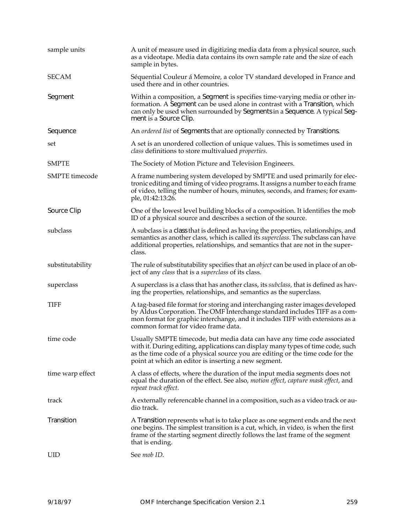| sample units          | A unit of measure used in digitizing media data from a physical source, such<br>as a videotape. Media data contains its own sample rate and the size of each<br>sample in bytes.                                                                                                                      |  |  |
|-----------------------|-------------------------------------------------------------------------------------------------------------------------------------------------------------------------------------------------------------------------------------------------------------------------------------------------------|--|--|
| <b>SECAM</b>          | Séquential Couleur á Memoire, a color TV standard developed in France and<br>used there and in other countries.                                                                                                                                                                                       |  |  |
| Segment               | Within a composition, a Segment is specifies time-varying media or other in-<br>formation. A Segment can be used alone in contrast with a Transition, which<br>can only be used when surrounded by Segments in a Sequence. A typical Seg-<br>ment is a Source Clip.                                   |  |  |
| Sequence              | An ordered list of Segments that are optionally connected by Transitions.                                                                                                                                                                                                                             |  |  |
| set                   | A set is an unordered collection of unique values. This is sometimes used in<br>class definitions to store multivalued <i>properties</i> .                                                                                                                                                            |  |  |
| <b>SMPTE</b>          | The Society of Motion Picture and Television Engineers.                                                                                                                                                                                                                                               |  |  |
| <b>SMPTE</b> timecode | A frame numbering system developed by SMPTE and used primarily for elec-<br>tronic editing and timing of video programs. It assigns a number to each frame<br>of video, telling the number of hours, minutes, seconds, and frames; for exam-<br>ple, 01:42:13:26.                                     |  |  |
| Source Clip           | One of the lowest level building blocks of a composition. It identifies the mob<br>ID of a physical source and describes a section of the source.                                                                                                                                                     |  |  |
| subclass              | A subclass is a class that is defined as having the properties, relationships, and<br>semantics as another class, which is called its <i>superclass</i> . The subclass can have<br>additional properties, relationships, and semantics that are not in the super-<br>class.                           |  |  |
| substitutability      | The rule of substitutability specifies that an <i>object</i> can be used in place of an ob-<br>ject of any <i>class</i> that is a <i>superclass</i> of its class.                                                                                                                                     |  |  |
| superclass            | A superclass is a class that has another class, its <i>subclass</i> , that is defined as hav-<br>ing the properties, relationships, and semantics as the superclass.                                                                                                                                  |  |  |
| TIFF                  | A tag-based file format for storing and interchanging raster images developed<br>by Aldus Corporation. The OMF Interchange standard includes TIFF as a com-<br>mon format for graphic interchange, and it includes TIFF with extensions as a<br>common format for video frame data.                   |  |  |
| time code             | Usually SMPTE timecode, but media data can have any time code associated<br>with it. During editing, applications can display many types of time code, such<br>as the time code of a physical source you are editing or the time code for the<br>point at which an editor is inserting a new segment. |  |  |
| time warp effect      | A class of effects, where the duration of the input media segments does not<br>equal the duration of the effect. See also, motion effect, capture mask effect, and<br>repeat track effect.                                                                                                            |  |  |
| track                 | A externally referencable channel in a composition, such as a video track or au-<br>dio track.                                                                                                                                                                                                        |  |  |
| Transition            | A Transition represents what is to take place as one segment ends and the next<br>one begins. The simplest transition is a cut, which, in video, is when the first<br>frame of the starting segment directly follows the last frame of the segment<br>that is ending.                                 |  |  |
| UID                   | See mob ID.                                                                                                                                                                                                                                                                                           |  |  |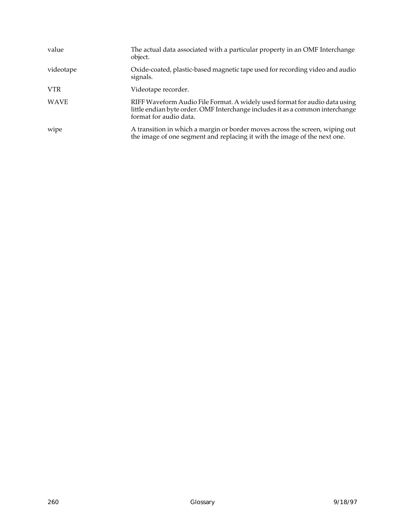| value       | The actual data associated with a particular property in an OMF Interchange<br>object.                                                                                                |
|-------------|---------------------------------------------------------------------------------------------------------------------------------------------------------------------------------------|
| videotape   | Oxide-coated, plastic-based magnetic tape used for recording video and audio<br>signals.                                                                                              |
| <b>VTR</b>  | Videotape recorder.                                                                                                                                                                   |
| <b>WAVE</b> | RIFF Waveform Audio File Format. A widely used format for audio data using<br>little endian byte order. OMF Interchange includes it as a common interchange<br>format for audio data. |
| wipe        | A transition in which a margin or border moves across the screen, wiping out<br>the image of one segment and replacing it with the image of the next one.                             |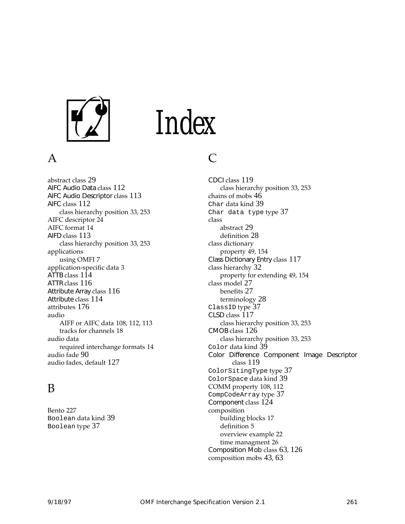

## Index

#### A

abstract class [29](#page-40-0) AIFC Audio Data class [112](#page-123-0) AIFC Audio Descriptor class [113](#page-124-0) AIFC class [112](#page-123-0) class hierarchy position [33](#page-44-0), [253](#page-264-0) AIFC descriptor [24](#page-35-0) AIFC format [14](#page-25-0) AIFD class [113](#page-124-0) class hierarchy position [33](#page-44-0), [253](#page-264-0) applications using OMFI [7](#page-18-0) application-specific data [3](#page-14-0) ATTB class [114](#page-125-0) ATTR class [116](#page-127-0) Attribute Array class [116](#page-127-0) Attribute class [114](#page-125-0) attributes [176](#page-187-0) audio AIFF or AIFC data [108](#page-119-0), [112](#page-123-0), [113](#page-124-0) tracks for channels [18](#page-29-0) audio data required interchange formats [14](#page-25-0) audio fade [90](#page-101-0) audio fades, default [127](#page-138-0)

#### B

Bento [227](#page-238-0) Boolean data kind [39](#page-50-0) Boolean type [37](#page-48-0)

#### C

CDCI class [119](#page-130-0) class hierarchy position [33](#page-44-0), [253](#page-264-0) chains of mobs [46](#page-57-0) Char data kind [39](#page-50-0) Char data type type [37](#page-48-0) class abstract [29](#page-40-0) definition [28](#page-39-0) class dictionary property [49,](#page-60-0) [154](#page-165-0) Class Dictionary Entry class [117](#page-128-0) class hierarchy [32](#page-43-0) property for extending [49,](#page-60-0) [154](#page-165-0) class model [27](#page-38-0) benefits [27](#page-38-0) terminology [28](#page-39-0) ClassID type [37](#page-48-0) CLSD class [117](#page-128-0) class hierarchy position [33](#page-44-0), [253](#page-264-0) CMOB class [126](#page-137-0) class hierarchy position [33](#page-44-0), [253](#page-264-0) Color data kind [39](#page-50-0) Color Difference Component Image Descriptor class [119](#page-130-0) ColorSitingType type [37](#page-48-0) ColorSpace data kind [39](#page-50-0) COMM property [108](#page-119-0), [112](#page-123-0) CompCodeArray type [37](#page-48-0) Component class [124](#page-135-0) composition building blocks [17](#page-28-0) definition [5](#page-16-0) overview example [22](#page-33-0) time managment [26](#page-37-0) Composition Mob class [63](#page-74-0), [126](#page-137-0) composition mobs [43](#page-54-0), [63](#page-74-0)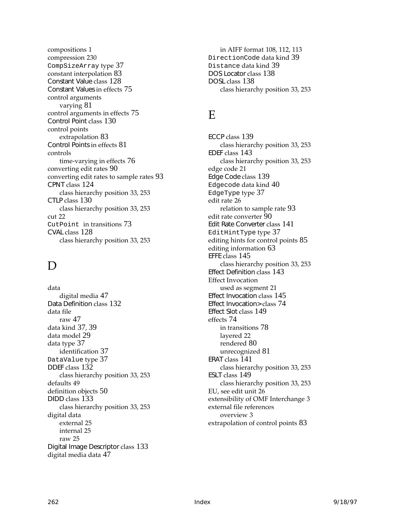compositions [1](#page-12-0) compression [230](#page-241-0) CompSizeArray type [37](#page-48-0) constant interpolation [83](#page-94-0) Constant Value class [128](#page-139-0) Constant Values in effects [75](#page-86-0) control arguments varying [81](#page-92-0) control arguments in effects [75](#page-86-0) Control Point class [130](#page-141-0) control points extrapolation [83](#page-94-0) Control Points in effects [81](#page-92-0) controls time-varying in effects [76](#page-87-0) converting edit rates [90](#page-101-0) converting edit rates to sample rates [93](#page-104-0) CPNT class [124](#page-135-0) class hierarchy position [33](#page-44-0), [253](#page-264-0) CTLP class [130](#page-141-0) class hierarchy position [33](#page-44-0), [253](#page-264-0) cut [22](#page-33-0) CutPoint in transitions [73](#page-84-0) CVAL class [128](#page-139-0) class hierarchy position [33](#page-44-0), [253](#page-264-0)

#### D

data digital media [47](#page-58-0) Data Definition class [132](#page-143-0) data file raw [47](#page-58-0) data kind [37](#page-48-0), [39](#page-50-0) data model [29](#page-40-0) data type [37](#page-48-0) identification [37](#page-48-0) DataValue type [37](#page-48-0) DDEF class [132](#page-143-0) class hierarchy position [33](#page-44-0), [253](#page-264-0) defaults [49](#page-60-0) definition objects [50](#page-61-0) DIDD class [133](#page-144-0) class hierarchy position [33](#page-44-0), [253](#page-264-0) digital data external [25](#page-36-0) internal [25](#page-36-0) raw [25](#page-36-0) Digital Image Descriptor class [133](#page-144-0) digital media data [47](#page-58-0)

in AIFF format [108,](#page-119-0) [112,](#page-123-0) [113](#page-124-0) DirectionCode data kind [39](#page-50-0) Distance data kind [39](#page-50-0) DOS Locator class [138](#page-149-0) DOSL class [138](#page-149-0) class hierarchy position [33](#page-44-0), [253](#page-264-0)

#### E

ECCP class [139](#page-150-0) class hierarchy position [33](#page-44-0), [253](#page-264-0) EDEF class [143](#page-154-0) class hierarchy position [33](#page-44-0), [253](#page-264-0) edge code [21](#page-32-0) Edge Code class [139](#page-150-0) Edgecode data kind [40](#page-51-0) EdgeType type [37](#page-48-0) edit rate [26](#page-37-0) relation to sample rate [93](#page-104-0) edit rate converter [90](#page-101-0) Edit Rate Converter class [141](#page-152-0) EditHintType type [37](#page-48-0) editing hints for control points [85](#page-96-0) editing information [63](#page-74-0) EFFE class [145](#page-156-0) class hierarchy position [33](#page-44-0), [253](#page-264-0) Effect Definition class [143](#page-154-0) Effect Invocation used as segment [21](#page-32-0) Effect Invocation class [145](#page-156-0) Effect Invocation> class [74](#page-85-0) Effect Slot class [149](#page-160-0) effects [74](#page-85-0) in transitions [78](#page-89-0) layered [22](#page-33-0) rendered [80](#page-91-0) unrecognized [81](#page-92-0) ERAT class [141](#page-152-0) class hierarchy position [33](#page-44-0), [253](#page-264-0) ESLT class [149](#page-160-0) class hierarchy position [33](#page-44-0), [253](#page-264-0) EU, see edit unit [26](#page-37-0) extensibility of OMF Interchange [3](#page-14-0) external file references overview [3](#page-14-0) extrapolation of control points [83](#page-94-0)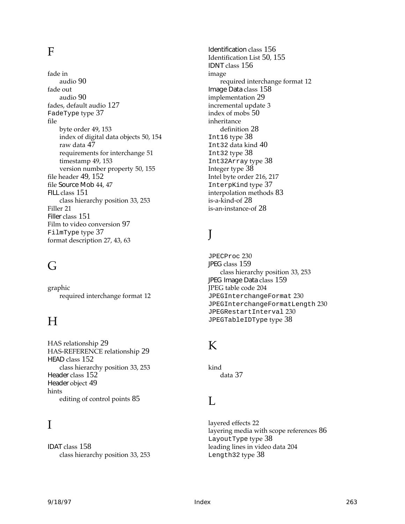#### F

fade in audio [90](#page-101-0) fade out audio [90](#page-101-0) fades, default audio [127](#page-138-0) FadeType type [37](#page-48-0) file byte order [49,](#page-60-0) [153](#page-164-0) index of digital data objects [50,](#page-61-0) [154](#page-165-0) raw data [47](#page-58-0) requirements for interchange [51](#page-62-0) timestamp [49](#page-60-0), [153](#page-164-0) version number property [50,](#page-61-0) [155](#page-166-0) file header [49](#page-60-0), [152](#page-163-0) file Source Mob [44,](#page-55-0) [47](#page-58-0) FILL class [151](#page-162-0) class hierarchy position [33](#page-44-0), [253](#page-264-0) Filler [21](#page-32-0) Filler class [151](#page-162-0) Film to video conversion [97](#page-108-0) FilmType type [37](#page-48-0) format description [27](#page-38-0), [43](#page-54-0), [63](#page-74-0)

#### G

graphic required interchange format [12](#page-23-0)

#### $H$

HAS relationship [29](#page-40-0) HAS-REFERENCE relationship [29](#page-40-0) HEAD class [152](#page-163-0) class hierarchy position [33](#page-44-0), [253](#page-264-0) Header class [152](#page-163-0) Header object [49](#page-60-0) hints editing of control points [85](#page-96-0)

#### I

IDAT class [158](#page-169-0) class hierarchy position [33](#page-44-0), [253](#page-264-0) Identification class [156](#page-167-0) Identification List [50](#page-61-0), [155](#page-166-0) IDNT class [156](#page-167-0) image required interchange format [12](#page-23-0) Image Data class [158](#page-169-0) implementation [29](#page-40-0) incremental update [3](#page-14-0) index of mobs [50](#page-61-0) inheritance definition [28](#page-39-0) Int16 type [38](#page-49-0) Int32 data kind [40](#page-51-0) Int32 type [38](#page-49-0) Int32Array type [38](#page-49-0) Integer type [38](#page-49-0) Intel byte order [216,](#page-227-0) [217](#page-228-0) InterpKind type [37](#page-48-0) interpolation methods [83](#page-94-0) is-a-kind-of [28](#page-39-0) is-an-instance-of [28](#page-39-0)

#### J

JPECProc [230](#page-241-0) JPEG class [159](#page-170-0) class hierarchy position [33](#page-44-0), [253](#page-264-0) JPEG Image Data class [159](#page-170-0) JPEG table code [204](#page-215-0) JPEGInterchangeFormat [230](#page-241-0) JPEGInterchangeFormatLength [230](#page-241-0) JPEGRestartInterval [230](#page-241-0) JPEGTableIDType type [38](#page-49-0)

#### K

kind data [37](#page-48-0)

#### L

layered effects [22](#page-33-0) layering media with scope references [86](#page-97-0) LayoutType type [38](#page-49-0) leading lines in video data [204](#page-215-0) Length32 type [38](#page-49-0)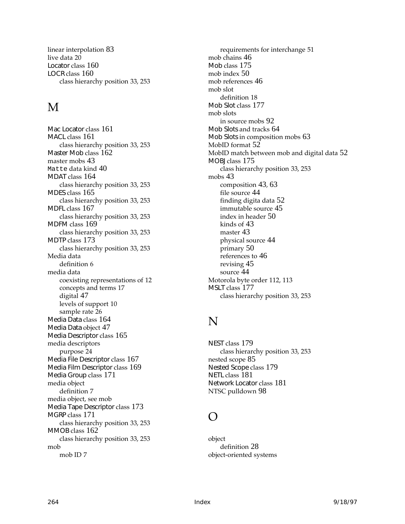linear interpolation [83](#page-94-0) live data [20](#page-31-0) Locator class [160](#page-171-0) LOCR class [160](#page-171-0) class hierarchy position [33](#page-44-0), [253](#page-264-0)

#### M

Mac Locator class [161](#page-172-0) MACL class [161](#page-172-0) class hierarchy position [33](#page-44-0), [253](#page-264-0) Master Mob class [162](#page-173-0) master mobs [43](#page-54-0) Matte data kind [40](#page-51-0) MDAT class [164](#page-175-0) class hierarchy position [33](#page-44-0), [253](#page-264-0) MDES class [165](#page-176-0) class hierarchy position [33](#page-44-0), [253](#page-264-0) MDFL class [167](#page-178-0) class hierarchy position [33](#page-44-0), [253](#page-264-0) MDFM class [169](#page-180-0) class hierarchy position [33](#page-44-0), [253](#page-264-0) MDTP class [173](#page-184-0) class hierarchy position [33](#page-44-0), [253](#page-264-0) Media data definition [6](#page-17-0) media data coexisting representations of [12](#page-23-0) concepts and terms [17](#page-28-0) digital [47](#page-58-0) levels of support [10](#page-21-0) sample rate [26](#page-37-0) Media Data class [164](#page-175-0) Media Data object [47](#page-58-0) Media Descriptor class [165](#page-176-0) media descriptors purpose [24](#page-35-0) Media File Descriptor class [167](#page-178-0) Media Film Descriptor class [169](#page-180-0) Media Group class [171](#page-182-0) media object definition [7](#page-18-0) [media object, see mob](#page-18-0) Media Tape Descriptor class [173](#page-184-0) MGRP class [171](#page-182-0) class hierarchy position [33](#page-44-0), [253](#page-264-0) MMOB class [162](#page-173-0) class hierarchy position [33](#page-44-0), [253](#page-264-0) mob mob ID [7](#page-18-0)

requirements for interchange [51](#page-62-0) mob chains [46](#page-57-0) Mob class [175](#page-186-0) mob index [50](#page-61-0) mob references [46](#page-57-0) mob slot definition [18](#page-29-0) Mob Slot class [177](#page-188-0) mob slots in source mobs [92](#page-103-0) Mob Slots and tracks [64](#page-75-0) Mob Slots in composition mobs [63](#page-74-0) MobID format [52](#page-63-0) MobID match between mob and digital data [52](#page-63-0) MOBJ class [175](#page-186-0) class hierarchy position [33](#page-44-0), [253](#page-264-0) mobs [43](#page-54-0) composition [43](#page-54-0), [63](#page-74-0) file source [44](#page-55-0) finding digita data [52](#page-63-0) immutable source [45](#page-56-0) index in header [50](#page-61-0) kinds of [43](#page-54-0) master [43](#page-54-0) physical source [44](#page-55-0) primary [50](#page-61-0) references to [46](#page-57-0) revising [45](#page-56-0) source [44](#page-55-0) Motorola byte order [112](#page-123-0), [113](#page-124-0) MSLT class [177](#page-188-0) class hierarchy position [33](#page-44-0), [253](#page-264-0)

#### N

NEST class [179](#page-190-0) class hierarchy position [33](#page-44-0), [253](#page-264-0) nested scope [85](#page-96-0) Nested Scope class [179](#page-190-0) NETL class [181](#page-192-0) Network Locator class [181](#page-192-0) NTSC pulldown [98](#page-109-0)

#### $\left( \right)$

object definition [28](#page-39-0) object-oriented [systems](#page-49-0)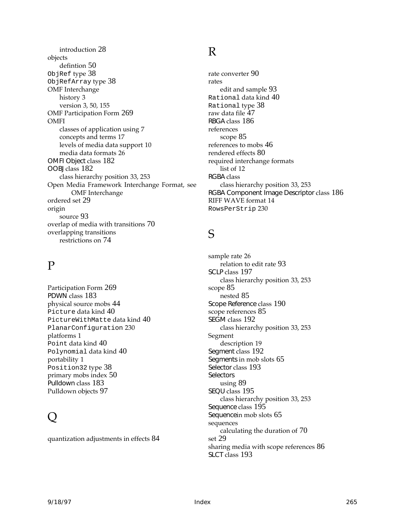introduction [28](#page-39-0) objects defintion [50](#page-61-0) ObjRef type [38](#page-49-0) ObjRefArray type [38](#page-49-0) OMF Interchange history [3](#page-14-0) version [3,](#page-14-0) [50,](#page-61-0) [155](#page-166-0) OMF Participation Form [269](#page-280-0) OMFI classes of application using [7](#page-18-0) concepts and terms [17](#page-28-0) levels of media data support [10](#page-21-0) media data formats [26](#page-37-0) OMFI Object class [182](#page-193-0) OOBJ class [182](#page-193-0) class hierarchy position [33](#page-44-0), [253](#page-264-0) [Open Media Framework Interchange Format, see](#page-12-0) OMF Interchange ordered set [29](#page-40-0) origin source [93](#page-104-0) overlap of media with transitions [70](#page-81-0) overlapping transitions restrictions on [74](#page-85-0)

### P

Participation Form [269](#page-280-0) PDWN class [183](#page-194-0) physical source mobs [44](#page-55-0) Picture data kind [40](#page-51-0) PictureWithMatte data kind [40](#page-51-0) PlanarConfiguration [230](#page-241-0) platforms [1](#page-12-0) Point data kind [40](#page-51-0) Polynomial data kind [40](#page-51-0) portability [1](#page-12-0) Position32 type [38](#page-49-0) primary mobs index [50](#page-61-0) Pulldown class [183](#page-194-0) Pulldown objects [97](#page-108-0)

### $\bigcup$

quantization adjustments in effects [84](#page-95-0)

#### R

rate converter [90](#page-101-0) rates edit and sample [93](#page-104-0) Rational data kind [40](#page-51-0) Rational type [38](#page-49-0) raw data file [47](#page-58-0) RBGA class [186](#page-197-0) references scope [85](#page-96-0) references to mobs [46](#page-57-0) rendered effects [80](#page-91-0) required interchange formats list of [12](#page-23-0) RGBA class class hierarchy position [33](#page-44-0), [253](#page-264-0) RGBA Component Image Descriptor class [186](#page-197-0) RIFF WAVE format [14](#page-25-0) RowsPerStrip [230](#page-241-0)

#### S

sample rate [26](#page-37-0) relation to edit rate [93](#page-104-0) SCLP class [197](#page-208-0) class hierarchy position [33](#page-44-0), [253](#page-264-0) scope [85](#page-96-0) nested [85](#page-96-0) Scope Reference class [190](#page-201-0) scope references [85](#page-96-0) SEGM class [192](#page-203-0) class hierarchy position [33](#page-44-0), [253](#page-264-0) Segment description [19](#page-30-0) Segment class [192](#page-203-0) Segments in mob slots [65](#page-76-0) Selector class [193](#page-204-0) **Selectors** using [89](#page-100-0) SEQU class [195](#page-206-0) class hierarchy position [33](#page-44-0), [253](#page-264-0) Sequence class [195](#page-206-0) Sequencein mob slots [65](#page-76-0) sequences calculating the duration of [70](#page-81-0) set [29](#page-40-0) sharing media with scope references [86](#page-97-0) SLCT class [193](#page-204-0)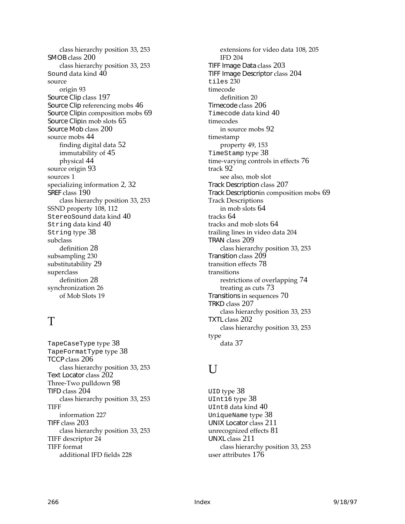class hierarchy position [33](#page-44-0), [253](#page-264-0) SMOB class [200](#page-211-0) class hierarchy position [33](#page-44-0), [253](#page-264-0) Sound data kind [40](#page-51-0) source origin [93](#page-104-0) Source Clip class [197](#page-208-0) Source Clip referencing mobs [46](#page-57-0) Source Clipin composition mobs [69](#page-80-0) Source Clipin mob slots [65](#page-76-0) Source Mob class [200](#page-211-0) source mobs [44](#page-55-0) finding digital data [52](#page-63-0) immutability of [45](#page-56-0) physical [44](#page-55-0) source origin [93](#page-104-0) sources [1](#page-12-0) specializing information [2](#page-13-0), [32](#page-43-0) SREF class [190](#page-201-0) class hierarchy position [33](#page-44-0), [253](#page-264-0) SSND property [108](#page-119-0), [112](#page-123-0) StereoSound data kind [40](#page-51-0) String data kind [40](#page-51-0) String type [38](#page-49-0) subclass definition [28](#page-39-0) subsampling [230](#page-241-0) substitutability [29](#page-40-0) superclass definition [28](#page-39-0) synchronization [26](#page-37-0) of Mob Slots [19](#page-30-0)

#### T

TapeCaseType type [38](#page-49-0) TapeFormatType type [38](#page-49-0) TCCP class [206](#page-217-0) class hierarchy position [33](#page-44-0), [253](#page-264-0) Text Locator class [202](#page-213-0) Three-Two pulldown [98](#page-109-0) TIFD class [204](#page-215-0) class hierarchy position [33](#page-44-0), [253](#page-264-0) TIFF information [227](#page-238-0) TIFF class [203](#page-214-0) class hierarchy position [33](#page-44-0), [253](#page-264-0) TIFF descriptor [24](#page-35-0) TIFF format additional IFD fields [228](#page-239-0)

extensions for video data [108,](#page-119-0) [205](#page-216-0) IFD [204](#page-215-0) TIFF Image Data class [203](#page-214-0) TIFF Image Descriptor class [204](#page-215-0) tiles [230](#page-241-0) timecode definition [20](#page-31-0) Timecode class [206](#page-217-0) Timecode data kind [40](#page-51-0) timecodes in source mobs [92](#page-103-0) timestamp property [49,](#page-60-0) [153](#page-164-0) TimeStamp type [38](#page-49-0) time-varying controls in effects [76](#page-87-0) track [92](#page-103-0) [see also, mob slot](#page-29-0) Track Description class [207](#page-218-0) Track Descriptionin composition mobs [69](#page-80-0) Track Descriptions in mob slots [64](#page-75-0) tracks [64](#page-75-0) tracks and mob slots [64](#page-75-0) trailing lines in video data [204](#page-215-0) TRAN class [209](#page-220-0) class hierarchy position [33](#page-44-0), [253](#page-264-0) Transition class [209](#page-220-0) transition effects [78](#page-89-0) transitions restrictions of overlapping [74](#page-85-0) treating as cuts [73](#page-84-0) Transitions in sequences [70](#page-81-0) TRKD class [207](#page-218-0) class hierarchy position [33](#page-44-0), [253](#page-264-0) TXTL class [202](#page-213-0) class hierarchy position [33](#page-44-0), [253](#page-264-0) type data [37](#page-48-0)

#### U

UID type [38](#page-49-0) UInt16 type [38](#page-49-0) UInt8 data kind [40](#page-51-0) UniqueName type [38](#page-49-0) UNIX Locator class [211](#page-222-0) unrecognized effects [81](#page-92-0) UNXL class [211](#page-222-0) class hierarchy position [33](#page-44-0), [253](#page-264-0) user attributes [176](#page-204-0)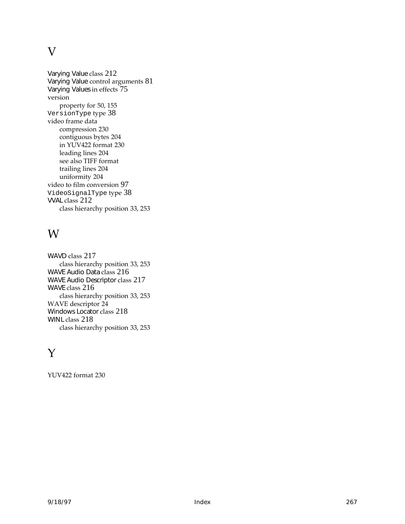#### V

Varying Value class [212](#page-223-0) Varying Value control arguments [81](#page-92-0) Varying Values in effects [75](#page-86-0) version property for [50](#page-61-0), [155](#page-166-0) VersionType type [38](#page-49-0) video frame data compression [230](#page-241-0) contiguous bytes [204](#page-215-0) in YUV422 format [230](#page-241-0) leading lines [204](#page-215-0) [see also TIFF format](#page-215-0) trailing lines [204](#page-215-0) uniformity [204](#page-215-0) video to film conversion [97](#page-108-0) VideoSignalType type [38](#page-49-0) VVAL class [212](#page-223-0) class hierarchy position [33](#page-44-0), [253](#page-264-0)

#### W

WAVD class [217](#page-228-0) class hierarchy position [33](#page-44-0), [253](#page-264-0) WAVE Audio Data class [216](#page-227-0) WAVE Audio Descriptor class [217](#page-228-0) WAVE class [216](#page-227-0) class hierarchy position [33](#page-44-0), [253](#page-264-0) WAVE descriptor [24](#page-35-0) Windows Locator class [218](#page-229-0) WINL class [218](#page-229-0) class hierarchy position [33](#page-44-0), [253](#page-264-0)

#### Y

YUV422 format [230](#page-241-0)